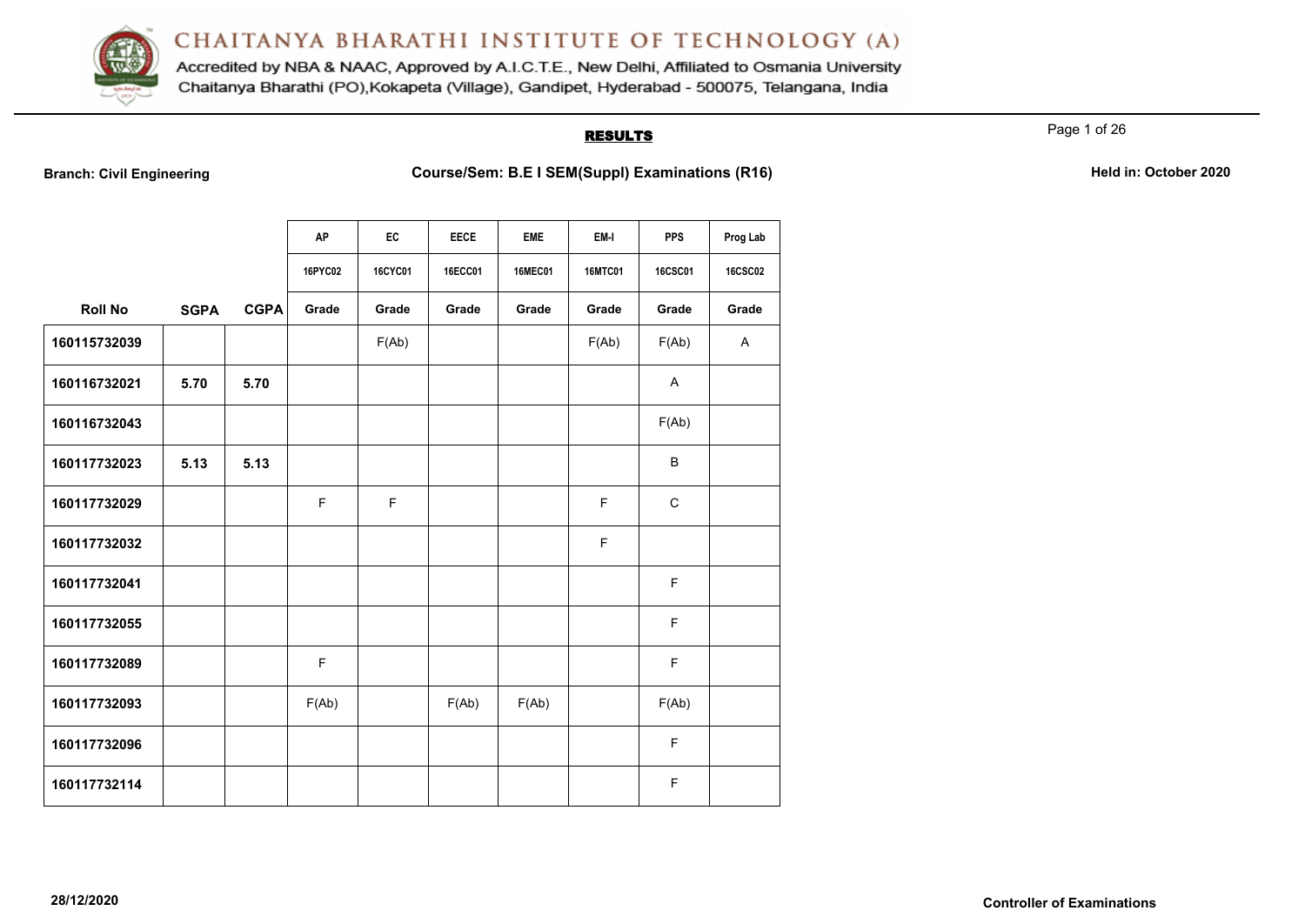

Accredited by NBA & NAAC, Approved by A.I.C.T.E., New Delhi, Affiliated to Osmania University Chaitanya Bharathi (PO), Kokapeta (Village), Gandipet, Hyderabad - 500075, Telangana, India

# **RESULTS**

Page 1 of 26

**Branch: Civil Engineering <b>Course/Sem: B.E I SEM(Suppl) Examinations (R16) Held in: October 2020** 

|                |             |             | AP          | EC             | <b>EECE</b>    | <b>EME</b>     | EM-I           | <b>PPS</b>     | Prog Lab       |
|----------------|-------------|-------------|-------------|----------------|----------------|----------------|----------------|----------------|----------------|
|                |             |             | 16PYC02     | <b>16CYC01</b> | <b>16ECC01</b> | <b>16MEC01</b> | <b>16MTC01</b> | <b>16CSC01</b> | <b>16CSC02</b> |
| <b>Roll No</b> | <b>SGPA</b> | <b>CGPA</b> | Grade       | Grade          | Grade          | Grade          | Grade          | Grade          | Grade          |
| 160115732039   |             |             |             | F(Ab)          |                |                | F(Ab)          | F(Ab)          | A              |
| 160116732021   | 5.70        | 5.70        |             |                |                |                |                | Α              |                |
| 160116732043   |             |             |             |                |                |                |                | F(Ab)          |                |
| 160117732023   | 5.13        | 5.13        |             |                |                |                |                | $\sf B$        |                |
| 160117732029   |             |             | $\mathsf F$ | $\mathsf F$    |                |                | $\mathsf F$    | $\mathsf C$    |                |
| 160117732032   |             |             |             |                |                |                | F              |                |                |
| 160117732041   |             |             |             |                |                |                |                | $\mathsf F$    |                |
| 160117732055   |             |             |             |                |                |                |                | $\mathsf F$    |                |
| 160117732089   |             |             | $\mathsf F$ |                |                |                |                | $\mathsf F$    |                |
| 160117732093   |             |             | F(Ab)       |                | F(Ab)          | F(Ab)          |                | F(Ab)          |                |
| 160117732096   |             |             |             |                |                |                |                | $\mathsf F$    |                |
| 160117732114   |             |             |             |                |                |                |                | $\mathsf F$    |                |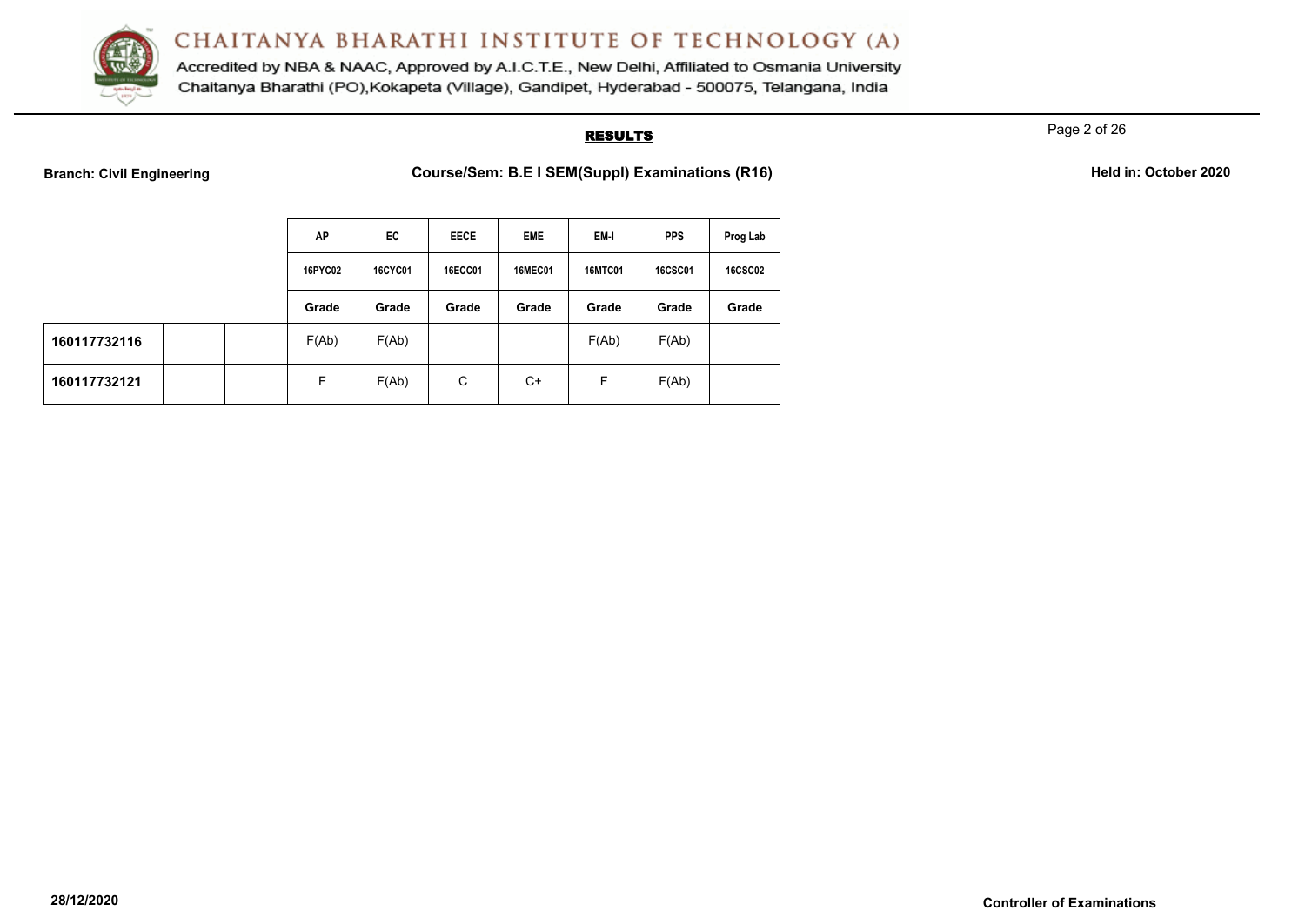

Accredited by NBA & NAAC, Approved by A.I.C.T.E., New Delhi, Affiliated to Osmania University Chaitanya Bharathi (PO), Kokapeta (Village), Gandipet, Hyderabad - 500075, Telangana, India

# **RESULTS**

Page 2 of 26

**Branch: Civil Engineering <b>Course/Sem: B.E I SEM(Suppl) Examinations (R16) Held in: October 2020** 

|  | Held in: October 2020 |  |
|--|-----------------------|--|
|  |                       |  |

|              | AP      | EC.            | <b>EECE</b>    | <b>EME</b>     | EM-I           | <b>PPS</b>     | Prog Lab       |
|--------------|---------|----------------|----------------|----------------|----------------|----------------|----------------|
|              | 16PYC02 | <b>16CYC01</b> | <b>16ECC01</b> | <b>16MEC01</b> | <b>16MTC01</b> | <b>16CSC01</b> | <b>16CSC02</b> |
|              | Grade   | Grade          | Grade          | Grade          | Grade          | Grade          | Grade          |
| 160117732116 | F(Ab)   | F(Ab)          |                |                | F(Ab)          | F(Ab)          |                |
| 160117732121 | F       | F(Ab)          | C              | $C+$           | F              | F(Ab)          |                |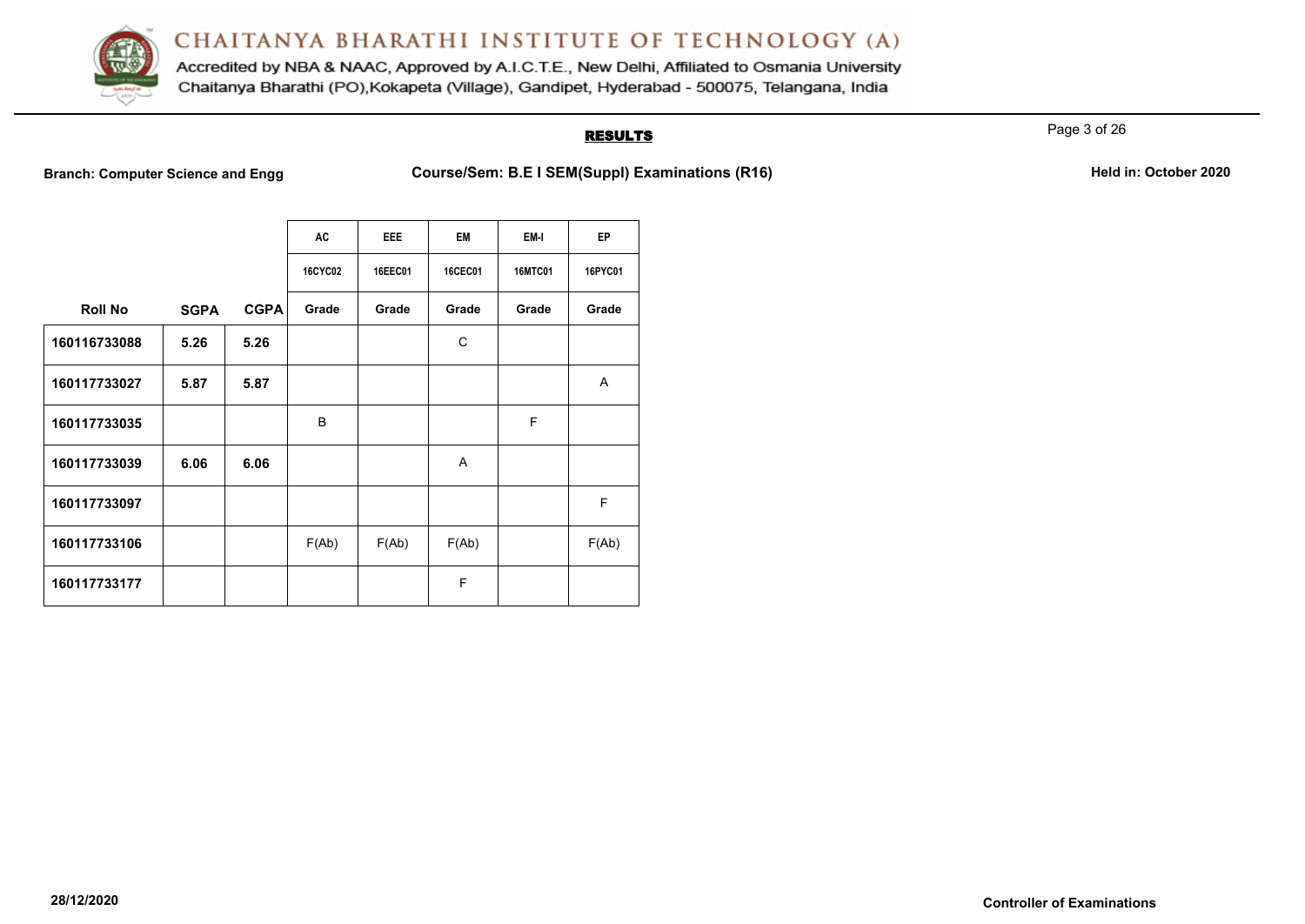

Accredited by NBA & NAAC, Approved by A.I.C.T.E., New Delhi, Affiliated to Osmania University Chaitanya Bharathi (PO), Kokapeta (Village), Gandipet, Hyderabad - 500075, Telangana, India

# **RESULTS**

Page 3 of 26

**Branch: Computer Science and Engg Course/Sem: B.E I SEM(Suppl) Examinations (R16)** Held in: October 2020

|                |             |             | AC             | <b>EEE</b> | EM             | EM-I           | EP      |
|----------------|-------------|-------------|----------------|------------|----------------|----------------|---------|
|                |             |             | <b>16CYC02</b> | 16EEC01    | <b>16CEC01</b> | <b>16MTC01</b> | 16PYC01 |
| <b>Roll No</b> | <b>SGPA</b> | <b>CGPA</b> | Grade          | Grade      | Grade          | Grade          | Grade   |
| 160116733088   | 5.26        | 5.26        |                |            | C              |                |         |
| 160117733027   | 5.87        | 5.87        |                |            |                |                | A       |
| 160117733035   |             |             | B              |            |                | F              |         |
| 160117733039   | 6.06        | 6.06        |                |            | A              |                |         |
| 160117733097   |             |             |                |            |                |                | F       |
| 160117733106   |             |             | F(Ab)          | F(Ab)      | F(Ab)          |                | F(Ab)   |
| 160117733177   |             |             |                |            | F              |                |         |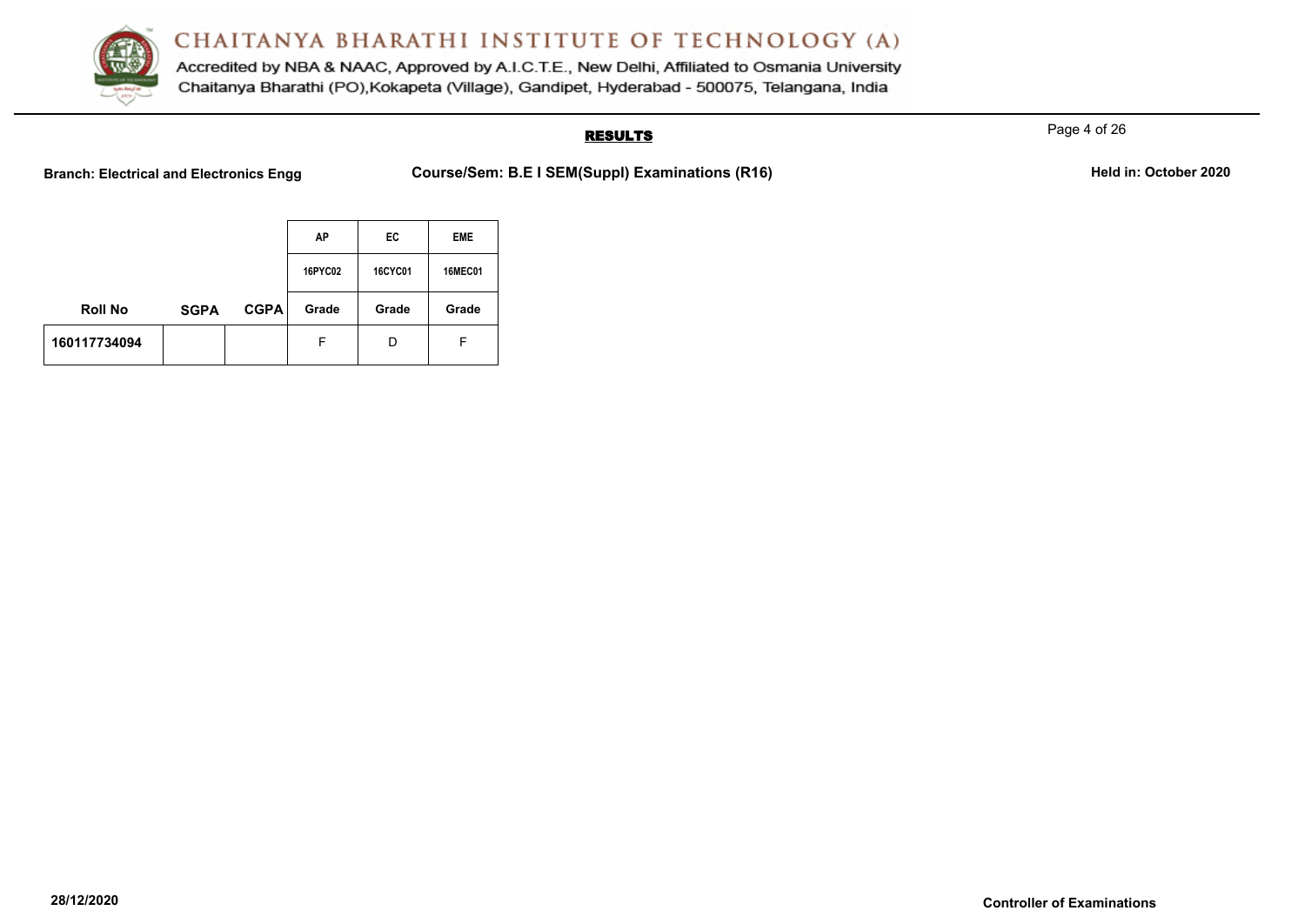

Accredited by NBA & NAAC, Approved by A.I.C.T.E., New Delhi, Affiliated to Osmania University Chaitanya Bharathi (PO), Kokapeta (Village), Gandipet, Hyderabad - 500075, Telangana, India

# **RESULTS**

Page 4 of 26

**Branch: Electrical and Electronics Engg Course/Sem: B.E I SEM(Suppl) Examinations (R16)** Held in: October 2020

|                |             |             | AP             | EC             | <b>EME</b>     |
|----------------|-------------|-------------|----------------|----------------|----------------|
|                |             |             | <b>16PYC02</b> | <b>16CYC01</b> | <b>16MEC01</b> |
| <b>Roll No</b> | <b>SGPA</b> | <b>CGPA</b> | Grade          | Grade          | Grade          |
| 160117734094   |             |             | F              | D              | F              |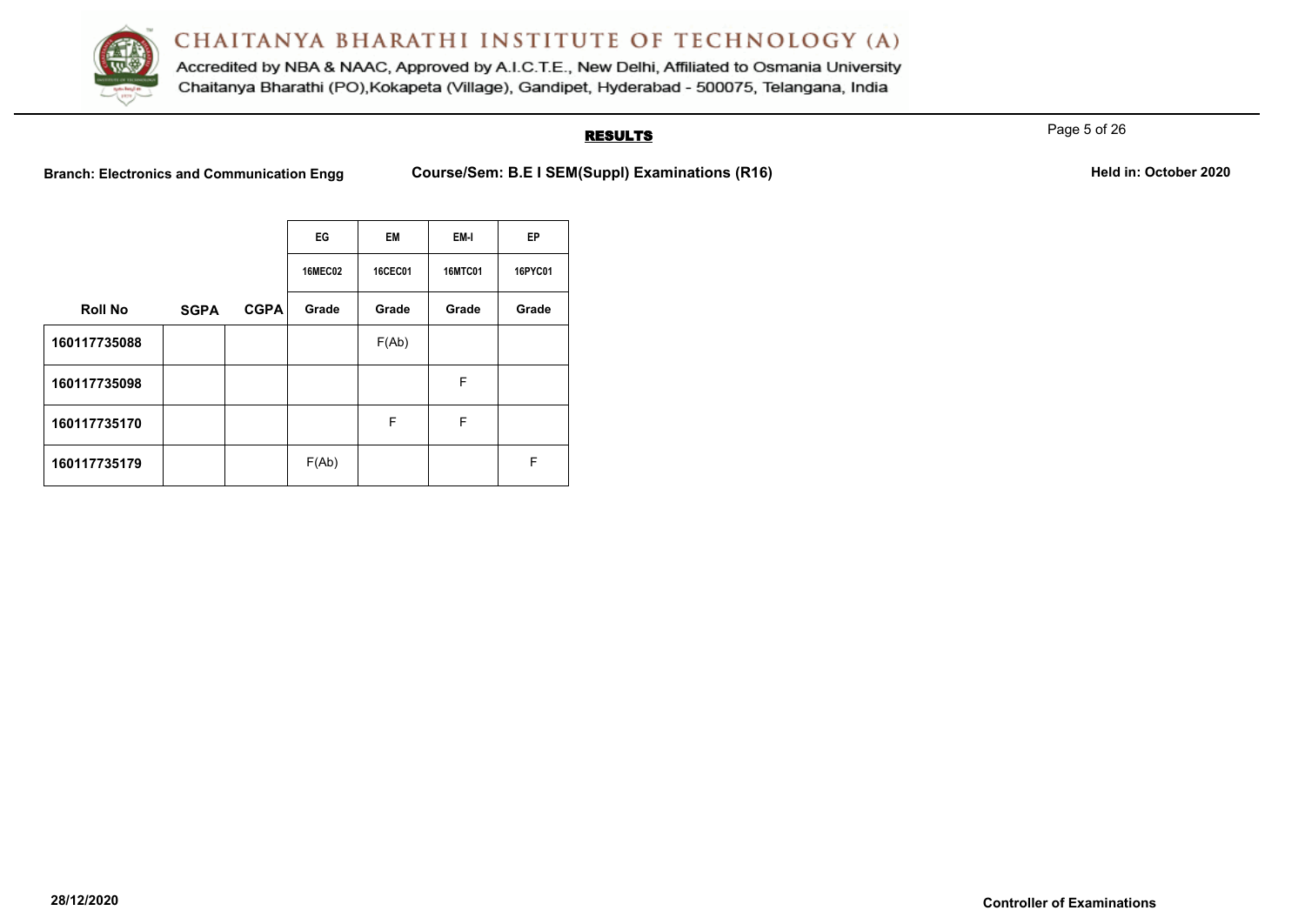

Accredited by NBA & NAAC, Approved by A.I.C.T.E., New Delhi, Affiliated to Osmania University Chaitanya Bharathi (PO), Kokapeta (Village), Gandipet, Hyderabad - 500075, Telangana, India

# **RESULTS**

Page 5 of 26

**Branch: Electronics and Communication Engg <b>Course/Sem: B.E I SEM(Suppl) Examinations (R16) Held in: October 2020** 

|  | Held in: October 2020 |  |
|--|-----------------------|--|
|--|-----------------------|--|

|                |             |             | EG             | <b>EM</b>      | EM-I           | <b>EP</b> |
|----------------|-------------|-------------|----------------|----------------|----------------|-----------|
|                |             |             | <b>16MEC02</b> | <b>16CEC01</b> | <b>16MTC01</b> | 16PYC01   |
| <b>Roll No</b> | <b>SGPA</b> | <b>CGPA</b> | Grade          | Grade          | Grade          | Grade     |
| 160117735088   |             |             |                | F(Ab)          |                |           |
| 160117735098   |             |             |                |                | F              |           |
| 160117735170   |             |             |                | F              | F              |           |
| 160117735179   |             |             | F(Ab)          |                |                | F         |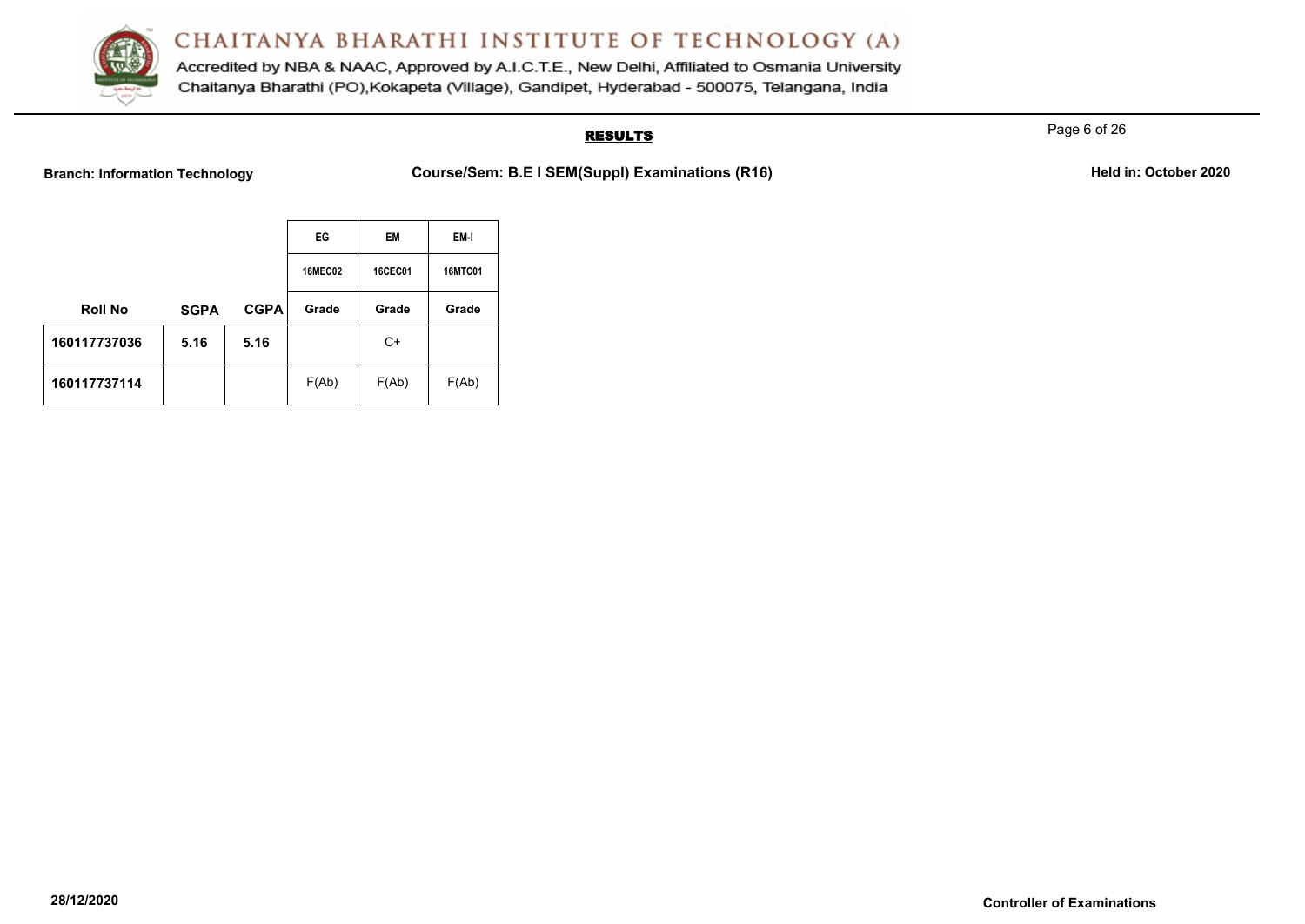

Accredited by NBA & NAAC, Approved by A.I.C.T.E., New Delhi, Affiliated to Osmania University Chaitanya Bharathi (PO), Kokapeta (Village), Gandipet, Hyderabad - 500075, Telangana, India

# **RESULTS**

Page 6 of 26

**Branch: Information Technology Course/Sem: B.E I SEM(Suppl) Examinations (R16)** Held in: October 2020

|                |             |             | EG             | EM             | EM-I           |
|----------------|-------------|-------------|----------------|----------------|----------------|
|                |             |             | <b>16MEC02</b> | <b>16CEC01</b> | <b>16MTC01</b> |
| <b>Roll No</b> | <b>SGPA</b> | <b>CGPA</b> | Grade          | Grade          | Grade          |
| 160117737036   | 5.16        | 5.16        |                | $C+$           |                |
| 160117737114   |             |             | F(Ab)          | F(Ab)          | F(Ab)          |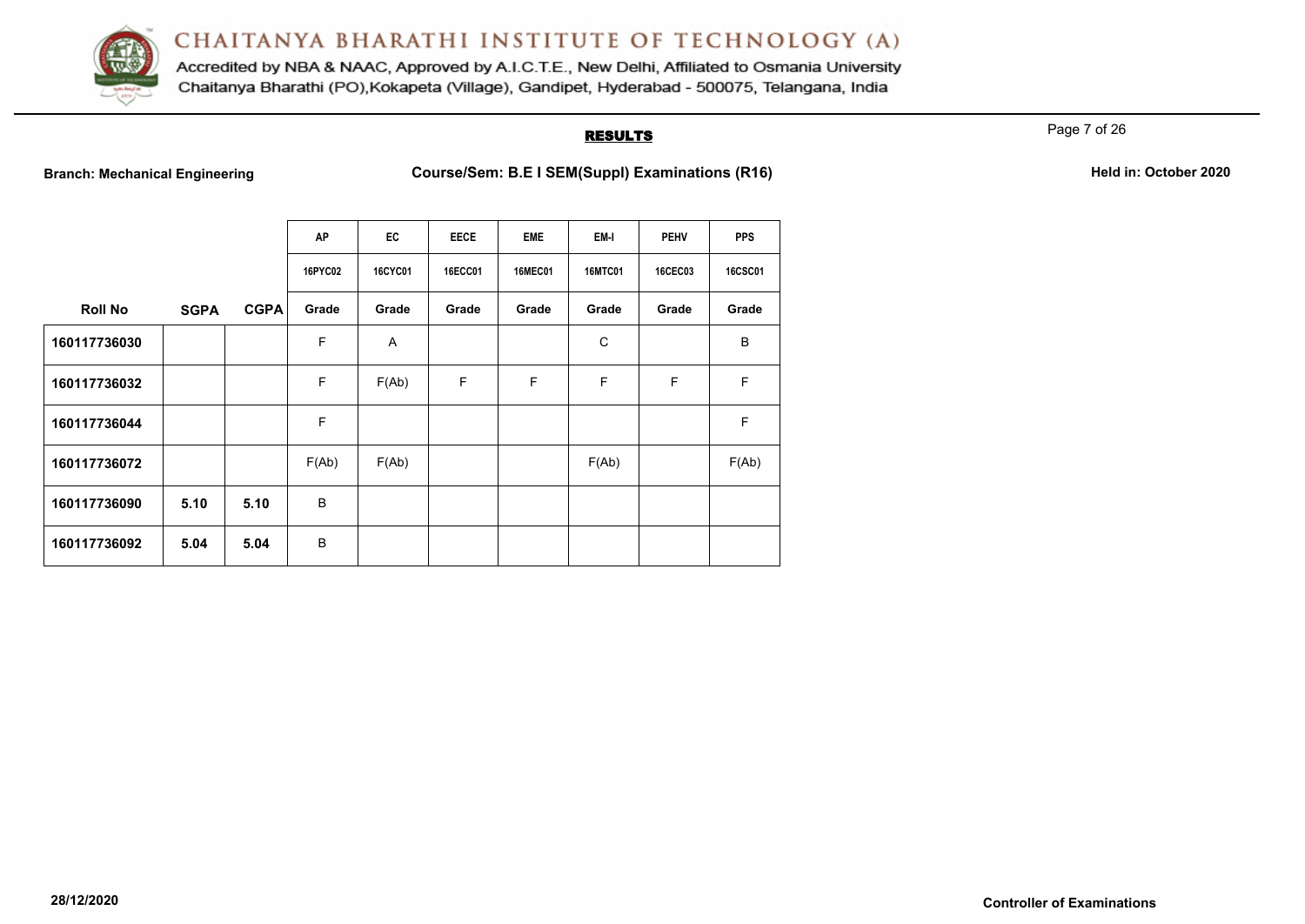

Accredited by NBA & NAAC, Approved by A.I.C.T.E., New Delhi, Affiliated to Osmania University Chaitanya Bharathi (PO), Kokapeta (Village), Gandipet, Hyderabad - 500075, Telangana, India

# **RESULTS**

Page 7 of 26

**Branch: Mechanical Engineering <b>Course/Sem: B.E I SEM(Suppl) Examinations (R16) Held in: October 2020** 

|  | Held in: October 2020 |  |
|--|-----------------------|--|
|  |                       |  |

|                |             |             | AP      | EC             | <b>EECE</b>    | <b>EME</b>     | EM-I           | <b>PEHV</b>    | <b>PPS</b>     |
|----------------|-------------|-------------|---------|----------------|----------------|----------------|----------------|----------------|----------------|
|                |             |             | 16PYC02 | <b>16CYC01</b> | <b>16ECC01</b> | <b>16MEC01</b> | <b>16MTC01</b> | <b>16CEC03</b> | <b>16CSC01</b> |
| <b>Roll No</b> | <b>SGPA</b> | <b>CGPA</b> | Grade   | Grade          | Grade          | Grade          | Grade          | Grade          | Grade          |
| 160117736030   |             |             | F       | A              |                |                | C              |                | B              |
| 160117736032   |             |             | F       | F(Ab)          | F              | F              | F              | F              | F              |
| 160117736044   |             |             | F       |                |                |                |                |                | F              |
| 160117736072   |             |             | F(Ab)   | F(Ab)          |                |                | F(Ab)          |                | F(Ab)          |
| 160117736090   | 5.10        | 5.10        | B       |                |                |                |                |                |                |
| 160117736092   | 5.04        | 5.04        | B       |                |                |                |                |                |                |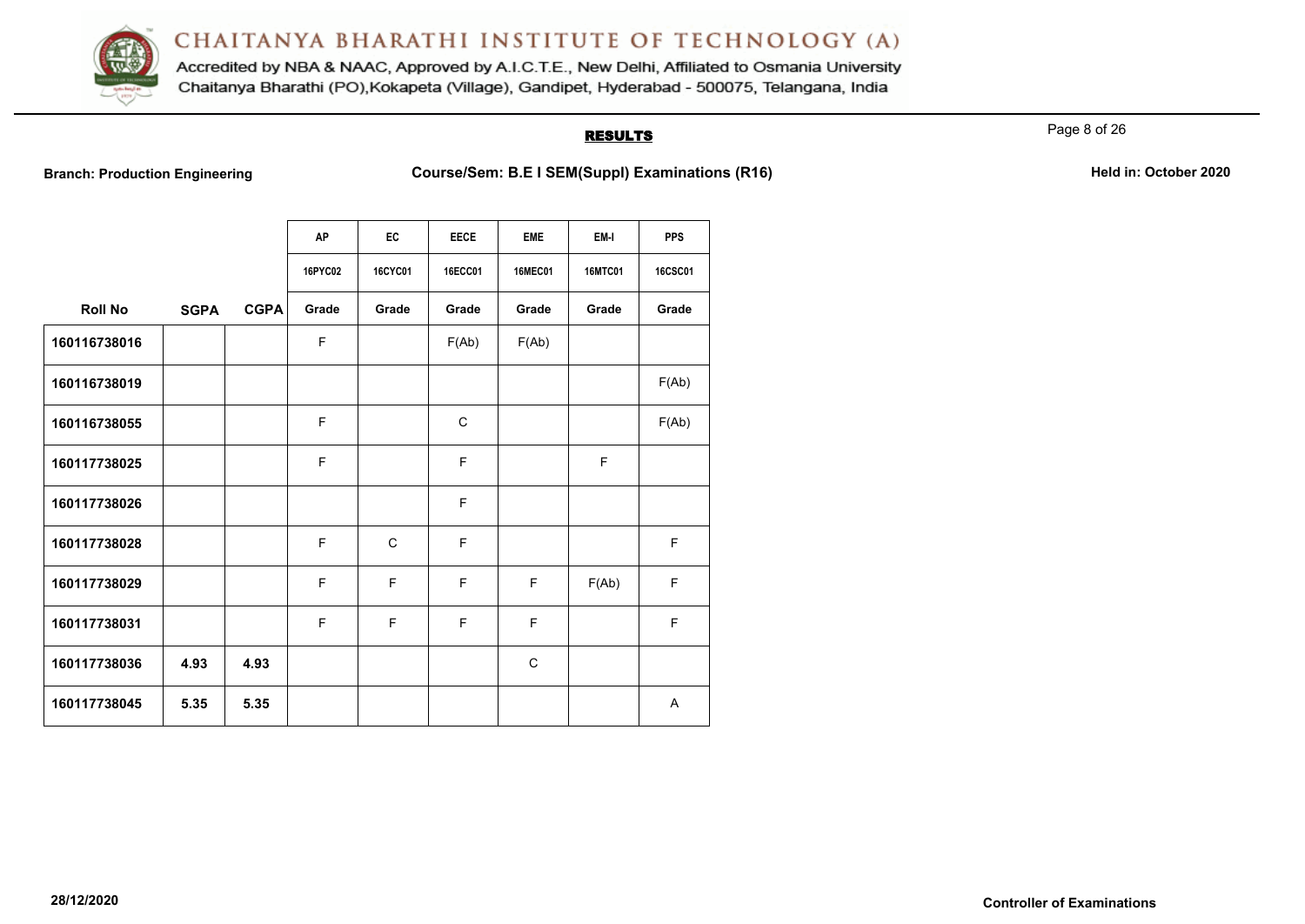

Accredited by NBA & NAAC, Approved by A.I.C.T.E., New Delhi, Affiliated to Osmania University Chaitanya Bharathi (PO), Kokapeta (Village), Gandipet, Hyderabad - 500075, Telangana, India

## **RESULTS**

Page 8 of 26

**Branch: Production Engineering <b>Course/Sem: B.E I SEM(Suppl) Examinations (R16)** Held in: October 2020

|                |             |             | <b>AP</b> | EC             | <b>EECE</b> | <b>EME</b>     | EM-I           | <b>PPS</b>     |
|----------------|-------------|-------------|-----------|----------------|-------------|----------------|----------------|----------------|
|                |             |             | 16PYC02   | <b>16CYC01</b> | 16ECC01     | <b>16MEC01</b> | <b>16MTC01</b> | <b>16CSC01</b> |
| <b>Roll No</b> | <b>SGPA</b> | <b>CGPA</b> | Grade     | Grade          | Grade       | Grade          | Grade          | Grade          |
| 160116738016   |             |             | F         |                | F(Ab)       | F(Ab)          |                |                |
| 160116738019   |             |             |           |                |             |                |                | F(Ab)          |
| 160116738055   |             |             | F         |                | C           |                |                | F(Ab)          |
| 160117738025   |             |             | F         |                | F           |                | F              |                |
| 160117738026   |             |             |           |                | $\mathsf F$ |                |                |                |
| 160117738028   |             |             | F         | $\mathsf{C}$   | E           |                |                | F.             |
| 160117738029   |             |             | F         | F              | F           | F              | F(Ab)          | F              |
| 160117738031   |             |             | F         | F              | F           | F              |                | F.             |
| 160117738036   | 4.93        | 4.93        |           |                |             | C              |                |                |
| 160117738045   | 5.35        | 5.35        |           |                |             |                |                | A              |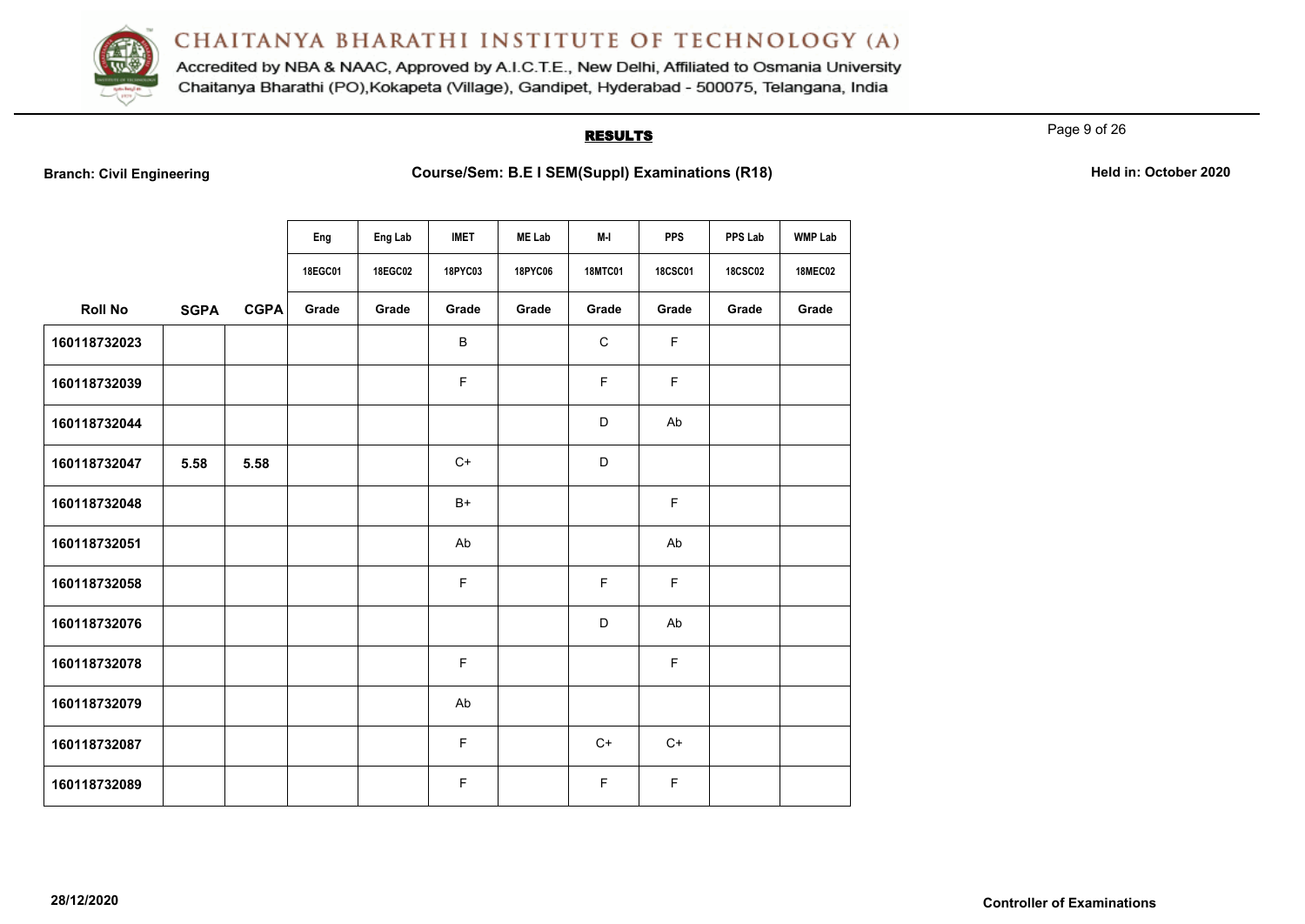

Accredited by NBA & NAAC, Approved by A.I.C.T.E., New Delhi, Affiliated to Osmania University Chaitanya Bharathi (PO), Kokapeta (Village), Gandipet, Hyderabad - 500075, Telangana, India

# **RESULTS**

Page 9 of 26

**Branch: Civil Engineering <b>Course/Sem: B.E I SEM(Suppl) Examinations (R18) Held in: October 2020** 

|                |             |             | Eng     | Eng Lab | <b>IMET</b> | <b>ME Lab</b> | M-I            | <b>PPS</b>     | PPS Lab        | <b>WMP Lab</b> |
|----------------|-------------|-------------|---------|---------|-------------|---------------|----------------|----------------|----------------|----------------|
|                |             |             | 18EGC01 | 18EGC02 | 18PYC03     | 18PYC06       | <b>18MTC01</b> | <b>18CSC01</b> | <b>18CSC02</b> | <b>18MEC02</b> |
| <b>Roll No</b> | <b>SGPA</b> | <b>CGPA</b> | Grade   | Grade   | Grade       | Grade         | Grade          | Grade          | Grade          | Grade          |
| 160118732023   |             |             |         |         | B           |               | $\mathbf C$    | F              |                |                |
| 160118732039   |             |             |         |         | F           |               | F              | F              |                |                |
| 160118732044   |             |             |         |         |             |               | D              | Ab             |                |                |
| 160118732047   | 5.58        | 5.58        |         |         | $C+$        |               | D              |                |                |                |
| 160118732048   |             |             |         |         | $B+$        |               |                | F              |                |                |
| 160118732051   |             |             |         |         | Ab          |               |                | Ab             |                |                |
| 160118732058   |             |             |         |         | $\mathsf F$ |               | F              | F              |                |                |
| 160118732076   |             |             |         |         |             |               | D              | Ab             |                |                |
| 160118732078   |             |             |         |         | $\mathsf F$ |               |                | F              |                |                |
| 160118732079   |             |             |         |         | Ab          |               |                |                |                |                |
| 160118732087   |             |             |         |         | F           |               | $C+$           | $C+$           |                |                |
| 160118732089   |             |             |         |         | F           |               | F              | F              |                |                |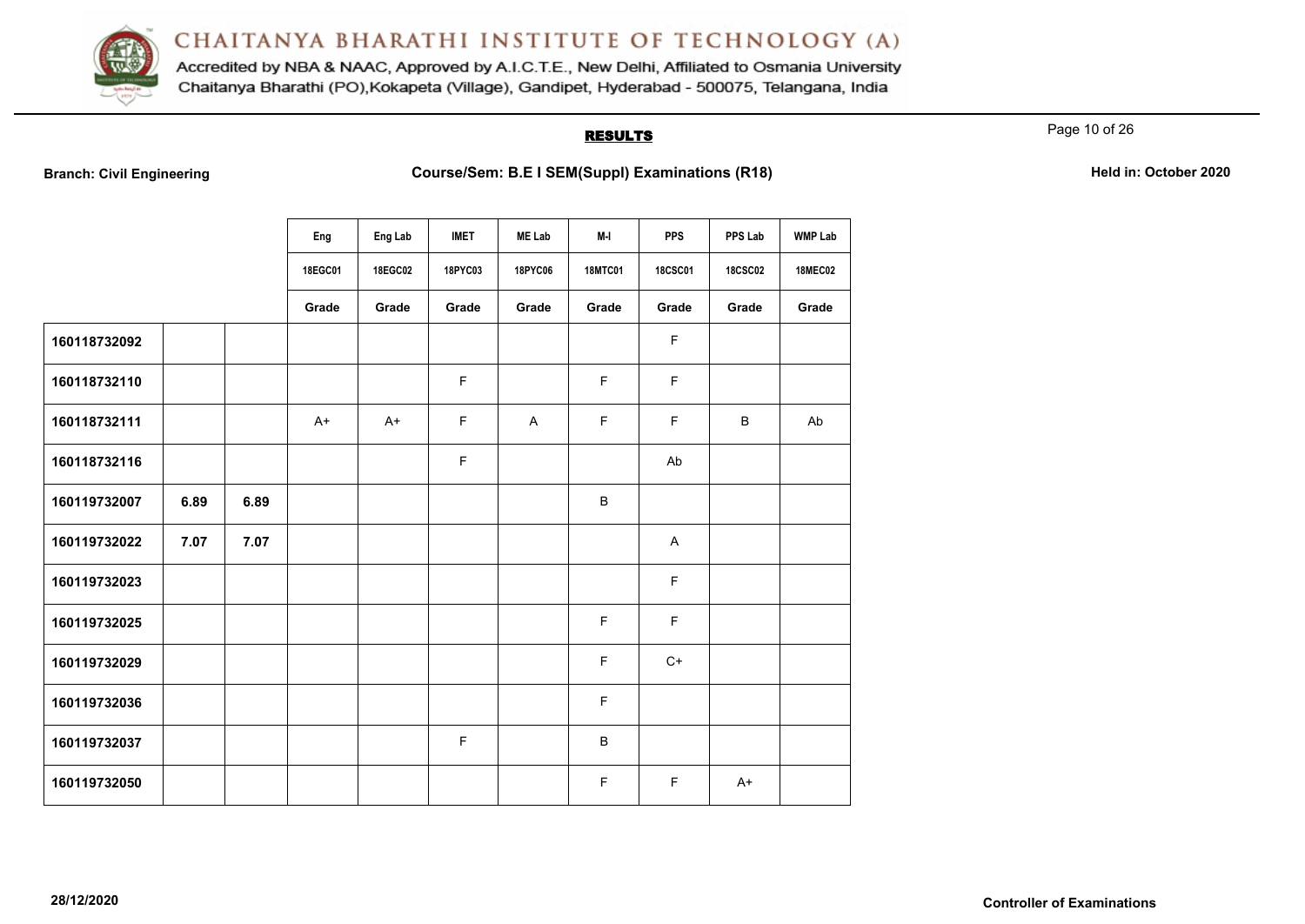

Accredited by NBA & NAAC, Approved by A.I.C.T.E., New Delhi, Affiliated to Osmania University Chaitanya Bharathi (PO), Kokapeta (Village), Gandipet, Hyderabad - 500075, Telangana, India

# **RESULTS**

Page 10 of 26

**Branch: Civil Engineering <b>Course/Sem: B.E I SEM(Suppl) Examinations (R18) Held in: October 2020** 

|              |      |      | Eng     | Eng Lab | <b>IMET</b> | <b>ME Lab</b> | M-I            | <b>PPS</b>     | PPS Lab        | <b>WMP Lab</b> |
|--------------|------|------|---------|---------|-------------|---------------|----------------|----------------|----------------|----------------|
|              |      |      | 18EGC01 | 18EGC02 | 18PYC03     | 18PYC06       | <b>18MTC01</b> | <b>18CSC01</b> | <b>18CSC02</b> | <b>18MEC02</b> |
|              |      |      | Grade   | Grade   | Grade       | Grade         | Grade          | Grade          | Grade          | Grade          |
| 160118732092 |      |      |         |         |             |               |                | F              |                |                |
| 160118732110 |      |      |         |         | F           |               | F              | $\mathsf F$    |                |                |
| 160118732111 |      |      | $A+$    | $A+$    | F           | A             | F              | $\mathsf F$    | B              | Ab             |
| 160118732116 |      |      |         |         | F           |               |                | Ab             |                |                |
| 160119732007 | 6.89 | 6.89 |         |         |             |               | $\sf B$        |                |                |                |
| 160119732022 | 7.07 | 7.07 |         |         |             |               |                | A              |                |                |
| 160119732023 |      |      |         |         |             |               |                | $\mathsf F$    |                |                |
| 160119732025 |      |      |         |         |             |               | F              | $\mathsf F$    |                |                |
| 160119732029 |      |      |         |         |             |               | F              | $C+$           |                |                |
| 160119732036 |      |      |         |         |             |               | F              |                |                |                |
| 160119732037 |      |      |         |         | F           |               | B              |                |                |                |
| 160119732050 |      |      |         |         |             |               | F              | F              | $A+$           |                |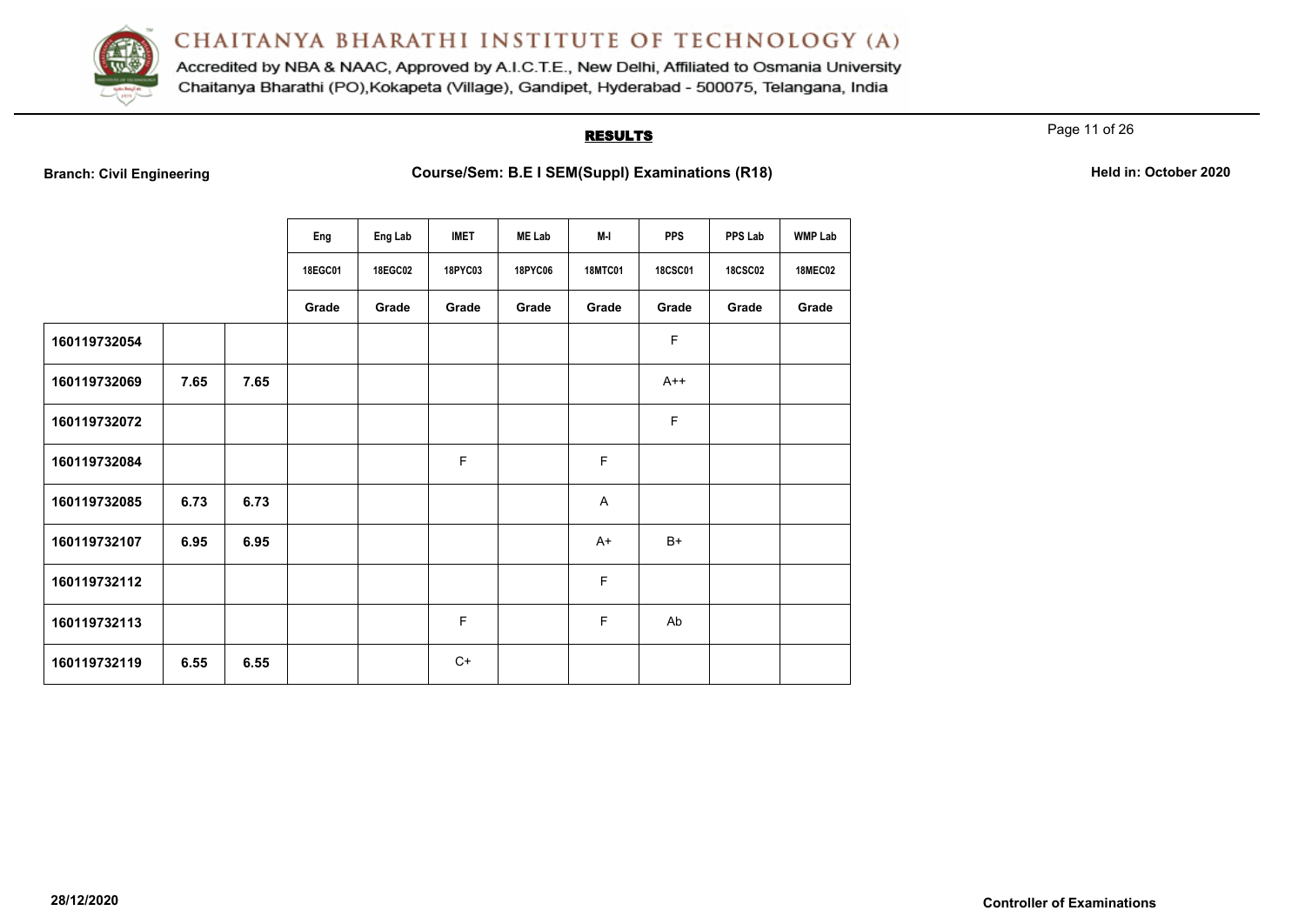

Accredited by NBA & NAAC, Approved by A.I.C.T.E., New Delhi, Affiliated to Osmania University Chaitanya Bharathi (PO), Kokapeta (Village), Gandipet, Hyderabad - 500075, Telangana, India

# **RESULTS**

Page 11 of 26

**Branch: Civil Engineering <b>Course/Sem: B.E I SEM(Suppl) Examinations (R18) Held in: October 2020** 

|              |      |      | Eng     | Eng Lab | <b>IMET</b> | <b>ME Lab</b> | M-I            | <b>PPS</b>     | PPS Lab        | <b>WMP Lab</b> |
|--------------|------|------|---------|---------|-------------|---------------|----------------|----------------|----------------|----------------|
|              |      |      | 18EGC01 | 18EGC02 | 18PYC03     | 18PYC06       | <b>18MTC01</b> | <b>18CSC01</b> | <b>18CSC02</b> | <b>18MEC02</b> |
|              |      |      | Grade   | Grade   | Grade       | Grade         | Grade          | Grade          | Grade          | Grade          |
| 160119732054 |      |      |         |         |             |               |                | F              |                |                |
| 160119732069 | 7.65 | 7.65 |         |         |             |               |                | $A++$          |                |                |
| 160119732072 |      |      |         |         |             |               |                | F              |                |                |
| 160119732084 |      |      |         |         | F           |               | F              |                |                |                |
| 160119732085 | 6.73 | 6.73 |         |         |             |               | A              |                |                |                |
| 160119732107 | 6.95 | 6.95 |         |         |             |               | $A+$           | $B+$           |                |                |
| 160119732112 |      |      |         |         |             |               | F              |                |                |                |
| 160119732113 |      |      |         |         | F           |               | F              | Ab             |                |                |
| 160119732119 | 6.55 | 6.55 |         |         | $C+$        |               |                |                |                |                |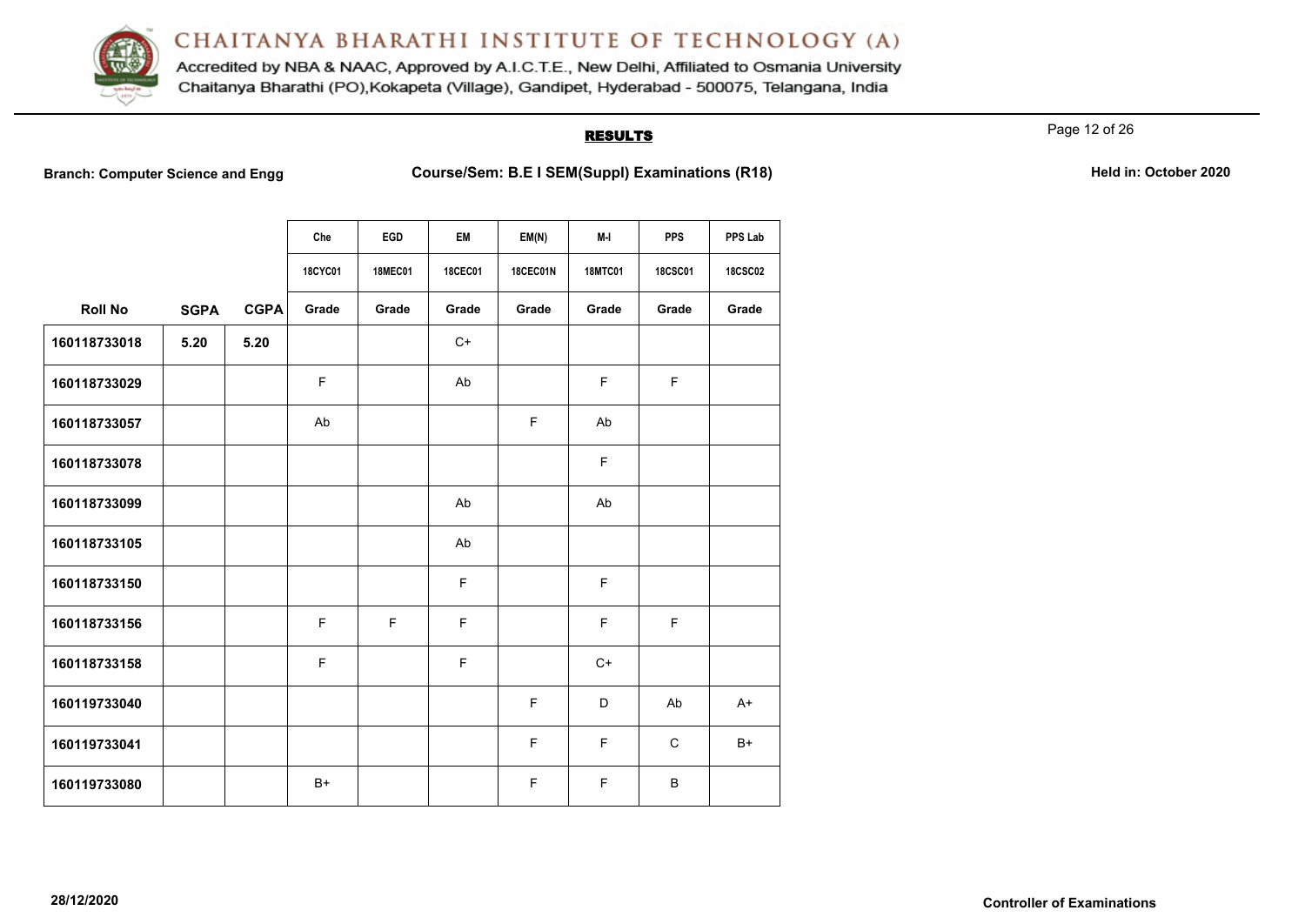

Accredited by NBA & NAAC, Approved by A.I.C.T.E., New Delhi, Affiliated to Osmania University Chaitanya Bharathi (PO), Kokapeta (Village), Gandipet, Hyderabad - 500075, Telangana, India

# **RESULTS**

Page 12 of 26

**Branch: Computer Science and Engg Course/Sem: B.E I SEM(Suppl) Examinations (R18)** Held in: October 2020

|  | Held in: October 2020 |  |
|--|-----------------------|--|
|  |                       |  |

|                |             |             | Che            | EGD            | <b>EM</b>      | EM(N)           | M-I            | <b>PPS</b>     | PPS Lab        |
|----------------|-------------|-------------|----------------|----------------|----------------|-----------------|----------------|----------------|----------------|
|                |             |             | <b>18CYC01</b> | <b>18MEC01</b> | <b>18CEC01</b> | <b>18CEC01N</b> | <b>18MTC01</b> | <b>18CSC01</b> | <b>18CSC02</b> |
| <b>Roll No</b> | <b>SGPA</b> | <b>CGPA</b> | Grade          | Grade          | Grade          | Grade           | Grade          | Grade          | Grade          |
| 160118733018   | 5.20        | 5.20        |                |                | $C+$           |                 |                |                |                |
| 160118733029   |             |             | F              |                | Ab             |                 | F              | $\mathsf F$    |                |
| 160118733057   |             |             | Ab             |                |                | F               | Ab             |                |                |
| 160118733078   |             |             |                |                |                |                 | F              |                |                |
| 160118733099   |             |             |                |                | Ab             |                 | Ab             |                |                |
| 160118733105   |             |             |                |                | Ab             |                 |                |                |                |
| 160118733150   |             |             |                |                | F              |                 | F              |                |                |
| 160118733156   |             |             | F              | F              | F              |                 | F              | F              |                |
| 160118733158   |             |             | F              |                | F              |                 | $C+$           |                |                |
| 160119733040   |             |             |                |                |                | F               | D              | Ab             | $A+$           |
| 160119733041   |             |             |                |                |                | F               | F              | $\mathsf{C}$   | $B+$           |
| 160119733080   |             |             | $B+$           |                |                | F               | F              | B              |                |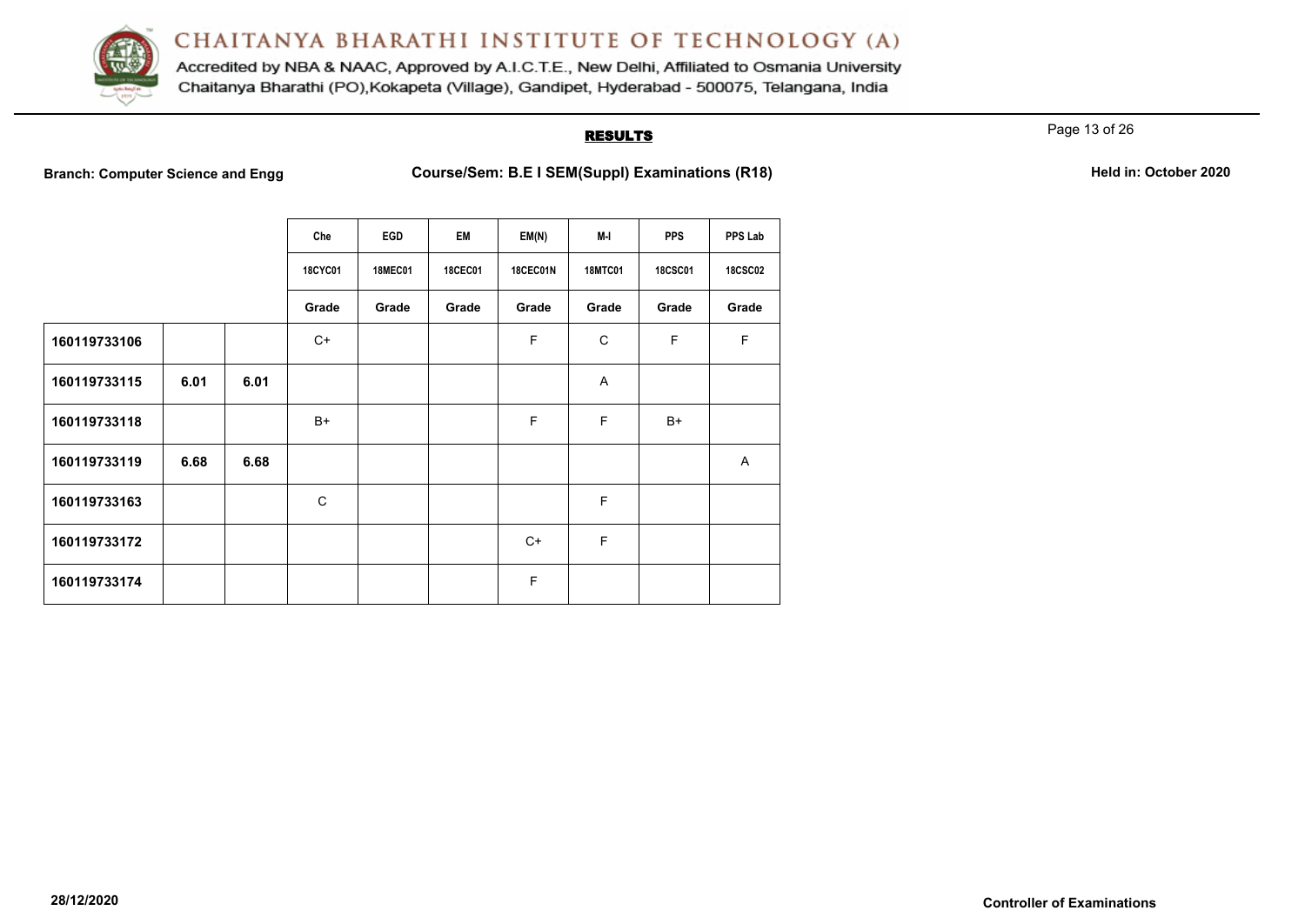

Accredited by NBA & NAAC, Approved by A.I.C.T.E., New Delhi, Affiliated to Osmania University Chaitanya Bharathi (PO), Kokapeta (Village), Gandipet, Hyderabad - 500075, Telangana, India

# **RESULTS**

Page 13 of 26

**Branch: Computer Science and Engg Course/Sem: B.E I SEM(Suppl) Examinations (R18)** Held in: October 2020

|              |      |      | Che            | EGD            | EM             | EM(N)           | M-I            | <b>PPS</b>     | PPS Lab        |
|--------------|------|------|----------------|----------------|----------------|-----------------|----------------|----------------|----------------|
|              |      |      | <b>18CYC01</b> | <b>18MEC01</b> | <b>18CEC01</b> | <b>18CEC01N</b> | <b>18MTC01</b> | <b>18CSC01</b> | <b>18CSC02</b> |
|              |      |      | Grade          | Grade          | Grade          | Grade           | Grade          | Grade          | Grade          |
| 160119733106 |      |      | C+             |                |                | F               | C              | F              | F              |
| 160119733115 | 6.01 | 6.01 |                |                |                |                 | A              |                |                |
| 160119733118 |      |      | B+             |                |                | F               | F              | $B+$           |                |
| 160119733119 | 6.68 | 6.68 |                |                |                |                 |                |                | A              |
| 160119733163 |      |      | C              |                |                |                 | F              |                |                |
| 160119733172 |      |      |                |                |                | $C+$            | F              |                |                |
| 160119733174 |      |      |                |                |                | F               |                |                |                |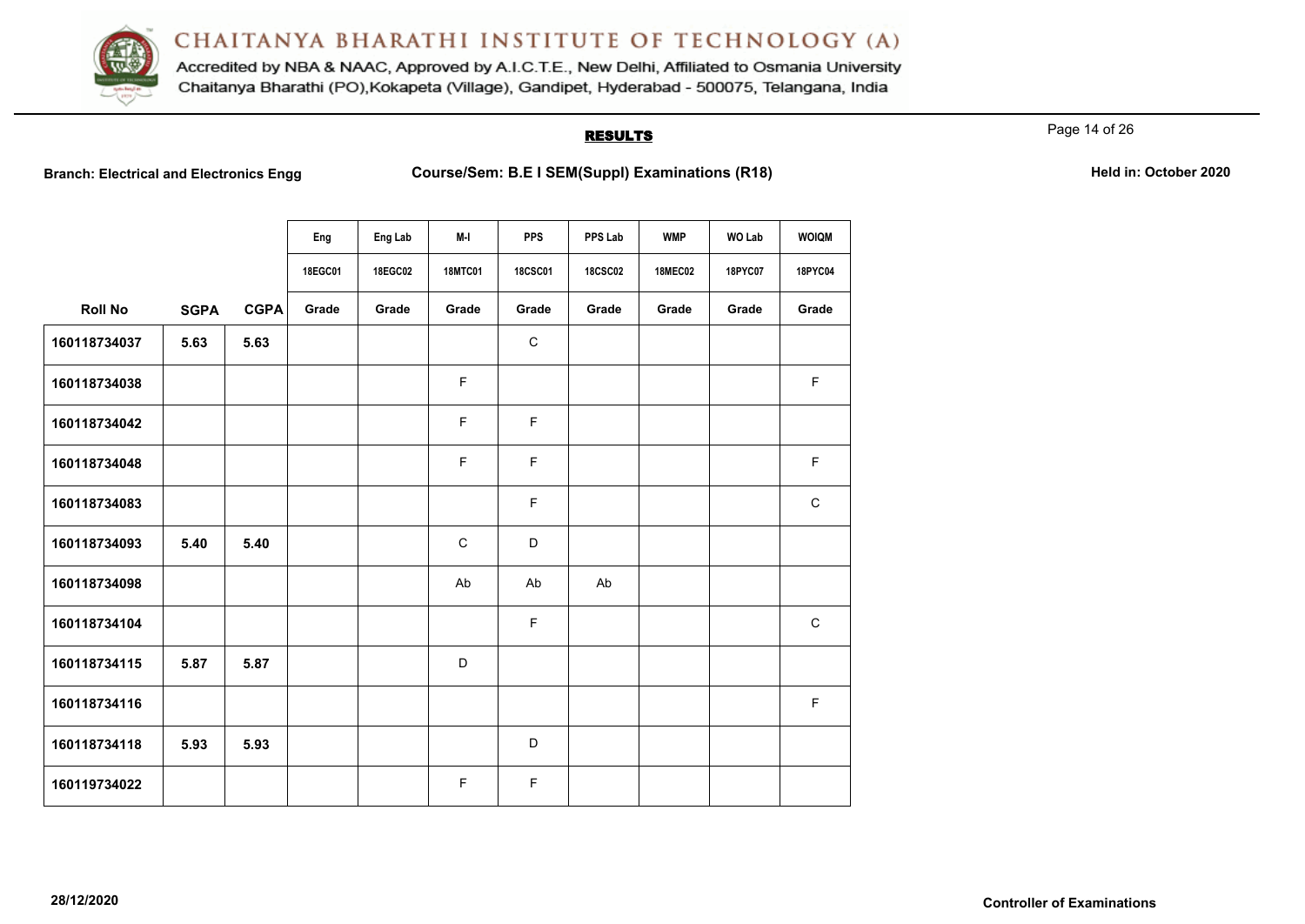

Accredited by NBA & NAAC, Approved by A.I.C.T.E., New Delhi, Affiliated to Osmania University Chaitanya Bharathi (PO), Kokapeta (Village), Gandipet, Hyderabad - 500075, Telangana, India

# **RESULTS**

Page 14 of 26

**Branch: Electrical and Electronics Engg Course/Sem: B.E I SEM(Suppl) Examinations (R18)** Held in: October 2020

|                |             |             | Eng     | Eng Lab | M-I            | <b>PPS</b>     | PPS Lab        | <b>WMP</b>     | <b>WO Lab</b> | <b>WOIQM</b> |
|----------------|-------------|-------------|---------|---------|----------------|----------------|----------------|----------------|---------------|--------------|
|                |             |             | 18EGC01 | 18EGC02 | <b>18MTC01</b> | <b>18CSC01</b> | <b>18CSC02</b> | <b>18MEC02</b> | 18PYC07       | 18PYC04      |
| <b>Roll No</b> | <b>SGPA</b> | <b>CGPA</b> | Grade   | Grade   | Grade          | Grade          | Grade          | Grade          | Grade         | Grade        |
| 160118734037   | 5.63        | 5.63        |         |         |                | $\mathbf C$    |                |                |               |              |
| 160118734038   |             |             |         |         | F.             |                |                |                |               | $\mathsf F$  |
| 160118734042   |             |             |         |         | F              | F              |                |                |               |              |
| 160118734048   |             |             |         |         | F.             | F              |                |                |               | $\mathsf F$  |
| 160118734083   |             |             |         |         |                | F              |                |                |               | $\mathsf C$  |
| 160118734093   | 5.40        | 5.40        |         |         | $\mathsf C$    | D              |                |                |               |              |
| 160118734098   |             |             |         |         | Ab             | Ab             | Ab             |                |               |              |
| 160118734104   |             |             |         |         |                | F              |                |                |               | $\mathsf C$  |
| 160118734115   | 5.87        | 5.87        |         |         | D              |                |                |                |               |              |
| 160118734116   |             |             |         |         |                |                |                |                |               | $\mathsf F$  |
| 160118734118   | 5.93        | 5.93        |         |         |                | D              |                |                |               |              |
| 160119734022   |             |             |         |         | F              | F              |                |                |               |              |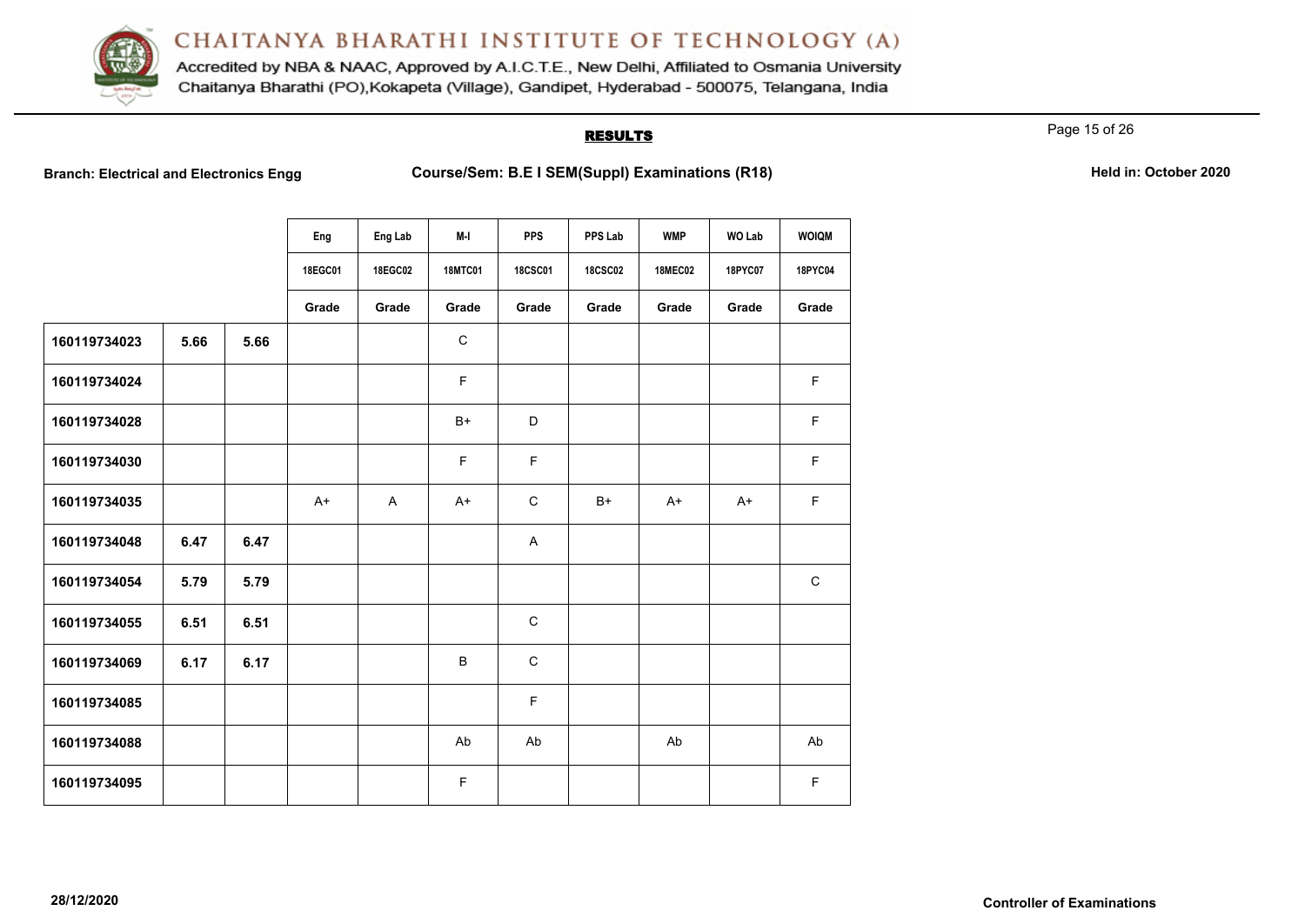

Accredited by NBA & NAAC, Approved by A.I.C.T.E., New Delhi, Affiliated to Osmania University Chaitanya Bharathi (PO), Kokapeta (Village), Gandipet, Hyderabad - 500075, Telangana, India

# **RESULTS**

Page 15 of 26

**Branch: Electrical and Electronics Engg Course/Sem: B.E I SEM(Suppl) Examinations (R18)** Held in: October 2020

|              |      |      | Eng     | Eng Lab | M-I            | <b>PPS</b>     | PPS Lab        | <b>WMP</b>     | <b>WO Lab</b> | <b>WOIQM</b> |
|--------------|------|------|---------|---------|----------------|----------------|----------------|----------------|---------------|--------------|
|              |      |      | 18EGC01 | 18EGC02 | <b>18MTC01</b> | <b>18CSC01</b> | <b>18CSC02</b> | <b>18MEC02</b> | 18PYC07       | 18PYC04      |
|              |      |      | Grade   | Grade   | Grade          | Grade          | Grade          | Grade          | Grade         | Grade        |
| 160119734023 | 5.66 | 5.66 |         |         | $\mathbf C$    |                |                |                |               |              |
| 160119734024 |      |      |         |         | F.             |                |                |                |               | F.           |
| 160119734028 |      |      |         |         | $B+$           | D              |                |                |               | $\mathsf F$  |
| 160119734030 |      |      |         |         | F.             | F              |                |                |               | $\mathsf F$  |
| 160119734035 |      |      | $A+$    | A       | $A+$           | $\mathbf C$    | $B+$           | $A+$           | $A+$          | $\mathsf F$  |
| 160119734048 | 6.47 | 6.47 |         |         |                | A              |                |                |               |              |
| 160119734054 | 5.79 | 5.79 |         |         |                |                |                |                |               | $\mathbf C$  |
| 160119734055 | 6.51 | 6.51 |         |         |                | $\mathsf C$    |                |                |               |              |
| 160119734069 | 6.17 | 6.17 |         |         | $\sf B$        | $\mathbf C$    |                |                |               |              |
| 160119734085 |      |      |         |         |                | F              |                |                |               |              |
| 160119734088 |      |      |         |         | Ab             | Ab             |                | Ab             |               | Ab           |
| 160119734095 |      |      |         |         | F              |                |                |                |               | $\mathsf F$  |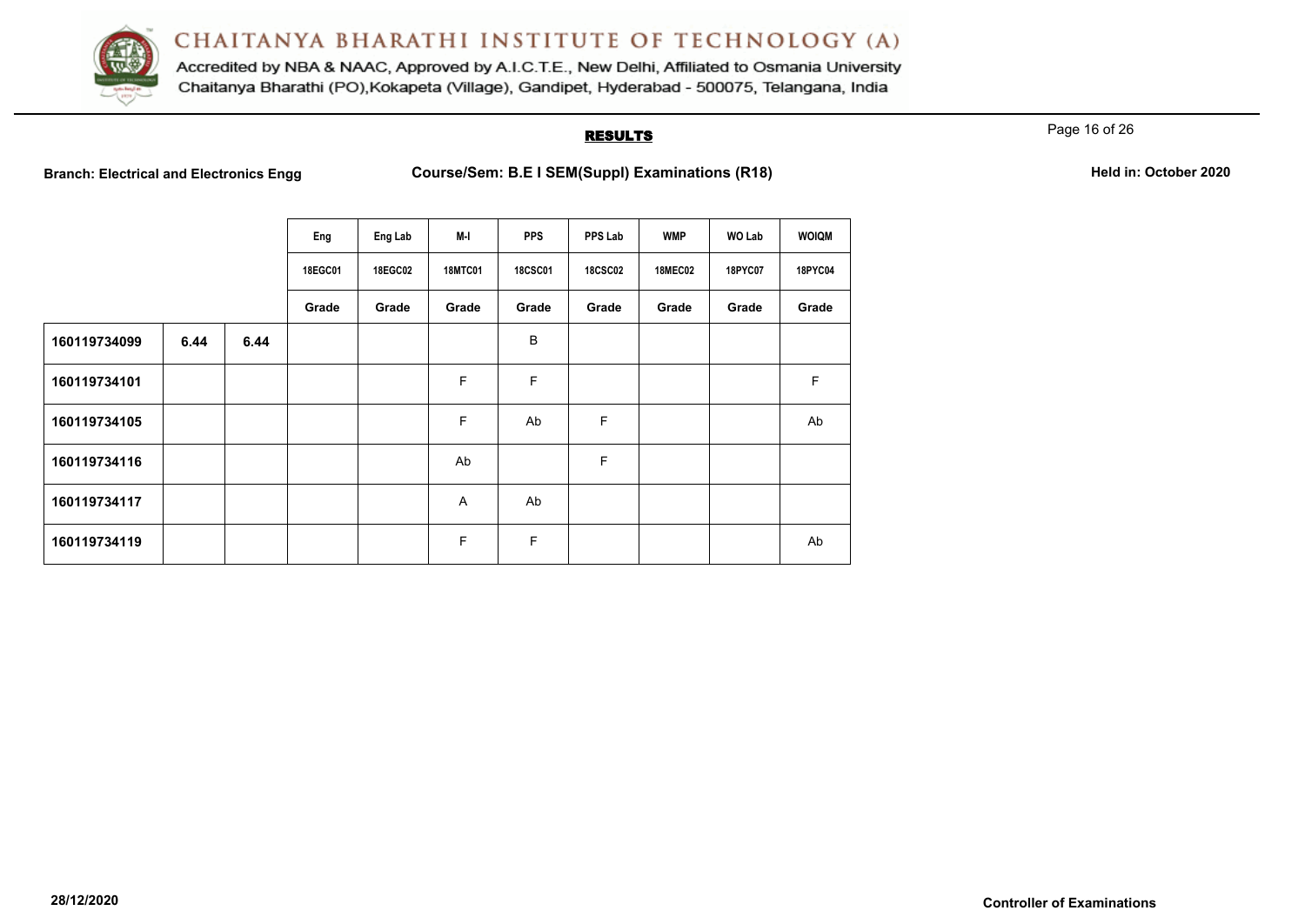

Accredited by NBA & NAAC, Approved by A.I.C.T.E., New Delhi, Affiliated to Osmania University Chaitanya Bharathi (PO), Kokapeta (Village), Gandipet, Hyderabad - 500075, Telangana, India

## **RESULTS**

Page 16 of 26

**Branch: Electrical and Electronics Engg Course/Sem: B.E I SEM(Suppl) Examinations (R18)** Held in: October 2020

|              |      |      | Eng     | Eng Lab | M-I            | <b>PPS</b>     | PPS Lab        | <b>WMP</b>     | WO Lab  | <b>WOIQM</b> |
|--------------|------|------|---------|---------|----------------|----------------|----------------|----------------|---------|--------------|
|              |      |      | 18EGC01 | 18EGC02 | <b>18MTC01</b> | <b>18CSC01</b> | <b>18CSC02</b> | <b>18MEC02</b> | 18PYC07 | 18PYC04      |
|              |      |      | Grade   | Grade   | Grade          | Grade          | Grade          | Grade          | Grade   | Grade        |
| 160119734099 | 6.44 | 6.44 |         |         |                | B              |                |                |         |              |
| 160119734101 |      |      |         |         | F              | F              |                |                |         | F            |
| 160119734105 |      |      |         |         | F              | Ab             | F              |                |         | Ab           |
| 160119734116 |      |      |         |         | Ab             |                | F              |                |         |              |
| 160119734117 |      |      |         |         | $\overline{A}$ | Ab             |                |                |         |              |
| 160119734119 |      |      |         |         | F              | F              |                |                |         | Ab           |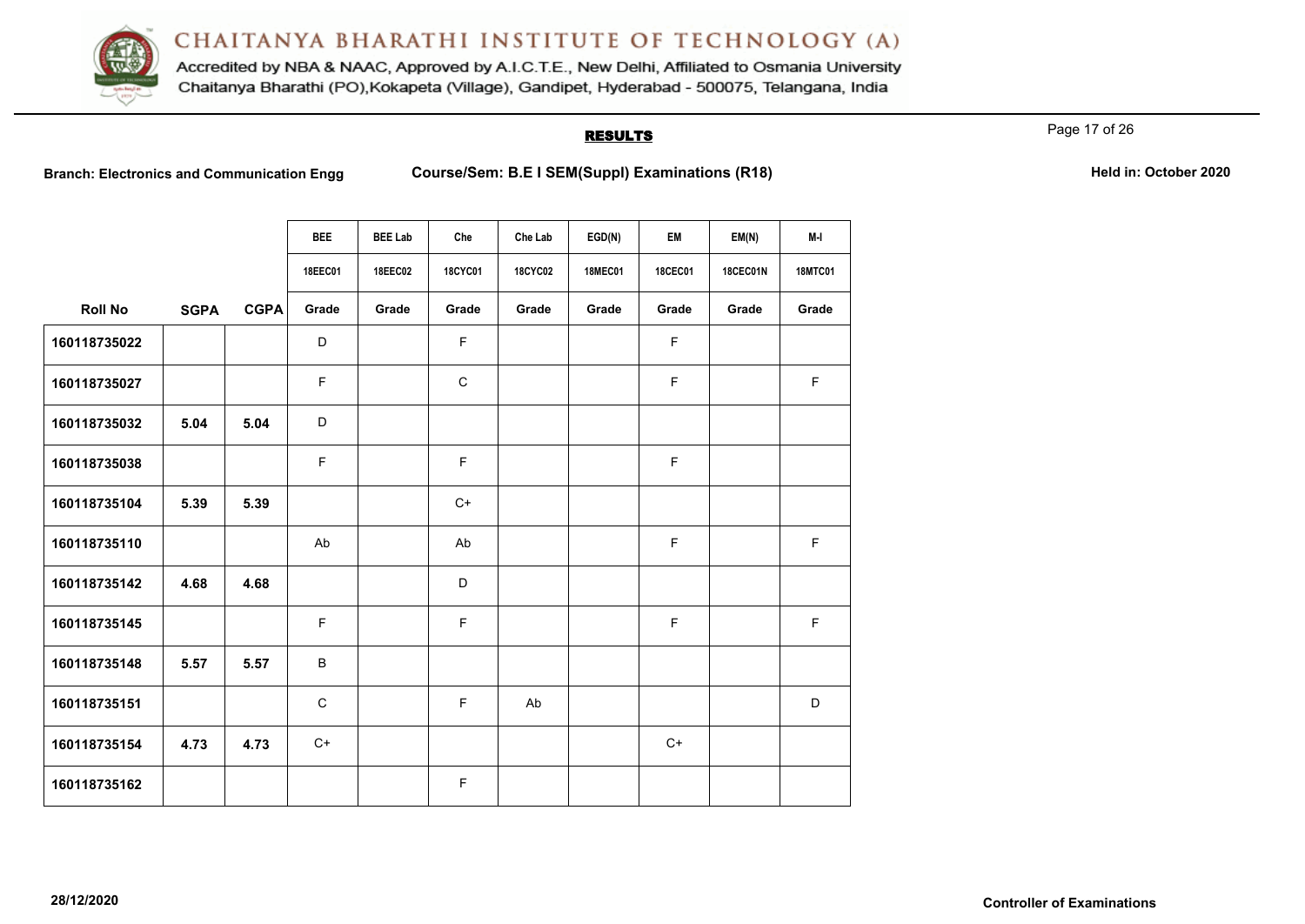

Accredited by NBA & NAAC, Approved by A.I.C.T.E., New Delhi, Affiliated to Osmania University Chaitanya Bharathi (PO), Kokapeta (Village), Gandipet, Hyderabad - 500075, Telangana, India

# **RESULTS**

Page 17 of 26

Branch: Electronics and Communication Engg Course/Sem: B.E I SEM(Suppl) Examinations (R18) **Held in: October 2020** 

|                |             |             | <b>BEE</b>  | <b>BEE Lab</b> | Che            | Che Lab        | EGD(N)         | EM             | EM(N)           | M-I            |
|----------------|-------------|-------------|-------------|----------------|----------------|----------------|----------------|----------------|-----------------|----------------|
|                |             |             | 18EEC01     | <b>18EEC02</b> | <b>18CYC01</b> | <b>18CYC02</b> | <b>18MEC01</b> | <b>18CEC01</b> | <b>18CEC01N</b> | <b>18MTC01</b> |
| <b>Roll No</b> | <b>SGPA</b> | <b>CGPA</b> | Grade       | Grade          | Grade          | Grade          | Grade          | Grade          | Grade           | Grade          |
| 160118735022   |             |             | D           |                | $\mathsf F$    |                |                | $\mathsf F$    |                 |                |
| 160118735027   |             |             | F           |                | $\mathsf C$    |                |                | F.             |                 | $\mathsf F$    |
| 160118735032   | 5.04        | 5.04        | D           |                |                |                |                |                |                 |                |
| 160118735038   |             |             | F.          |                | $\mathsf F$    |                |                | F              |                 |                |
| 160118735104   | 5.39        | 5.39        |             |                | $C+$           |                |                |                |                 |                |
| 160118735110   |             |             | Ab          |                | Ab             |                |                | F              |                 | F              |
| 160118735142   | 4.68        | 4.68        |             |                | D              |                |                |                |                 |                |
| 160118735145   |             |             | F           |                | $\mathsf F$    |                |                | F              |                 | F              |
| 160118735148   | 5.57        | 5.57        | B           |                |                |                |                |                |                 |                |
| 160118735151   |             |             | $\mathsf C$ |                | $\mathsf F$    | Ab             |                |                |                 | D              |
| 160118735154   | 4.73        | 4.73        | $C+$        |                |                |                |                | $C+$           |                 |                |
| 160118735162   |             |             |             |                | $\mathsf F$    |                |                |                |                 |                |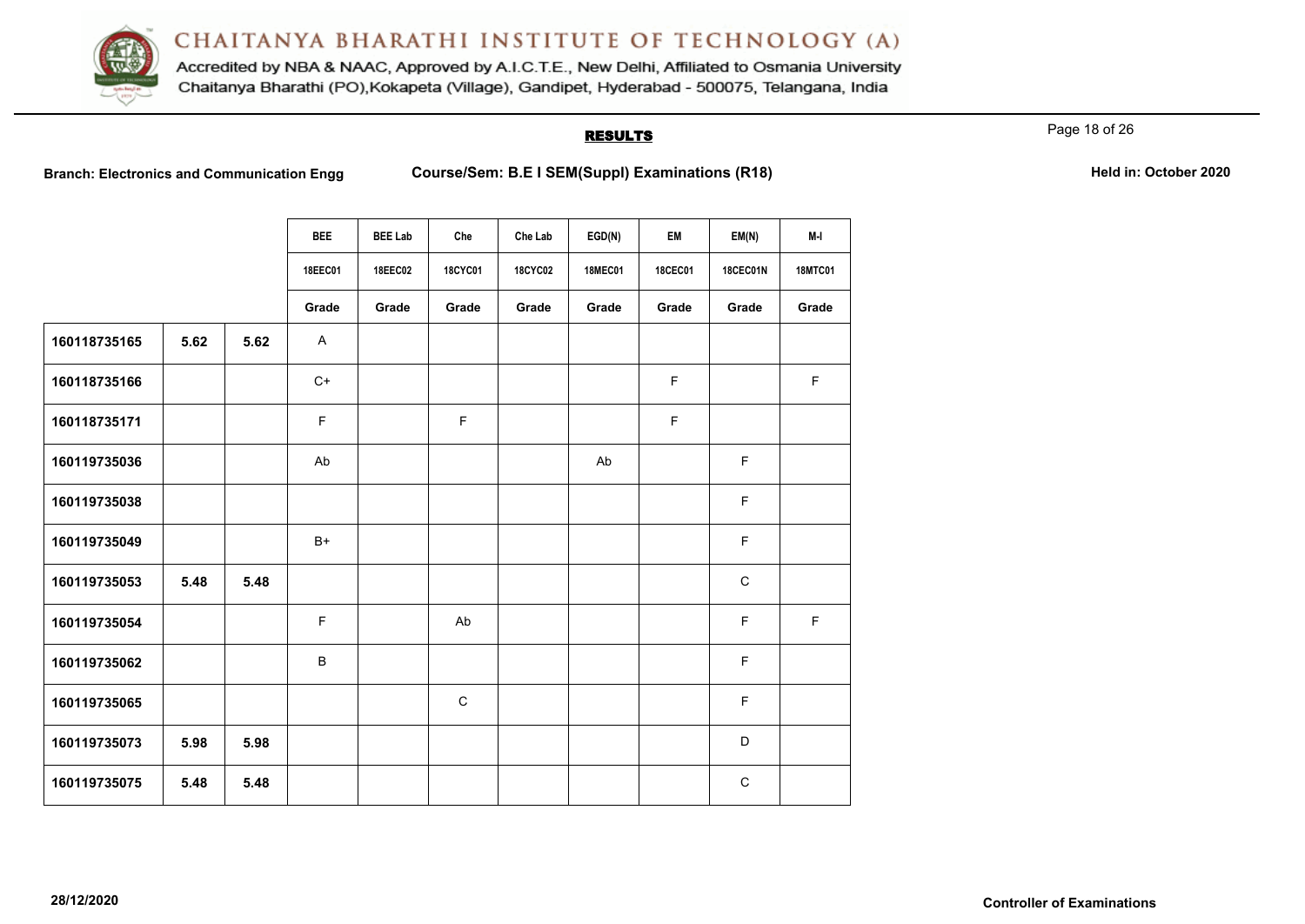

Accredited by NBA & NAAC, Approved by A.I.C.T.E., New Delhi, Affiliated to Osmania University Chaitanya Bharathi (PO), Kokapeta (Village), Gandipet, Hyderabad - 500075, Telangana, India

## **RESULTS**

Page 18 of 26

Branch: Electronics and Communication Engg Course/Sem: B.E I SEM(Suppl) Examinations (R18) **Held in: October 2020** 

|              |      |      | <b>BEE</b>   | <b>BEE Lab</b> | Che            | Che Lab        | EGD(N)         | EM          | EM(N)           | M-I            |
|--------------|------|------|--------------|----------------|----------------|----------------|----------------|-------------|-----------------|----------------|
|              |      |      | 18EEC01      | 18EEC02        | <b>18CYC01</b> | <b>18CYC02</b> | <b>18MEC01</b> | 18CEC01     | <b>18CEC01N</b> | <b>18MTC01</b> |
|              |      |      | Grade        | Grade          | Grade          | Grade          | Grade          | Grade       | Grade           | Grade          |
| 160118735165 | 5.62 | 5.62 | $\mathsf{A}$ |                |                |                |                |             |                 |                |
| 160118735166 |      |      | $C+$         |                |                |                |                | F.          |                 | $\mathsf F$    |
| 160118735171 |      |      | F            |                | $\mathsf F$    |                |                | $\mathsf F$ |                 |                |
| 160119735036 |      |      | Ab           |                |                |                | Ab             |             | F               |                |
| 160119735038 |      |      |              |                |                |                |                |             | $\mathsf F$     |                |
| 160119735049 |      |      | $B+$         |                |                |                |                |             | $\mathsf F$     |                |
| 160119735053 | 5.48 | 5.48 |              |                |                |                |                |             | $\mathsf{C}$    |                |
| 160119735054 |      |      | F            |                | Ab             |                |                |             | $\mathsf F$     | $\mathsf F$    |
| 160119735062 |      |      | B            |                |                |                |                |             | F               |                |
| 160119735065 |      |      |              |                | $\mathsf C$    |                |                |             | F               |                |
| 160119735073 | 5.98 | 5.98 |              |                |                |                |                |             | D               |                |
| 160119735075 | 5.48 | 5.48 |              |                |                |                |                |             | $\mathsf{C}$    |                |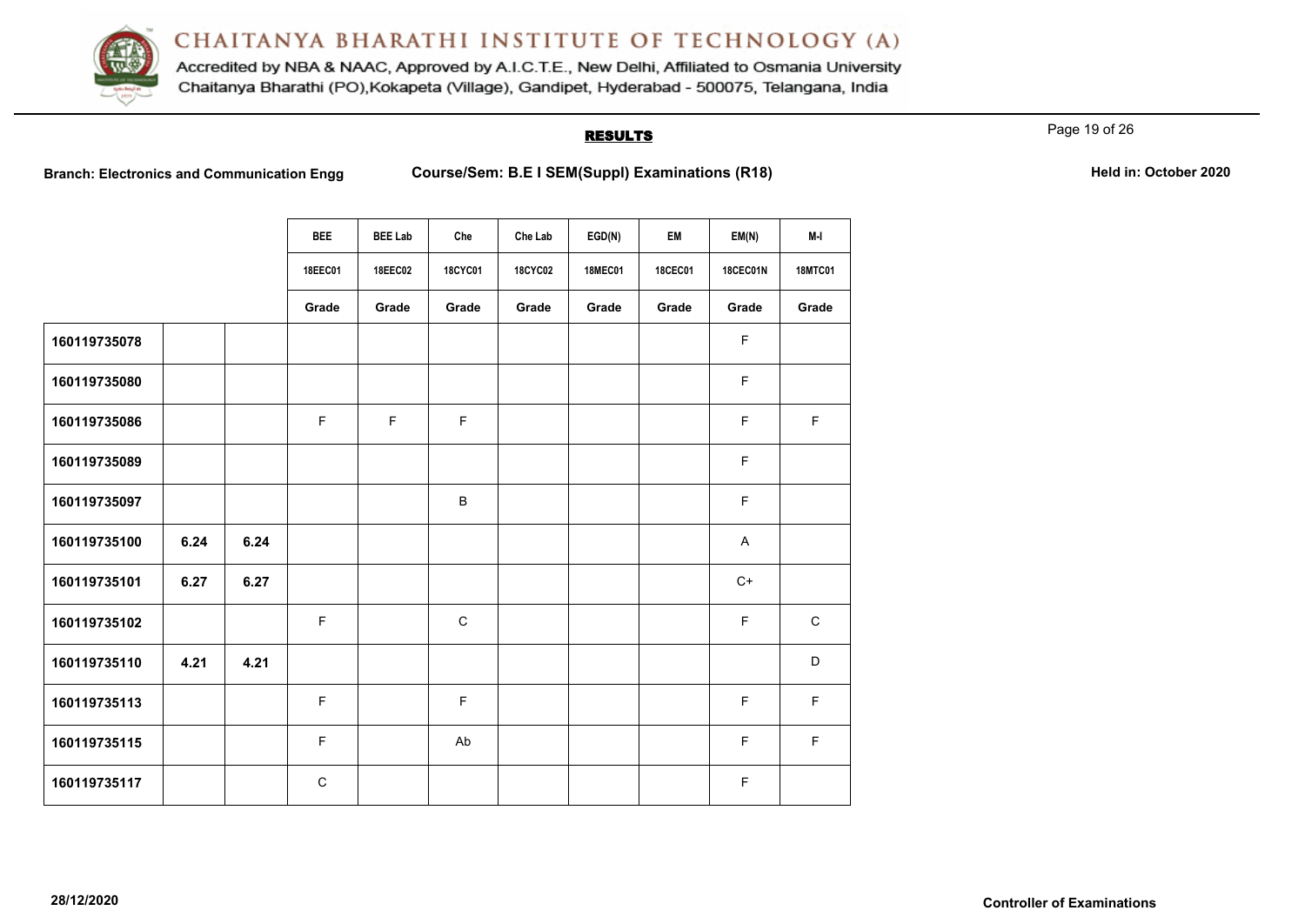

Accredited by NBA & NAAC, Approved by A.I.C.T.E., New Delhi, Affiliated to Osmania University Chaitanya Bharathi (PO), Kokapeta (Village), Gandipet, Hyderabad - 500075, Telangana, India

# **RESULTS**

Page 19 of 26

Branch: Electronics and Communication Engg Course/Sem: B.E I SEM(Suppl) Examinations (R18) **Held in: October 2020** 

|              |      |      | <b>BEE</b>     | <b>BEE Lab</b> | Che            | Che Lab        | EGD(N)         | EM             | EM(N)           | M-I            |
|--------------|------|------|----------------|----------------|----------------|----------------|----------------|----------------|-----------------|----------------|
|              |      |      | <b>18EEC01</b> | <b>18EEC02</b> | <b>18CYC01</b> | <b>18CYC02</b> | <b>18MEC01</b> | <b>18CEC01</b> | <b>18CEC01N</b> | <b>18MTC01</b> |
|              |      |      | Grade          | Grade          | Grade          | Grade          | Grade          | Grade          | Grade           | Grade          |
| 160119735078 |      |      |                |                |                |                |                |                | F               |                |
| 160119735080 |      |      |                |                |                |                |                |                | F               |                |
| 160119735086 |      |      | F              | F              | $\mathsf F$    |                |                |                | F               | $\mathsf F$    |
| 160119735089 |      |      |                |                |                |                |                |                | F               |                |
| 160119735097 |      |      |                |                | B              |                |                |                | F               |                |
| 160119735100 | 6.24 | 6.24 |                |                |                |                |                |                | A               |                |
| 160119735101 | 6.27 | 6.27 |                |                |                |                |                |                | $C+$            |                |
| 160119735102 |      |      | F              |                | $\mathsf C$    |                |                |                | F.              | $\mathsf{C}$   |
| 160119735110 | 4.21 | 4.21 |                |                |                |                |                |                |                 | D              |
| 160119735113 |      |      | F.             |                | $\mathsf F$    |                |                |                | F               | $\mathsf F$    |
| 160119735115 |      |      | F.             |                | Ab             |                |                |                | F               | $\mathsf F$    |
| 160119735117 |      |      | $\mathsf C$    |                |                |                |                |                | F               |                |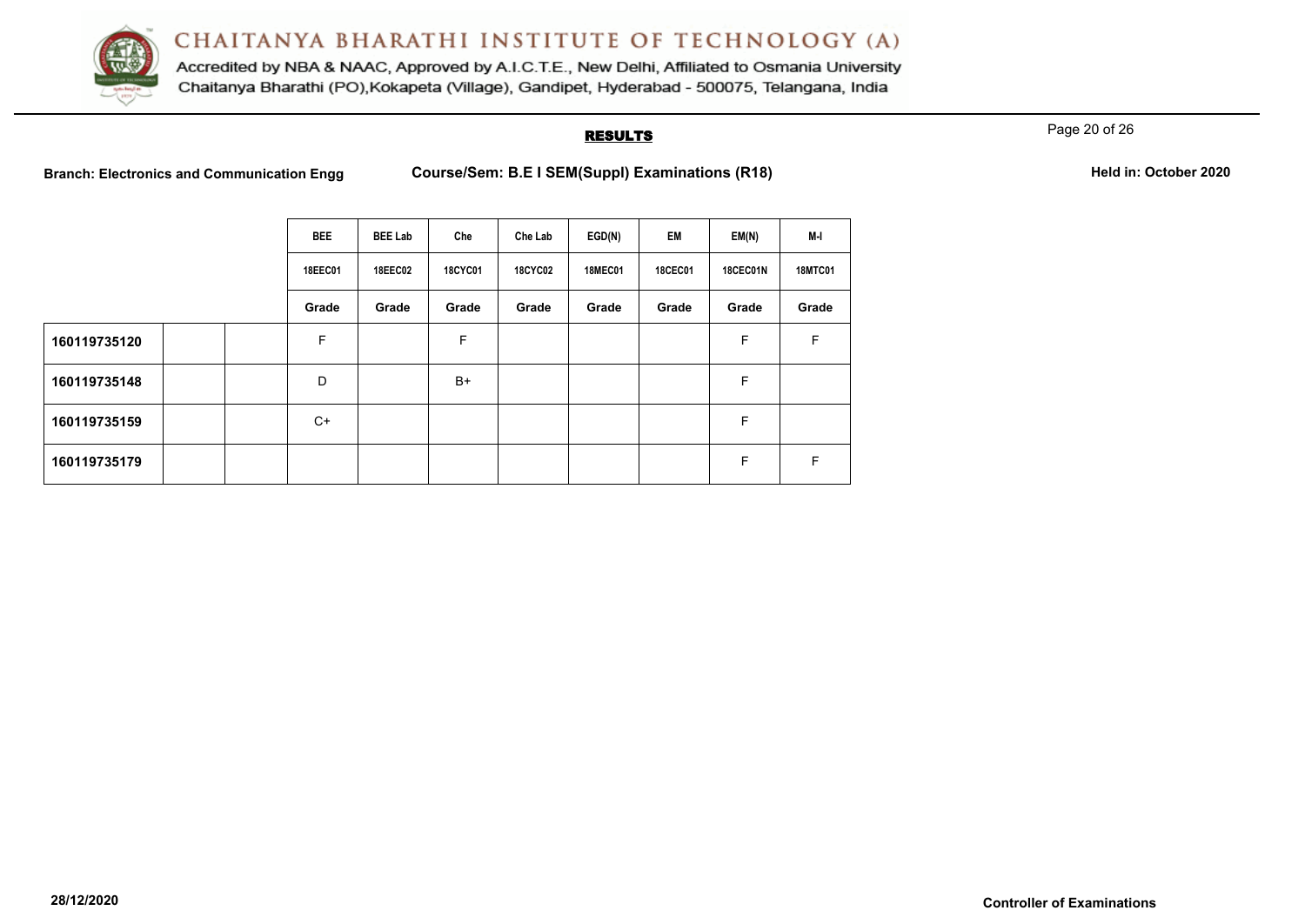

Accredited by NBA & NAAC, Approved by A.I.C.T.E., New Delhi, Affiliated to Osmania University Chaitanya Bharathi (PO), Kokapeta (Village), Gandipet, Hyderabad - 500075, Telangana, India

## **RESULTS**

Page 20 of 26

**Branch: Electronics and Communication Engg <b>Course/Sem: B.E I SEM(Suppl) Examinations (R18) Held in: October 2020** 

| Held in: October 2020 |
|-----------------------|
|-----------------------|

|              | <b>BEE</b>     | <b>BEE Lab</b> | Che            | Che Lab        | EGD(N)         | EM             | EM(N)    | M-I            |
|--------------|----------------|----------------|----------------|----------------|----------------|----------------|----------|----------------|
|              | <b>18EEC01</b> | <b>18EEC02</b> | <b>18CYC01</b> | <b>18CYC02</b> | <b>18MEC01</b> | <b>18CEC01</b> | 18CEC01N | <b>18MTC01</b> |
|              | Grade          | Grade          | Grade          | Grade          | Grade          | Grade          | Grade    | Grade          |
| 160119735120 | F              |                | F              |                |                |                | F        | F              |
| 160119735148 | D              |                | B+             |                |                |                | F        |                |
| 160119735159 | C+             |                |                |                |                |                | F        |                |
| 160119735179 |                |                |                |                |                |                | F        | F.             |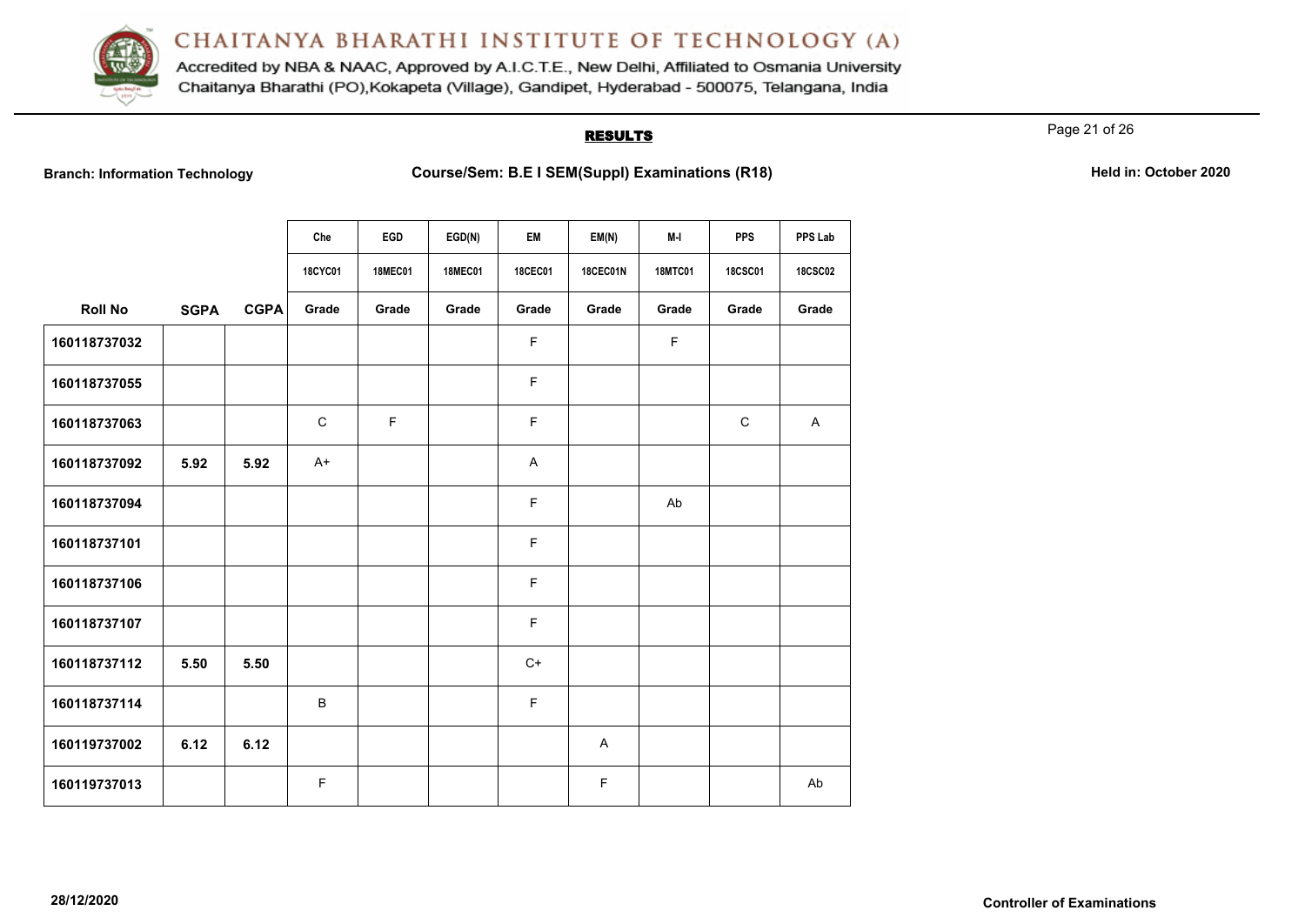

Accredited by NBA & NAAC, Approved by A.I.C.T.E., New Delhi, Affiliated to Osmania University Chaitanya Bharathi (PO), Kokapeta (Village), Gandipet, Hyderabad - 500075, Telangana, India

# **RESULTS**

Page 21 of 26

**Branch: Information Technology Course/Sem: B.E I SEM(Suppl) Examinations (R18)** Held in: October 2020

|                |             |             | Che         | EGD            | EGD(N)         | EM             | EM(N)           | M-I            | <b>PPS</b>     | PPS Lab        |
|----------------|-------------|-------------|-------------|----------------|----------------|----------------|-----------------|----------------|----------------|----------------|
|                |             |             | 18CYC01     | <b>18MEC01</b> | <b>18MEC01</b> | <b>18CEC01</b> | <b>18CEC01N</b> | <b>18MTC01</b> | <b>18CSC01</b> | <b>18CSC02</b> |
| <b>Roll No</b> | <b>SGPA</b> | <b>CGPA</b> | Grade       | Grade          | Grade          | Grade          | Grade           | Grade          | Grade          | Grade          |
| 160118737032   |             |             |             |                |                | $\mathsf F$    |                 | $\mathsf F$    |                |                |
| 160118737055   |             |             |             |                |                | F              |                 |                |                |                |
| 160118737063   |             |             | $\mathbf C$ | $\mathsf F$    |                | $\mathsf F$    |                 |                | $\mathbf C$    | $\mathsf{A}$   |
| 160118737092   | 5.92        | 5.92        | $A+$        |                |                | A              |                 |                |                |                |
| 160118737094   |             |             |             |                |                | $\mathsf F$    |                 | Ab             |                |                |
| 160118737101   |             |             |             |                |                | F              |                 |                |                |                |
| 160118737106   |             |             |             |                |                | F              |                 |                |                |                |
| 160118737107   |             |             |             |                |                | $\mathsf F$    |                 |                |                |                |
| 160118737112   | 5.50        | 5.50        |             |                |                | $C+$           |                 |                |                |                |
| 160118737114   |             |             | В           |                |                | F              |                 |                |                |                |
| 160119737002   | 6.12        | 6.12        |             |                |                |                | A               |                |                |                |
| 160119737013   |             |             | F           |                |                |                | F               |                |                | Ab             |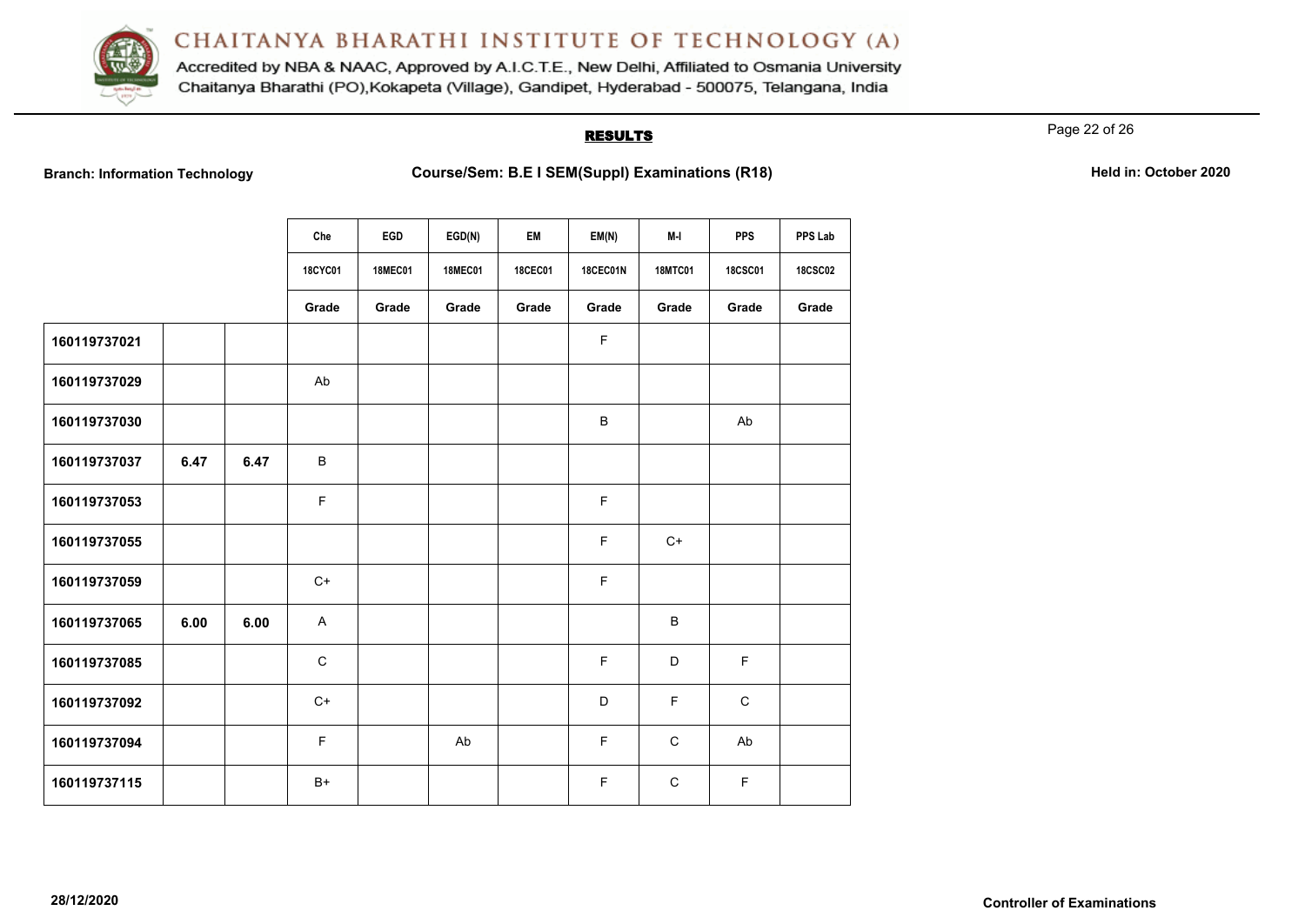

Accredited by NBA & NAAC, Approved by A.I.C.T.E., New Delhi, Affiliated to Osmania University Chaitanya Bharathi (PO), Kokapeta (Village), Gandipet, Hyderabad - 500075, Telangana, India

## **RESULTS**

Page 22 of 26

**Branch: Information Technology Course/Sem: B.E I SEM(Suppl) Examinations (R18)** Held in: October 2020

|              |      |      | Che            | EGD            | EGD(N)         | EM      | EM(N)           | M-I            | <b>PPS</b>     | PPS Lab        |
|--------------|------|------|----------------|----------------|----------------|---------|-----------------|----------------|----------------|----------------|
|              |      |      | <b>18CYC01</b> | <b>18MEC01</b> | <b>18MEC01</b> | 18CEC01 | <b>18CEC01N</b> | <b>18MTC01</b> | <b>18CSC01</b> | <b>18CSC02</b> |
|              |      |      | Grade          | Grade          | Grade          | Grade   | Grade           | Grade          | Grade          | Grade          |
| 160119737021 |      |      |                |                |                |         | F               |                |                |                |
| 160119737029 |      |      | Ab             |                |                |         |                 |                |                |                |
| 160119737030 |      |      |                |                |                |         | B               |                | Ab             |                |
| 160119737037 | 6.47 | 6.47 | B              |                |                |         |                 |                |                |                |
| 160119737053 |      |      | F              |                |                |         | F               |                |                |                |
| 160119737055 |      |      |                |                |                |         | F               | $C+$           |                |                |
| 160119737059 |      |      | $C+$           |                |                |         | F               |                |                |                |
| 160119737065 | 6.00 | 6.00 | A              |                |                |         |                 | $\, {\sf B}$   |                |                |
| 160119737085 |      |      | C              |                |                |         | F               | D              | $\mathsf F$    |                |
| 160119737092 |      |      | $C+$           |                |                |         | D               | $\mathsf F$    | $\mathbf C$    |                |
| 160119737094 |      |      | F              |                | Ab             |         | F               | $\mathbf C$    | Ab             |                |
| 160119737115 |      |      | $B+$           |                |                |         | F               | $\mathsf{C}$   | F              |                |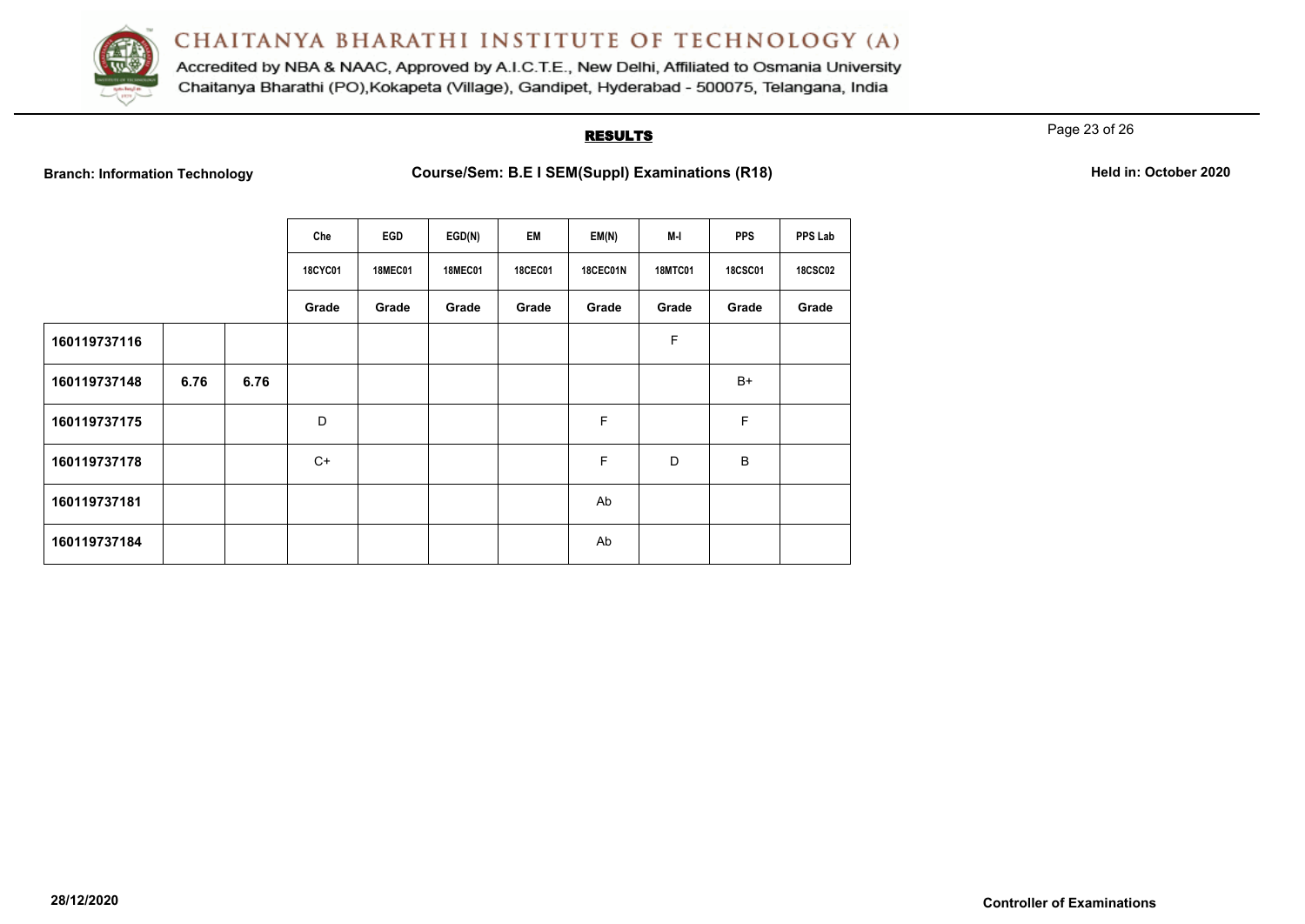

Accredited by NBA & NAAC, Approved by A.I.C.T.E., New Delhi, Affiliated to Osmania University Chaitanya Bharathi (PO), Kokapeta (Village), Gandipet, Hyderabad - 500075, Telangana, India

## **RESULTS**

Page 23 of 26

**Branch: Information Technology Course/Sem: B.E I SEM(Suppl) Examinations (R18)** Held in: October 2020

|              |      |      | Che            | EGD            | EGD(N)         | EM             | EM(N)    | M-I            | <b>PPS</b>     | PPS Lab        |
|--------------|------|------|----------------|----------------|----------------|----------------|----------|----------------|----------------|----------------|
|              |      |      | <b>18CYC01</b> | <b>18MEC01</b> | <b>18MEC01</b> | <b>18CEC01</b> | 18CEC01N | <b>18MTC01</b> | <b>18CSC01</b> | <b>18CSC02</b> |
|              |      |      | Grade          | Grade          | Grade          | Grade          | Grade    | Grade          | Grade          | Grade          |
| 160119737116 |      |      |                |                |                |                |          | F              |                |                |
| 160119737148 | 6.76 | 6.76 |                |                |                |                |          |                | $B+$           |                |
| 160119737175 |      |      | D              |                |                |                | F        |                | F              |                |
| 160119737178 |      |      | C+             |                |                |                | F        | D              | B              |                |
| 160119737181 |      |      |                |                |                |                | Ab       |                |                |                |
| 160119737184 |      |      |                |                |                |                | Ab       |                |                |                |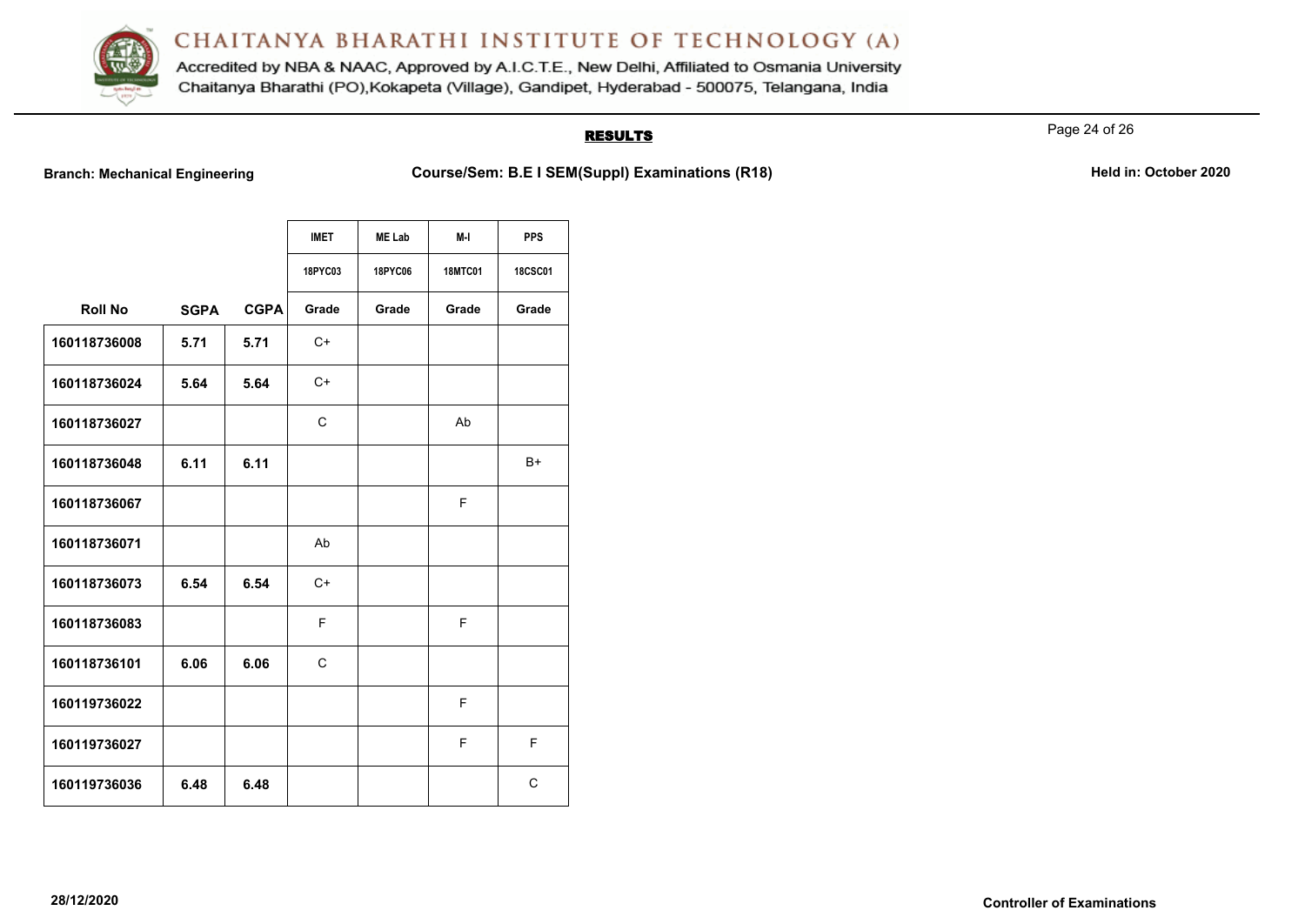

Accredited by NBA & NAAC, Approved by A.I.C.T.E., New Delhi, Affiliated to Osmania University Chaitanya Bharathi (PO), Kokapeta (Village), Gandipet, Hyderabad - 500075, Telangana, India

# **RESULTS**

Page 24 of 26

**Branch: Mechanical Engineering <b>Course/Sem: B.E I SEM(Suppl) Examinations (R18)** Mechanical Engineering Held in: October 2020

|                |             |             | <b>IMET</b>    | <b>ME Lab</b>  | M-I            | <b>PPS</b>     |
|----------------|-------------|-------------|----------------|----------------|----------------|----------------|
|                |             |             | <b>18PYC03</b> | <b>18PYC06</b> | <b>18MTC01</b> | <b>18CSC01</b> |
| <b>Roll No</b> | <b>SGPA</b> | <b>CGPA</b> | Grade          | Grade          | Grade          | Grade          |
| 160118736008   | 5.71        | 5.71        | $C+$           |                |                |                |
| 160118736024   | 5.64        | 5.64        | $C+$           |                |                |                |
| 160118736027   |             |             | C              |                | Ab             |                |
| 160118736048   | 6.11        | 6.11        |                |                |                | B+             |
| 160118736067   |             |             |                |                | F              |                |
| 160118736071   |             |             | Ab             |                |                |                |
| 160118736073   | 6.54        | 6.54        | $C+$           |                |                |                |
| 160118736083   |             |             | F              |                | F              |                |
| 160118736101   | 6.06        | 6.06        | $\mathsf{C}$   |                |                |                |
| 160119736022   |             |             |                |                | F              |                |
| 160119736027   |             |             |                |                | F              | F              |
| 160119736036   | 6.48        | 6.48        |                |                |                | C              |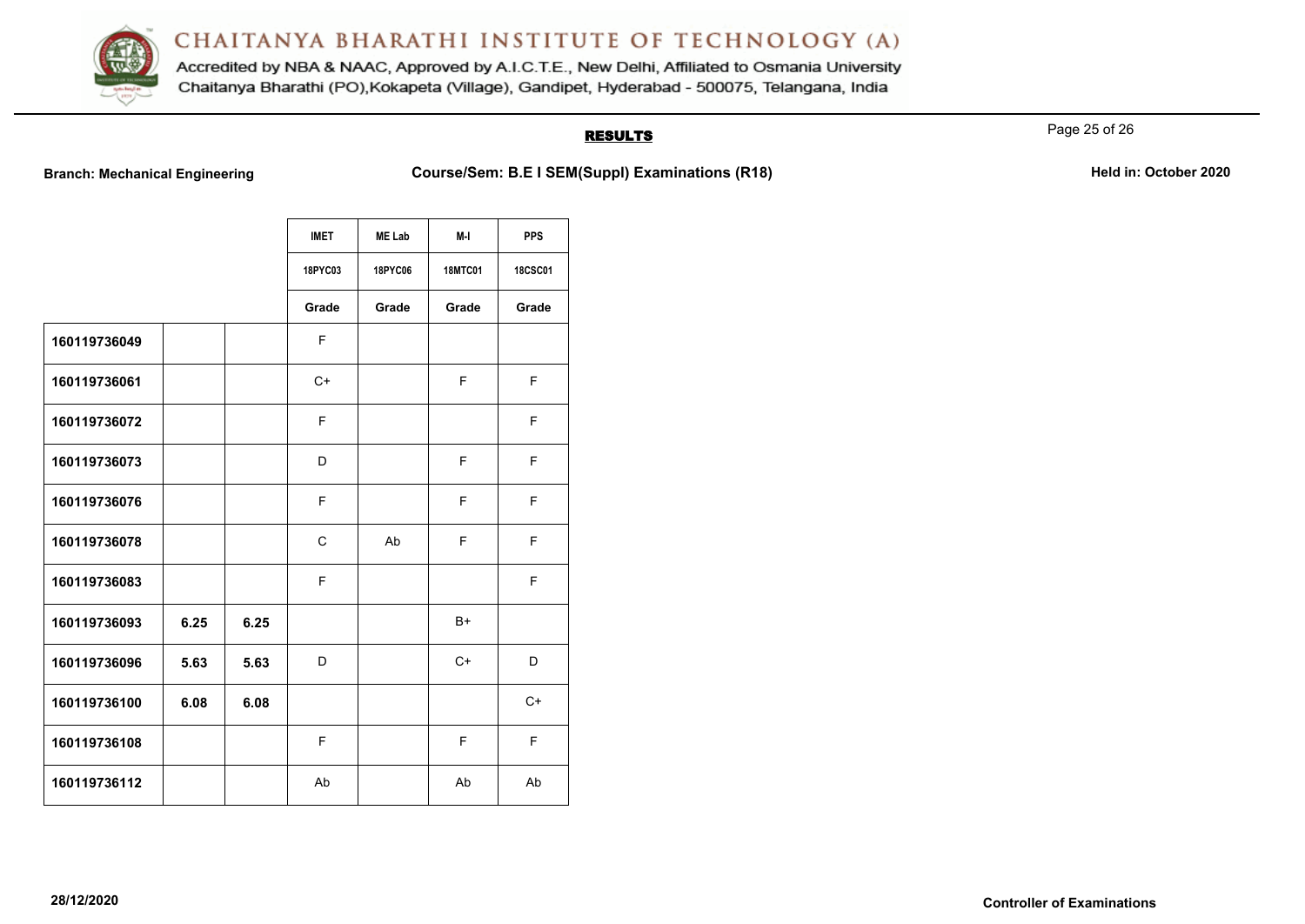

Accredited by NBA & NAAC, Approved by A.I.C.T.E., New Delhi, Affiliated to Osmania University Chaitanya Bharathi (PO), Kokapeta (Village), Gandipet, Hyderabad - 500075, Telangana, India

# **RESULTS**

Page 25 of 26

**Branch: Mechanical Engineering <b>Course/Sem: B.E I SEM(Suppl) Examinations (R18)** Mechanical Engineering Held in: October 2020

|              |      |      | <b>IMET</b>  | <b>ME Lab</b> | $M-I$          | <b>PPS</b>     |
|--------------|------|------|--------------|---------------|----------------|----------------|
|              |      |      | 18PYC03      | 18PYC06       | <b>18MTC01</b> | <b>18CSC01</b> |
|              |      |      | Grade        | Grade         | Grade          | Grade          |
| 160119736049 |      |      | F            |               |                |                |
| 160119736061 |      |      | $C+$         |               | F              | F              |
| 160119736072 |      |      | F            |               |                | F              |
| 160119736073 |      |      | D            |               | F              | F              |
| 160119736076 |      |      | F            |               | F              | F              |
| 160119736078 |      |      | $\mathsf{C}$ | Ab            | F              | F              |
| 160119736083 |      |      | F            |               |                | F              |
| 160119736093 | 6.25 | 6.25 |              |               | $B+$           |                |
| 160119736096 | 5.63 | 5.63 | D            |               | $C+$           | D              |
| 160119736100 | 6.08 | 6.08 |              |               |                | $C+$           |
| 160119736108 |      |      | F            |               | F              | F              |
| 160119736112 |      |      | Ab           |               | Ab             | Ab             |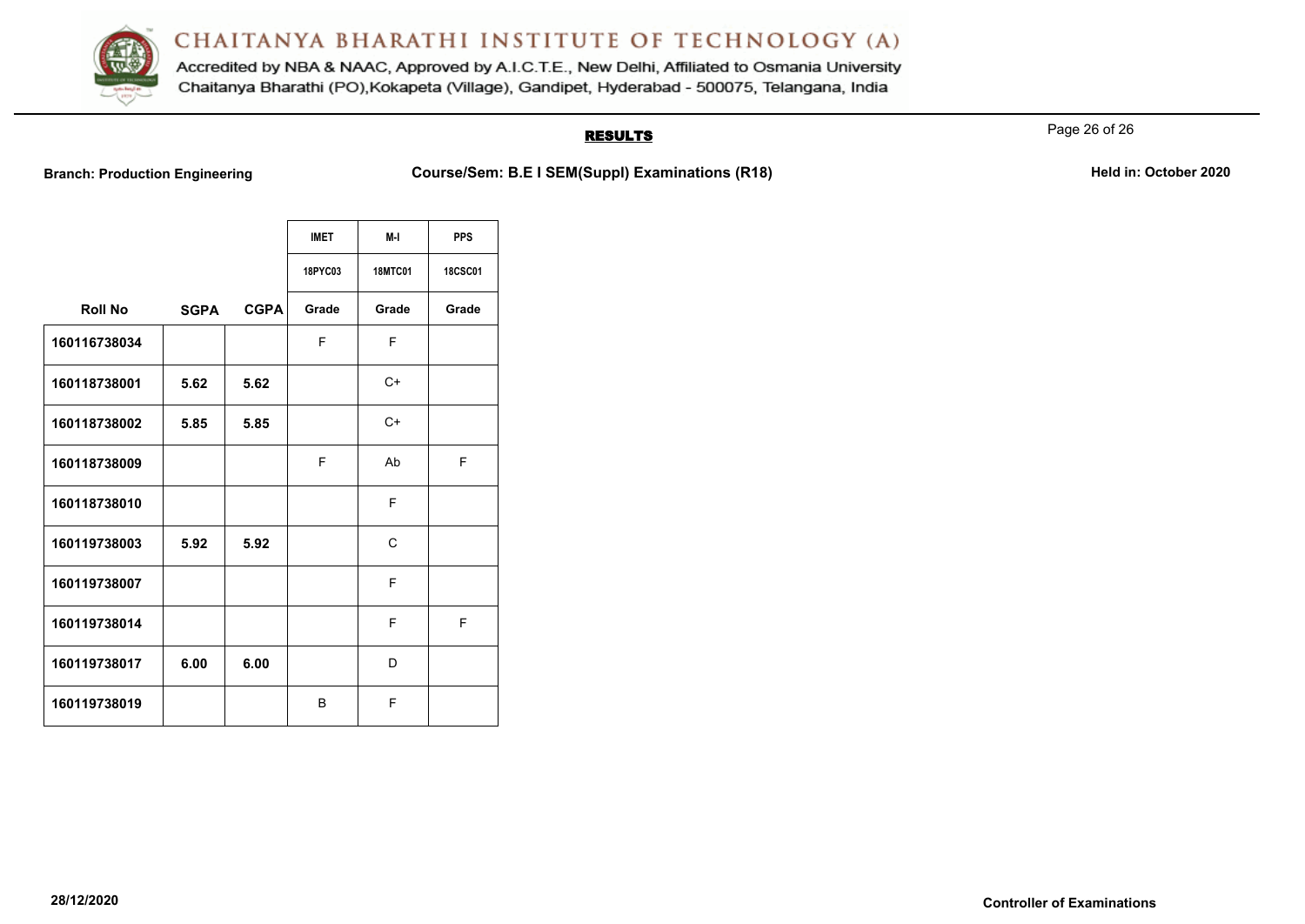

Accredited by NBA & NAAC, Approved by A.I.C.T.E., New Delhi, Affiliated to Osmania University Chaitanya Bharathi (PO), Kokapeta (Village), Gandipet, Hyderabad - 500075, Telangana, India

# **RESULTS**

Page 26 of 26

**Branch: Production Engineering <b>Course/Sem: B.E I SEM(Suppl) Examinations (R18) Held in: October 2020** 

|                |             |             | <b>IMET</b>    | M-I            | <b>PPS</b>     |
|----------------|-------------|-------------|----------------|----------------|----------------|
|                |             |             | <b>18PYC03</b> | <b>18MTC01</b> | <b>18CSC01</b> |
| <b>Roll No</b> | <b>SGPA</b> | <b>CGPA</b> | Grade          | Grade          | Grade          |
| 160116738034   |             |             | F              | F              |                |
| 160118738001   | 5.62        | 5.62        |                | $C+$           |                |
| 160118738002   | 5.85        | 5.85        |                | $C+$           |                |
| 160118738009   |             |             | F              | Ab             | F              |
| 160118738010   |             |             |                | F              |                |
| 160119738003   | 5.92        | 5.92        |                | $\mathsf{C}$   |                |
| 160119738007   |             |             |                | F              |                |
| 160119738014   |             |             |                | F              | F              |
| 160119738017   | 6.00        | 6.00        |                | D              |                |
| 160119738019   |             |             | B              | F              |                |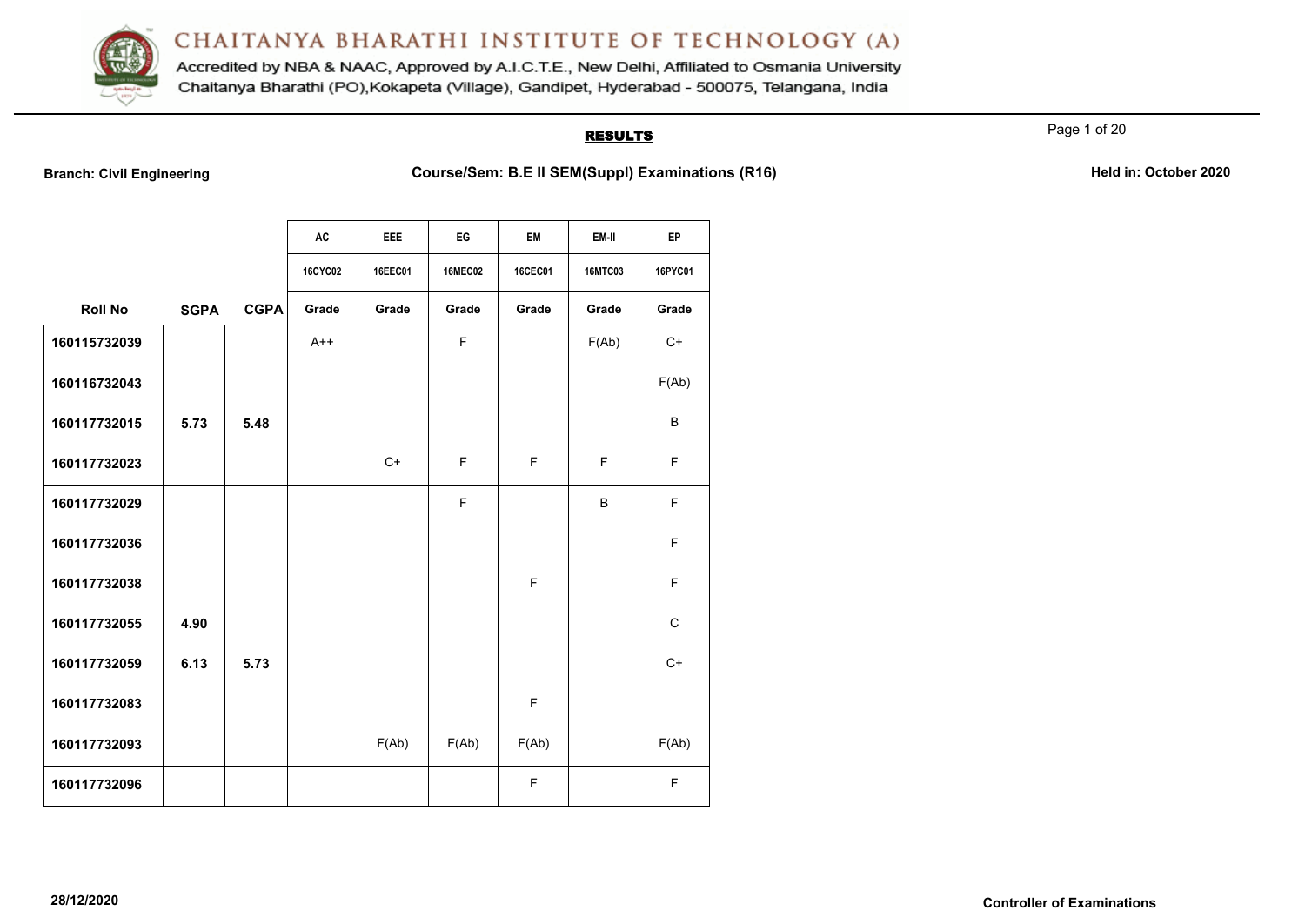

Accredited by NBA & NAAC, Approved by A.I.C.T.E., New Delhi, Affiliated to Osmania University Chaitanya Bharathi (PO), Kokapeta (Village), Gandipet, Hyderabad - 500075, Telangana, India

#### **RESULTS**

Page 1 of 20

**Branch: Civil Engineering <b>Course/Sem: B.E II SEM(Suppl) Examinations (R16) Held in: October 2020** 

|                |             |             | <b>AC</b>      | <b>EEE</b> | EG             | EM      | EM-II          | <b>EP</b>    |
|----------------|-------------|-------------|----------------|------------|----------------|---------|----------------|--------------|
|                |             |             |                |            |                |         |                |              |
|                |             |             | <b>16CYC02</b> | 16EEC01    | <b>16MEC02</b> | 16CEC01 | <b>16MTC03</b> | 16PYC01      |
| <b>Roll No</b> | <b>SGPA</b> | <b>CGPA</b> | Grade          | Grade      | Grade          | Grade   | Grade          | Grade        |
| 160115732039   |             |             | $A++$          |            | F              |         | F(Ab)          | $C+$         |
| 160116732043   |             |             |                |            |                |         |                | F(Ab)        |
| 160117732015   | 5.73        | 5.48        |                |            |                |         |                | B            |
| 160117732023   |             |             |                | $C+$       | F              | E       | F              | F.           |
| 160117732029   |             |             |                |            | F              |         | B              | F            |
| 160117732036   |             |             |                |            |                |         |                | F            |
| 160117732038   |             |             |                |            |                | F       |                | F            |
| 160117732055   | 4.90        |             |                |            |                |         |                | $\mathsf{C}$ |
| 160117732059   | 6.13        | 5.73        |                |            |                |         |                | $C+$         |
| 160117732083   |             |             |                |            |                | F       |                |              |
| 160117732093   |             |             |                | F(Ab)      | F(Ab)          | F(Ab)   |                | F(Ab)        |
| 160117732096   |             |             |                |            |                | F       |                | F            |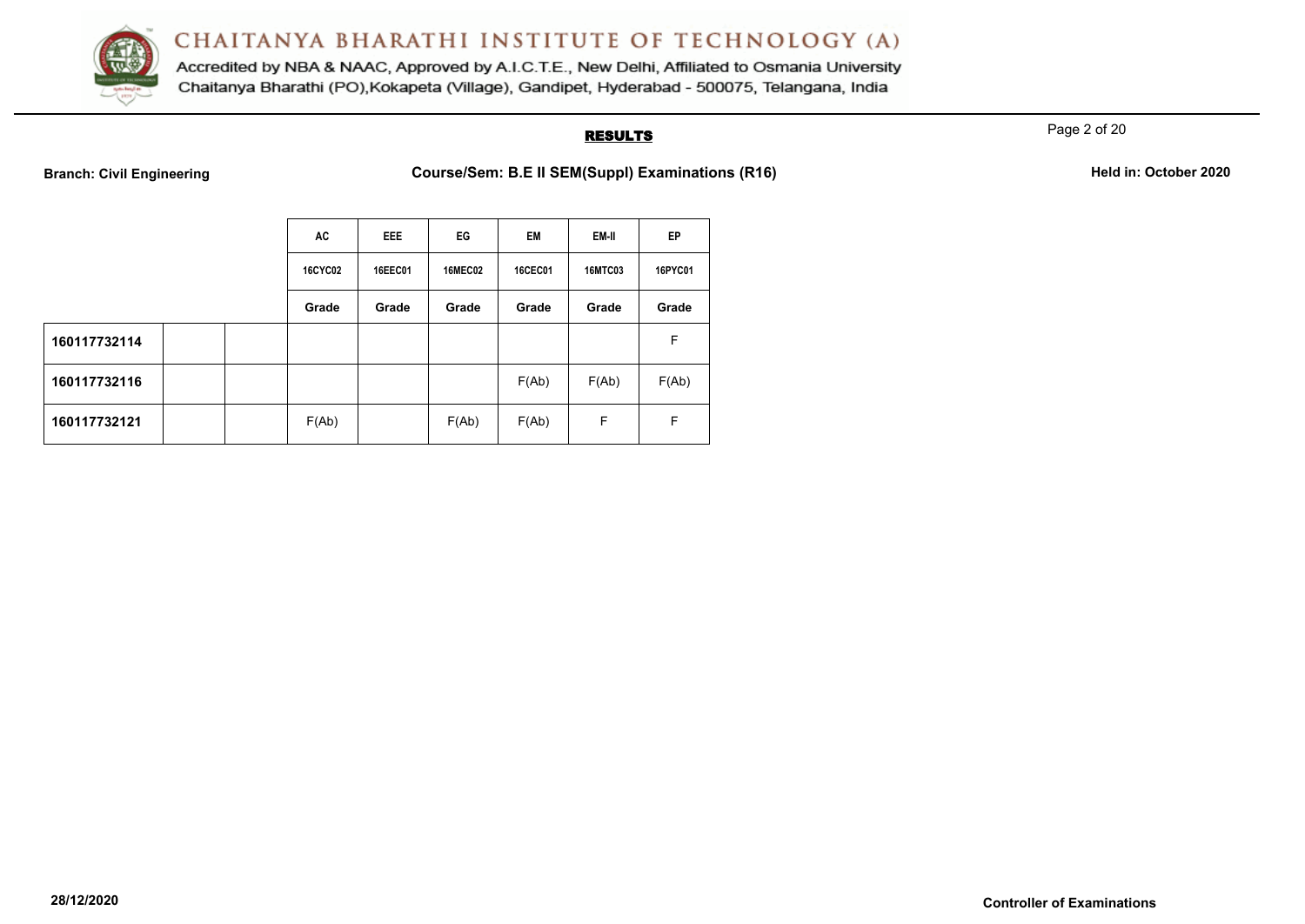

Accredited by NBA & NAAC, Approved by A.I.C.T.E., New Delhi, Affiliated to Osmania University Chaitanya Bharathi (PO), Kokapeta (Village), Gandipet, Hyderabad - 500075, Telangana, India

# **RESULTS**

Page 2 of 20

**Branch: Civil Engineering <b>Course/Sem: B.E II SEM(Suppl) Examinations (R16) Branch**: Civil Engineering

| Held in: October 2020 |  |  |  |  |  |
|-----------------------|--|--|--|--|--|
|-----------------------|--|--|--|--|--|

|              | AC             | <b>EEE</b>     | EG             | <b>EM</b>      | EM-II          | EP      |
|--------------|----------------|----------------|----------------|----------------|----------------|---------|
|              | <b>16CYC02</b> | <b>16EEC01</b> | <b>16MEC02</b> | <b>16CEC01</b> | <b>16MTC03</b> | 16PYC01 |
|              | Grade          | Grade          | Grade          | Grade          | Grade          | Grade   |
| 160117732114 |                |                |                |                |                | F.      |
| 160117732116 |                |                |                | F(Ab)          | F(Ab)          | F(Ab)   |
| 160117732121 | F(Ab)          |                | F(Ab)          | F(Ab)          | F              | F       |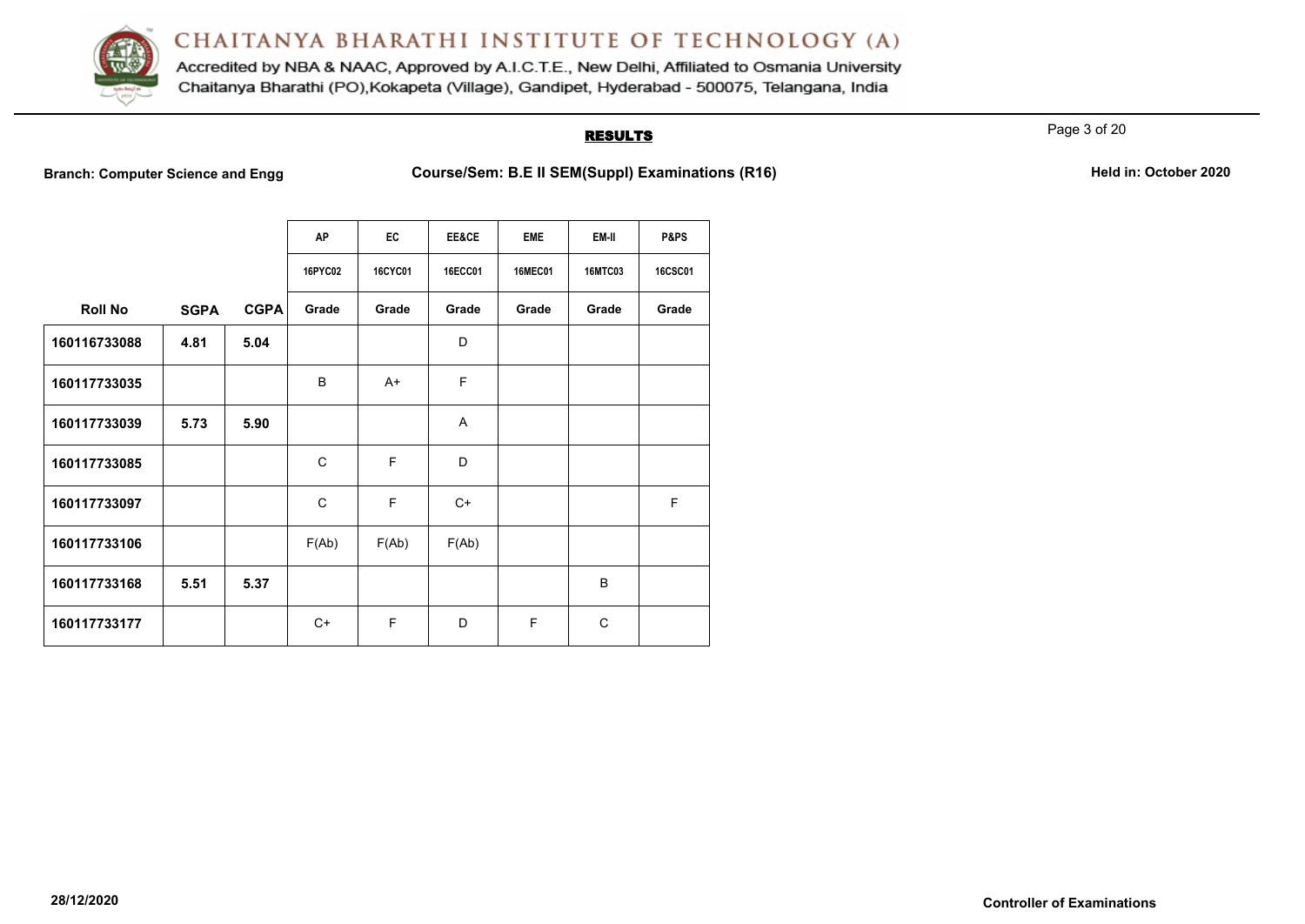

Accredited by NBA & NAAC, Approved by A.I.C.T.E., New Delhi, Affiliated to Osmania University Chaitanya Bharathi (PO), Kokapeta (Village), Gandipet, Hyderabad - 500075, Telangana, India

## **RESULTS**

Page 3 of 20

**Branch: Computer Science and Engg Course/Sem: B.E II SEM(Suppl) Examinations (R16)** Held in: October 2020

|  | Held in: October 2020 |  |
|--|-----------------------|--|
|  |                       |  |

|                |             |             | <b>AP</b>    | EC             | EE&CE          | <b>EME</b>     | EM-II          | P&PS           |
|----------------|-------------|-------------|--------------|----------------|----------------|----------------|----------------|----------------|
|                |             |             | 16PYC02      | <b>16CYC01</b> | <b>16ECC01</b> | <b>16MEC01</b> | <b>16MTC03</b> | <b>16CSC01</b> |
| <b>Roll No</b> | <b>SGPA</b> | <b>CGPA</b> | Grade        | Grade          | Grade          | Grade          | Grade          | Grade          |
| 160116733088   | 4.81        | 5.04        |              |                | D              |                |                |                |
| 160117733035   |             |             | B            | A+             | E              |                |                |                |
| 160117733039   | 5.73        | 5.90        |              |                | A              |                |                |                |
| 160117733085   |             |             | $\mathsf{C}$ | F              | D              |                |                |                |
| 160117733097   |             |             | C            | F              | $C+$           |                |                | F              |
| 160117733106   |             |             | F(Ab)        | F(Ab)          | F(Ab)          |                |                |                |
| 160117733168   | 5.51        | 5.37        |              |                |                |                | B              |                |
| 160117733177   |             |             | $C+$         | F              | D              | F              | C              |                |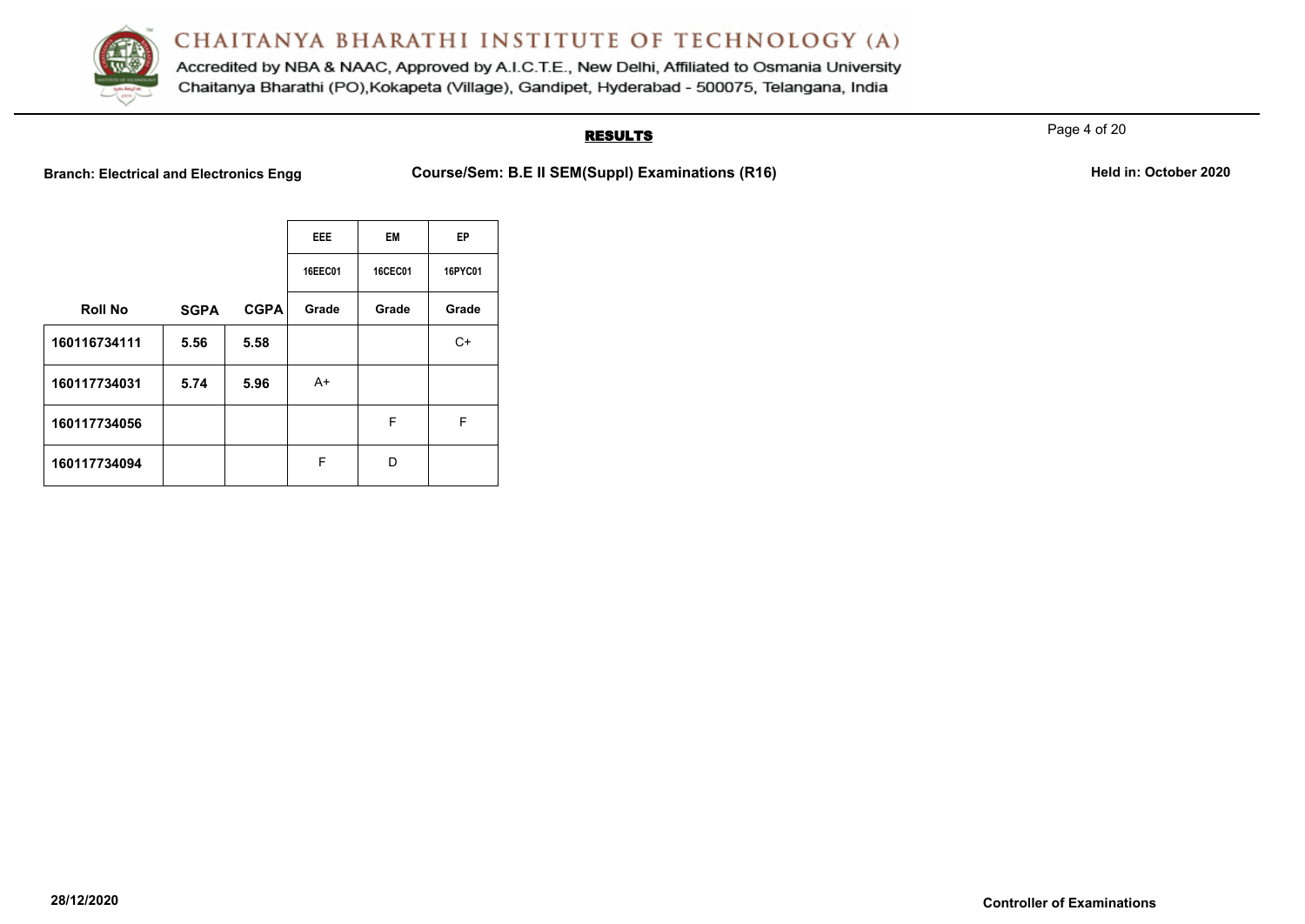

Accredited by NBA & NAAC, Approved by A.I.C.T.E., New Delhi, Affiliated to Osmania University Chaitanya Bharathi (PO), Kokapeta (Village), Gandipet, Hyderabad - 500075, Telangana, India

# **RESULTS**

Page 4 of 20

**Branch: Electrical and Electronics Engg Course/Sem: B.E II SEM(Suppl) Examinations (R16)** Held in: October 2020

|                |             |             | <b>EEE</b> | <b>EM</b>      | EP      |
|----------------|-------------|-------------|------------|----------------|---------|
|                |             |             | 16EEC01    | <b>16CEC01</b> | 16PYC01 |
| <b>Roll No</b> | <b>SGPA</b> | <b>CGPA</b> | Grade      | Grade          | Grade   |
| 160116734111   | 5.56        | 5.58        |            |                | $C+$    |
| 160117734031   | 5.74        | 5.96        | A+         |                |         |
| 160117734056   |             |             |            | F              | F       |
| 160117734094   |             |             | F          | D              |         |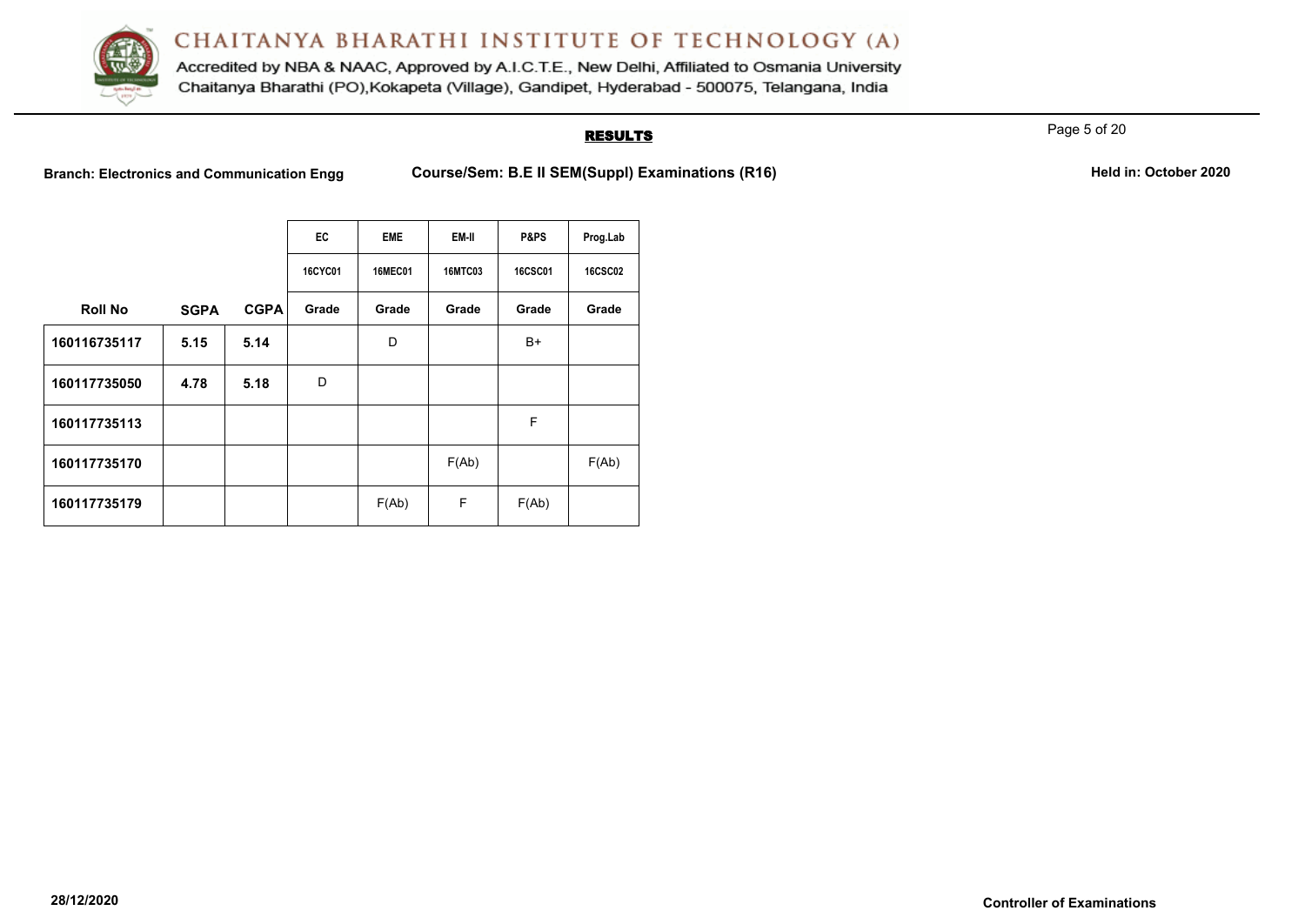

Accredited by NBA & NAAC, Approved by A.I.C.T.E., New Delhi, Affiliated to Osmania University Chaitanya Bharathi (PO), Kokapeta (Village), Gandipet, Hyderabad - 500075, Telangana, India

# **RESULTS**

Page 5 of 20

Branch: Electronics and Communication Engg Course/Sem: B.E II SEM(Suppl) Examinations (R16) **Held in: October 2020** 

|                |             |             | EC             | <b>EME</b>     | EM-II          | P&PS           | Prog.Lab       |
|----------------|-------------|-------------|----------------|----------------|----------------|----------------|----------------|
|                |             |             | <b>16CYC01</b> | <b>16MEC01</b> | <b>16MTC03</b> | <b>16CSC01</b> | <b>16CSC02</b> |
| <b>Roll No</b> | <b>SGPA</b> | <b>CGPA</b> | Grade          | Grade          | Grade          | Grade          | Grade          |
| 160116735117   | 5.15        | 5.14        |                | D              |                | B+             |                |
| 160117735050   | 4.78        | 5.18        | D              |                |                |                |                |
| 160117735113   |             |             |                |                |                | F              |                |
| 160117735170   |             |             |                |                | F(Ab)          |                | F(Ab)          |
| 160117735179   |             |             |                | F(Ab)          | F              | F(Ab)          |                |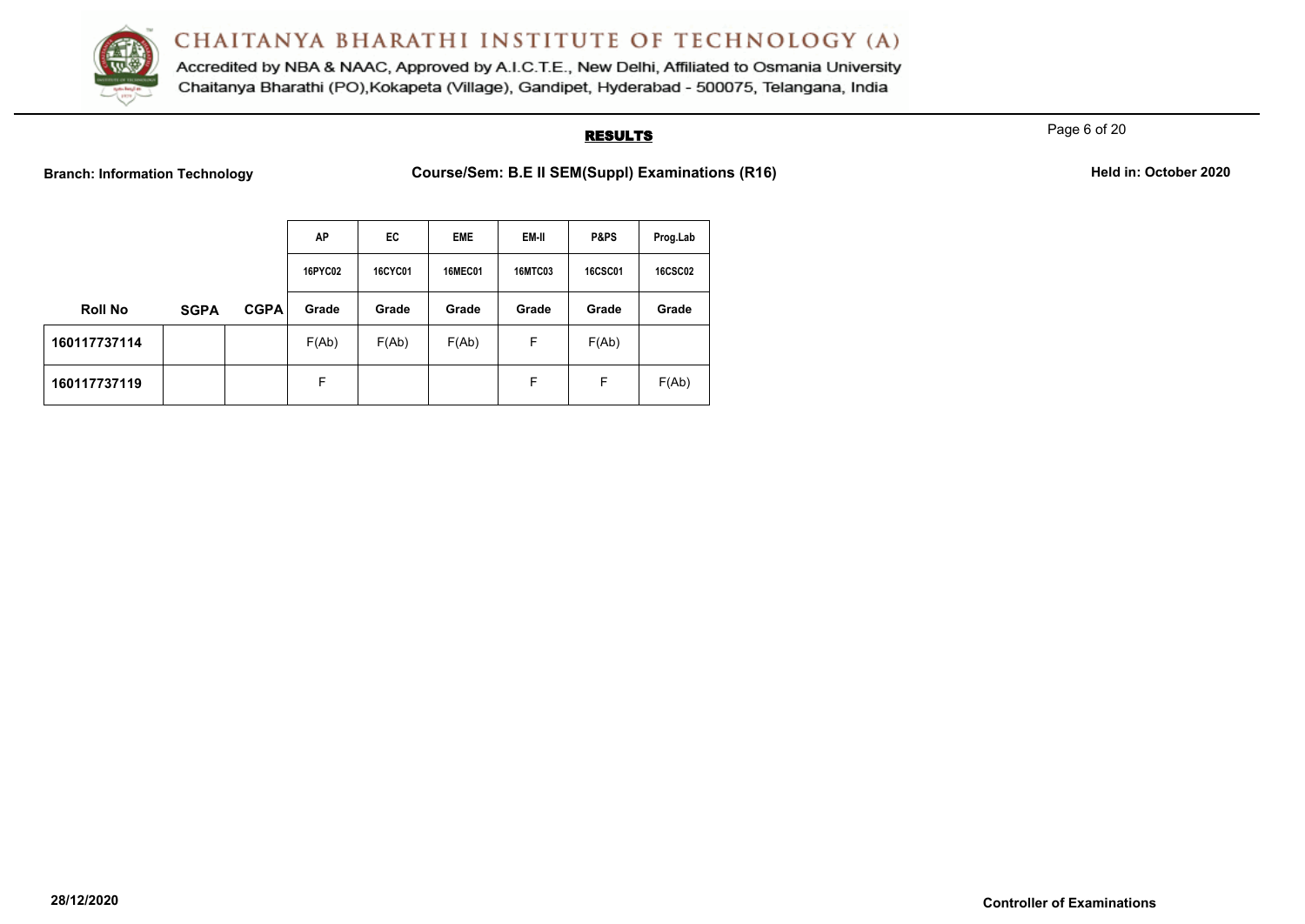

Accredited by NBA & NAAC, Approved by A.I.C.T.E., New Delhi, Affiliated to Osmania University Chaitanya Bharathi (PO), Kokapeta (Village), Gandipet, Hyderabad - 500075, Telangana, India

## **RESULTS**

Page 6 of 20

**Branch: Information Technology Course/Sem: B.E II SEM(Suppl) Examinations (R16)** Held in: October 2020

|                |             |             | AP      | EC             | <b>EME</b>     | EM-II          | P&PS           | Prog.Lab       |
|----------------|-------------|-------------|---------|----------------|----------------|----------------|----------------|----------------|
|                |             |             | 16PYC02 | <b>16CYC01</b> | <b>16MEC01</b> | <b>16MTC03</b> | <b>16CSC01</b> | <b>16CSC02</b> |
| <b>Roll No</b> | <b>SGPA</b> | <b>CGPA</b> | Grade   | Grade          | Grade          | Grade          | Grade          | Grade          |
| 160117737114   |             |             | F(Ab)   | F(Ab)          | F(Ab)          | F              | F(Ab)          |                |
| 160117737119   |             |             | F       |                |                | F              | F              | F(Ab)          |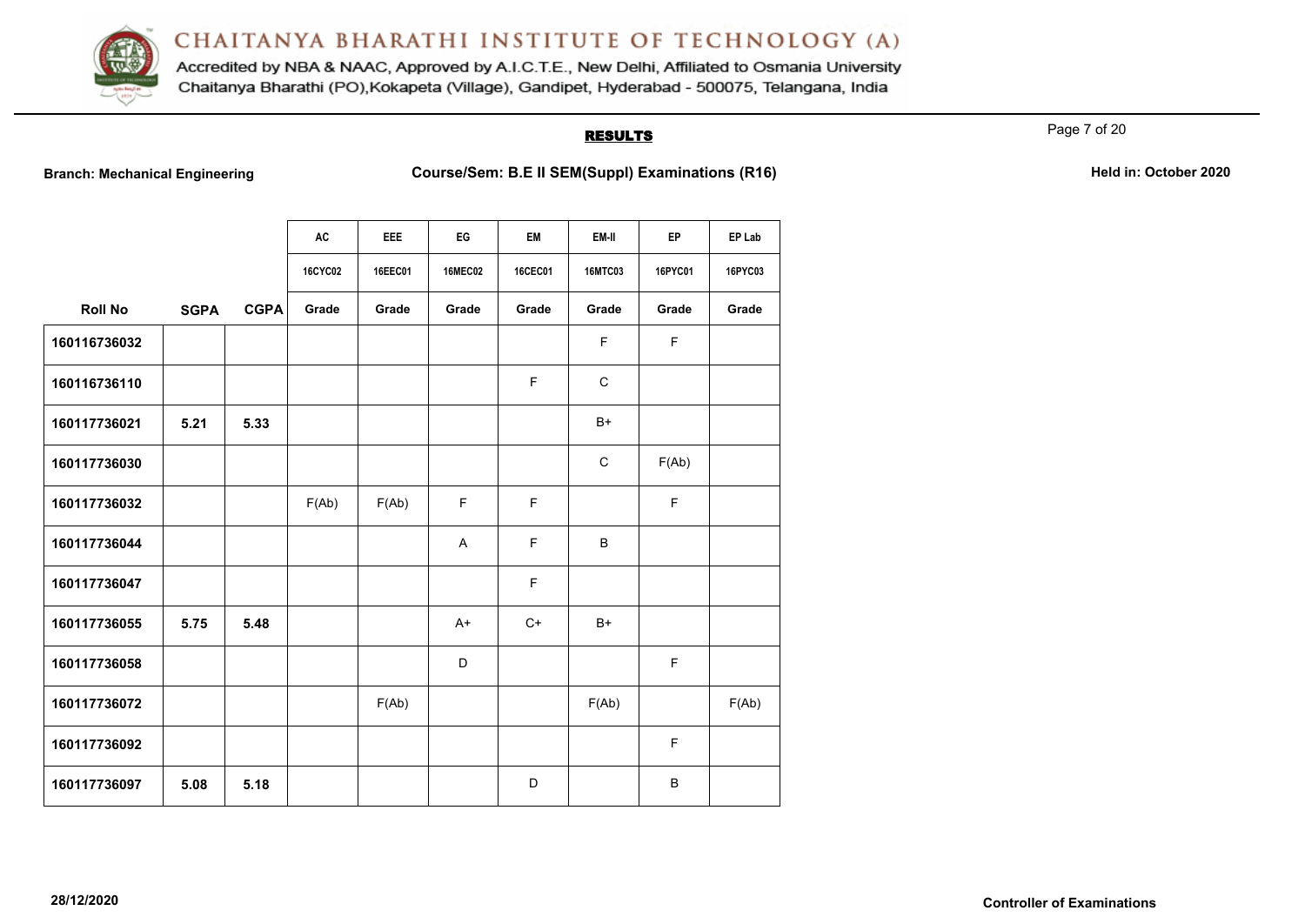

Accredited by NBA & NAAC, Approved by A.I.C.T.E., New Delhi, Affiliated to Osmania University Chaitanya Bharathi (PO), Kokapeta (Village), Gandipet, Hyderabad - 500075, Telangana, India

# **RESULTS**

Page 7 of 20

**Branch: Mechanical Engineering <b>Course/Sem: B.E II SEM(Suppl) Examinations (R16)** Held in: October 2020

|                |             |             | <b>AC</b>      | <b>EEE</b> | EG             | EM      | EM-II          | EP      | EP Lab  |
|----------------|-------------|-------------|----------------|------------|----------------|---------|----------------|---------|---------|
|                |             |             | <b>16CYC02</b> | 16EEC01    | <b>16MEC02</b> | 16CEC01 | <b>16MTC03</b> | 16PYC01 | 16PYC03 |
| <b>Roll No</b> | <b>SGPA</b> | <b>CGPA</b> | Grade          | Grade      | Grade          | Grade   | Grade          | Grade   | Grade   |
| 160116736032   |             |             |                |            |                |         | F              | F       |         |
| 160116736110   |             |             |                |            |                | F.      | $\mathsf{C}$   |         |         |
| 160117736021   | 5.21        | 5.33        |                |            |                |         | $B+$           |         |         |
| 160117736030   |             |             |                |            |                |         | $\mathsf{C}$   | F(Ab)   |         |
| 160117736032   |             |             | F(Ab)          | F(Ab)      | E              | F       |                | F       |         |
| 160117736044   |             |             |                |            | A              | F.      | B              |         |         |
| 160117736047   |             |             |                |            |                | F       |                |         |         |
| 160117736055   | 5.75        | 5.48        |                |            | $A+$           | $C+$    | $B+$           |         |         |
| 160117736058   |             |             |                |            | D              |         |                | F       |         |
| 160117736072   |             |             |                | F(Ab)      |                |         | F(Ab)          |         | F(Ab)   |
| 160117736092   |             |             |                |            |                |         |                | F       |         |
| 160117736097   | 5.08        | 5.18        |                |            |                | D       |                | B       |         |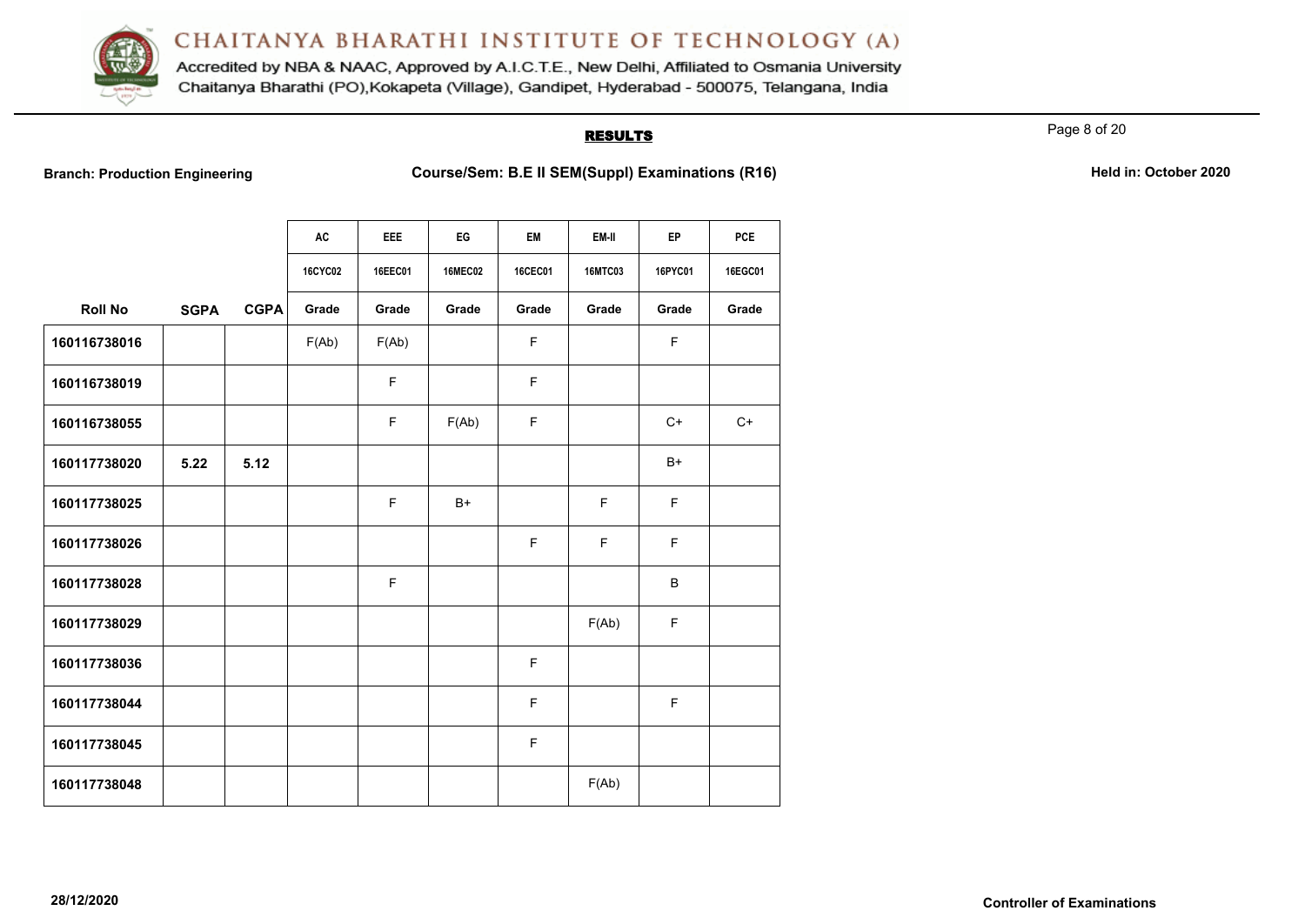

Accredited by NBA & NAAC, Approved by A.I.C.T.E., New Delhi, Affiliated to Osmania University Chaitanya Bharathi (PO), Kokapeta (Village), Gandipet, Hyderabad - 500075, Telangana, India

# **RESULTS**

Page 8 of 20

**Branch: Production Engineering <b>Course/Sem: B.E II SEM(Suppl) Examinations (R16)** Held in: October 2020

|                |             |             | AC             | EEE     | EG             | EM      | EM-II          | EP          | <b>PCE</b> |
|----------------|-------------|-------------|----------------|---------|----------------|---------|----------------|-------------|------------|
|                |             |             | <b>16CYC02</b> | 16EEC01 | <b>16MEC02</b> | 16CEC01 | <b>16MTC03</b> | 16PYC01     | 16EGC01    |
| <b>Roll No</b> | <b>SGPA</b> | <b>CGPA</b> | Grade          | Grade   | Grade          | Grade   | Grade          | Grade       | Grade      |
| 160116738016   |             |             | F(Ab)          | F(Ab)   |                | F       |                | F           |            |
| 160116738019   |             |             |                | F       |                | F       |                |             |            |
| 160116738055   |             |             |                | F       | F(Ab)          | F       |                | $C+$        | $C+$       |
| 160117738020   | 5.22        | 5.12        |                |         |                |         |                | $B+$        |            |
| 160117738025   |             |             |                | F       | $B+$           |         | F              | $\mathsf F$ |            |
| 160117738026   |             |             |                |         |                | F       | F              | F           |            |
| 160117738028   |             |             |                | F       |                |         |                | B           |            |
| 160117738029   |             |             |                |         |                |         | F(Ab)          | F           |            |
| 160117738036   |             |             |                |         |                | F       |                |             |            |
| 160117738044   |             |             |                |         |                | F       |                | $\mathsf F$ |            |
| 160117738045   |             |             |                |         |                | F       |                |             |            |
| 160117738048   |             |             |                |         |                |         | F(Ab)          |             |            |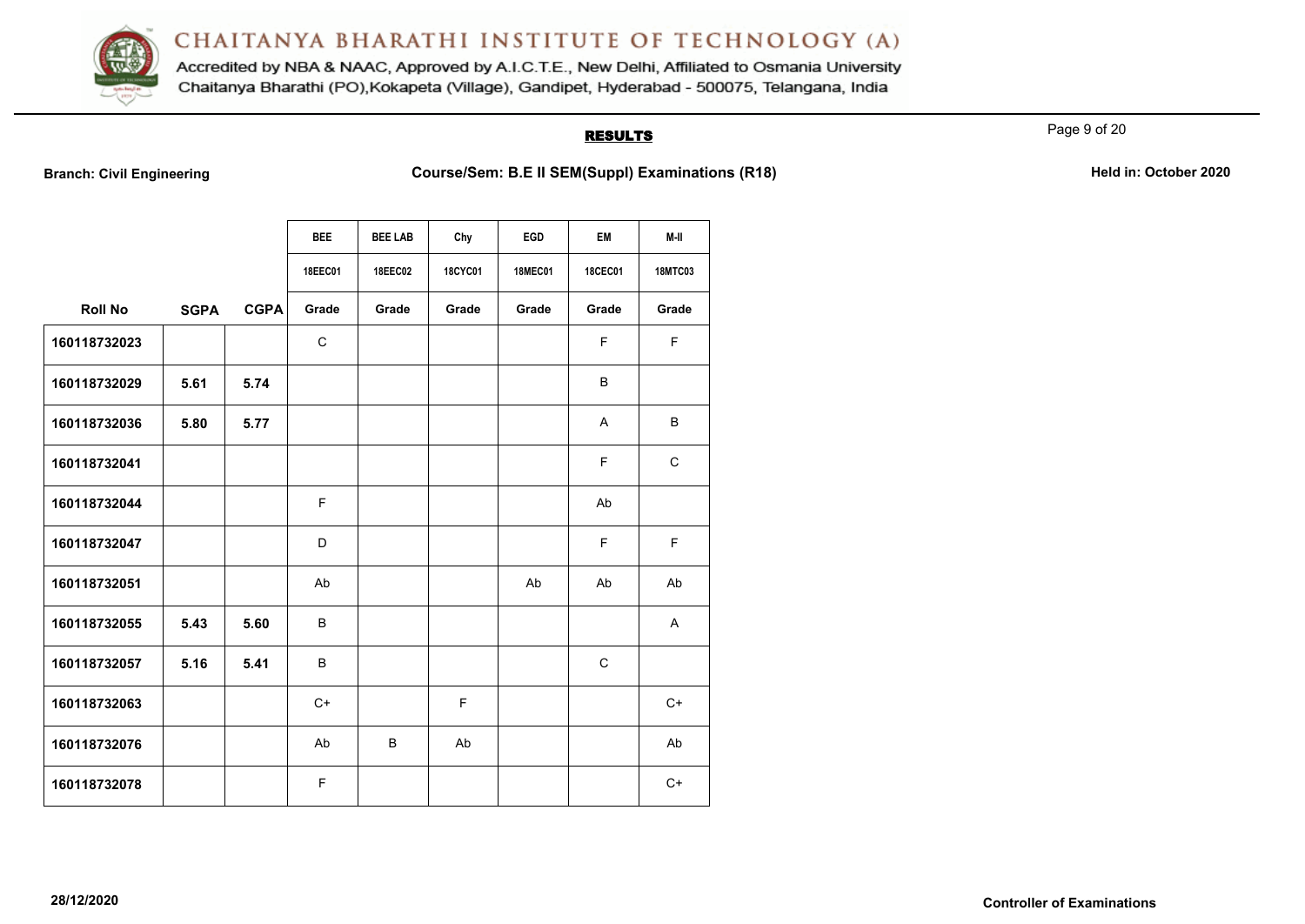

Accredited by NBA & NAAC, Approved by A.I.C.T.E., New Delhi, Affiliated to Osmania University Chaitanya Bharathi (PO), Kokapeta (Village), Gandipet, Hyderabad - 500075, Telangana, India

# **RESULTS**

Page 9 of 20

**Branch: Civil Engineering <b>Course/Sem: B.E II SEM(Suppl) Examinations (R18) Held in: October 2020** 

|                |             |             | <b>BEE</b>     | <b>BEE LAB</b> | Chy            | EGD            | <b>EM</b>      | M-II           |
|----------------|-------------|-------------|----------------|----------------|----------------|----------------|----------------|----------------|
|                |             |             |                |                | <b>18CYC01</b> |                |                |                |
|                |             |             | <b>18EEC01</b> | <b>18EEC02</b> |                | <b>18MEC01</b> | <b>18CEC01</b> | <b>18MTC03</b> |
| <b>Roll No</b> | <b>SGPA</b> | <b>CGPA</b> | Grade          | Grade          | Grade          | Grade          | Grade          | Grade          |
| 160118732023   |             |             | $\mathsf{C}$   |                |                |                | F              | F.             |
| 160118732029   | 5.61        | 5.74        |                |                |                |                | B              |                |
| 160118732036   | 5.80        | 5.77        |                |                |                |                | A              | B              |
| 160118732041   |             |             |                |                |                |                | F              | $\mathsf{C}$   |
| 160118732044   |             |             | F              |                |                |                | Ab             |                |
| 160118732047   |             |             | D              |                |                |                | F              | F.             |
| 160118732051   |             |             | Ab             |                |                | Ab             | Ab             | Ab             |
| 160118732055   | 5.43        | 5.60        | B              |                |                |                |                | $\mathsf{A}$   |
| 160118732057   | 5.16        | 5.41        | B              |                |                |                | C              |                |
| 160118732063   |             |             | $C+$           |                | F              |                |                | $C+$           |
| 160118732076   |             |             | Ab             | B              | Ab             |                |                | Ab             |
| 160118732078   |             |             | F              |                |                |                |                | $C+$           |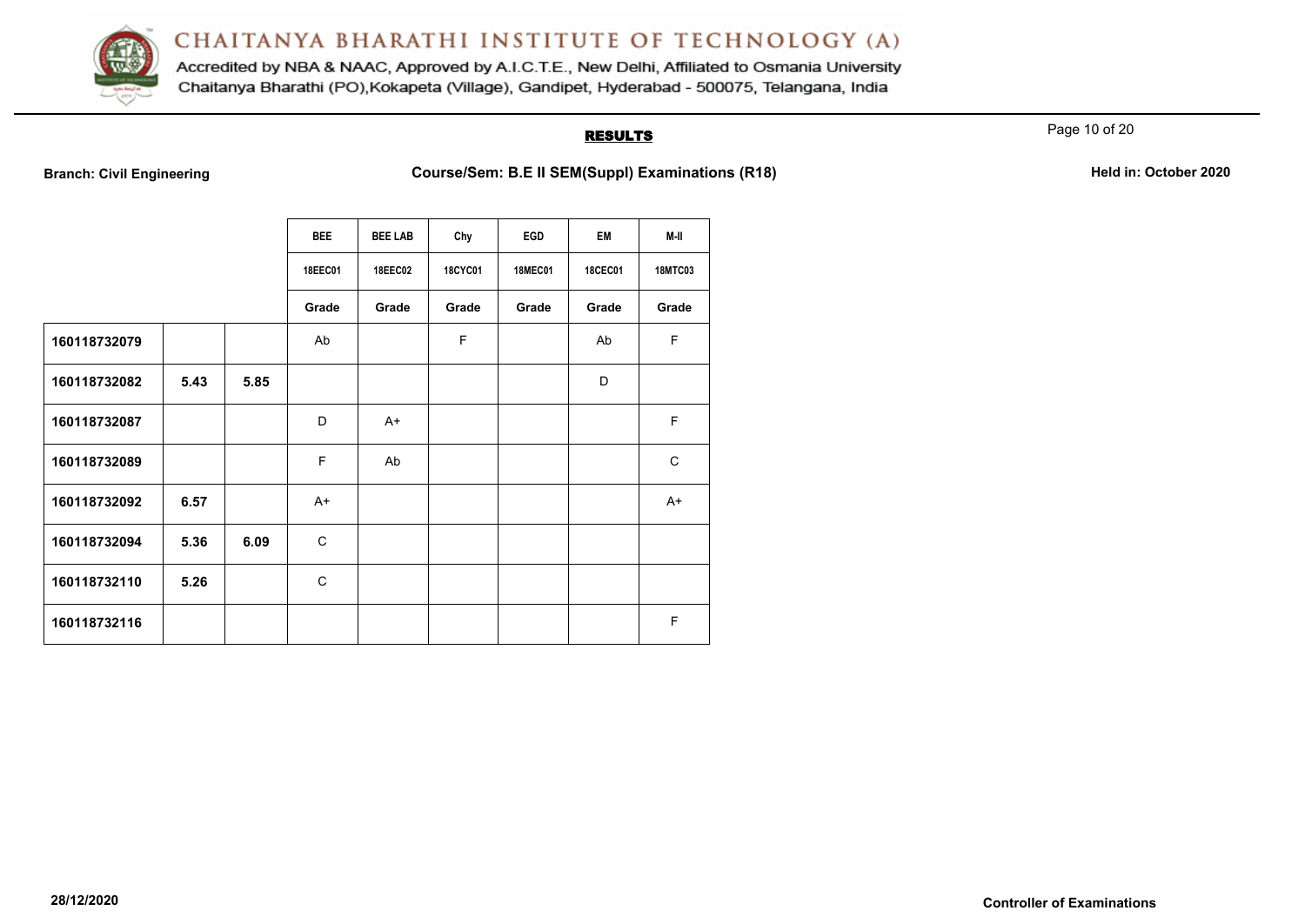

Accredited by NBA & NAAC, Approved by A.I.C.T.E., New Delhi, Affiliated to Osmania University Chaitanya Bharathi (PO), Kokapeta (Village), Gandipet, Hyderabad - 500075, Telangana, India

# **RESULTS**

Page 10 of 20

**Branch: Civil Engineering <b>Course/Sem: B.E II SEM(Suppl) Examinations (R18) Held in: October 2020** 

|              |      |      | <b>BEE</b>     | <b>BEE LAB</b> | Chy            | EGD            | <b>EM</b>      | M-II           |
|--------------|------|------|----------------|----------------|----------------|----------------|----------------|----------------|
|              |      |      | <b>18EEC01</b> | <b>18EEC02</b> | <b>18CYC01</b> | <b>18MEC01</b> | <b>18CEC01</b> | <b>18MTC03</b> |
|              |      |      | Grade          | Grade          | Grade          | Grade          | Grade          | Grade          |
| 160118732079 |      |      | Ab             |                | F              |                | Ab             | F              |
| 160118732082 | 5.43 | 5.85 |                |                |                |                | D              |                |
| 160118732087 |      |      | D              | $A+$           |                |                |                | F              |
| 160118732089 |      |      | F              | Ab             |                |                |                | $\mathsf{C}$   |
| 160118732092 | 6.57 |      | $A+$           |                |                |                |                | $A+$           |
| 160118732094 | 5.36 | 6.09 | $\mathsf{C}$   |                |                |                |                |                |
| 160118732110 | 5.26 |      | $\mathsf{C}$   |                |                |                |                |                |
| 160118732116 |      |      |                |                |                |                |                | F              |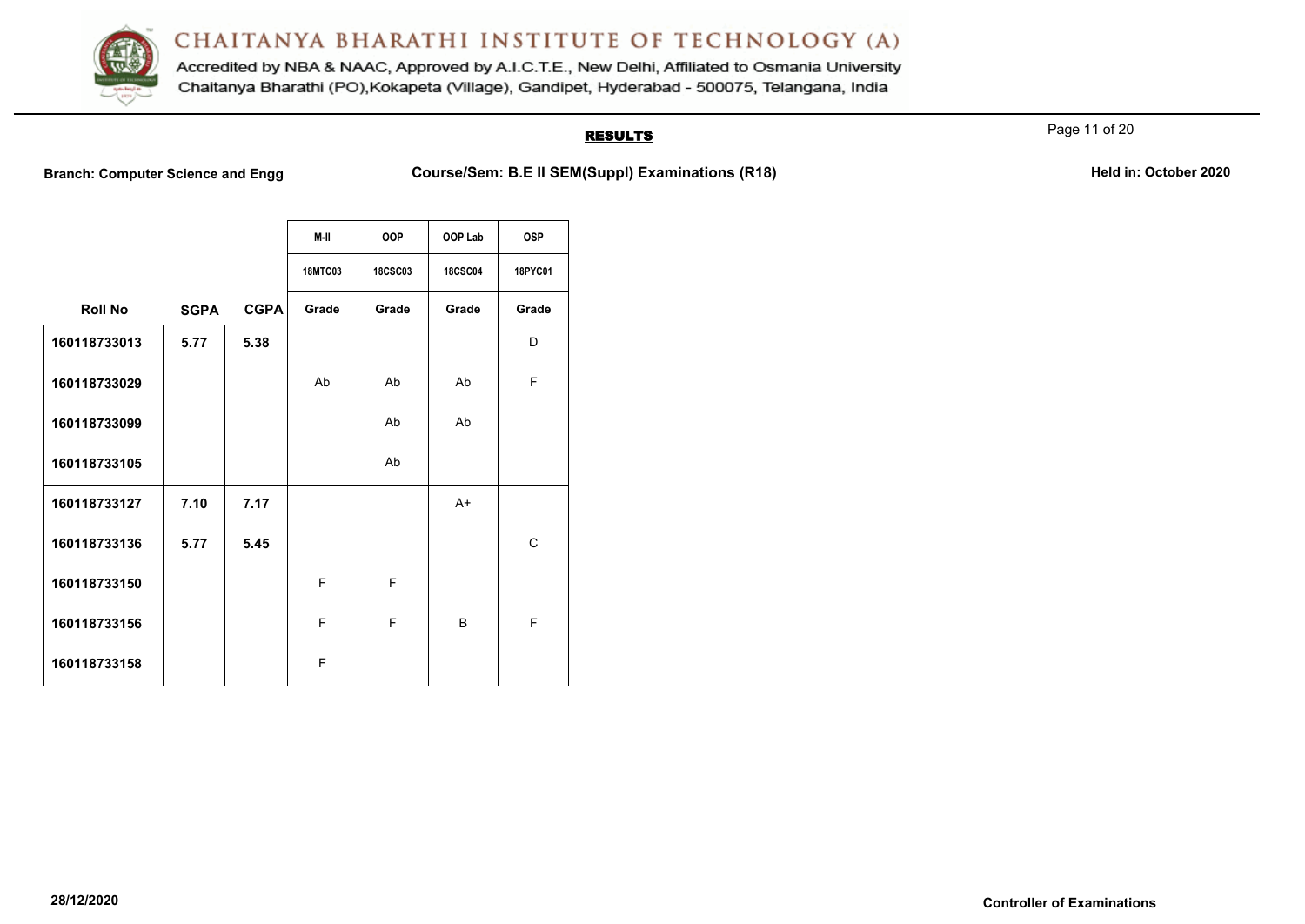

Accredited by NBA & NAAC, Approved by A.I.C.T.E., New Delhi, Affiliated to Osmania University Chaitanya Bharathi (PO), Kokapeta (Village), Gandipet, Hyderabad - 500075, Telangana, India

## **RESULTS**

Page 11 of 20

**Branch: Computer Science and Engg Course/Sem: B.E II SEM(Suppl) Examinations (R18)** Held in: October 2020

|                |             |             | M-II           | <b>OOP</b>     | OOP Lab        | <b>OSP</b> |
|----------------|-------------|-------------|----------------|----------------|----------------|------------|
|                |             |             | <b>18MTC03</b> | <b>18CSC03</b> | <b>18CSC04</b> | 18PYC01    |
| <b>Roll No</b> | <b>SGPA</b> | <b>CGPA</b> | Grade          | Grade          | Grade          | Grade      |
| 160118733013   | 5.77        | 5.38        |                |                |                | D          |
| 160118733029   |             |             | Ab             | Ab             | Ab             | F          |
| 160118733099   |             |             |                | Ab             | Ab             |            |
| 160118733105   |             |             |                | Ab             |                |            |
| 160118733127   | 7.10        | 7.17        |                |                | $A+$           |            |
| 160118733136   | 5.77        | 5.45        |                |                |                | C          |
| 160118733150   |             |             | F              | F              |                |            |
| 160118733156   |             |             | F              | F              | B              | F          |
| 160118733158   |             |             | F              |                |                |            |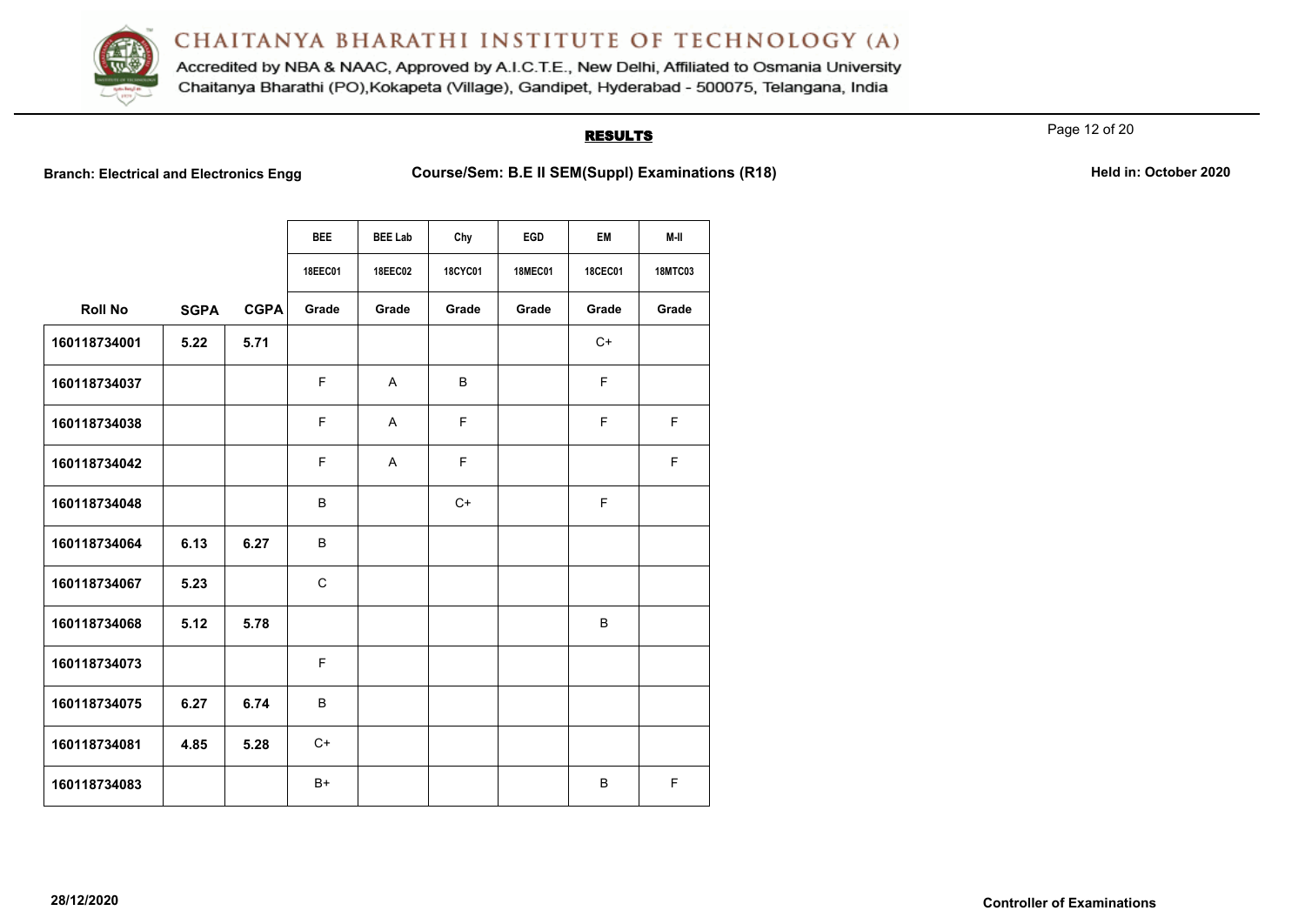

Accredited by NBA & NAAC, Approved by A.I.C.T.E., New Delhi, Affiliated to Osmania University Chaitanya Bharathi (PO), Kokapeta (Village), Gandipet, Hyderabad - 500075, Telangana, India

#### **RESULTS**

Page 12 of 20

**Branch: Electrical and Electronics Engg Course/Sem: B.E II SEM(Suppl) Examinations (R18) Held in: October 2020** 

|                |             |             | <b>BEE</b>   | <b>BEE Lab</b> | Chy            | <b>EGD</b>     | EM             | M-II           |
|----------------|-------------|-------------|--------------|----------------|----------------|----------------|----------------|----------------|
|                |             |             | 18EEC01      | <b>18EEC02</b> | <b>18CYC01</b> | <b>18MEC01</b> | <b>18CEC01</b> | <b>18MTC03</b> |
| <b>Roll No</b> | <b>SGPA</b> | <b>CGPA</b> | Grade        | Grade          | Grade          | Grade          | Grade          | Grade          |
| 160118734001   | 5.22        | 5.71        |              |                |                |                | $C+$           |                |
| 160118734037   |             |             | F.           | A              | B              |                | F.             |                |
| 160118734038   |             |             | F.           | A              | F.             |                | F.             | F.             |
| 160118734042   |             |             | F.           | A              | F.             |                |                | F.             |
| 160118734048   |             |             | B            |                | $C+$           |                | F              |                |
| 160118734064   | 6.13        | 6.27        | B            |                |                |                |                |                |
| 160118734067   | 5.23        |             | $\mathsf{C}$ |                |                |                |                |                |
| 160118734068   | 5.12        | 5.78        |              |                |                |                | B              |                |
| 160118734073   |             |             | F            |                |                |                |                |                |
| 160118734075   | 6.27        | 6.74        | B            |                |                |                |                |                |
| 160118734081   | 4.85        | 5.28        | $C+$         |                |                |                |                |                |
| 160118734083   |             |             | $B+$         |                |                |                | B              | F.             |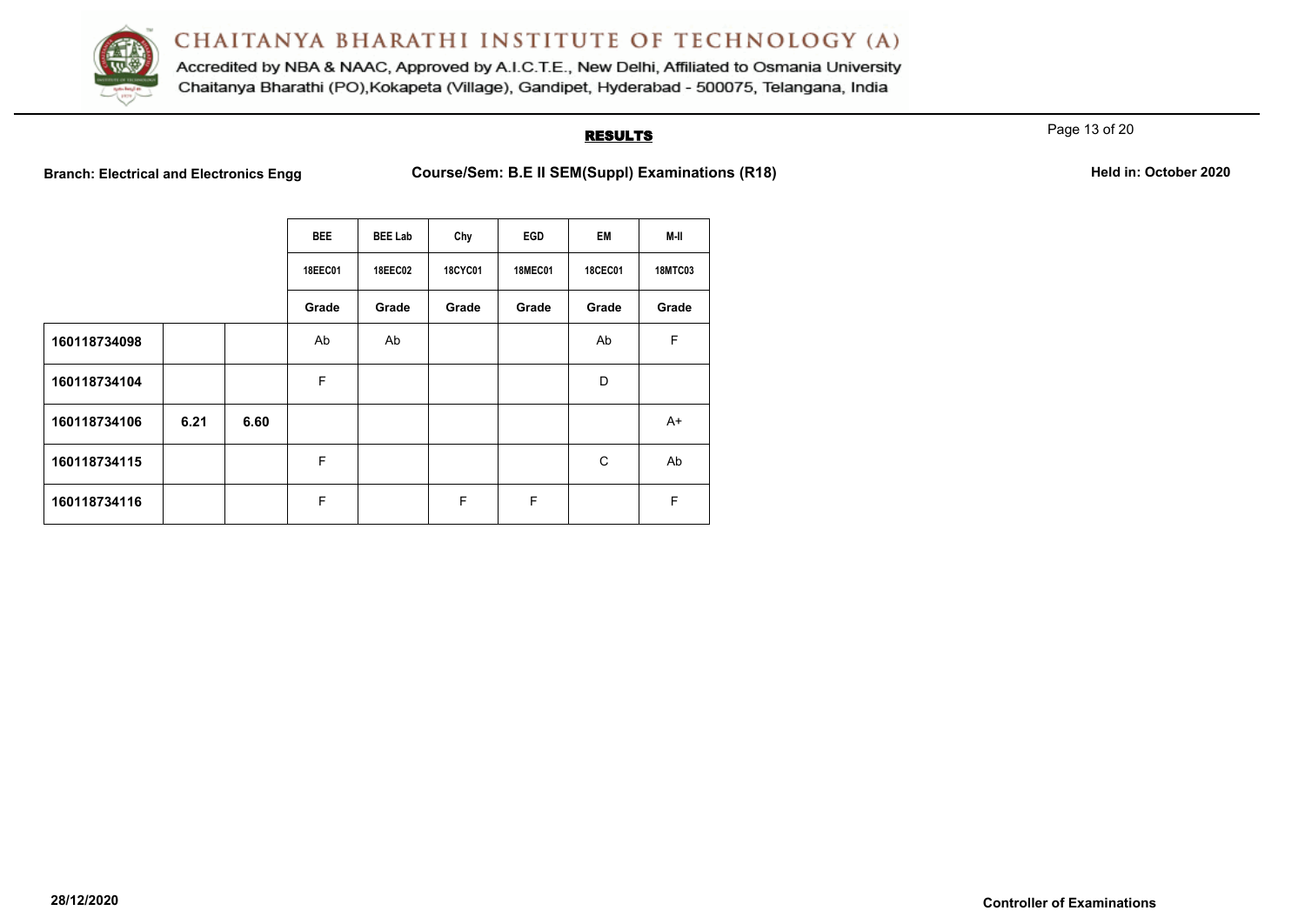

Accredited by NBA & NAAC, Approved by A.I.C.T.E., New Delhi, Affiliated to Osmania University Chaitanya Bharathi (PO), Kokapeta (Village), Gandipet, Hyderabad - 500075, Telangana, India

### **RESULTS**

Page 13 of 20

**Branch: Electrical and Electronics Engg Course/Sem: B.E II SEM(Suppl) Examinations (R18) Held in: October 2020** 

|              |      |      | <b>BEE</b>     | <b>BEE Lab</b> | Chy            | EGD            | EM             | M-II           |
|--------------|------|------|----------------|----------------|----------------|----------------|----------------|----------------|
|              |      |      | <b>18EEC01</b> | <b>18EEC02</b> | <b>18CYC01</b> | <b>18MEC01</b> | <b>18CEC01</b> | <b>18MTC03</b> |
|              |      |      | Grade          | Grade          | Grade          | Grade          | Grade          | Grade          |
| 160118734098 |      |      | Ab             | Ab             |                |                | Ab             | F              |
| 160118734104 |      |      | F              |                |                |                | D              |                |
| 160118734106 | 6.21 | 6.60 |                |                |                |                |                | $A+$           |
| 160118734115 |      |      | F              |                |                |                | C              | Ab             |
| 160118734116 |      |      | F              |                | F              | F              |                | F              |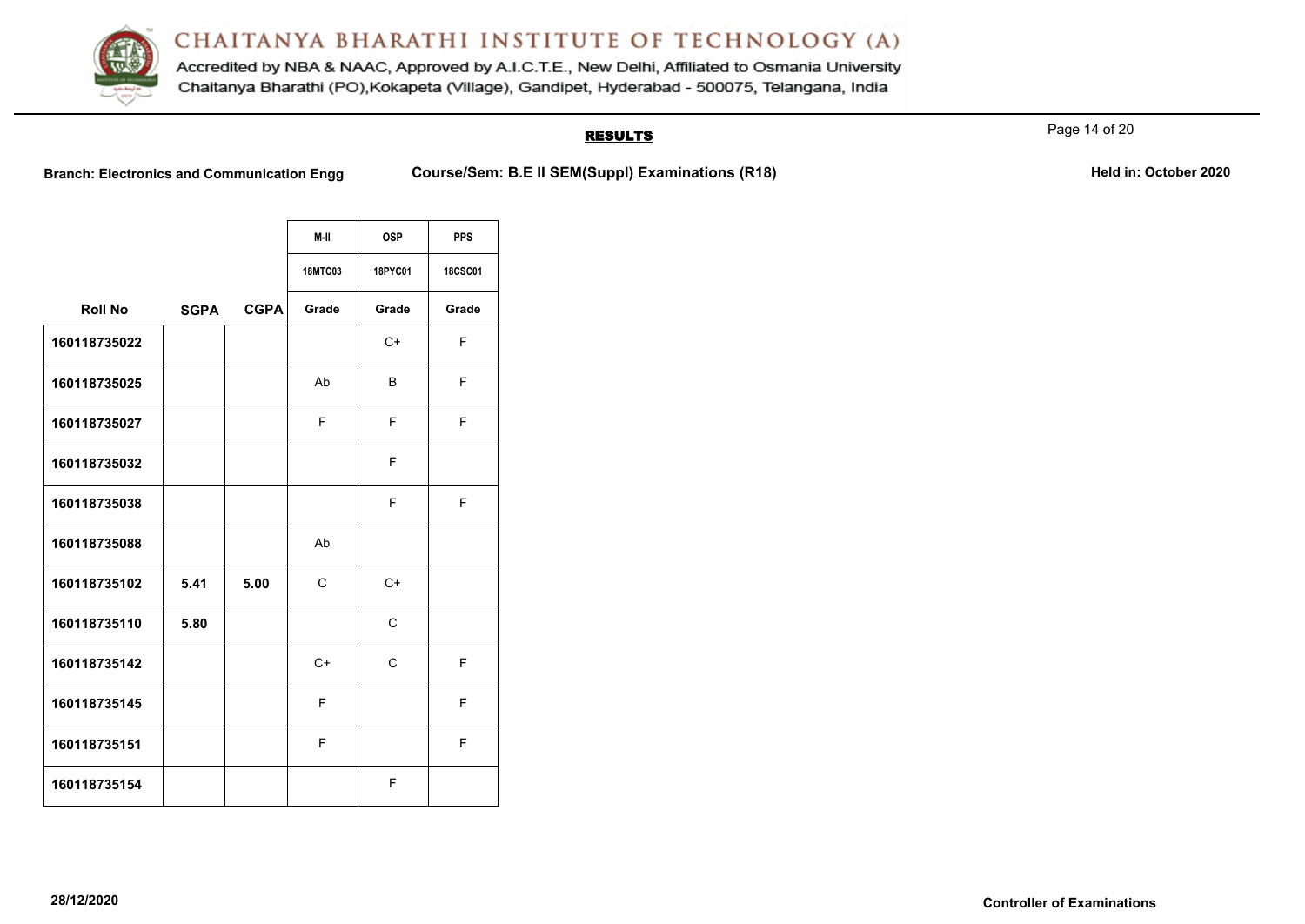

Accredited by NBA & NAAC, Approved by A.I.C.T.E., New Delhi, Affiliated to Osmania University Chaitanya Bharathi (PO), Kokapeta (Village), Gandipet, Hyderabad - 500075, Telangana, India

## **RESULTS**

Page 14 of 20

|                |             |             | M-II           | <b>OSP</b>     | <b>PPS</b>     |
|----------------|-------------|-------------|----------------|----------------|----------------|
|                |             |             |                |                |                |
|                |             |             | <b>18MTC03</b> | <b>18PYC01</b> | <b>18CSC01</b> |
| <b>Roll No</b> | <b>SGPA</b> | <b>CGPA</b> | Grade          | Grade          | Grade          |
| 160118735022   |             |             |                | $C+$           | F              |
| 160118735025   |             |             | Ab             | B              | F              |
| 160118735027   |             |             | F              | F              | F              |
| 160118735032   |             |             |                | F.             |                |
| 160118735038   |             |             |                | F              | F              |
| 160118735088   |             |             | Ab             |                |                |
| 160118735102   | 5.41        | 5.00        | C              | $C+$           |                |
| 160118735110   | 5.80        |             |                | $\mathsf{C}$   |                |
| 160118735142   |             |             | $C+$           | C              | F              |
| 160118735145   |             |             | F              |                | F              |
| 160118735151   |             |             | F              |                | F              |
| 160118735154   |             |             |                | F              |                |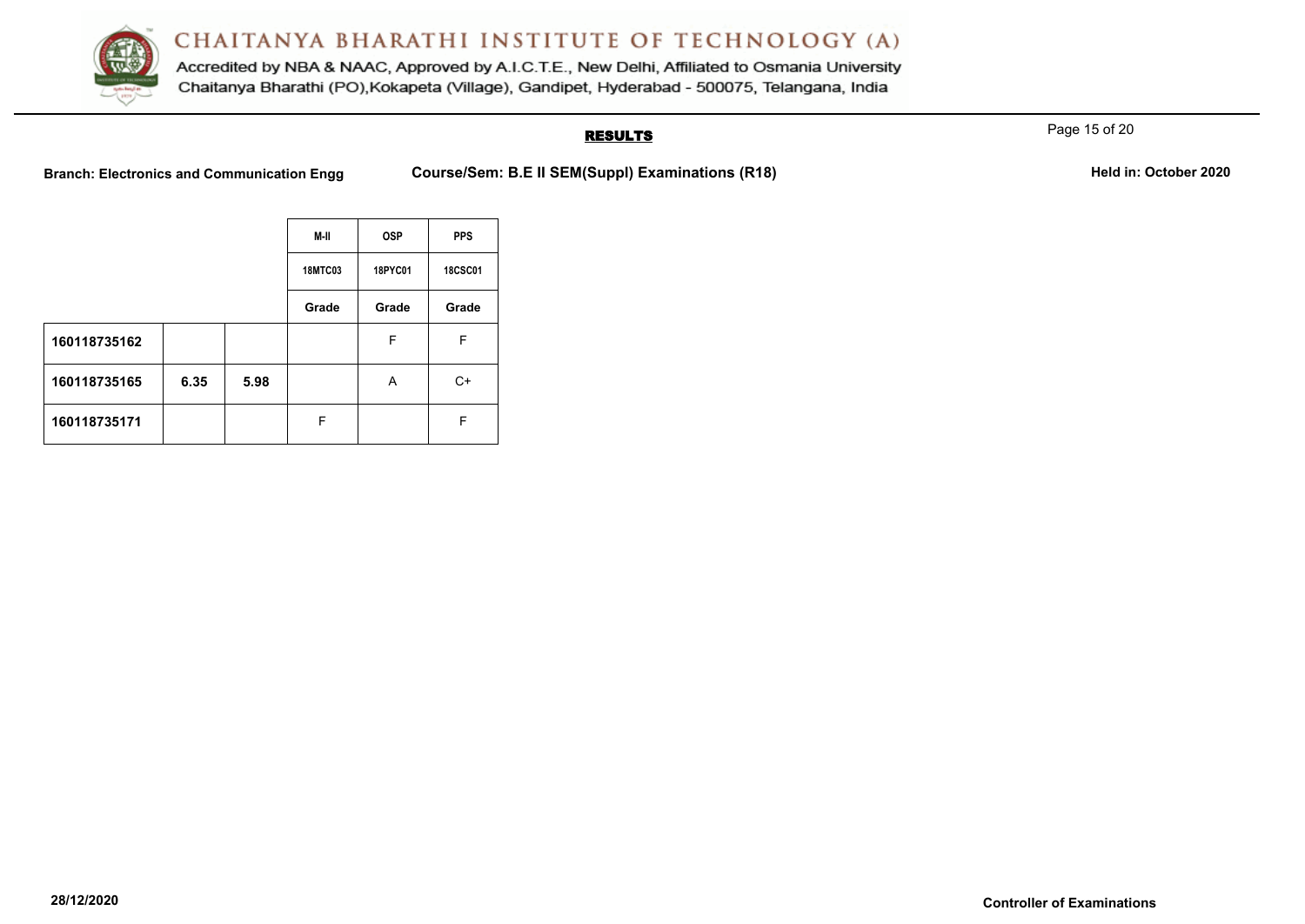

Accredited by NBA & NAAC, Approved by A.I.C.T.E., New Delhi, Affiliated to Osmania University Chaitanya Bharathi (PO), Kokapeta (Village), Gandipet, Hyderabad - 500075, Telangana, India

## **RESULTS**

Page 15 of 20

|              |      |      | M-II           | <b>OSP</b> | <b>PPS</b>     |
|--------------|------|------|----------------|------------|----------------|
|              |      |      | <b>18MTC03</b> | 18PYC01    | <b>18CSC01</b> |
|              |      |      | Grade          | Grade      | Grade          |
| 160118735162 |      |      |                | F          | F              |
| 160118735165 | 6.35 | 5.98 |                | A          | $C+$           |
| 160118735171 |      |      | F              |            | F              |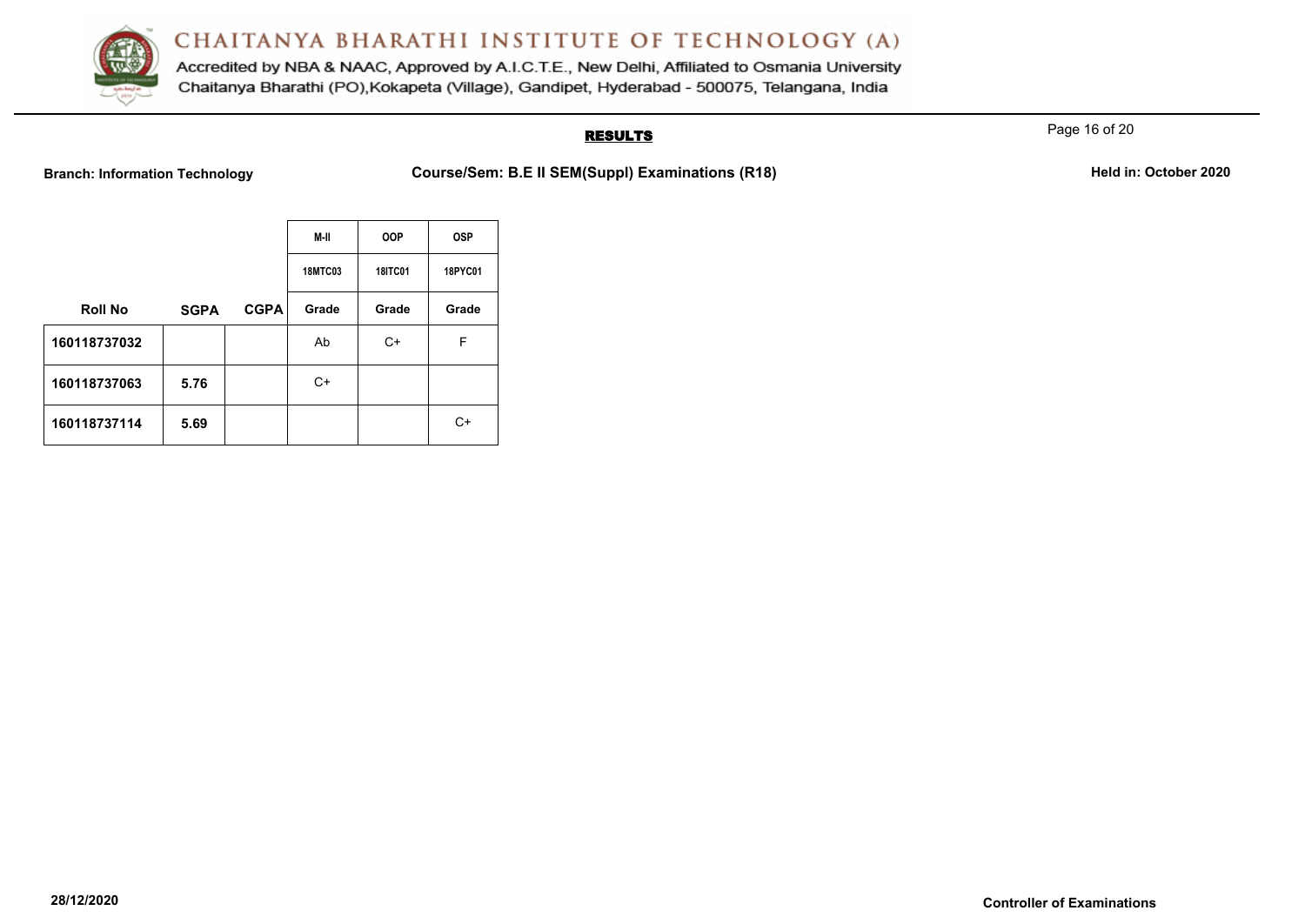

Accredited by NBA & NAAC, Approved by A.I.C.T.E., New Delhi, Affiliated to Osmania University Chaitanya Bharathi (PO), Kokapeta (Village), Gandipet, Hyderabad - 500075, Telangana, India

### **RESULTS**

Page 16 of 20

Branch: Information Technology **Course/Sem: B.E II SEM(Suppl) Examinations (R18) Held in: October 2020** 

|                |             |             | M-II           | <b>OOP</b>     | <b>OSP</b> |
|----------------|-------------|-------------|----------------|----------------|------------|
|                |             |             | <b>18MTC03</b> | <b>18ITC01</b> | 18PYC01    |
| <b>Roll No</b> | <b>SGPA</b> | <b>CGPA</b> | Grade          | Grade          | Grade      |
| 160118737032   |             |             | Ab             | C+             | F          |
| 160118737063   | 5.76        |             | C+             |                |            |
| 160118737114   | 5.69        |             |                |                | $C+$       |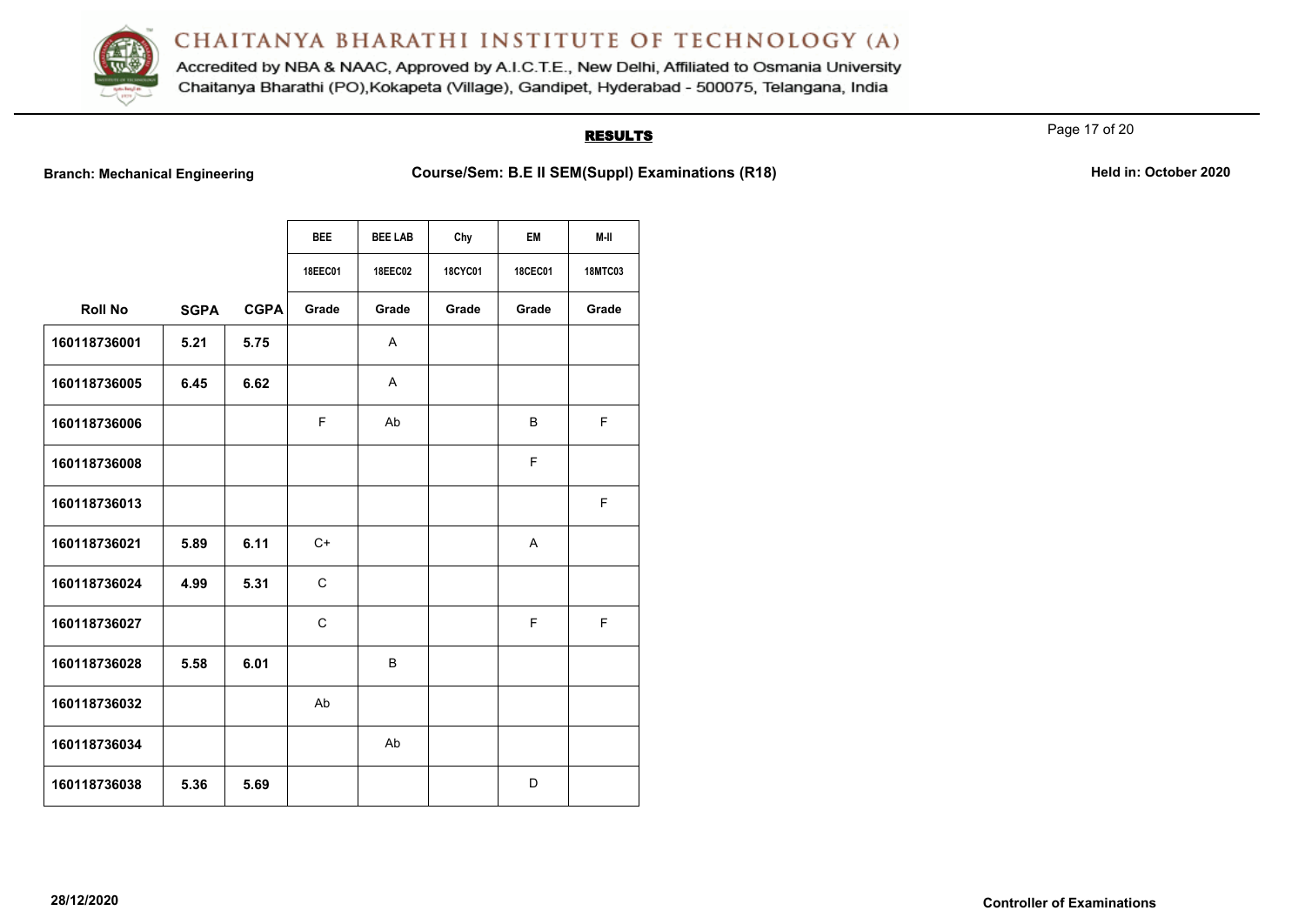

Accredited by NBA & NAAC, Approved by A.I.C.T.E., New Delhi, Affiliated to Osmania University Chaitanya Bharathi (PO), Kokapeta (Village), Gandipet, Hyderabad - 500075, Telangana, India

## **RESULTS**

Page 17 of 20

**Branch: Mechanical Engineering <b>Course/Sem: B.E II SEM(Suppl) Examinations (R18)** Mechanical Engineering Held in: October 2020

|                |             |             | <b>BEE</b>   | <b>BEE LAB</b> | Chy            | EM             | M-II           |
|----------------|-------------|-------------|--------------|----------------|----------------|----------------|----------------|
|                |             |             | 18EEC01      | <b>18EEC02</b> | <b>18CYC01</b> | <b>18CEC01</b> | <b>18MTC03</b> |
| <b>Roll No</b> | <b>SGPA</b> | <b>CGPA</b> | Grade        | Grade          | Grade          | Grade          | Grade          |
| 160118736001   | 5.21        | 5.75        |              | A              |                |                |                |
| 160118736005   | 6.45        | 6.62        |              | A              |                |                |                |
| 160118736006   |             |             | F            | Ab             |                | B              | F              |
| 160118736008   |             |             |              |                |                | F              |                |
| 160118736013   |             |             |              |                |                |                | F              |
| 160118736021   | 5.89        | 6.11        | C+           |                |                | A              |                |
| 160118736024   | 4.99        | 5.31        | C            |                |                |                |                |
| 160118736027   |             |             | $\mathsf{C}$ |                |                | F              | F              |
| 160118736028   | 5.58        | 6.01        |              | B              |                |                |                |
| 160118736032   |             |             | Ab           |                |                |                |                |
| 160118736034   |             |             |              | Ab             |                |                |                |
| 160118736038   | 5.36        | 5.69        |              |                |                | D              |                |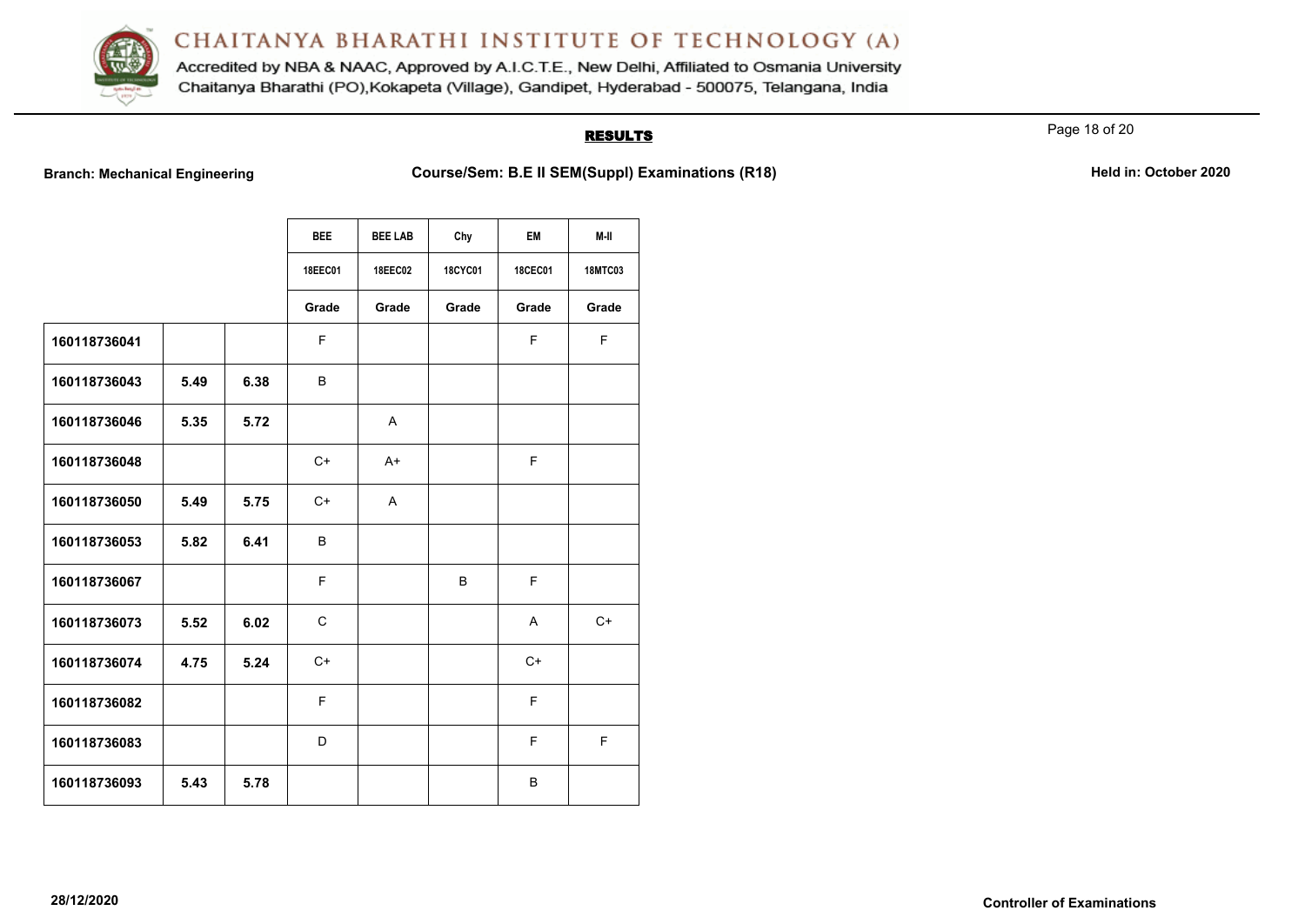

Accredited by NBA & NAAC, Approved by A.I.C.T.E., New Delhi, Affiliated to Osmania University Chaitanya Bharathi (PO), Kokapeta (Village), Gandipet, Hyderabad - 500075, Telangana, India

## **RESULTS**

Page 18 of 20

**Branch: Mechanical Engineering <b>Course/Sem: B.E II SEM(Suppl) Examinations (R18)** Mechanical Engineering Held in: October 2020

|              |      |      | <b>BEE</b> | <b>BEE LAB</b> | Chy     | <b>EM</b>      | M-II           |
|--------------|------|------|------------|----------------|---------|----------------|----------------|
|              |      |      | 18EEC01    | <b>18EEC02</b> | 18CYC01 | <b>18CEC01</b> | <b>18MTC03</b> |
|              |      |      | Grade      | Grade          | Grade   | Grade          | Grade          |
| 160118736041 |      |      | F          |                |         | F.             | F              |
| 160118736043 | 5.49 | 6.38 | B          |                |         |                |                |
| 160118736046 | 5.35 | 5.72 |            | A              |         |                |                |
| 160118736048 |      |      | C+         | $A+$           |         | F              |                |
| 160118736050 | 5.49 | 5.75 | C+         | A              |         |                |                |
| 160118736053 | 5.82 | 6.41 | B          |                |         |                |                |
| 160118736067 |      |      | F          |                | B       | F              |                |
| 160118736073 | 5.52 | 6.02 | C          |                |         | A              | $C+$           |
| 160118736074 | 4.75 | 5.24 | $C+$       |                |         | $C+$           |                |
| 160118736082 |      |      | F          |                |         | F              |                |
| 160118736083 |      |      | D          |                |         | F              | F              |
| 160118736093 | 5.43 | 5.78 |            |                |         | B              |                |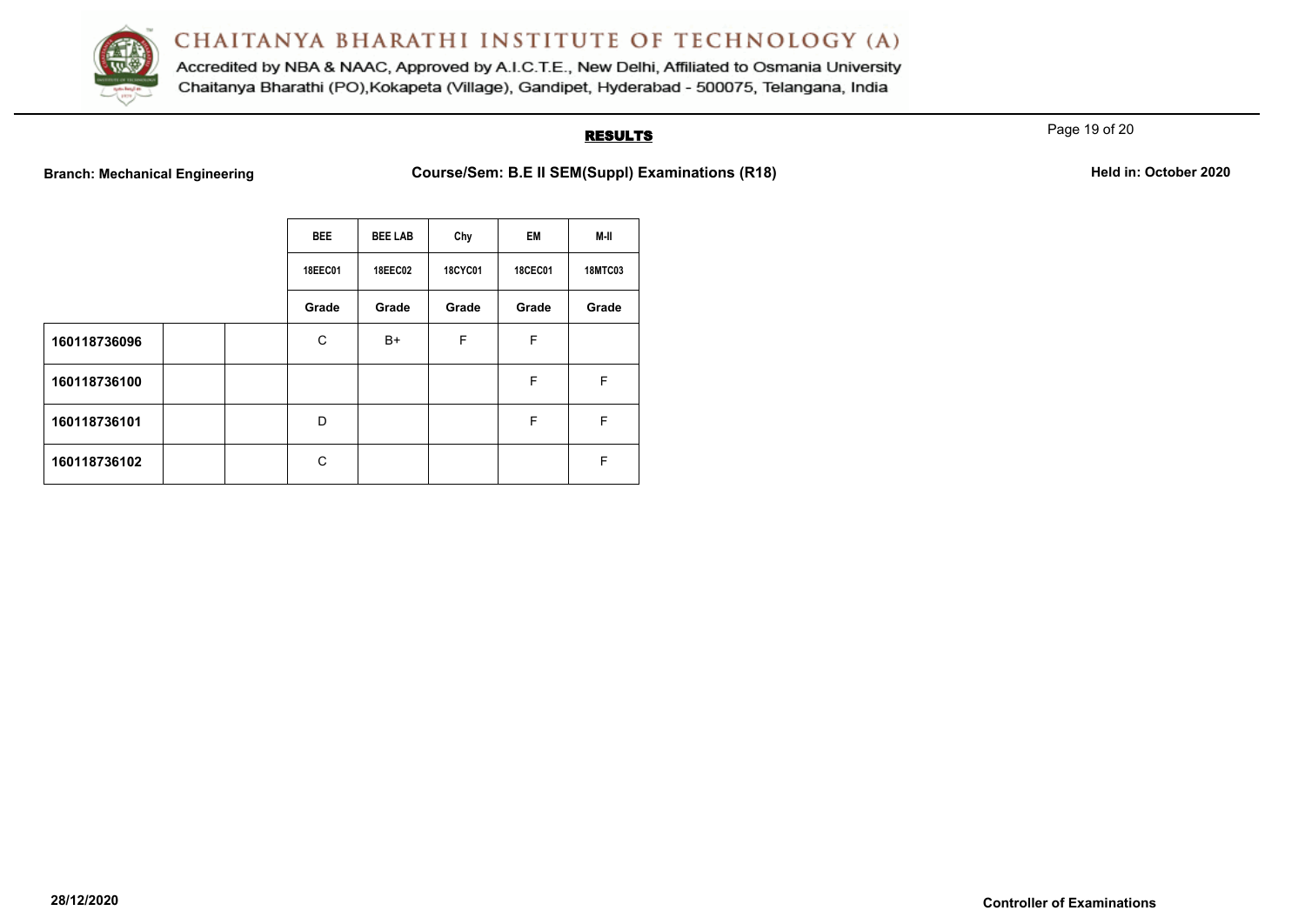

Accredited by NBA & NAAC, Approved by A.I.C.T.E., New Delhi, Affiliated to Osmania University Chaitanya Bharathi (PO), Kokapeta (Village), Gandipet, Hyderabad - 500075, Telangana, India

### **RESULTS**

Page 19 of 20

**Branch: Mechanical Engineering <b>Course/Sem: B.E II SEM(Suppl) Examinations (R18) Held in: October 2020** 

|  | Held in: October 2020 |  |
|--|-----------------------|--|
|  |                       |  |

|              |  | <b>BEE</b>     | <b>BEE LAB</b> | Chy            | <b>EM</b>      | M-II           |
|--------------|--|----------------|----------------|----------------|----------------|----------------|
|              |  | <b>18EEC01</b> | <b>18EEC02</b> | <b>18CYC01</b> | <b>18CEC01</b> | <b>18MTC03</b> |
|              |  | Grade          | Grade          | Grade          | Grade          | Grade          |
| 160118736096 |  | C              | B+             | F              | F              |                |
| 160118736100 |  |                |                |                | F              | F              |
| 160118736101 |  | D              |                |                | F              | F              |
| 160118736102 |  | C              |                |                |                | F              |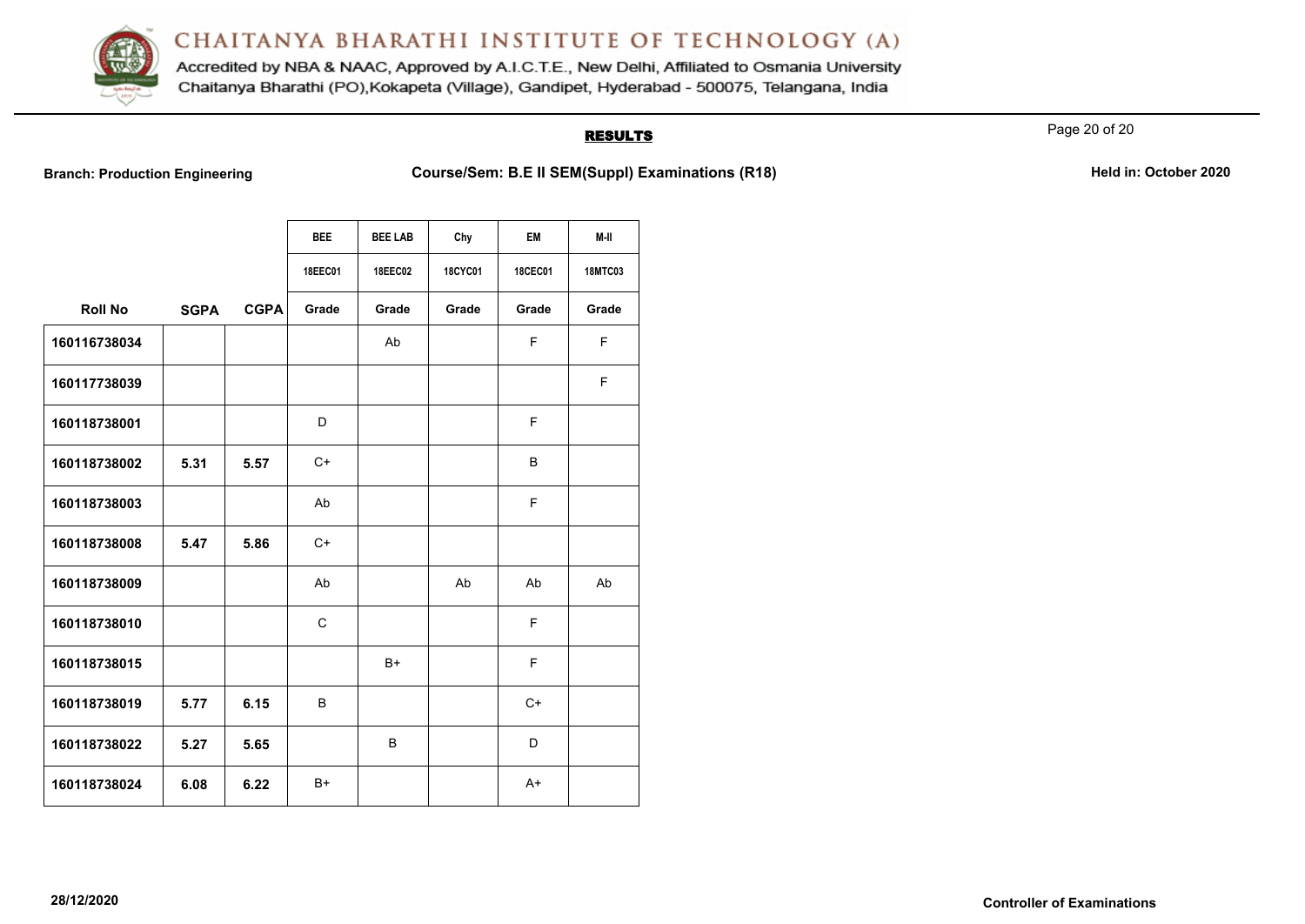

Accredited by NBA & NAAC, Approved by A.I.C.T.E., New Delhi, Affiliated to Osmania University Chaitanya Bharathi (PO), Kokapeta (Village), Gandipet, Hyderabad - 500075, Telangana, India

#### **RESULTS**

Page 20 of 20

**Branch: Production Engineering <b>Course/Sem: B.E II SEM(Suppl) Examinations (R18) Held in: October 2020** 

|                |             |             | <b>BEE</b> | <b>BEE LAB</b> | Chy            | <b>EM</b>      | M-II           |
|----------------|-------------|-------------|------------|----------------|----------------|----------------|----------------|
|                |             |             | 18EEC01    | <b>18EEC02</b> | <b>18CYC01</b> | <b>18CEC01</b> | <b>18MTC03</b> |
| <b>Roll No</b> | <b>SGPA</b> | <b>CGPA</b> | Grade      | Grade          | Grade          | Grade          | Grade          |
| 160116738034   |             |             |            | Ab             |                | F.             | F.             |
| 160117738039   |             |             |            |                |                |                | F              |
| 160118738001   |             |             | D          |                |                | F              |                |
| 160118738002   | 5.31        | 5.57        | $C+$       |                |                | B              |                |
| 160118738003   |             |             | Ab         |                |                | F.             |                |
| 160118738008   | 5.47        | 5.86        | $C+$       |                |                |                |                |
| 160118738009   |             |             | Ab         |                | Ab             | Ab             | Ab             |
| 160118738010   |             |             | C          |                |                | F              |                |
| 160118738015   |             |             |            | B+             |                | F              |                |
| 160118738019   | 5.77        | 6.15        | B          |                |                | C+             |                |
| 160118738022   | 5.27        | 5.65        |            | B              |                | D              |                |
| 160118738024   | 6.08        | 6.22        | B+         |                |                | $A+$           |                |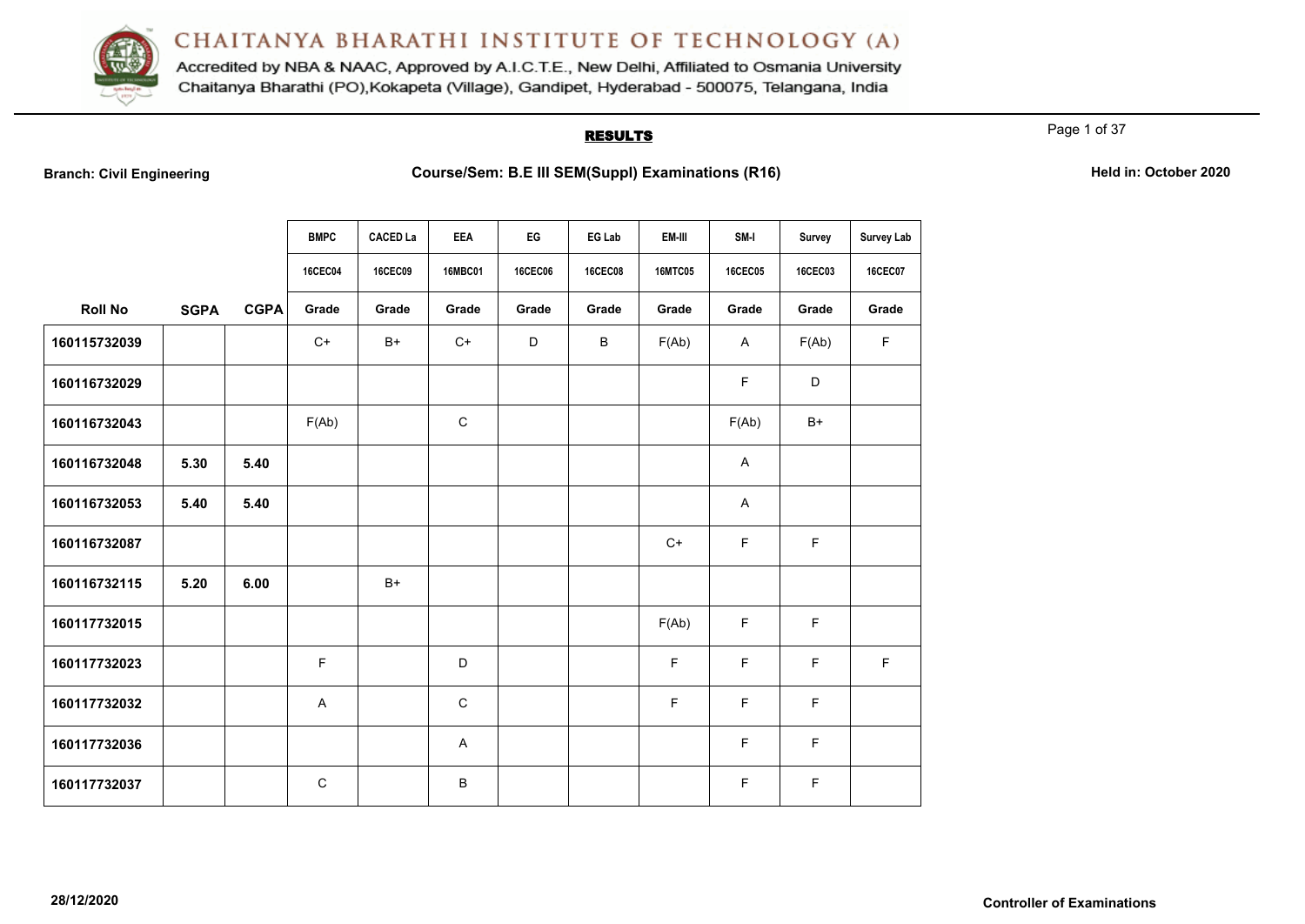

Accredited by NBA & NAAC, Approved by A.I.C.T.E., New Delhi, Affiliated to Osmania University Chaitanya Bharathi (PO), Kokapeta (Village), Gandipet, Hyderabad - 500075, Telangana, India

#### **RESULTS**

Page 1 of 37

|                |             |             | <b>BMPC</b>    | <b>CACED La</b> | <b>EEA</b>     | EG             | EG Lab         | EM-III         | SM-I           | Survey         | <b>Survey Lab</b> |
|----------------|-------------|-------------|----------------|-----------------|----------------|----------------|----------------|----------------|----------------|----------------|-------------------|
|                |             |             | <b>16CEC04</b> | <b>16CEC09</b>  | <b>16MBC01</b> | <b>16CEC06</b> | <b>16CEC08</b> | <b>16MTC05</b> | <b>16CEC05</b> | <b>16CEC03</b> | <b>16CEC07</b>    |
| <b>Roll No</b> | <b>SGPA</b> | <b>CGPA</b> | Grade          | Grade           | Grade          | Grade          | Grade          | Grade          | Grade          | Grade          | Grade             |
| 160115732039   |             |             | $C+$           | $B+$            | $C+$           | D              | B              | F(Ab)          | A              | F(Ab)          | F                 |
| 160116732029   |             |             |                |                 |                |                |                |                | F.             | D              |                   |
| 160116732043   |             |             | F(Ab)          |                 | $\mathsf C$    |                |                |                | F(Ab)          | $B+$           |                   |
| 160116732048   | 5.30        | 5.40        |                |                 |                |                |                |                | A              |                |                   |
| 160116732053   | 5.40        | 5.40        |                |                 |                |                |                |                | Α              |                |                   |
| 160116732087   |             |             |                |                 |                |                |                | $C+$           | F              | $\mathsf F$    |                   |
| 160116732115   | 5.20        | 6.00        |                | $B+$            |                |                |                |                |                |                |                   |
| 160117732015   |             |             |                |                 |                |                |                | F(Ab)          | F              | F              |                   |
| 160117732023   |             |             | F.             |                 | D              |                |                | F              | F              | F              | F                 |
| 160117732032   |             |             | A              |                 | $\mathbf C$    |                |                | F              | F              | F              |                   |
| 160117732036   |             |             |                |                 | A              |                |                |                | F              | F              |                   |
| 160117732037   |             |             | $\mathsf{C}$   |                 | B              |                |                |                | F              | F              |                   |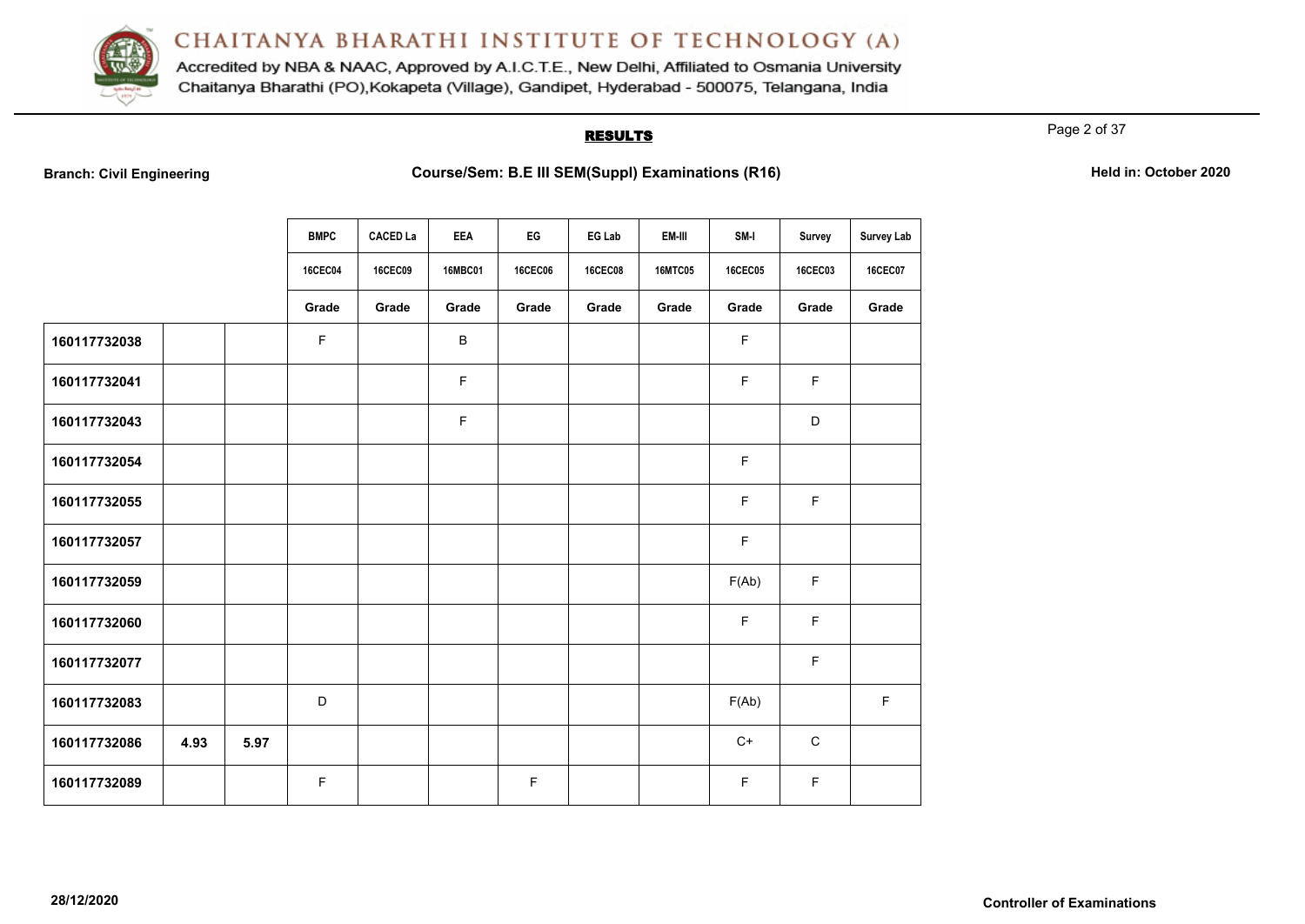

Accredited by NBA & NAAC, Approved by A.I.C.T.E., New Delhi, Affiliated to Osmania University Chaitanya Bharathi (PO), Kokapeta (Village), Gandipet, Hyderabad - 500075, Telangana, India

#### **RESULTS**

Page 2 of 37

| <b>Branch: Civil Engineering</b> |  |  |  |  |  |
|----------------------------------|--|--|--|--|--|
|----------------------------------|--|--|--|--|--|

|              |      |      | <b>BMPC</b>    | <b>CACED La</b> | <b>EEA</b>     | EG             | EG Lab         | EM-III         | SM-I           | <b>Survey</b> | Survey Lab     |
|--------------|------|------|----------------|-----------------|----------------|----------------|----------------|----------------|----------------|---------------|----------------|
|              |      |      | <b>16CEC04</b> | <b>16CEC09</b>  | <b>16MBC01</b> | <b>16CEC06</b> | <b>16CEC08</b> | <b>16MTC05</b> | <b>16CEC05</b> | 16CEC03       | <b>16CEC07</b> |
|              |      |      | Grade          | Grade           | Grade          | Grade          | Grade          | Grade          | Grade          | Grade         | Grade          |
| 160117732038 |      |      | F              |                 | B              |                |                |                | F              |               |                |
| 160117732041 |      |      |                |                 | F              |                |                |                | F              | F             |                |
| 160117732043 |      |      |                |                 | F              |                |                |                |                | $\mathsf D$   |                |
| 160117732054 |      |      |                |                 |                |                |                |                | F              |               |                |
| 160117732055 |      |      |                |                 |                |                |                |                | F              | F             |                |
| 160117732057 |      |      |                |                 |                |                |                |                | F              |               |                |
| 160117732059 |      |      |                |                 |                |                |                |                | F(Ab)          | F             |                |
| 160117732060 |      |      |                |                 |                |                |                |                | F              | F             |                |
| 160117732077 |      |      |                |                 |                |                |                |                |                | F             |                |
| 160117732083 |      |      | D              |                 |                |                |                |                | F(Ab)          |               | $\mathsf F$    |
| 160117732086 | 4.93 | 5.97 |                |                 |                |                |                |                | $C+$           | $\mathsf C$   |                |
| 160117732089 |      |      | F              |                 |                | F              |                |                | F              | F             |                |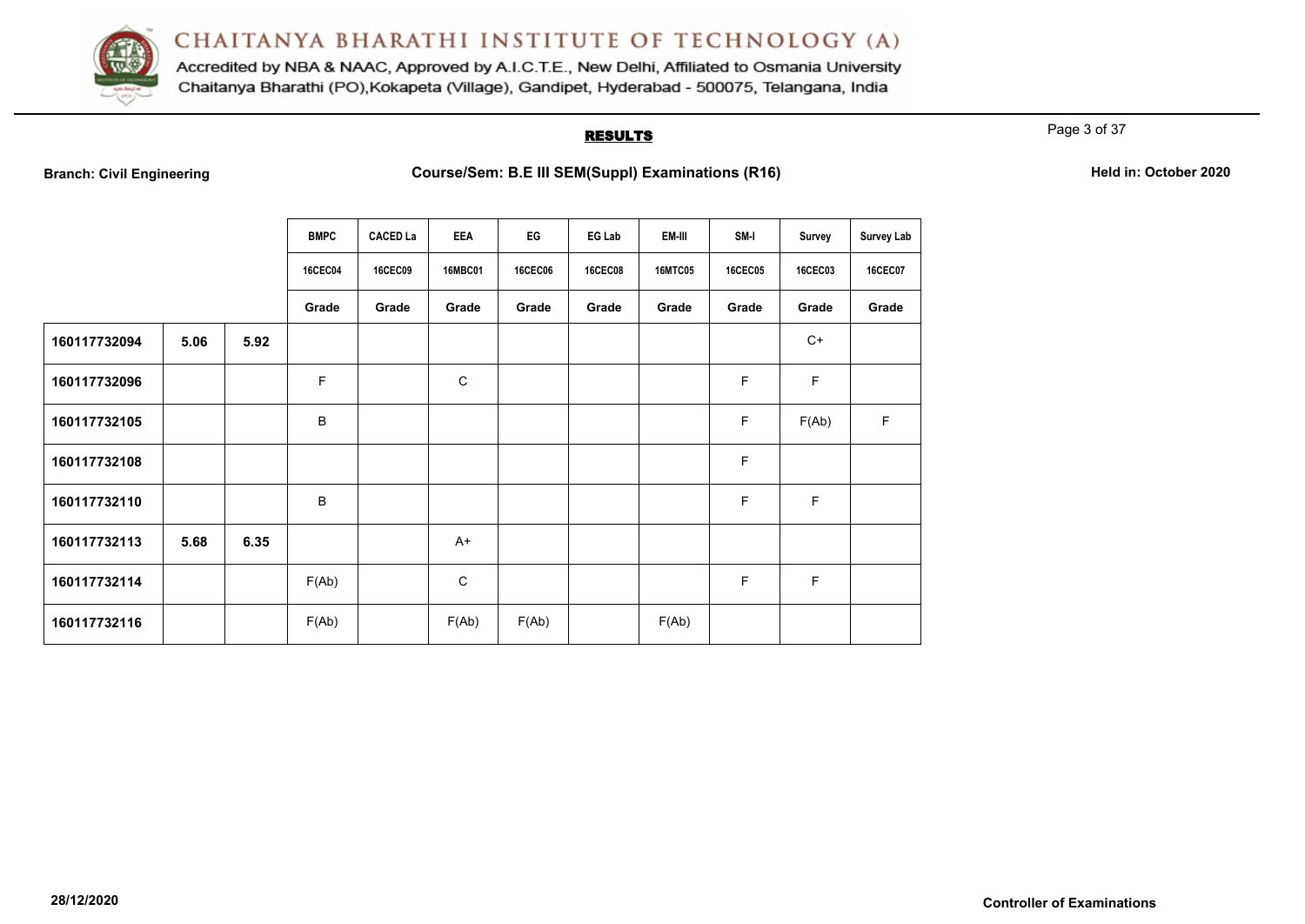

Accredited by NBA & NAAC, Approved by A.I.C.T.E., New Delhi, Affiliated to Osmania University Chaitanya Bharathi (PO), Kokapeta (Village), Gandipet, Hyderabad - 500075, Telangana, India

#### **RESULTS**

Page 3 of 37

|              |      |      | <b>BMPC</b>    | <b>CACED La</b> | <b>EEA</b>     | EG             | EG Lab         | EM-III         | SM-I           | <b>Survey</b>  | <b>Survey Lab</b> |
|--------------|------|------|----------------|-----------------|----------------|----------------|----------------|----------------|----------------|----------------|-------------------|
|              |      |      | <b>16CEC04</b> | <b>16CEC09</b>  | <b>16MBC01</b> | <b>16CEC06</b> | <b>16CEC08</b> | <b>16MTC05</b> | <b>16CEC05</b> | <b>16CEC03</b> | <b>16CEC07</b>    |
|              |      |      | Grade          | Grade           | Grade          | Grade          | Grade          | Grade          | Grade          | Grade          | Grade             |
| 160117732094 | 5.06 | 5.92 |                |                 |                |                |                |                |                | $C+$           |                   |
| 160117732096 |      |      | F              |                 | $\mathsf C$    |                |                |                | F              | $\mathsf F$    |                   |
| 160117732105 |      |      | B              |                 |                |                |                |                | F              | F(Ab)          | F                 |
| 160117732108 |      |      |                |                 |                |                |                |                | F              |                |                   |
| 160117732110 |      |      | B              |                 |                |                |                |                | F              | $\mathsf F$    |                   |
| 160117732113 | 5.68 | 6.35 |                |                 | $A+$           |                |                |                |                |                |                   |
| 160117732114 |      |      | F(Ab)          |                 | $\mathbf C$    |                |                |                | F              | F              |                   |
| 160117732116 |      |      | F(Ab)          |                 | F(Ab)          | F(Ab)          |                | F(Ab)          |                |                |                   |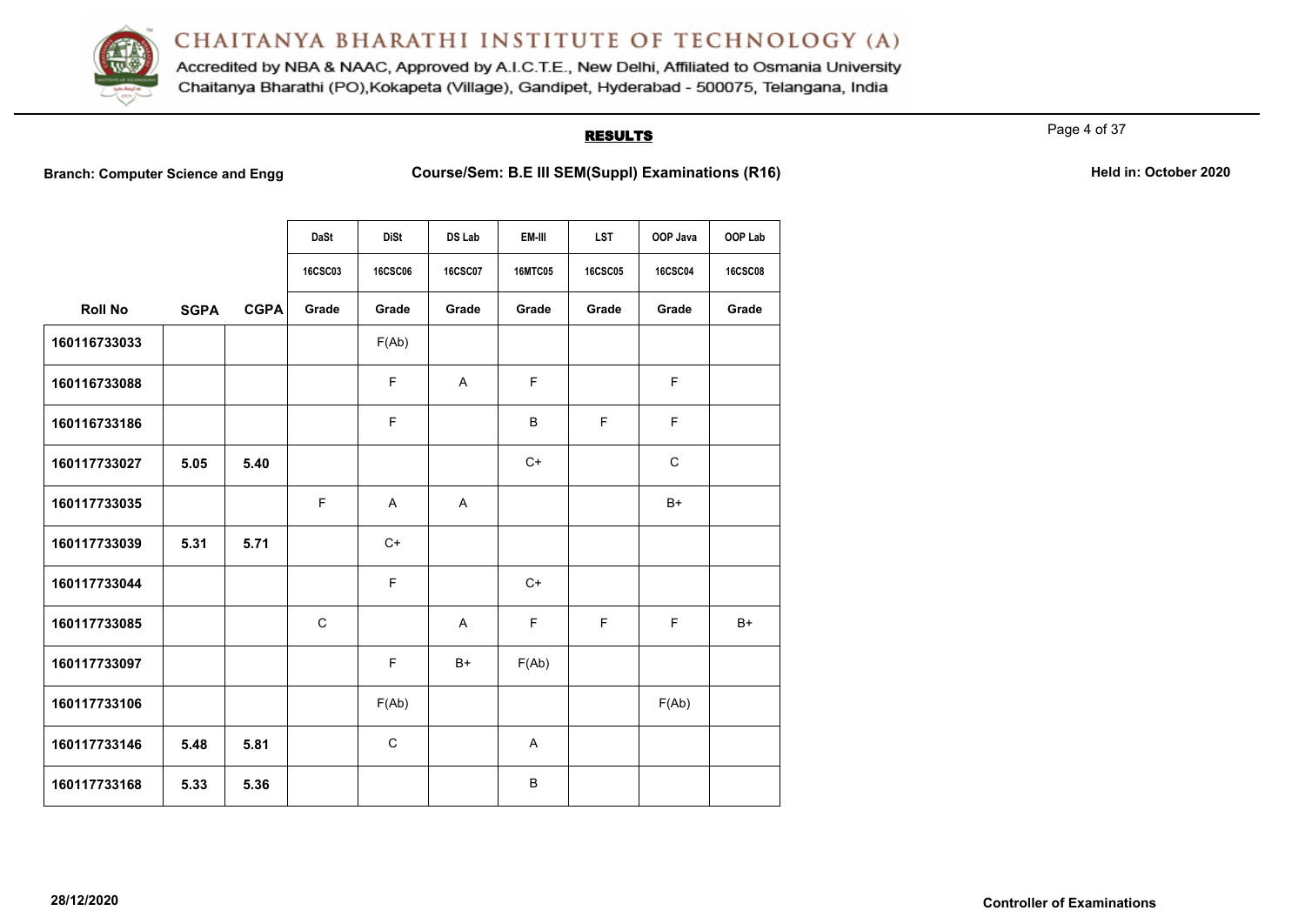

Accredited by NBA & NAAC, Approved by A.I.C.T.E., New Delhi, Affiliated to Osmania University Chaitanya Bharathi (PO), Kokapeta (Village), Gandipet, Hyderabad - 500075, Telangana, India

### **RESULTS**

Page 4 of 37

**Branch: Computer Science and Engg Course/Sem: B.E III SEM(Suppl) Examinations (R16)** Held in: October 2020

|                |             |             | DaSt<br><b>16CSC03</b> | <b>DiSt</b><br><b>16CSC06</b> | DS Lab<br><b>16CSC07</b> | EM-III<br><b>16MTC05</b> | <b>LST</b><br><b>16CSC05</b> | OOP Java<br><b>16CSC04</b> | OOP Lab<br><b>16CSC08</b> |
|----------------|-------------|-------------|------------------------|-------------------------------|--------------------------|--------------------------|------------------------------|----------------------------|---------------------------|
| <b>Roll No</b> | <b>SGPA</b> | <b>CGPA</b> | Grade                  | Grade                         | Grade                    | Grade                    | Grade                        | Grade                      | Grade                     |
| 160116733033   |             |             |                        | F(Ab)                         |                          |                          |                              |                            |                           |
| 160116733088   |             |             |                        | F                             | $\mathsf{A}$             | F                        |                              | F                          |                           |
| 160116733186   |             |             |                        | E                             |                          | B                        | F                            | F                          |                           |
| 160117733027   | 5.05        | 5.40        |                        |                               |                          | $C+$                     |                              | $\mathbf C$                |                           |
| 160117733035   |             |             | E                      | $\mathsf{A}$                  | A                        |                          |                              | $B+$                       |                           |
| 160117733039   | 5.31        | 5.71        |                        | $C+$                          |                          |                          |                              |                            |                           |
| 160117733044   |             |             |                        | $\mathsf F$                   |                          | $C+$                     |                              |                            |                           |
| 160117733085   |             |             | $\mathsf C$            |                               | A                        | F                        | $\mathsf F$                  | F                          | $B+$                      |
| 160117733097   |             |             |                        | F                             | $B+$                     | F(Ab)                    |                              |                            |                           |
| 160117733106   |             |             |                        | F(Ab)                         |                          |                          |                              | F(Ab)                      |                           |
| 160117733146   | 5.48        | 5.81        |                        | $\mathsf C$                   |                          | A                        |                              |                            |                           |
| 160117733168   | 5.33        | 5.36        |                        |                               |                          | B                        |                              |                            |                           |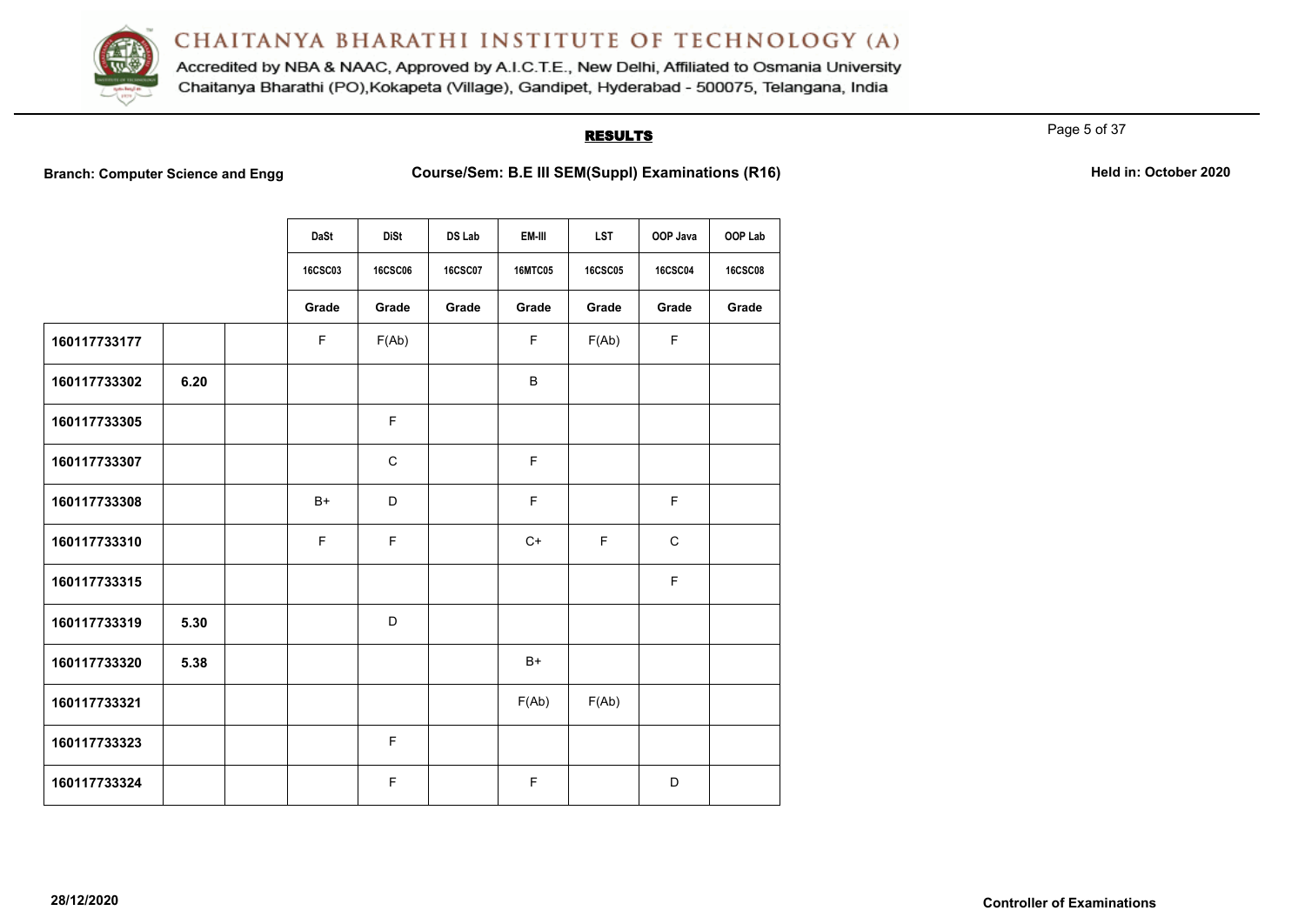

Accredited by NBA & NAAC, Approved by A.I.C.T.E., New Delhi, Affiliated to Osmania University Chaitanya Bharathi (PO), Kokapeta (Village), Gandipet, Hyderabad - 500075, Telangana, India

### **RESULTS**

Page 5 of 37

**Branch: Computer Science and Engg Course/Sem: B.E III SEM(Suppl) Examinations (R16)** Held in: October 2020

|              |      | DaSt           | <b>DiSt</b>    | <b>DS Lab</b>  | EM-III         | <b>LST</b>     | OOP Java       | OOP Lab        |
|--------------|------|----------------|----------------|----------------|----------------|----------------|----------------|----------------|
|              |      | <b>16CSC03</b> | <b>16CSC06</b> | <b>16CSC07</b> | <b>16MTC05</b> | <b>16CSC05</b> | <b>16CSC04</b> | <b>16CSC08</b> |
|              |      | Grade          | Grade          | Grade          | Grade          | Grade          | Grade          | Grade          |
| 160117733177 |      | F              | F(Ab)          |                | F.             | F(Ab)          | $\mathsf F$    |                |
| 160117733302 | 6.20 |                |                |                | B              |                |                |                |
| 160117733305 |      |                | F              |                |                |                |                |                |
| 160117733307 |      |                | $\mathsf C$    |                | F              |                |                |                |
| 160117733308 |      | $B+$           | D              |                | F              |                | F              |                |
| 160117733310 |      | $\mathsf F$    | E              |                | $C+$           | F              | $\mathbf C$    |                |
| 160117733315 |      |                |                |                |                |                | F              |                |
| 160117733319 | 5.30 |                | D              |                |                |                |                |                |
| 160117733320 | 5.38 |                |                |                | B+             |                |                |                |
| 160117733321 |      |                |                |                | F(Ab)          | F(Ab)          |                |                |
| 160117733323 |      |                | F              |                |                |                |                |                |
| 160117733324 |      |                | F.             |                | F              |                | D              |                |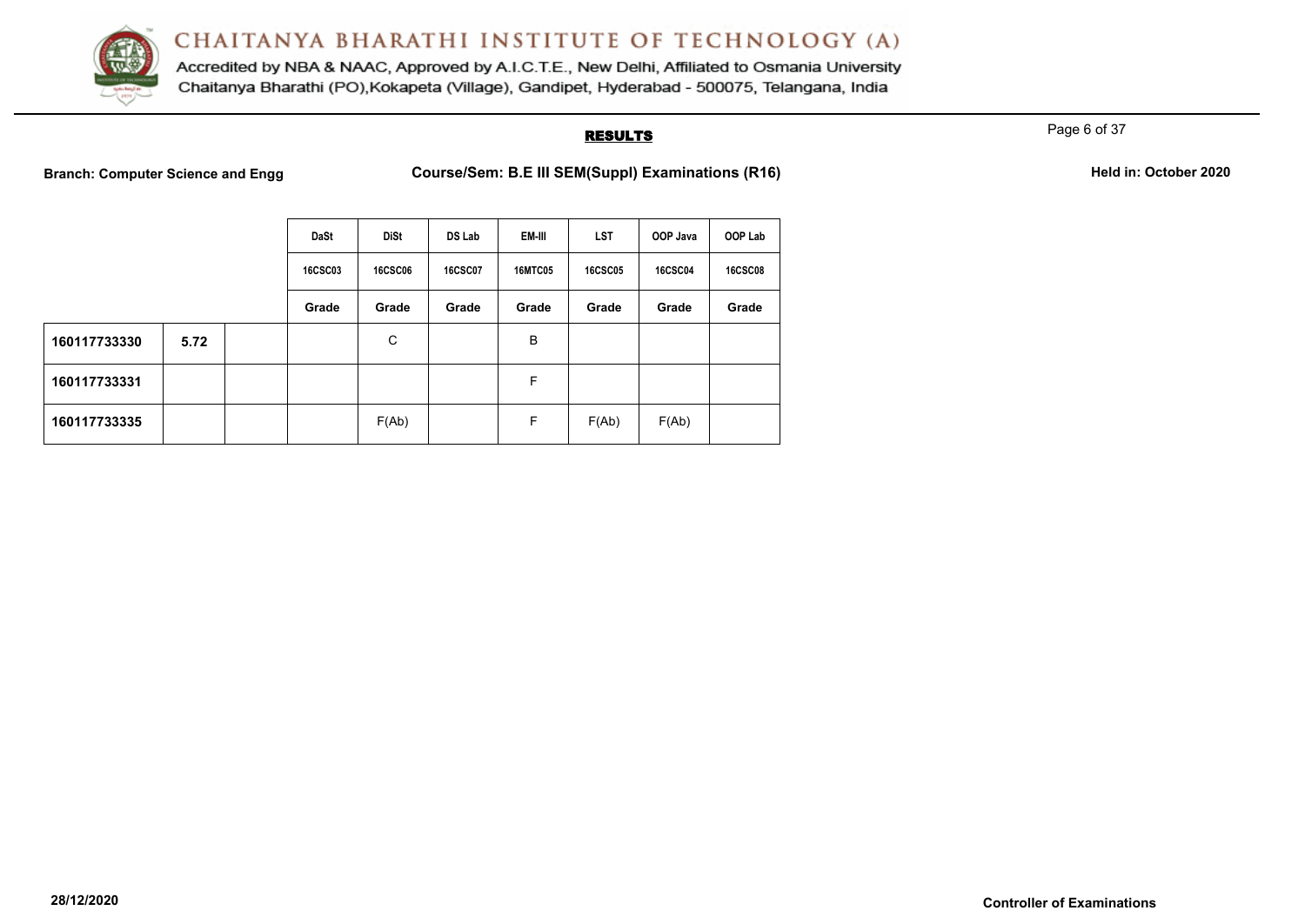

Accredited by NBA & NAAC, Approved by A.I.C.T.E., New Delhi, Affiliated to Osmania University Chaitanya Bharathi (PO), Kokapeta (Village), Gandipet, Hyderabad - 500075, Telangana, India

#### **RESULTS**

Page 6 of 37

**Branch: Computer Science and Engg Course/Sem: B.E III SEM(Suppl) Examinations (R16)** Held in: October 2020

|              |      | <b>DaSt</b>    | <b>DiSt</b>    | DS Lab         | <b>EM-III</b>  | <b>LST</b>     | OOP Java       | OOP Lab        |
|--------------|------|----------------|----------------|----------------|----------------|----------------|----------------|----------------|
|              |      | <b>16CSC03</b> | <b>16CSC06</b> | <b>16CSC07</b> | <b>16MTC05</b> | <b>16CSC05</b> | <b>16CSC04</b> | <b>16CSC08</b> |
|              |      | Grade          | Grade          | Grade          | Grade          | Grade          | Grade          | Grade          |
| 160117733330 | 5.72 |                | C              |                | B              |                |                |                |
| 160117733331 |      |                |                |                | F              |                |                |                |
| 160117733335 |      |                | F(Ab)          |                | F              | F(Ab)          | F(Ab)          |                |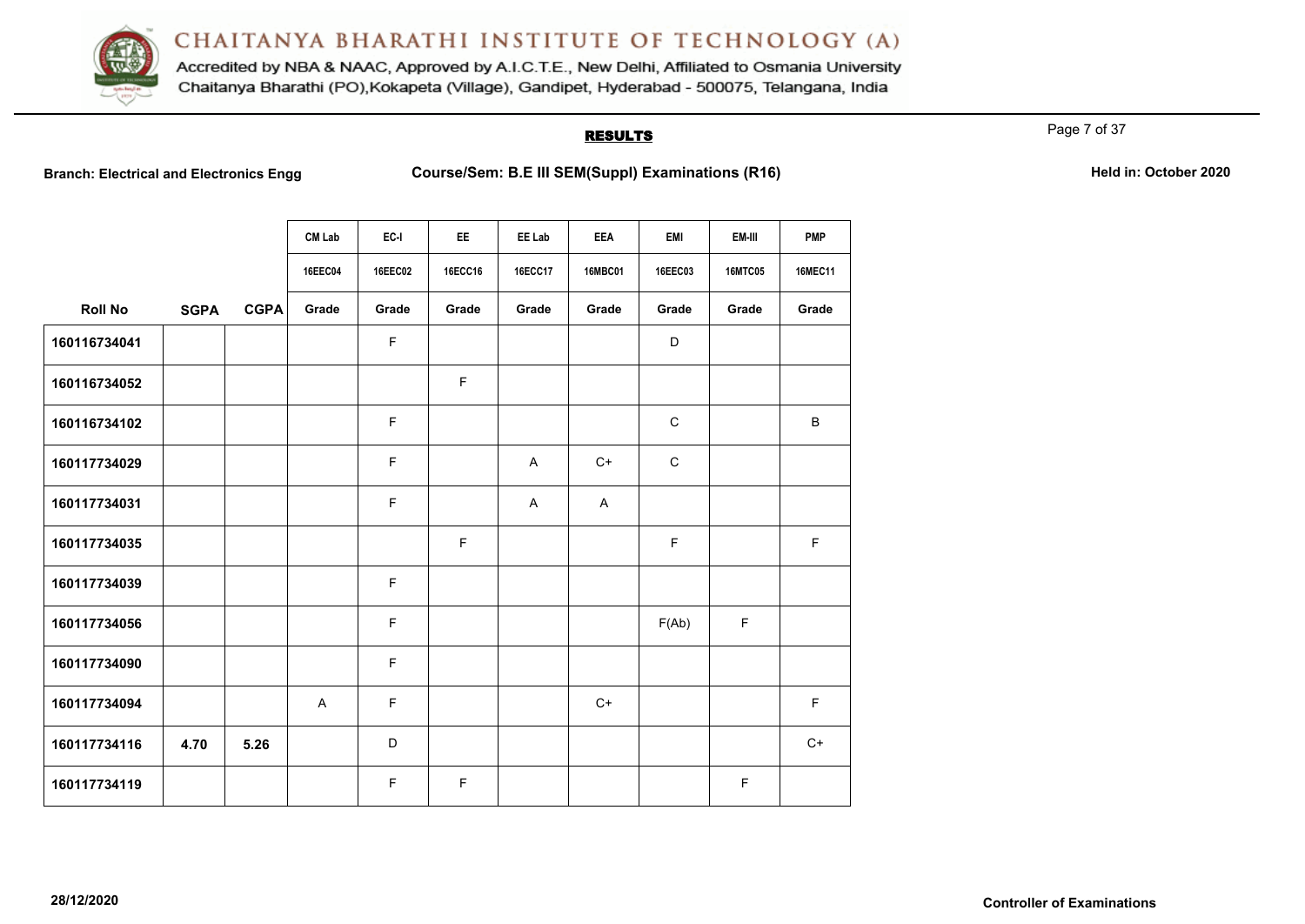

Accredited by NBA & NAAC, Approved by A.I.C.T.E., New Delhi, Affiliated to Osmania University Chaitanya Bharathi (PO), Kokapeta (Village), Gandipet, Hyderabad - 500075, Telangana, India

#### **RESULTS**

Page 7 of 37

|                |             |             | <b>CM Lab</b>  | EC-I           | EE.     | EE Lab         | <b>EEA</b>     | <b>EMI</b>     | EM-III         | <b>PMP</b>     |
|----------------|-------------|-------------|----------------|----------------|---------|----------------|----------------|----------------|----------------|----------------|
|                |             |             | <b>16EEC04</b> | <b>16EEC02</b> | 16ECC16 | <b>16ECC17</b> | <b>16MBC01</b> | <b>16EEC03</b> | <b>16MTC05</b> | <b>16MEC11</b> |
| <b>Roll No</b> | <b>SGPA</b> | <b>CGPA</b> | Grade          | Grade          | Grade   | Grade          | Grade          | Grade          | Grade          | Grade          |
| 160116734041   |             |             |                | $\mathsf F$    |         |                |                | D              |                |                |
| 160116734052   |             |             |                |                | F       |                |                |                |                |                |
| 160116734102   |             |             |                | $\mathsf F$    |         |                |                | $\mathbf C$    |                | $\sf B$        |
| 160117734029   |             |             |                | $\mathsf F$    |         | A              | $C+$           | $\mathbf C$    |                |                |
| 160117734031   |             |             |                | F              |         | A              | $\mathsf{A}$   |                |                |                |
| 160117734035   |             |             |                |                | F       |                |                | $\mathsf F$    |                | $\mathsf F$    |
| 160117734039   |             |             |                | $\mathsf F$    |         |                |                |                |                |                |
| 160117734056   |             |             |                | $\mathsf F$    |         |                |                | F(Ab)          | F              |                |
| 160117734090   |             |             |                | $\mathsf F$    |         |                |                |                |                |                |
| 160117734094   |             |             | A              | $\mathsf F$    |         |                | $C+$           |                |                | $\mathsf F$    |
| 160117734116   | 4.70        | 5.26        |                | D              |         |                |                |                |                | $C+$           |
| 160117734119   |             |             |                | F              | F       |                |                |                | F              |                |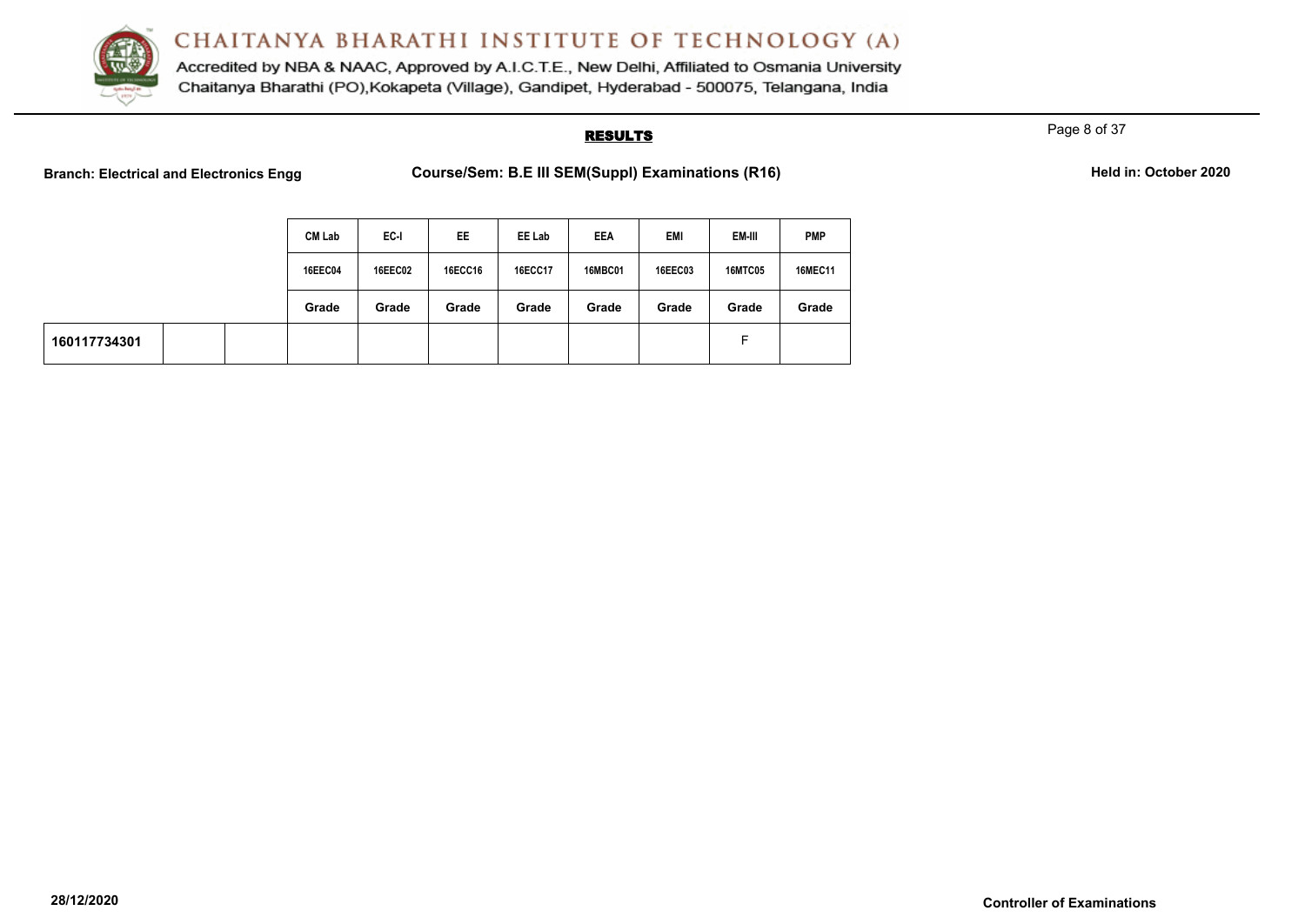

Accredited by NBA & NAAC, Approved by A.I.C.T.E., New Delhi, Affiliated to Osmania University Chaitanya Bharathi (PO), Kokapeta (Village), Gandipet, Hyderabad - 500075, Telangana, India

#### **RESULTS**

Page 8 of 37

|              |  | <b>CM Lab</b>  | EC-I           | EE      | EE Lab  | EEA            | EMI            | EM-III         | <b>PMP</b>     |
|--------------|--|----------------|----------------|---------|---------|----------------|----------------|----------------|----------------|
|              |  | <b>16EEC04</b> | <b>16EEC02</b> | 16ECC16 | 16ECC17 | <b>16MBC01</b> | <b>16EEC03</b> | <b>16MTC05</b> | <b>16MEC11</b> |
|              |  | Grade          | Grade          | Grade   | Grade   | Grade          | Grade          | Grade          | Grade          |
| 160117734301 |  |                |                |         |         |                |                | Е              |                |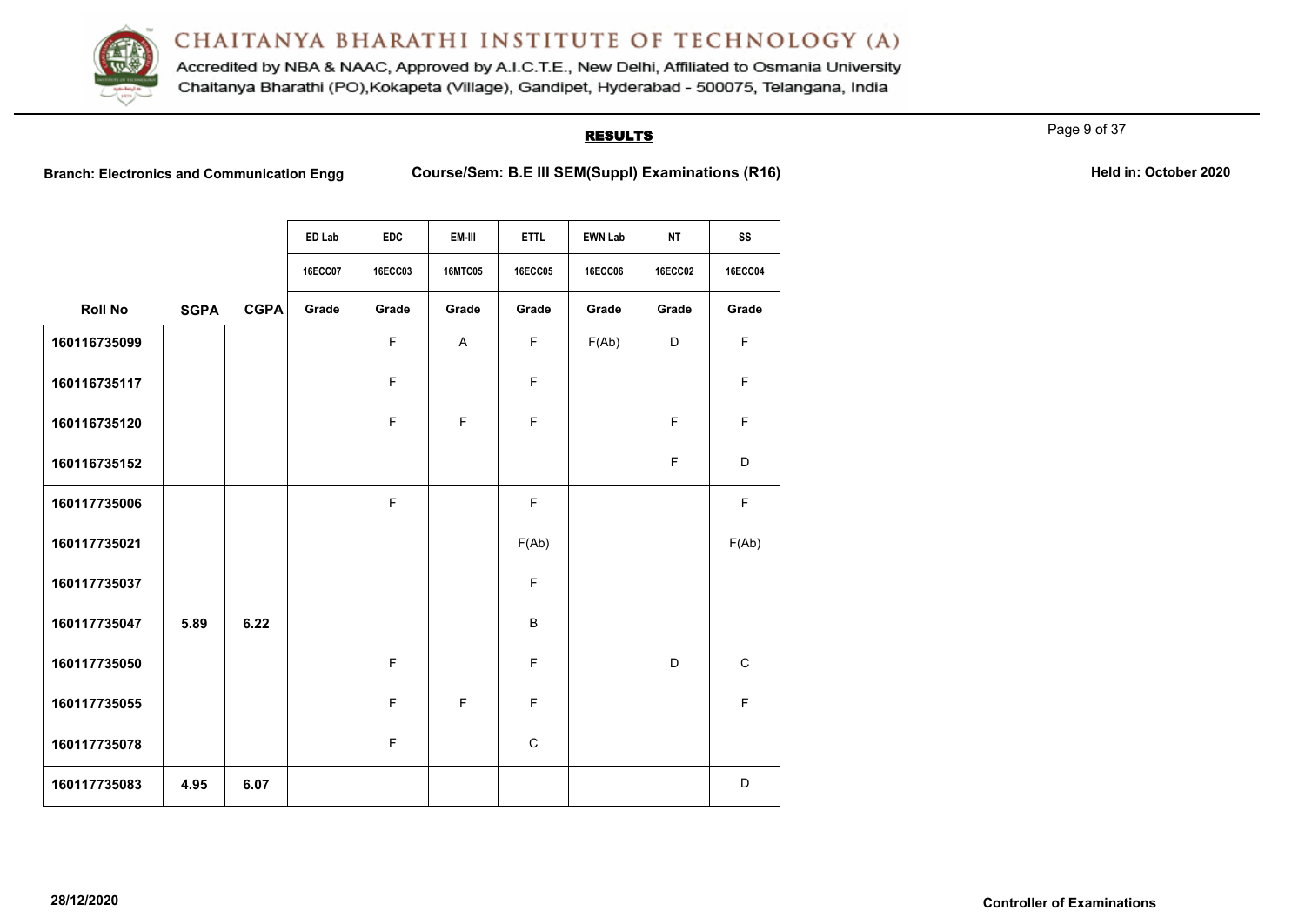

Accredited by NBA & NAAC, Approved by A.I.C.T.E., New Delhi, Affiliated to Osmania University Chaitanya Bharathi (PO), Kokapeta (Village), Gandipet, Hyderabad - 500075, Telangana, India

#### **RESULTS**

Page 9 of 37

|                |             |             | ED Lab         | <b>EDC</b>  | EM-III         | <b>ETTL</b> | <b>EWN Lab</b> | <b>NT</b>      | SS             |
|----------------|-------------|-------------|----------------|-------------|----------------|-------------|----------------|----------------|----------------|
|                |             |             | <b>16ECC07</b> | 16ECC03     | <b>16MTC05</b> | 16ECC05     | <b>16ECC06</b> | <b>16ECC02</b> | <b>16ECC04</b> |
| <b>Roll No</b> | <b>SGPA</b> | <b>CGPA</b> | Grade          | Grade       | Grade          | Grade       | Grade          | Grade          | Grade          |
| 160116735099   |             |             |                | $\mathsf F$ | A              | F           | F(Ab)          | D              | F              |
| 160116735117   |             |             |                | F           |                | F           |                |                | F              |
| 160116735120   |             |             |                | $\mathsf F$ | E              | F           |                | F              | F              |
| 160116735152   |             |             |                |             |                |             |                | F              | D              |
| 160117735006   |             |             |                | $\mathsf F$ |                | F           |                |                | F              |
| 160117735021   |             |             |                |             |                | F(Ab)       |                |                | F(Ab)          |
| 160117735037   |             |             |                |             |                | F           |                |                |                |
| 160117735047   | 5.89        | 6.22        |                |             |                | $\sf B$     |                |                |                |
| 160117735050   |             |             |                | F           |                | F           |                | D              | $\mathsf C$    |
| 160117735055   |             |             |                | F           | F              | F           |                |                | F              |
| 160117735078   |             |             |                | F           |                | $\mathbf C$ |                |                |                |
| 160117735083   | 4.95        | 6.07        |                |             |                |             |                |                | D              |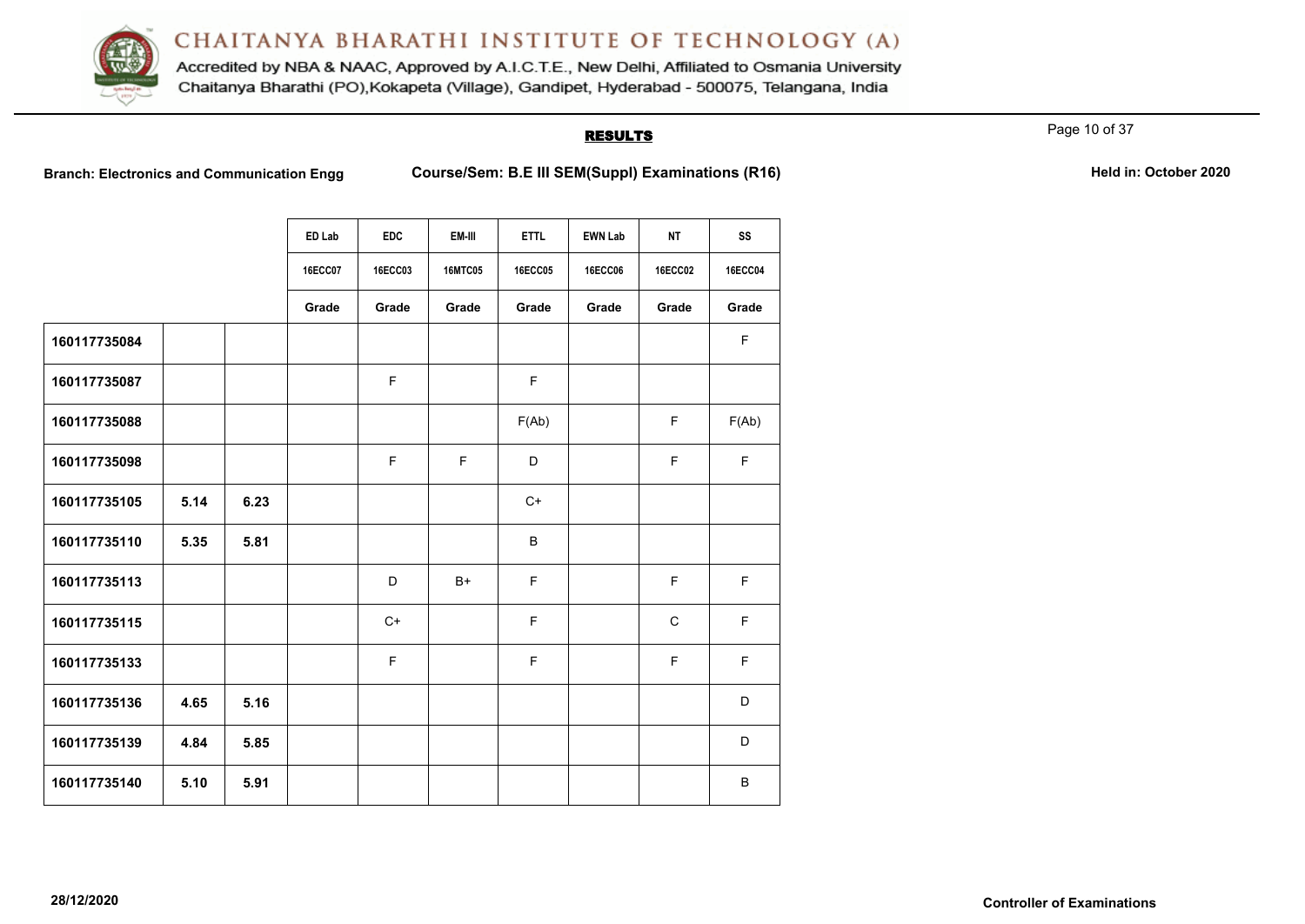

Accredited by NBA & NAAC, Approved by A.I.C.T.E., New Delhi, Affiliated to Osmania University Chaitanya Bharathi (PO), Kokapeta (Village), Gandipet, Hyderabad - 500075, Telangana, India

#### **RESULTS**

Page 10 of 37

|              |      |      | ED Lab         | <b>EDC</b> | EM-III         | <b>ETTL</b>    | <b>EWN Lab</b> | <b>NT</b>      | SS             |
|--------------|------|------|----------------|------------|----------------|----------------|----------------|----------------|----------------|
|              |      |      | <b>16ECC07</b> | 16ECC03    | <b>16MTC05</b> | <b>16ECC05</b> | <b>16ECC06</b> | <b>16ECC02</b> | <b>16ECC04</b> |
|              |      |      | Grade          | Grade      | Grade          | Grade          | Grade          | Grade          | Grade          |
| 160117735084 |      |      |                |            |                |                |                |                | F              |
| 160117735087 |      |      |                | F.         |                | F.             |                |                |                |
| 160117735088 |      |      |                |            |                | F(Ab)          |                | F              | F(Ab)          |
| 160117735098 |      |      |                | F.         | E              | D              |                | $\mathsf F$    | F              |
| 160117735105 | 5.14 | 6.23 |                |            |                | $C+$           |                |                |                |
| 160117735110 | 5.35 | 5.81 |                |            |                | B              |                |                |                |
| 160117735113 |      |      |                | D          | $B+$           | F              |                | F              | F              |
| 160117735115 |      |      |                | $C+$       |                | F              |                | $\mathsf{C}$   | F              |
| 160117735133 |      |      |                | F.         |                | F              |                | F              | F              |
| 160117735136 | 4.65 | 5.16 |                |            |                |                |                |                | D              |
| 160117735139 | 4.84 | 5.85 |                |            |                |                |                |                | D              |
| 160117735140 | 5.10 | 5.91 |                |            |                |                |                |                | B              |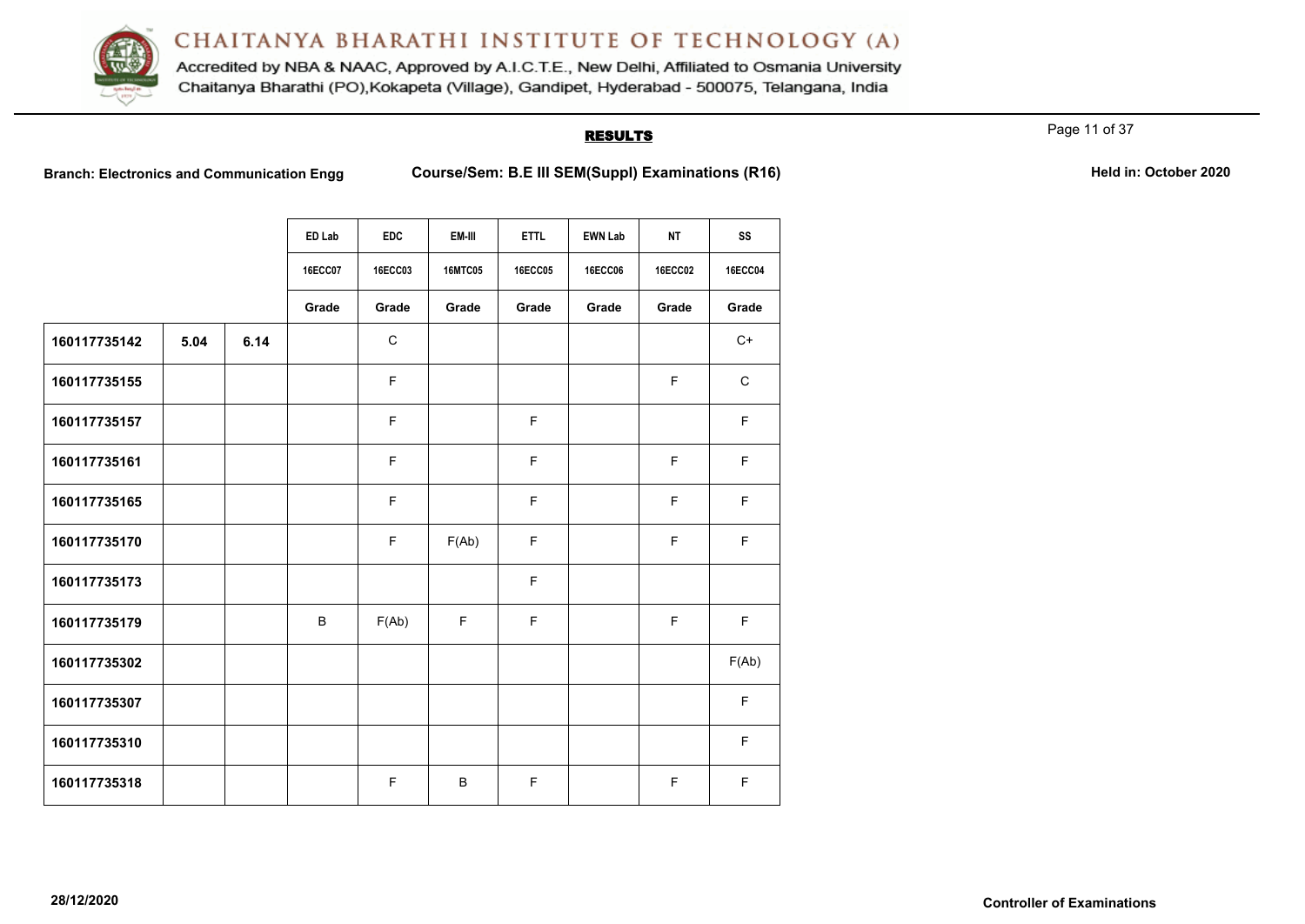

Accredited by NBA & NAAC, Approved by A.I.C.T.E., New Delhi, Affiliated to Osmania University Chaitanya Bharathi (PO), Kokapeta (Village), Gandipet, Hyderabad - 500075, Telangana, India

#### **RESULTS**

Page 11 of 37

|              |      |      | ED Lab         | <b>EDC</b>  | EM-III         | <b>ETTL</b>    | <b>EWN Lab</b> | NT             | SS             |
|--------------|------|------|----------------|-------------|----------------|----------------|----------------|----------------|----------------|
|              |      |      | <b>16ECC07</b> | 16ECC03     | <b>16MTC05</b> | <b>16ECC05</b> | <b>16ECC06</b> | <b>16ECC02</b> | <b>16ECC04</b> |
|              |      |      | Grade          | Grade       | Grade          | Grade          | Grade          | Grade          | Grade          |
| 160117735142 | 5.04 | 6.14 |                | $\mathsf C$ |                |                |                |                | $C+$           |
| 160117735155 |      |      |                | F           |                |                |                | E              | $\mathsf{C}$   |
| 160117735157 |      |      |                | $\mathsf F$ |                | F              |                |                | F              |
| 160117735161 |      |      |                | E           |                | F              |                | F              | F              |
| 160117735165 |      |      |                | $\mathsf F$ |                | F              |                | F              | F              |
| 160117735170 |      |      |                | $\mathsf F$ | F(Ab)          | F.             |                | F              | F              |
| 160117735173 |      |      |                |             |                | F              |                |                |                |
| 160117735179 |      |      | B              | F(Ab)       | F              | F              |                | F              | F              |
| 160117735302 |      |      |                |             |                |                |                |                | F(Ab)          |
| 160117735307 |      |      |                |             |                |                |                |                | F              |
| 160117735310 |      |      |                |             |                |                |                |                | F              |
| 160117735318 |      |      |                | F           | B              | F              |                | F              | F              |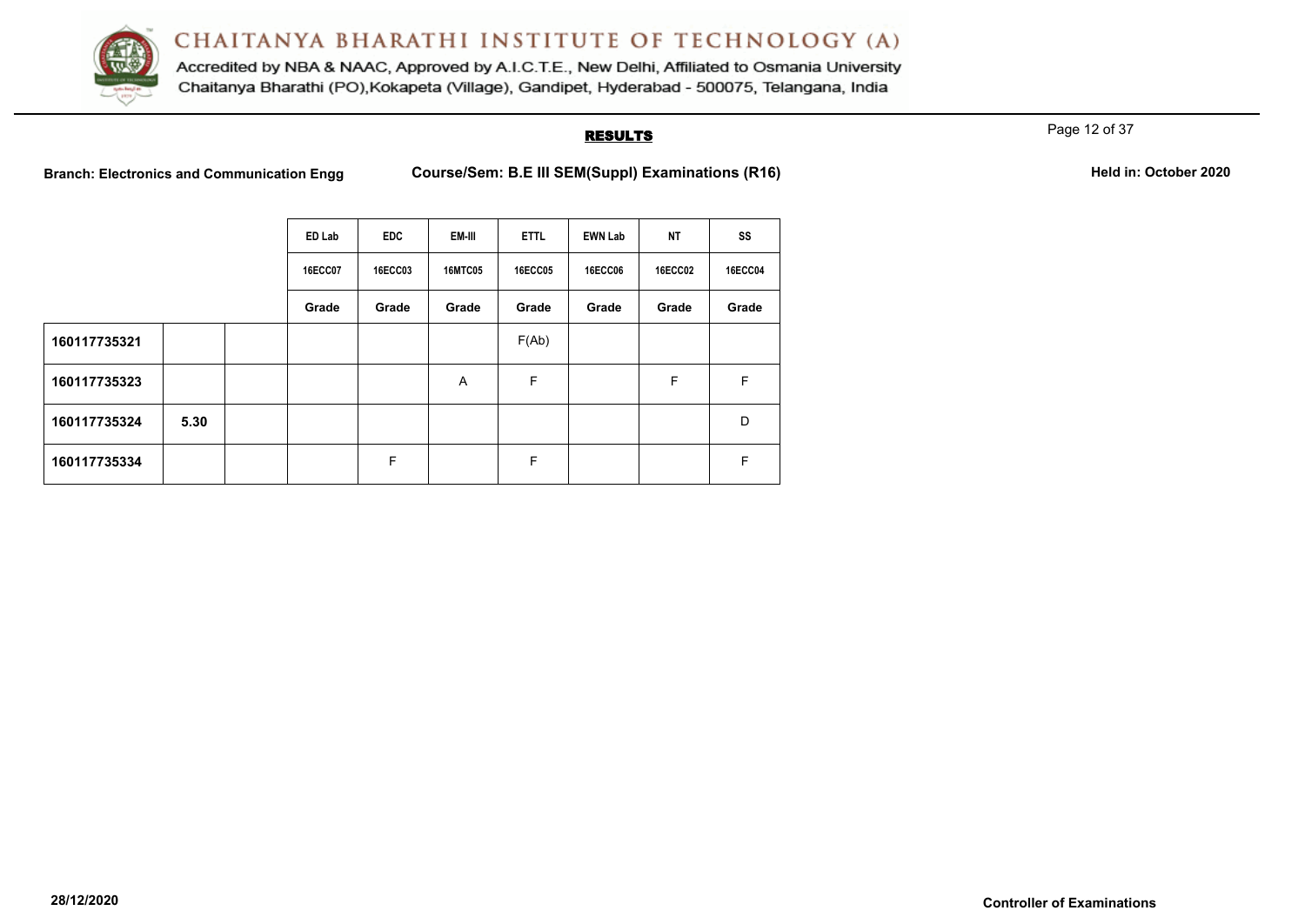

Accredited by NBA & NAAC, Approved by A.I.C.T.E., New Delhi, Affiliated to Osmania University Chaitanya Bharathi (PO), Kokapeta (Village), Gandipet, Hyderabad - 500075, Telangana, India

#### **RESULTS**

Page 12 of 37

|              |      | ED Lab         | <b>EDC</b>     | EM-III         | <b>ETTL</b>    | <b>EWN Lab</b> | <b>NT</b>      | SS             |
|--------------|------|----------------|----------------|----------------|----------------|----------------|----------------|----------------|
|              |      | <b>16ECC07</b> | <b>16ECC03</b> | <b>16MTC05</b> | <b>16ECC05</b> | <b>16ECC06</b> | <b>16ECC02</b> | <b>16ECC04</b> |
|              |      | Grade          | Grade          | Grade          | Grade          | Grade          | Grade          | Grade          |
| 160117735321 |      |                |                |                | F(Ab)          |                |                |                |
| 160117735323 |      |                |                | A              | F              |                | F              | F              |
| 160117735324 | 5.30 |                |                |                |                |                |                | D              |
| 160117735334 |      |                | F              |                | F              |                |                | F              |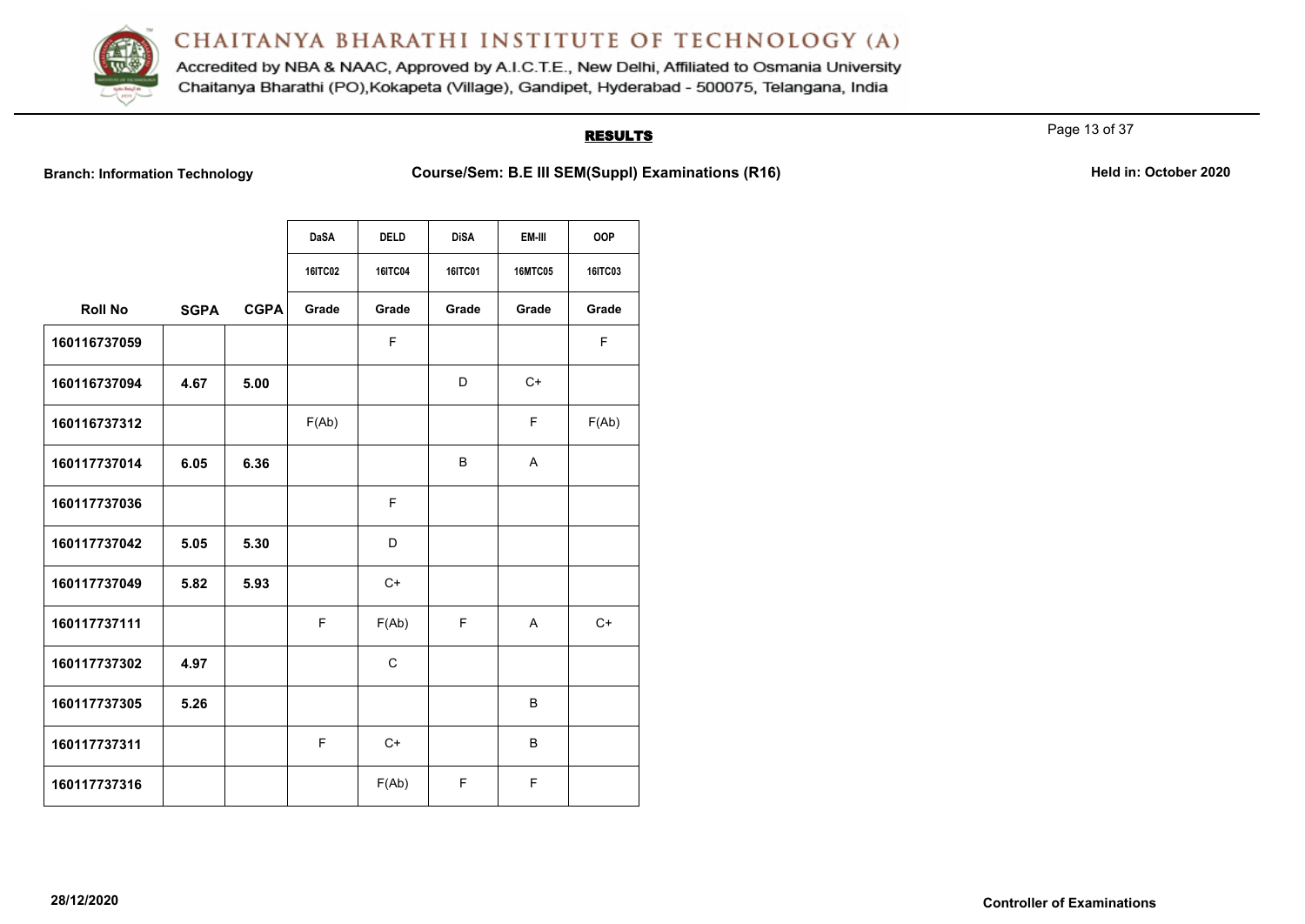

Accredited by NBA & NAAC, Approved by A.I.C.T.E., New Delhi, Affiliated to Osmania University Chaitanya Bharathi (PO), Kokapeta (Village), Gandipet, Hyderabad - 500075, Telangana, India

#### **RESULTS**

Page 13 of 37

Branch: Information Technology **Course/Sem: B.E III SEM(Suppl) Examinations (R16)** Held in: October 2020

|                |             |             | <b>DaSA</b> | <b>DELD</b> | <b>DiSA</b>    | EM-III         | <b>OOP</b> |
|----------------|-------------|-------------|-------------|-------------|----------------|----------------|------------|
|                |             |             |             |             |                |                |            |
|                |             |             | 16ITC02     | 16ITC04     | <b>16ITC01</b> | <b>16MTC05</b> | 16ITC03    |
| <b>Roll No</b> | <b>SGPA</b> | <b>CGPA</b> | Grade       | Grade       | Grade          | Grade          | Grade      |
| 160116737059   |             |             |             | F           |                |                | F          |
| 160116737094   | 4.67        | 5.00        |             |             | D              | $C+$           |            |
| 160116737312   |             |             | F(Ab)       |             |                | F              | F(Ab)      |
| 160117737014   | 6.05        | 6.36        |             |             | B              | A              |            |
| 160117737036   |             |             |             | F           |                |                |            |
| 160117737042   | 5.05        | 5.30        |             | D           |                |                |            |
| 160117737049   | 5.82        | 5.93        |             | $C+$        |                |                |            |
| 160117737111   |             |             | F           | F(Ab)       | F              | A              | $C+$       |
| 160117737302   | 4.97        |             |             | C           |                |                |            |
| 160117737305   | 5.26        |             |             |             |                | B              |            |
| 160117737311   |             |             | F           | $C+$        |                | B              |            |
| 160117737316   |             |             |             | F(Ab)       | F              | F              |            |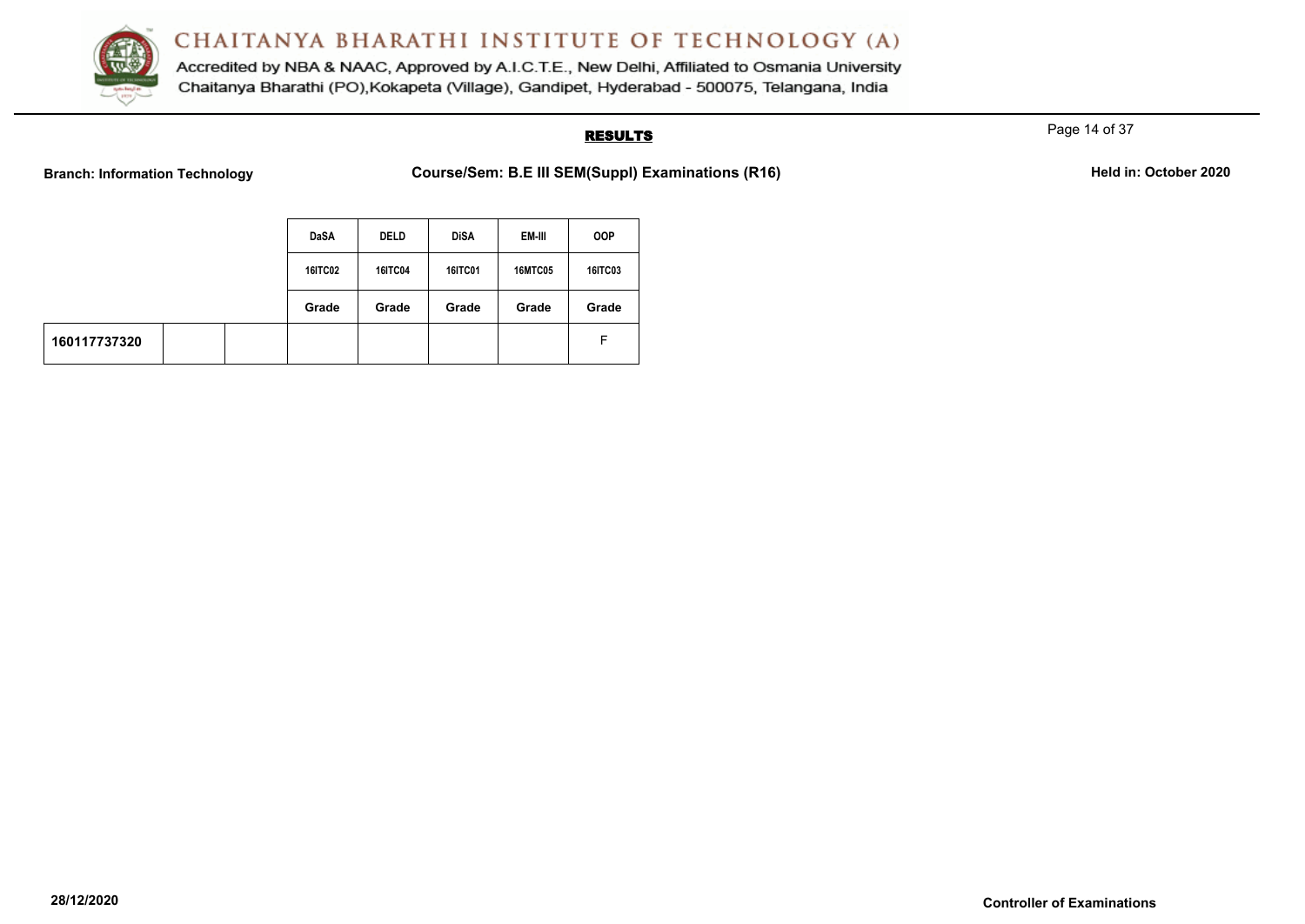

Accredited by NBA & NAAC, Approved by A.I.C.T.E., New Delhi, Affiliated to Osmania University Chaitanya Bharathi (PO), Kokapeta (Village), Gandipet, Hyderabad - 500075, Telangana, India

### **RESULTS**

Page 14 of 37

Branch: Information Technology **Course/Sem: B.E III SEM(Suppl) Examinations (R16)** Held in: October 2020

|              |  | <b>DaSA</b>    | <b>DELD</b>    | <b>DiSA</b>    | EM-III         | <b>OOP</b>     |
|--------------|--|----------------|----------------|----------------|----------------|----------------|
|              |  | <b>16ITC02</b> | <b>16ITC04</b> | <b>16ITC01</b> | <b>16MTC05</b> | <b>16ITC03</b> |
|              |  | Grade          | Grade          | Grade          | Grade          | Grade          |
| 160117737320 |  |                |                |                |                | F.             |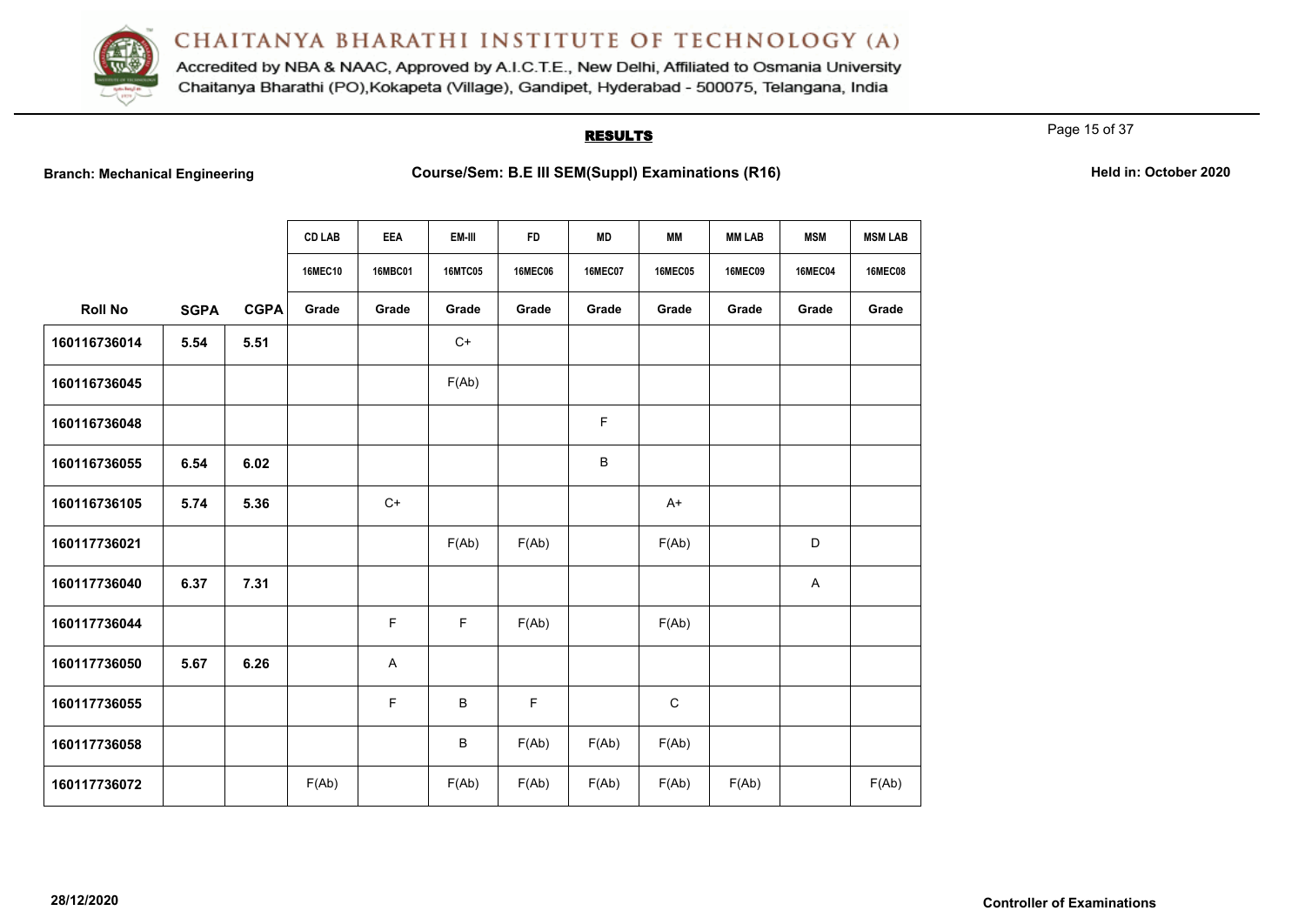

Accredited by NBA & NAAC, Approved by A.I.C.T.E., New Delhi, Affiliated to Osmania University Chaitanya Bharathi (PO), Kokapeta (Village), Gandipet, Hyderabad - 500075, Telangana, India

#### **RESULTS**

Page 15 of 37

| <b>Branch: Mechanical Engineering</b> |  |
|---------------------------------------|--|
|---------------------------------------|--|

|                |             |             | <b>CD LAB</b>  | EEA            | EM-III         | <b>FD</b>      | <b>MD</b>      | МM             | <b>MM LAB</b>  | <b>MSM</b>                | <b>MSM LAB</b> |
|----------------|-------------|-------------|----------------|----------------|----------------|----------------|----------------|----------------|----------------|---------------------------|----------------|
|                |             |             | <b>16MEC10</b> | <b>16MBC01</b> | <b>16MTC05</b> | <b>16MEC06</b> | <b>16MEC07</b> | <b>16MEC05</b> | <b>16MEC09</b> | <b>16MEC04</b>            | <b>16MEC08</b> |
| <b>Roll No</b> | <b>SGPA</b> | <b>CGPA</b> | Grade          | Grade          | Grade          | Grade          | Grade          | Grade          | Grade          | Grade                     | Grade          |
| 160116736014   | 5.54        | 5.51        |                |                | $C+$           |                |                |                |                |                           |                |
| 160116736045   |             |             |                |                | F(Ab)          |                |                |                |                |                           |                |
| 160116736048   |             |             |                |                |                |                | F              |                |                |                           |                |
| 160116736055   | 6.54        | 6.02        |                |                |                |                | $\sf B$        |                |                |                           |                |
| 160116736105   | 5.74        | 5.36        |                | $C+$           |                |                |                | $A+$           |                |                           |                |
| 160117736021   |             |             |                |                | F(Ab)          | F(Ab)          |                | F(Ab)          |                | D                         |                |
| 160117736040   | 6.37        | 7.31        |                |                |                |                |                |                |                | $\boldsymbol{\mathsf{A}}$ |                |
| 160117736044   |             |             |                | F.             | $\mathsf F$    | F(Ab)          |                | F(Ab)          |                |                           |                |
| 160117736050   | 5.67        | 6.26        |                | A              |                |                |                |                |                |                           |                |
| 160117736055   |             |             |                | F              | $\sf B$        | F              |                | $\mathbf C$    |                |                           |                |
| 160117736058   |             |             |                |                | B              | F(Ab)          | F(Ab)          | F(Ab)          |                |                           |                |
| 160117736072   |             |             | F(Ab)          |                | F(Ab)          | F(Ab)          | F(Ab)          | F(Ab)          | F(Ab)          |                           | F(Ab)          |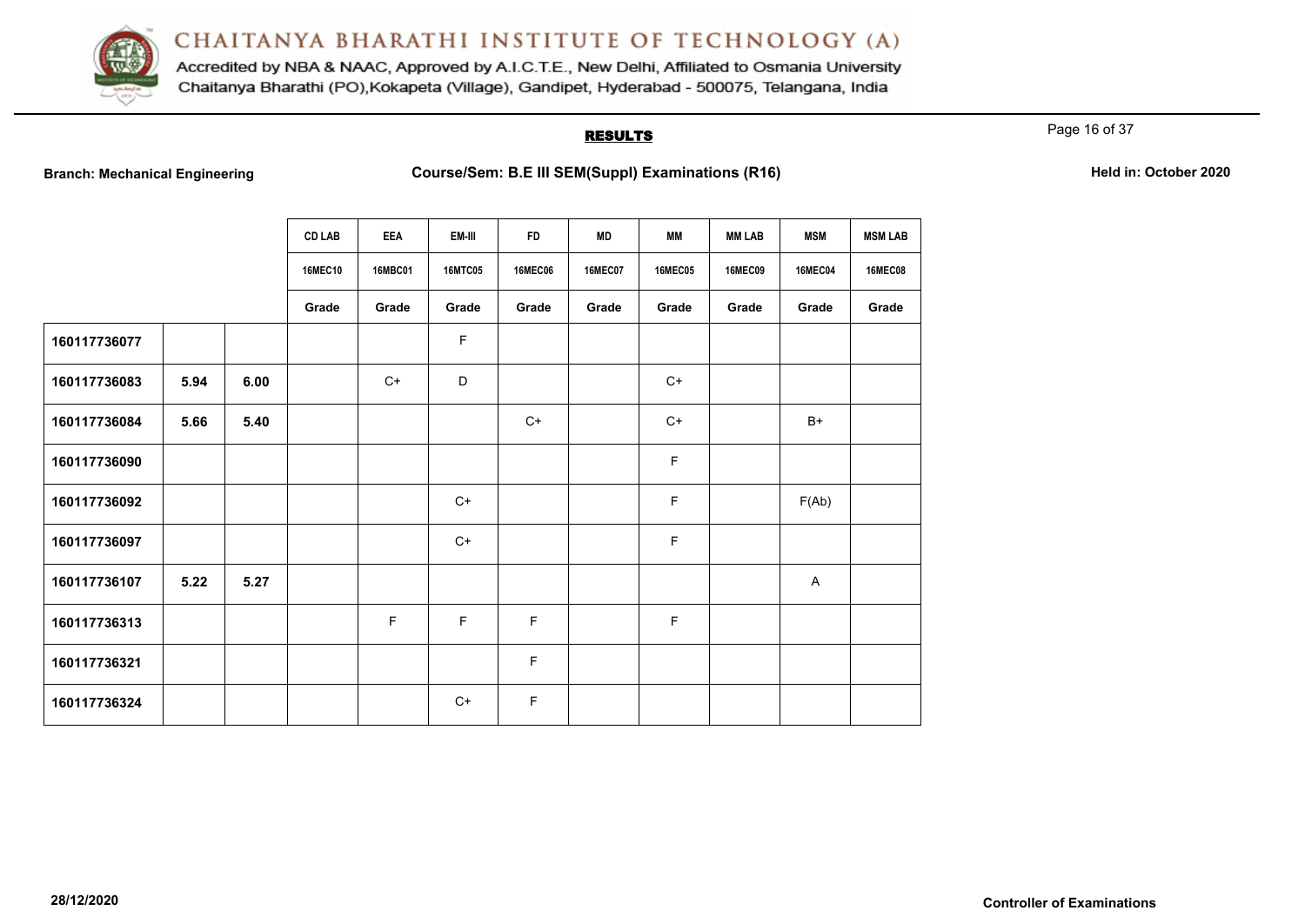

Accredited by NBA & NAAC, Approved by A.I.C.T.E., New Delhi, Affiliated to Osmania University Chaitanya Bharathi (PO), Kokapeta (Village), Gandipet, Hyderabad - 500075, Telangana, India

#### **RESULTS**

Page 16 of 37

|              |      |      | <b>CD LAB</b><br><b>16MEC10</b> | <b>EEA</b><br><b>16MBC01</b> | EM-III<br><b>16MTC05</b> | <b>FD</b><br><b>16MEC06</b> | <b>MD</b><br><b>16MEC07</b> | <b>MM</b><br><b>16MEC05</b> | <b>MM LAB</b><br><b>16MEC09</b> | <b>MSM</b><br><b>16MEC04</b> | <b>MSM LAB</b><br><b>16MEC08</b> |
|--------------|------|------|---------------------------------|------------------------------|--------------------------|-----------------------------|-----------------------------|-----------------------------|---------------------------------|------------------------------|----------------------------------|
|              |      |      | Grade                           | Grade                        | Grade                    | Grade                       | Grade                       | Grade                       | Grade                           | Grade                        | Grade                            |
| 160117736077 |      |      |                                 |                              | F                        |                             |                             |                             |                                 |                              |                                  |
| 160117736083 | 5.94 | 6.00 |                                 | $C+$                         | D                        |                             |                             | $C+$                        |                                 |                              |                                  |
| 160117736084 | 5.66 | 5.40 |                                 |                              |                          | $C+$                        |                             | $C+$                        |                                 | $B+$                         |                                  |
| 160117736090 |      |      |                                 |                              |                          |                             |                             | F                           |                                 |                              |                                  |
| 160117736092 |      |      |                                 |                              | $C+$                     |                             |                             | F                           |                                 | F(Ab)                        |                                  |
| 160117736097 |      |      |                                 |                              | $C+$                     |                             |                             | F                           |                                 |                              |                                  |
| 160117736107 | 5.22 | 5.27 |                                 |                              |                          |                             |                             |                             |                                 | A                            |                                  |
| 160117736313 |      |      |                                 | $\mathsf F$                  | F                        | F                           |                             | F                           |                                 |                              |                                  |
| 160117736321 |      |      |                                 |                              |                          | F                           |                             |                             |                                 |                              |                                  |
| 160117736324 |      |      |                                 |                              | $C+$                     | F                           |                             |                             |                                 |                              |                                  |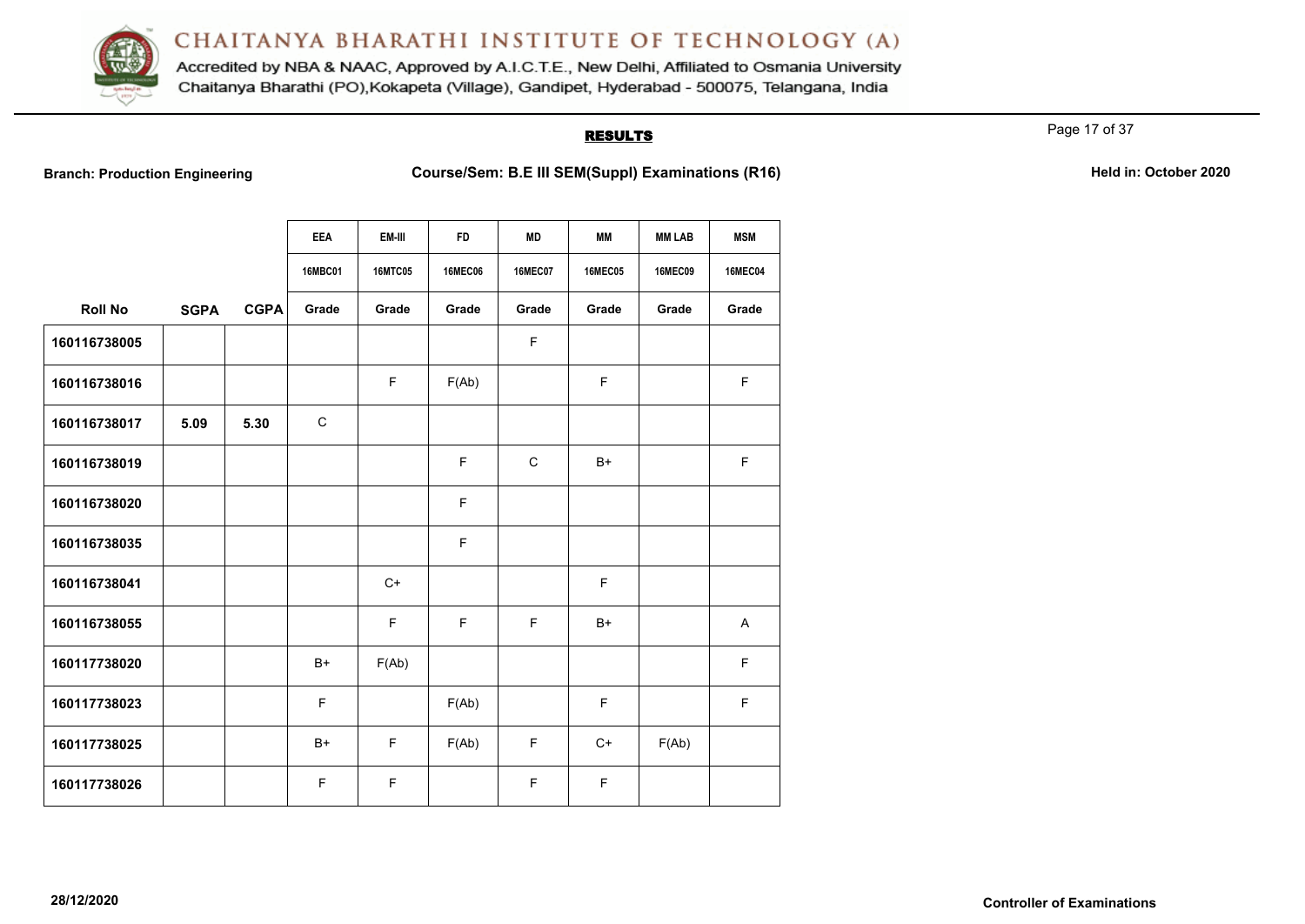

Accredited by NBA & NAAC, Approved by A.I.C.T.E., New Delhi, Affiliated to Osmania University Chaitanya Bharathi (PO), Kokapeta (Village), Gandipet, Hyderabad - 500075, Telangana, India

### **RESULTS**

Page 17 of 37

**Branch: Production Engineering <b>Course/Sem: B.E III SEM(Suppl) Examinations (R16)** Held in: October 2020

|                |             |             | <b>EEA</b>     | EM-III         | <b>FD</b>      | <b>MD</b>      | MМ             | <b>MM LAB</b>  | <b>MSM</b>     |
|----------------|-------------|-------------|----------------|----------------|----------------|----------------|----------------|----------------|----------------|
|                |             |             | <b>16MBC01</b> | <b>16MTC05</b> | <b>16MEC06</b> | <b>16MEC07</b> | <b>16MEC05</b> | <b>16MEC09</b> | <b>16MEC04</b> |
| <b>Roll No</b> | <b>SGPA</b> | <b>CGPA</b> | Grade          | Grade          | Grade          | Grade          | Grade          | Grade          | Grade          |
| 160116738005   |             |             |                |                |                | $\mathsf F$    |                |                |                |
| 160116738016   |             |             |                | F              | F(Ab)          |                | F              |                | F              |
| 160116738017   | 5.09        | 5.30        | $\mathsf C$    |                |                |                |                |                |                |
| 160116738019   |             |             |                |                | F              | $\mathsf{C}$   | $B+$           |                | F              |
| 160116738020   |             |             |                |                | F              |                |                |                |                |
| 160116738035   |             |             |                |                | F              |                |                |                |                |
| 160116738041   |             |             |                | $C+$           |                |                | F              |                |                |
| 160116738055   |             |             |                | F              | F              | F              | $B+$           |                | $\mathsf{A}$   |
| 160117738020   |             |             | $B+$           | F(Ab)          |                |                |                |                | F              |
| 160117738023   |             |             | F              |                | F(Ab)          |                | F              |                | $\mathsf F$    |
| 160117738025   |             |             | $B+$           | F.             | F(Ab)          | F              | $C+$           | F(Ab)          |                |
| 160117738026   |             |             | F              | F              |                | F              | F              |                |                |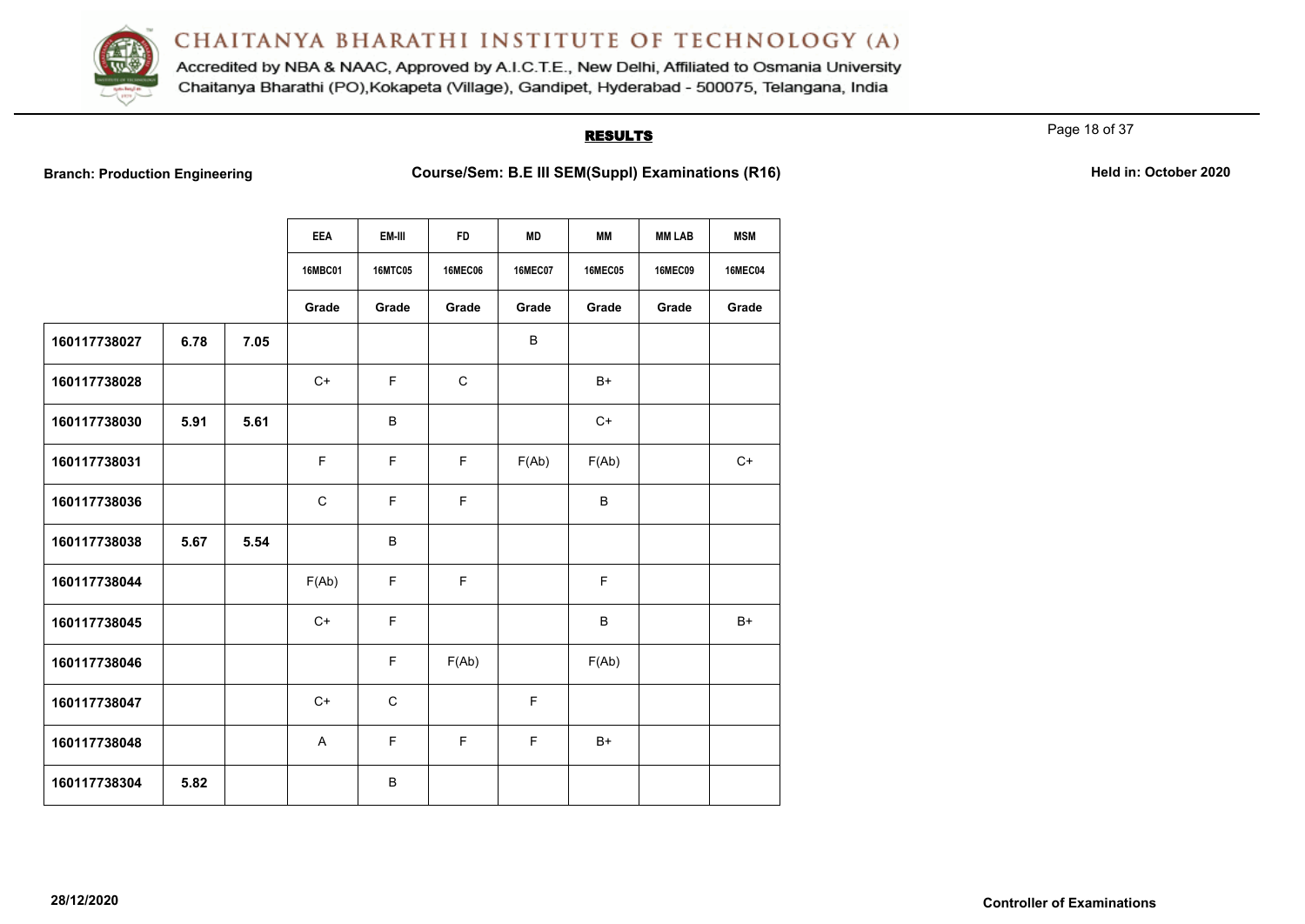

Accredited by NBA & NAAC, Approved by A.I.C.T.E., New Delhi, Affiliated to Osmania University Chaitanya Bharathi (PO), Kokapeta (Village), Gandipet, Hyderabad - 500075, Telangana, India

#### **RESULTS**

Page 18 of 37

**Branch: Production Engineering <b>Course/Sem: B.E III SEM(Suppl) Examinations (R16)** Held in: October 2020

|              |      |      | <b>EEA</b>   | EM-III         | <b>FD</b>      | <b>MD</b>      | MМ             | <b>MM LAB</b>  | <b>MSM</b>     |
|--------------|------|------|--------------|----------------|----------------|----------------|----------------|----------------|----------------|
|              |      |      | 16MBC01      | <b>16MTC05</b> | <b>16MEC06</b> | <b>16MEC07</b> | <b>16MEC05</b> | <b>16MEC09</b> | <b>16MEC04</b> |
|              |      |      | Grade        | Grade          | Grade          | Grade          | Grade          | Grade          | Grade          |
| 160117738027 | 6.78 | 7.05 |              |                |                | B              |                |                |                |
| 160117738028 |      |      | $C+$         | F.             | $\mathsf{C}$   |                | $B+$           |                |                |
| 160117738030 | 5.91 | 5.61 |              | B              |                |                | $C+$           |                |                |
| 160117738031 |      |      | F            | F.             | F.             | F(Ab)          | F(Ab)          |                | $C+$           |
| 160117738036 |      |      | $\mathsf{C}$ | F.             | E              |                | B              |                |                |
| 160117738038 | 5.67 | 5.54 |              | B              |                |                |                |                |                |
| 160117738044 |      |      | F(Ab)        | F              | F              |                | F              |                |                |
| 160117738045 |      |      | $C+$         | F.             |                |                | B              |                | $B+$           |
| 160117738046 |      |      |              | F.             | F(Ab)          |                | F(Ab)          |                |                |
| 160117738047 |      |      | $C+$         | $\mathbf C$    |                | F              |                |                |                |
| 160117738048 |      |      | $\mathsf{A}$ | F.             | $\mathsf F$    | F.             | $B+$           |                |                |
| 160117738304 | 5.82 |      |              | B              |                |                |                |                |                |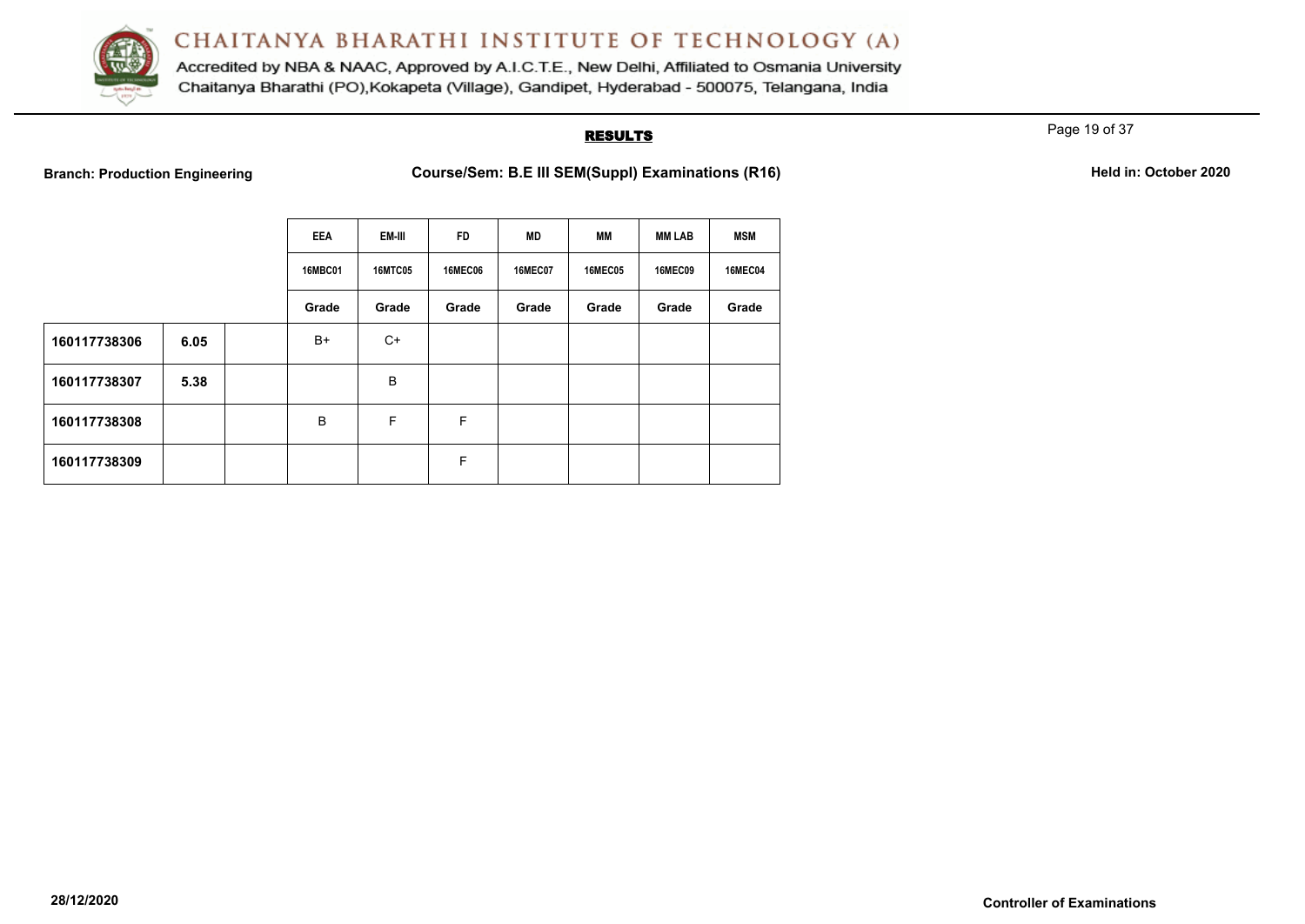

Accredited by NBA & NAAC, Approved by A.I.C.T.E., New Delhi, Affiliated to Osmania University Chaitanya Bharathi (PO), Kokapeta (Village), Gandipet, Hyderabad - 500075, Telangana, India

### **RESULTS**

Page 19 of 37

**Branch: Production Engineering <b>Course/Sem: B.E III SEM(Suppl) Examinations (R16)** Held in: October 2020

|              |      | <b>EEA</b>     | EM-III         | <b>FD</b>      | <b>MD</b>      | MМ             | <b>MM LAB</b>  | <b>MSM</b>     |
|--------------|------|----------------|----------------|----------------|----------------|----------------|----------------|----------------|
|              |      | <b>16MBC01</b> | <b>16MTC05</b> | <b>16MEC06</b> | <b>16MEC07</b> | <b>16MEC05</b> | <b>16MEC09</b> | <b>16MEC04</b> |
|              |      | Grade          | Grade          | Grade          | Grade          | Grade          | Grade          | Grade          |
| 160117738306 | 6.05 | $B+$           | $C+$           |                |                |                |                |                |
| 160117738307 | 5.38 |                | $\sf B$        |                |                |                |                |                |
| 160117738308 |      | B              | F              | F              |                |                |                |                |
| 160117738309 |      |                |                | F              |                |                |                |                |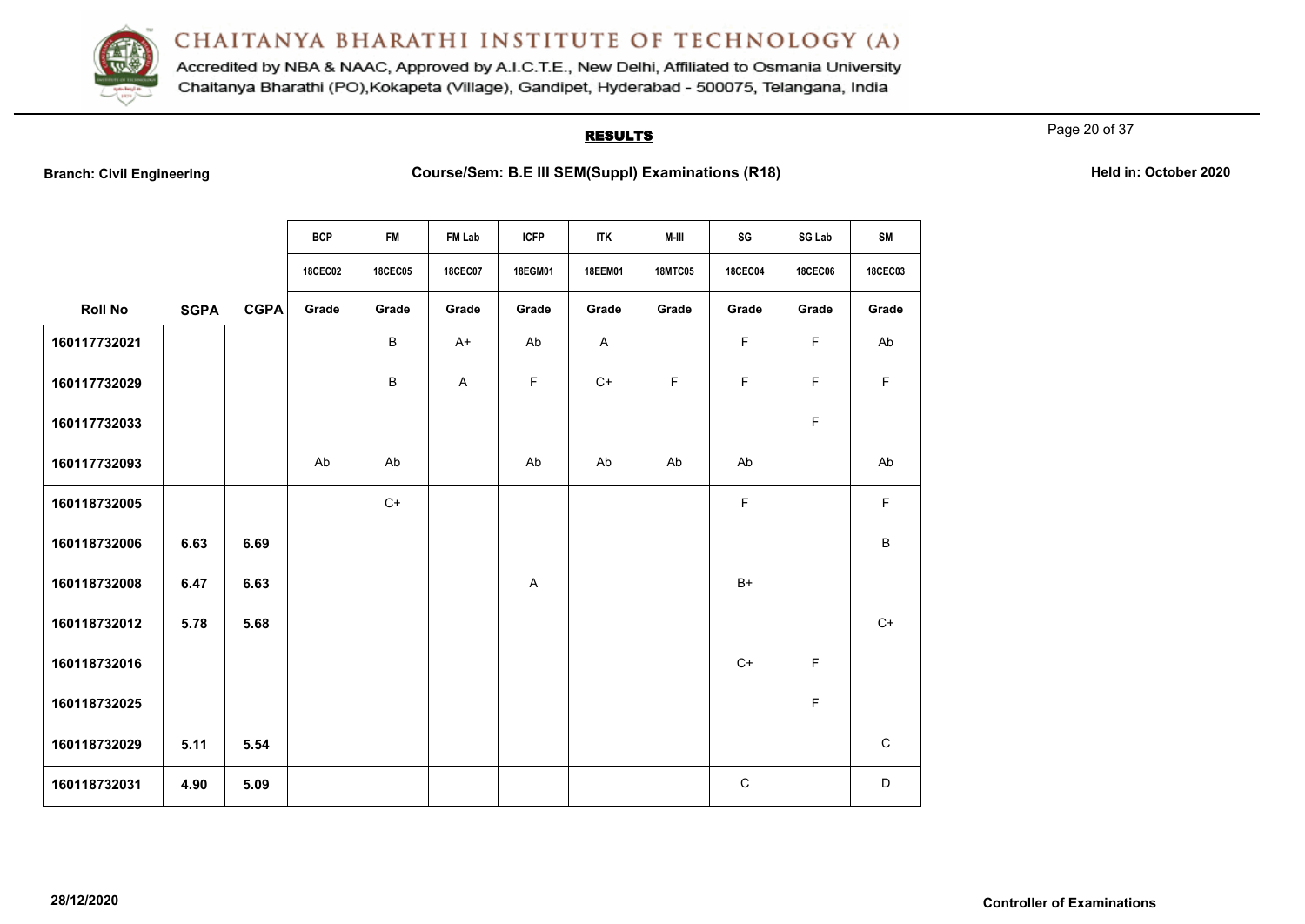

Accredited by NBA & NAAC, Approved by A.I.C.T.E., New Delhi, Affiliated to Osmania University Chaitanya Bharathi (PO), Kokapeta (Village), Gandipet, Hyderabad - 500075, Telangana, India

#### **RESULTS**

Page 20 of 37

| <b>Branch: Civil Engineering</b> |  |  |  |  |  |
|----------------------------------|--|--|--|--|--|
|----------------------------------|--|--|--|--|--|

|                |             |             | <b>BCP</b>     | <b>FM</b>      | FM Lab         | <b>ICFP</b> | <b>ITK</b>     | M-III          | SG             | <b>SG Lab</b>  | SM          |
|----------------|-------------|-------------|----------------|----------------|----------------|-------------|----------------|----------------|----------------|----------------|-------------|
|                |             |             | <b>18CEC02</b> | <b>18CEC05</b> | <b>18CEC07</b> | 18EGM01     | <b>18EEM01</b> | <b>18MTC05</b> | <b>18CEC04</b> | <b>18CEC06</b> | 18CEC03     |
| <b>Roll No</b> | <b>SGPA</b> | <b>CGPA</b> | Grade          | Grade          | Grade          | Grade       | Grade          | Grade          | Grade          | Grade          | Grade       |
| 160117732021   |             |             |                | В              | $A+$           | Ab          | $\mathsf{A}$   |                | F              | F              | Ab          |
| 160117732029   |             |             |                | В              | A              | F.          | $C+$           | F              | F              | F              | $\mathsf F$ |
| 160117732033   |             |             |                |                |                |             |                |                |                | F              |             |
| 160117732093   |             |             | Ab             | Ab             |                | Ab          | Ab             | Ab             | Ab             |                | Ab          |
| 160118732005   |             |             |                | $C+$           |                |             |                |                | F              |                | $\mathsf F$ |
| 160118732006   | 6.63        | 6.69        |                |                |                |             |                |                |                |                | $\sf B$     |
| 160118732008   | 6.47        | 6.63        |                |                |                | A           |                |                | $B+$           |                |             |
| 160118732012   | 5.78        | 5.68        |                |                |                |             |                |                |                |                | $C+$        |
| 160118732016   |             |             |                |                |                |             |                |                | $C+$           | F              |             |
| 160118732025   |             |             |                |                |                |             |                |                |                | F              |             |
| 160118732029   | 5.11        | 5.54        |                |                |                |             |                |                |                |                | C           |
| 160118732031   | 4.90        | 5.09        |                |                |                |             |                |                | C              |                | D           |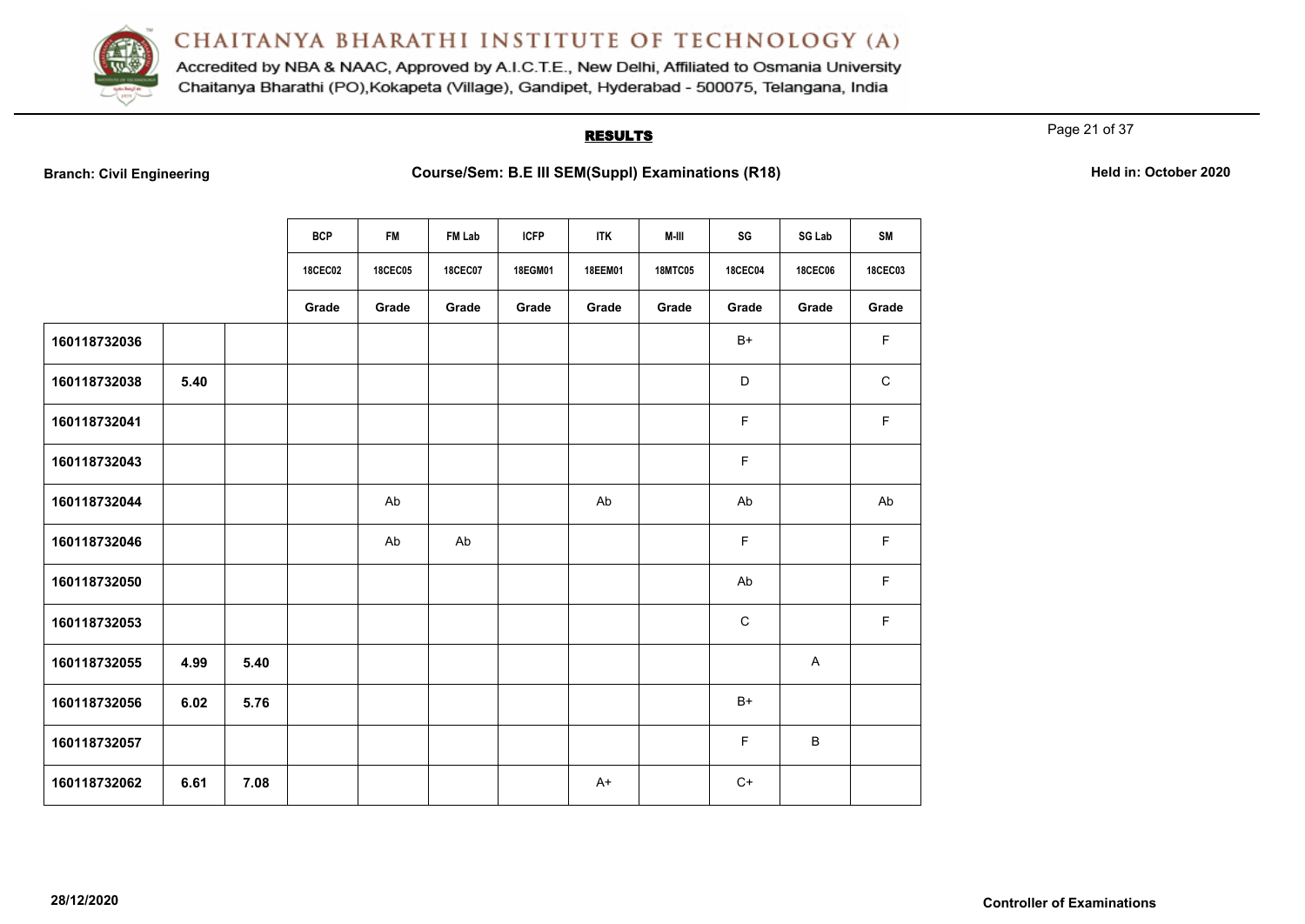

Accredited by NBA & NAAC, Approved by A.I.C.T.E., New Delhi, Affiliated to Osmania University Chaitanya Bharathi (PO), Kokapeta (Village), Gandipet, Hyderabad - 500075, Telangana, India

#### **RESULTS**

Page 21 of 37

|  | <b>Branch: Civil Engineering</b> |  |
|--|----------------------------------|--|
|  |                                  |  |

|              |      |      | <b>BCP</b>     | FM             | FM Lab         | <b>ICFP</b> | <b>ITK</b> | M-III          | SG             | SG Lab         | <b>SM</b>   |
|--------------|------|------|----------------|----------------|----------------|-------------|------------|----------------|----------------|----------------|-------------|
|              |      |      |                |                |                |             |            |                |                |                |             |
|              |      |      | <b>18CEC02</b> | <b>18CEC05</b> | <b>18CEC07</b> | 18EGM01     | 18EEM01    | <b>18MTC05</b> | <b>18CEC04</b> | <b>18CEC06</b> | 18CEC03     |
|              |      |      | Grade          | Grade          | Grade          | Grade       | Grade      | Grade          | Grade          | Grade          | Grade       |
| 160118732036 |      |      |                |                |                |             |            |                | $B+$           |                | F           |
| 160118732038 | 5.40 |      |                |                |                |             |            |                | D              |                | $\mathbf C$ |
| 160118732041 |      |      |                |                |                |             |            |                | $\mathsf F$    |                | F           |
| 160118732043 |      |      |                |                |                |             |            |                | $\mathsf F$    |                |             |
| 160118732044 |      |      |                | Ab             |                |             | Ab         |                | Ab             |                | Ab          |
| 160118732046 |      |      |                | Ab             | Ab             |             |            |                | $\mathsf F$    |                | F.          |
| 160118732050 |      |      |                |                |                |             |            |                | Ab             |                | F           |
| 160118732053 |      |      |                |                |                |             |            |                | $\mathbf C$    |                | F           |
| 160118732055 | 4.99 | 5.40 |                |                |                |             |            |                |                | A              |             |
| 160118732056 | 6.02 | 5.76 |                |                |                |             |            |                | $B+$           |                |             |
| 160118732057 |      |      |                |                |                |             |            |                | $\mathsf F$    | $\sf B$        |             |
| 160118732062 | 6.61 | 7.08 |                |                |                |             | $A+$       |                | $C+$           |                |             |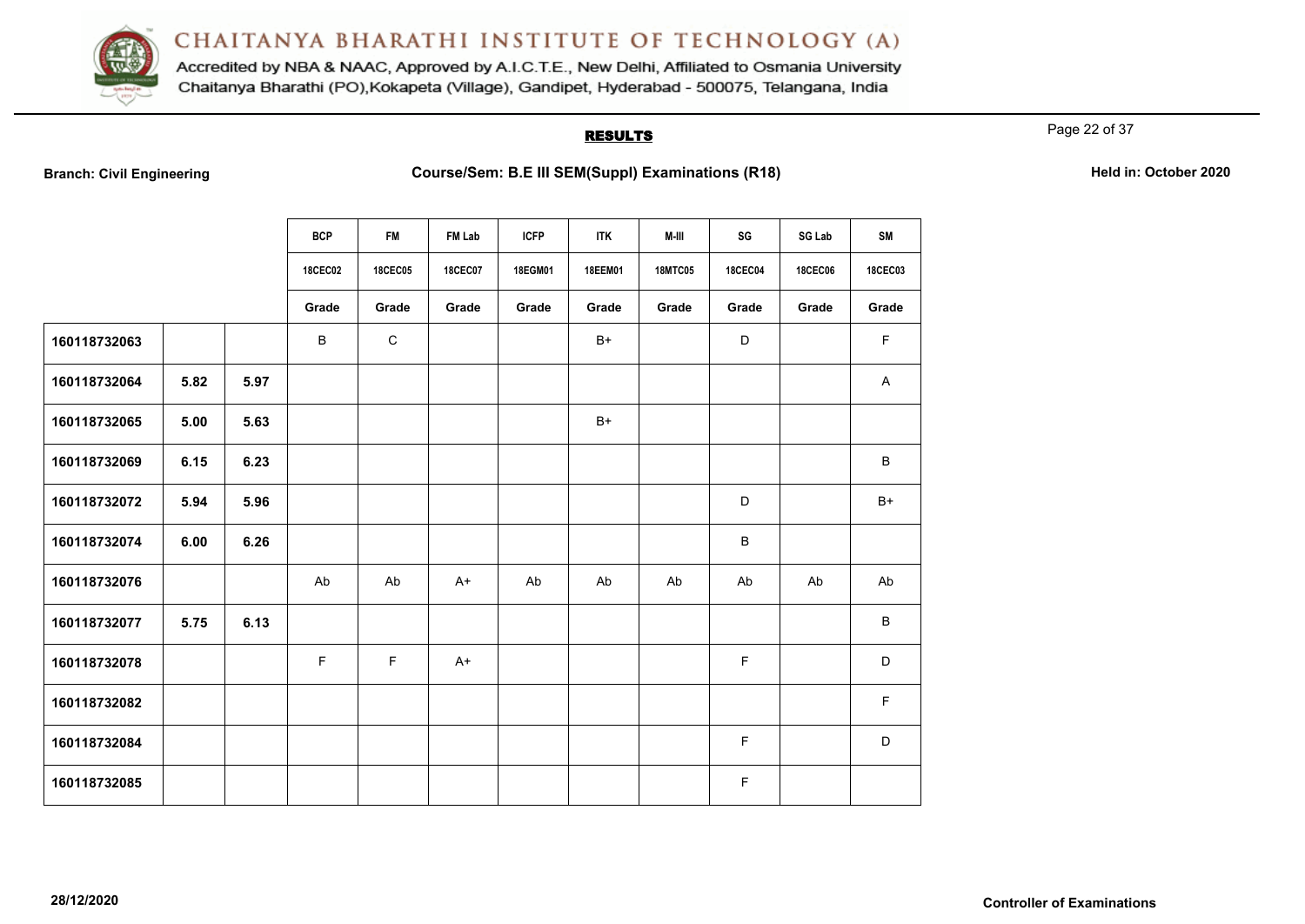

Accredited by NBA & NAAC, Approved by A.I.C.T.E., New Delhi, Affiliated to Osmania University Chaitanya Bharathi (PO), Kokapeta (Village), Gandipet, Hyderabad - 500075, Telangana, India

#### **RESULTS**

Page 22 of 37

|  | <b>Branch: Civil Engineering</b> |  |
|--|----------------------------------|--|
|  |                                  |  |

|              |      |      | <b>BCP</b>     | <b>FM</b>      | FM Lab         | <b>ICFP</b> | <b>ITK</b>     | M-III          | SG             | SG Lab         | <b>SM</b>      |
|--------------|------|------|----------------|----------------|----------------|-------------|----------------|----------------|----------------|----------------|----------------|
|              |      |      | <b>18CEC02</b> | <b>18CEC05</b> | <b>18CEC07</b> | 18EGM01     | <b>18EEM01</b> | <b>18MTC05</b> | <b>18CEC04</b> | <b>18CEC06</b> | <b>18CEC03</b> |
|              |      |      | Grade          | Grade          | Grade          | Grade       | Grade          | Grade          | Grade          | Grade          | Grade          |
| 160118732063 |      |      | B              | $\mathbf C$    |                |             | $B+$           |                | D              |                | F              |
| 160118732064 | 5.82 | 5.97 |                |                |                |             |                |                |                |                | A              |
| 160118732065 | 5.00 | 5.63 |                |                |                |             | $B+$           |                |                |                |                |
| 160118732069 | 6.15 | 6.23 |                |                |                |             |                |                |                |                | B              |
| 160118732072 | 5.94 | 5.96 |                |                |                |             |                |                | D              |                | $B+$           |
| 160118732074 | 6.00 | 6.26 |                |                |                |             |                |                | B              |                |                |
| 160118732076 |      |      | Ab             | Ab             | $A+$           | Ab          | Ab             | Ab             | Ab             | Ab             | Ab             |
| 160118732077 | 5.75 | 6.13 |                |                |                |             |                |                |                |                | B              |
| 160118732078 |      |      | F.             | $\mathsf F$    | $A+$           |             |                |                | F              |                | D              |
| 160118732082 |      |      |                |                |                |             |                |                |                |                | F              |
| 160118732084 |      |      |                |                |                |             |                |                | F              |                | D              |
| 160118732085 |      |      |                |                |                |             |                |                | F              |                |                |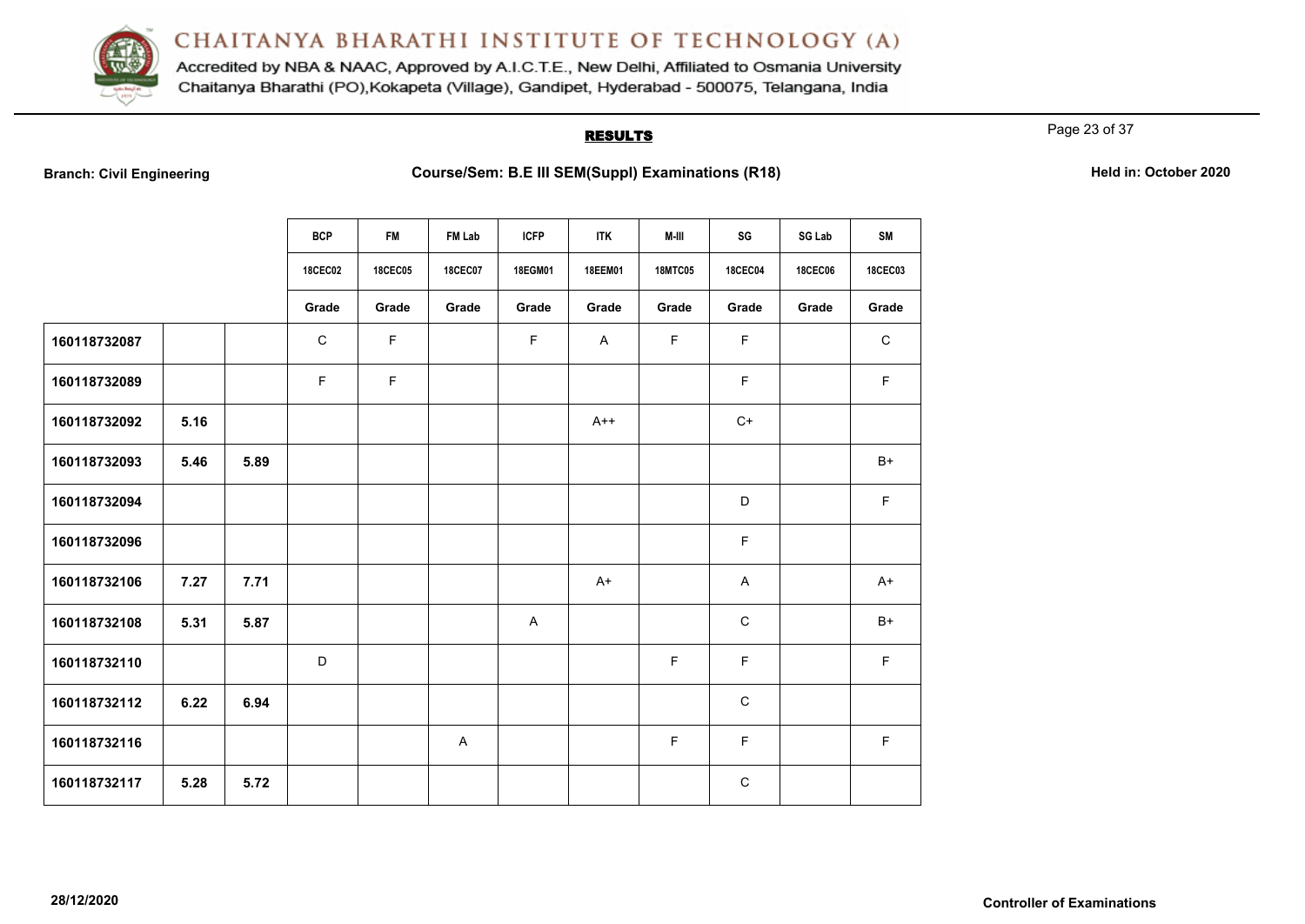

Accredited by NBA & NAAC, Approved by A.I.C.T.E., New Delhi, Affiliated to Osmania University Chaitanya Bharathi (PO), Kokapeta (Village), Gandipet, Hyderabad - 500075, Telangana, India

#### **RESULTS**

Page 23 of 37

|  | <b>Branch: Civil Engineering</b> |  |
|--|----------------------------------|--|
|  |                                  |  |

|              |      |      | <b>BCP</b>     | <b>FM</b>      | FM Lab         | <b>ICFP</b> | <b>ITK</b>     | M-III          | SG             | SG Lab         | <b>SM</b>      |
|--------------|------|------|----------------|----------------|----------------|-------------|----------------|----------------|----------------|----------------|----------------|
|              |      |      | <b>18CEC02</b> | <b>18CEC05</b> | <b>18CEC07</b> | 18EGM01     | <b>18EEM01</b> | <b>18MTC05</b> | <b>18CEC04</b> | <b>18CEC06</b> | <b>18CEC03</b> |
|              |      |      |                |                |                |             |                |                |                |                |                |
|              |      |      | Grade          | Grade          | Grade          | Grade       | Grade          | Grade          | Grade          | Grade          | Grade          |
| 160118732087 |      |      | $\mathbf C$    | $\mathsf F$    |                | $\mathsf F$ | $\mathsf{A}$   | $\mathsf F$    | $\mathsf F$    |                | $\mathbf C$    |
| 160118732089 |      |      | F              | $\mathsf F$    |                |             |                |                | F              |                | F              |
| 160118732092 | 5.16 |      |                |                |                |             | $A++$          |                | $C+$           |                |                |
| 160118732093 | 5.46 | 5.89 |                |                |                |             |                |                |                |                | $B+$           |
| 160118732094 |      |      |                |                |                |             |                |                | D              |                | F              |
| 160118732096 |      |      |                |                |                |             |                |                | F.             |                |                |
| 160118732106 | 7.27 | 7.71 |                |                |                |             | $A+$           |                | A              |                | A+             |
| 160118732108 | 5.31 | 5.87 |                |                |                | A           |                |                | $\mathbf C$    |                | $B+$           |
| 160118732110 |      |      | D              |                |                |             |                | F.             | F              |                | $\mathsf F$    |
| 160118732112 | 6.22 | 6.94 |                |                |                |             |                |                | $\mathsf C$    |                |                |
| 160118732116 |      |      |                |                | A              |             |                | $\mathsf F$    | F.             |                | $\mathsf F$    |
| 160118732117 | 5.28 | 5.72 |                |                |                |             |                |                | $\mathsf C$    |                |                |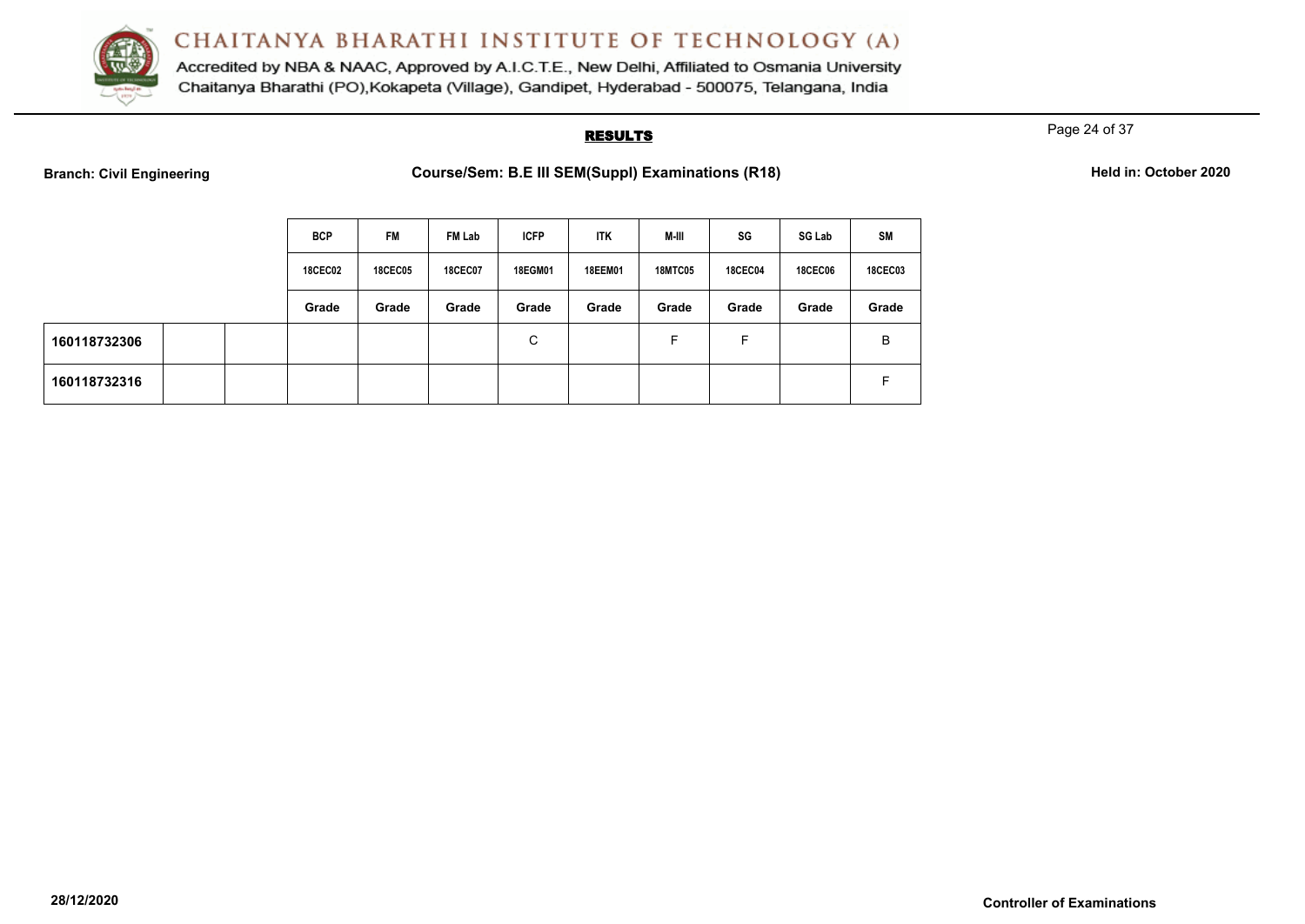

Accredited by NBA & NAAC, Approved by A.I.C.T.E., New Delhi, Affiliated to Osmania University Chaitanya Bharathi (PO), Kokapeta (Village), Gandipet, Hyderabad - 500075, Telangana, India

#### **RESULTS**

Page 24 of 37

**Branch: Civil Engineering <b>Course/Sem: B.E III SEM(Suppl) Examinations (R18) Held in: October 2020** 

|              | <b>BCP</b>     | <b>FM</b>      | FM Lab         | <b>ICFP</b> | <b>ITK</b>     | M-III          | SG             | <b>SG Lab</b>  | <b>SM</b>      |
|--------------|----------------|----------------|----------------|-------------|----------------|----------------|----------------|----------------|----------------|
|              | <b>18CEC02</b> | <b>18CEC05</b> | <b>18CEC07</b> | 18EGM01     | <b>18EEM01</b> | <b>18MTC05</b> | <b>18CEC04</b> | <b>18CEC06</b> | <b>18CEC03</b> |
|              | Grade          | Grade          | Grade          | Grade       | Grade          | Grade          | Grade          | Grade          | Grade          |
| 160118732306 |                |                |                | С           |                | F              | E              |                | B              |
| 160118732316 |                |                |                |             |                |                |                |                | F              |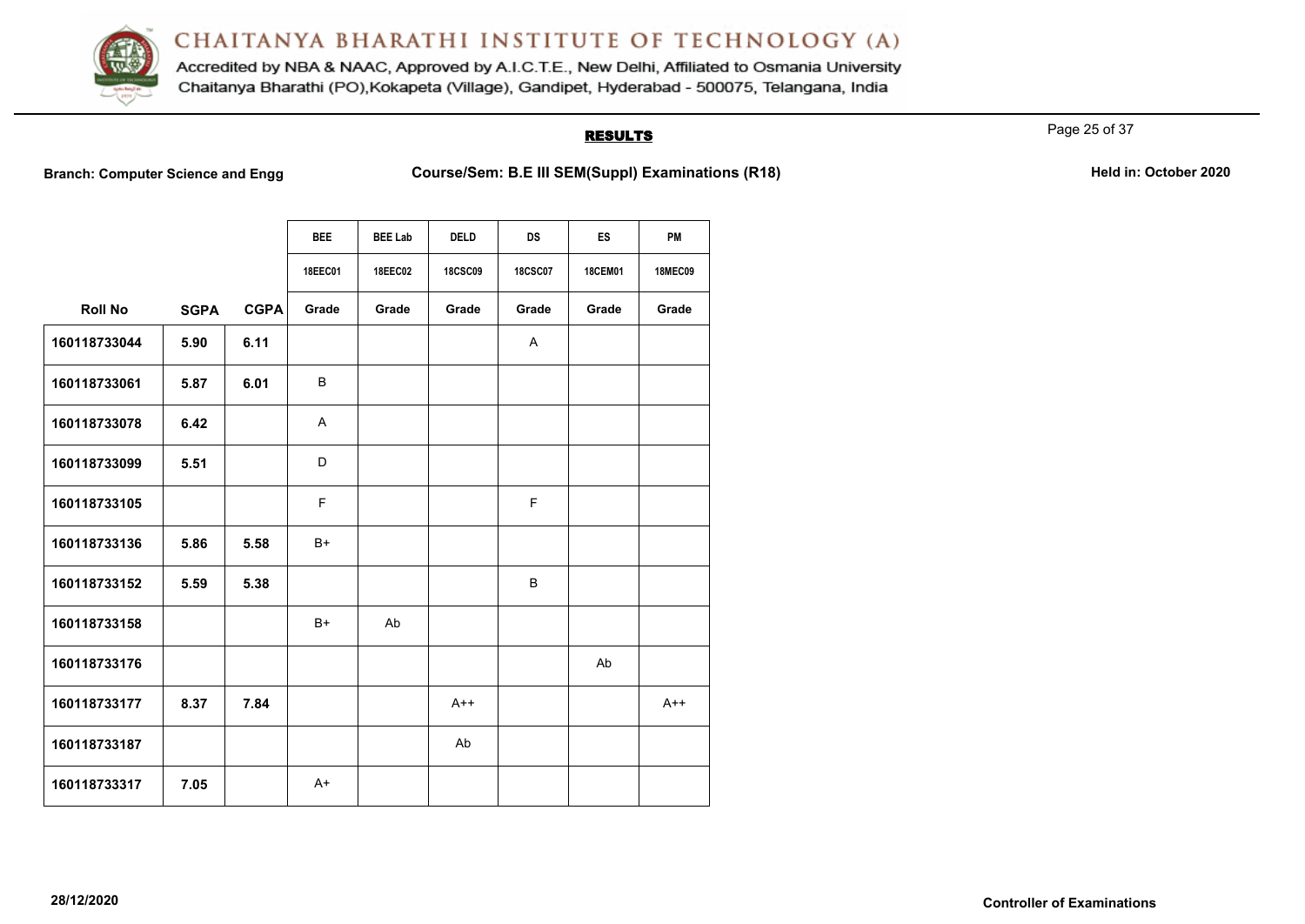

Accredited by NBA & NAAC, Approved by A.I.C.T.E., New Delhi, Affiliated to Osmania University Chaitanya Bharathi (PO), Kokapeta (Village), Gandipet, Hyderabad - 500075, Telangana, India

### **RESULTS**

Page 25 of 37

**Branch: Computer Science and Engg Course/Sem: B.E III SEM(Suppl) Examinations (R18)** Held in: October 2020

|                |             |             | <b>BEE</b>     | <b>BEE Lab</b> | <b>DELD</b>    | <b>DS</b>      | <b>ES</b>      | <b>PM</b>      |
|----------------|-------------|-------------|----------------|----------------|----------------|----------------|----------------|----------------|
|                |             |             | <b>18EEC01</b> | <b>18EEC02</b> | <b>18CSC09</b> | <b>18CSC07</b> | <b>18CEM01</b> | <b>18MEC09</b> |
| <b>Roll No</b> | <b>SGPA</b> | <b>CGPA</b> | Grade          | Grade          | Grade          | Grade          | Grade          | Grade          |
| 160118733044   | 5.90        | 6.11        |                |                |                | $\mathsf{A}$   |                |                |
| 160118733061   | 5.87        | 6.01        | B              |                |                |                |                |                |
| 160118733078   | 6.42        |             | A              |                |                |                |                |                |
| 160118733099   | 5.51        |             | D              |                |                |                |                |                |
| 160118733105   |             |             | F              |                |                | F              |                |                |
| 160118733136   | 5.86        | 5.58        | B+             |                |                |                |                |                |
| 160118733152   | 5.59        | 5.38        |                |                |                | B              |                |                |
| 160118733158   |             |             | $B+$           | Ab             |                |                |                |                |
| 160118733176   |             |             |                |                |                |                | Ab             |                |
| 160118733177   | 8.37        | 7.84        |                |                | $A++$          |                |                | $A++$          |
| 160118733187   |             |             |                |                | Ab             |                |                |                |
| 160118733317   | 7.05        |             | $A+$           |                |                |                |                |                |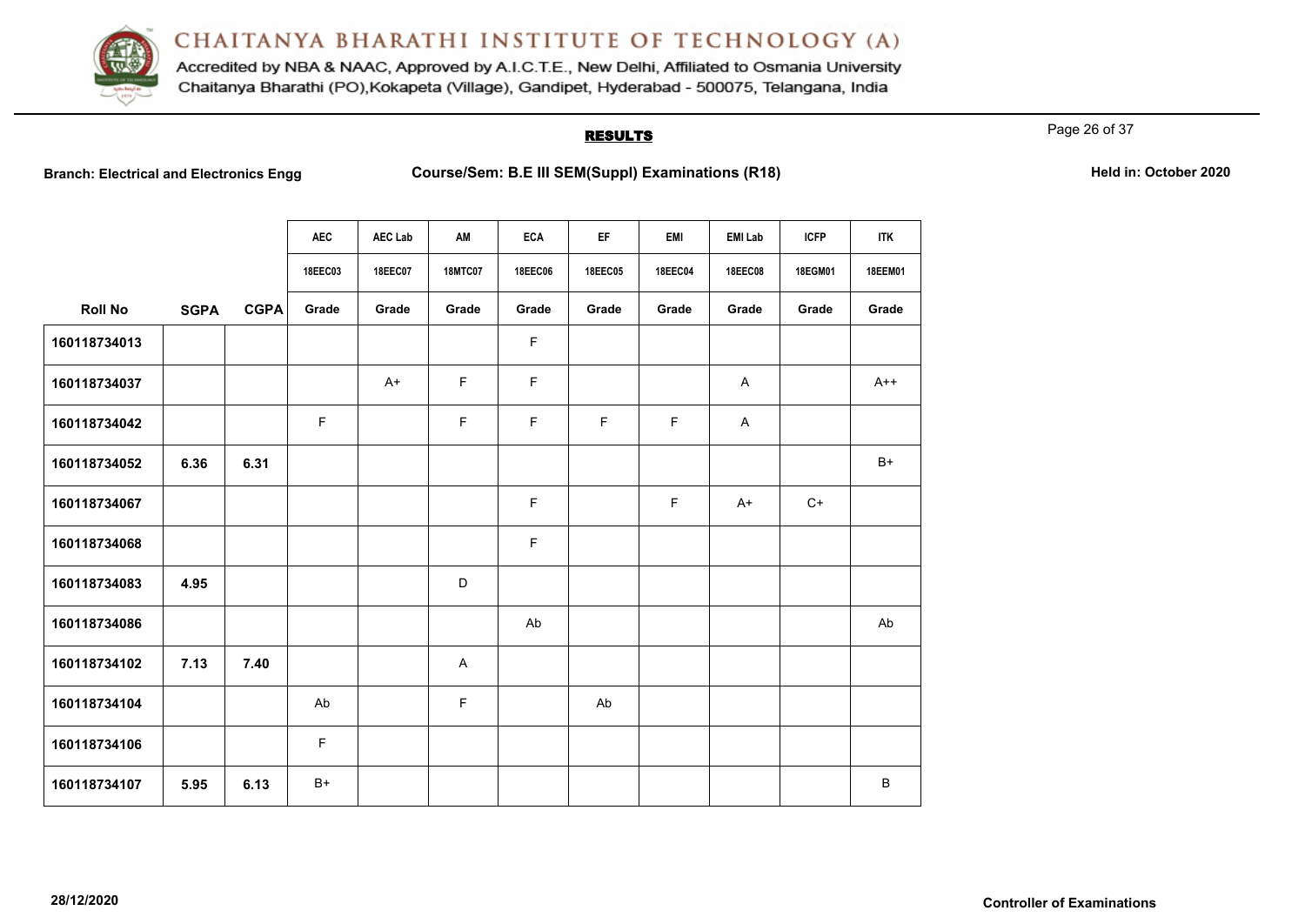

Accredited by NBA & NAAC, Approved by A.I.C.T.E., New Delhi, Affiliated to Osmania University Chaitanya Bharathi (PO), Kokapeta (Village), Gandipet, Hyderabad - 500075, Telangana, India

#### **RESULTS**

Page 26 of 37

**Branch: Electrical and Electronics Engg <b>Course/Sem: B.E III SEM(Suppl) Examinations (R18) Held in: October 2020** 

|  |  | Held in: October 2020 |
|--|--|-----------------------|
|--|--|-----------------------|

|                |             |             | <b>AEC</b>     | AEC Lab        | AM             | <b>ECA</b>  | EF             | <b>EMI</b> | <b>EMI Lab</b> | <b>ICFP</b> | <b>ITK</b> |
|----------------|-------------|-------------|----------------|----------------|----------------|-------------|----------------|------------|----------------|-------------|------------|
|                |             |             | <b>18EEC03</b> | <b>18EEC07</b> | <b>18MTC07</b> | 18EEC06     | <b>18EEC05</b> | 18EEC04    | 18EEC08        | 18EGM01     | 18EEM01    |
| <b>Roll No</b> | <b>SGPA</b> | <b>CGPA</b> | Grade          | Grade          | Grade          | Grade       | Grade          | Grade      | Grade          | Grade       | Grade      |
| 160118734013   |             |             |                |                |                | $\mathsf F$ |                |            |                |             |            |
| 160118734037   |             |             |                | $A+$           | F              | F           |                |            | A              |             | $A++$      |
| 160118734042   |             |             | F              |                | $\mathsf F$    | $\mathsf F$ | F              | F          | A              |             |            |
| 160118734052   | 6.36        | 6.31        |                |                |                |             |                |            |                |             | B+         |
| 160118734067   |             |             |                |                |                | F           |                | F          | $A+$           | $C+$        |            |
| 160118734068   |             |             |                |                |                | $\mathsf F$ |                |            |                |             |            |
| 160118734083   | 4.95        |             |                |                | D              |             |                |            |                |             |            |
| 160118734086   |             |             |                |                |                | Ab          |                |            |                |             | Ab         |
| 160118734102   | 7.13        | 7.40        |                |                | A              |             |                |            |                |             |            |
| 160118734104   |             |             | Ab             |                | F              |             | Ab             |            |                |             |            |
| 160118734106   |             |             | F              |                |                |             |                |            |                |             |            |
| 160118734107   | 5.95        | 6.13        | $B+$           |                |                |             |                |            |                |             | $\sf B$    |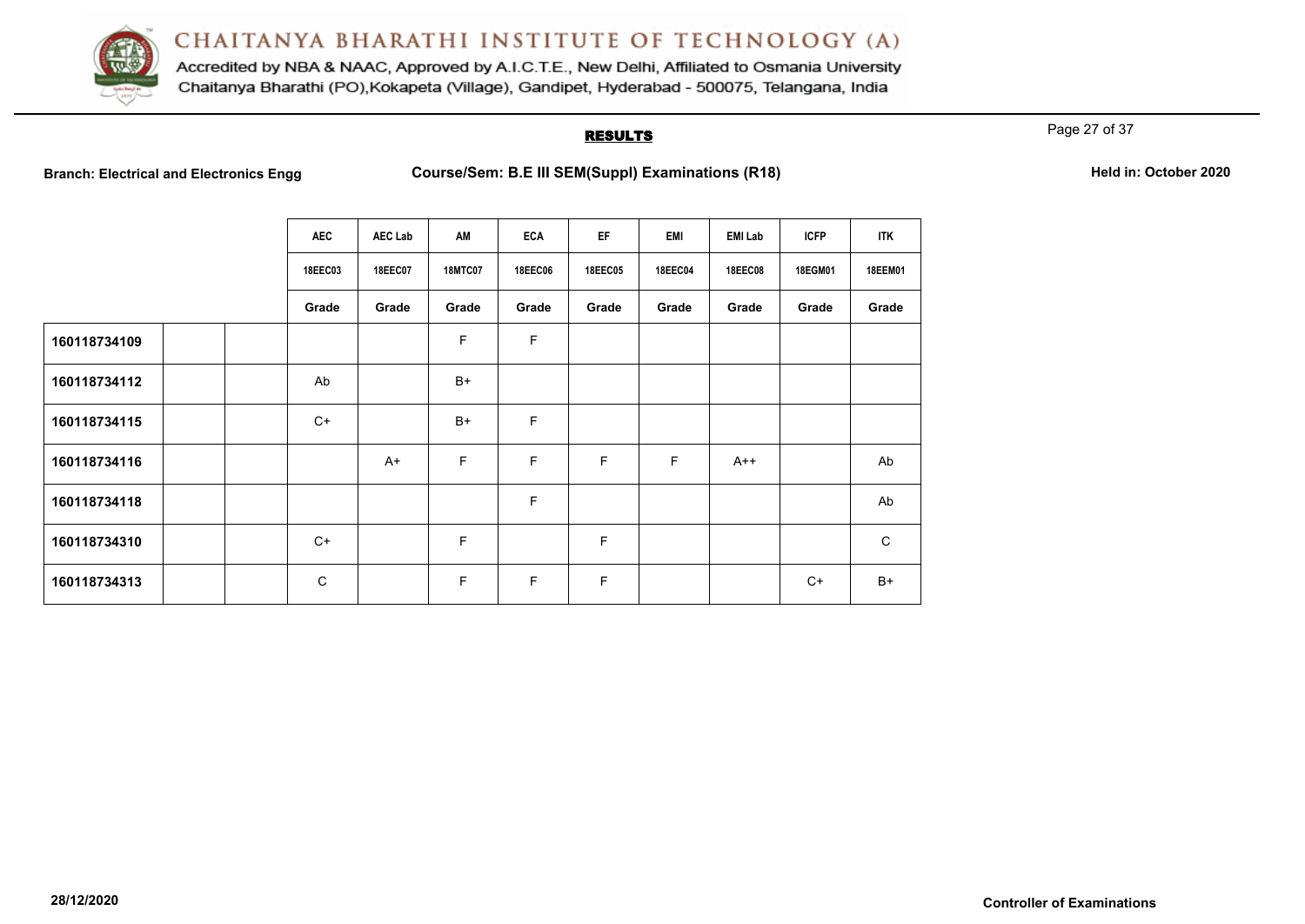

Accredited by NBA & NAAC, Approved by A.I.C.T.E., New Delhi, Affiliated to Osmania University Chaitanya Bharathi (PO), Kokapeta (Village), Gandipet, Hyderabad - 500075, Telangana, India

### **RESULTS**

Page 27 of 37

Branch: Electrical and Electronics Engg **Course/Sem: B.E III SEM(Suppl) Examinations (R18) Held in: October 2020** 

|              | <b>AEC</b>   | <b>AEC Lab</b> | AM             | <b>ECA</b> | EF      | <b>EMI</b>     | <b>EMI Lab</b> | <b>ICFP</b> | <b>ITK</b>  |
|--------------|--------------|----------------|----------------|------------|---------|----------------|----------------|-------------|-------------|
|              | 18EEC03      | 18EEC07        | <b>18MTC07</b> | 18EEC06    | 18EEC05 | <b>18EEC04</b> | 18EEC08        | 18EGM01     | 18EEM01     |
|              | Grade        | Grade          | Grade          | Grade      | Grade   | Grade          | Grade          | Grade       | Grade       |
| 160118734109 |              |                | F              | F          |         |                |                |             |             |
| 160118734112 | Ab           |                | $B+$           |            |         |                |                |             |             |
| 160118734115 | $C+$         |                | $B+$           | F          |         |                |                |             |             |
| 160118734116 |              | $A+$           | F              | F          | F       | F              | $A++$          |             | Ab          |
| 160118734118 |              |                |                | F          |         |                |                |             | Ab          |
| 160118734310 | $C+$         |                | F              |            | F       |                |                |             | $\mathsf C$ |
| 160118734313 | $\mathsf{C}$ |                | F              | F          | F       |                |                | $C+$        | $B+$        |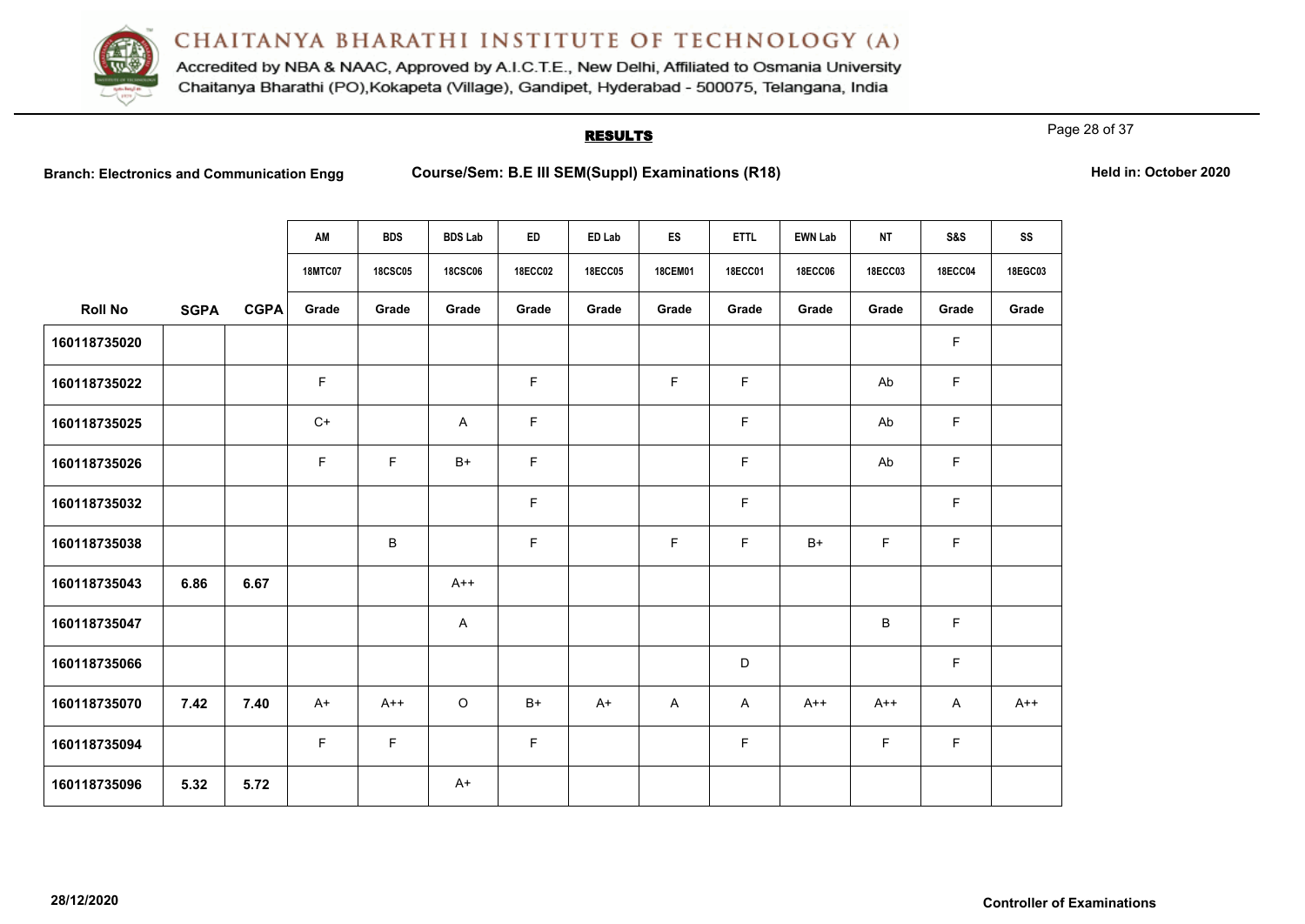

Accredited by NBA & NAAC, Approved by A.I.C.T.E., New Delhi, Affiliated to Osmania University Chaitanya Bharathi (PO), Kokapeta (Village), Gandipet, Hyderabad - 500075, Telangana, India

# **RESULTS**

Page 28 of 37

**Branch: Electronics and Course/Sem: B.E III SEM(Suppl) Examinations (R18) Held in: October 2020** 

|                |             |             | AM             | <b>BDS</b>     | <b>BDS Lab</b> | ED             | ED Lab         | ES             | <b>ETTL</b>    | <b>EWN Lab</b> | <b>NT</b>      | <b>S&amp;S</b> | SS      |
|----------------|-------------|-------------|----------------|----------------|----------------|----------------|----------------|----------------|----------------|----------------|----------------|----------------|---------|
|                |             |             | <b>18MTC07</b> | <b>18CSC05</b> | <b>18CSC06</b> | <b>18ECC02</b> | <b>18ECC05</b> | <b>18CEM01</b> | <b>18ECC01</b> | <b>18ECC06</b> | <b>18ECC03</b> | <b>18ECC04</b> | 18EGC03 |
| <b>Roll No</b> | <b>SGPA</b> | <b>CGPA</b> | Grade          | Grade          | Grade          | Grade          | Grade          | Grade          | Grade          | Grade          | Grade          | Grade          | Grade   |
| 160118735020   |             |             |                |                |                |                |                |                |                |                |                | F.             |         |
| 160118735022   |             |             | $\mathsf F$    |                |                | F              |                | $\mathsf F$    | $\mathsf F$    |                | Ab             | F.             |         |
| 160118735025   |             |             | $C+$           |                | $\mathsf{A}$   | F.             |                |                | $\mathsf F$    |                | Ab             | F              |         |
| 160118735026   |             |             | $\mathsf F$    | F              | $B+$           | F              |                |                | $\mathsf F$    |                | Ab             | F.             |         |
| 160118735032   |             |             |                |                |                | F              |                |                | $\mathsf F$    |                |                | F.             |         |
| 160118735038   |             |             |                | B              |                | F              |                | F              | $\mathsf F$    | $B+$           | F              | F.             |         |
| 160118735043   | 6.86        | 6.67        |                |                | $A++$          |                |                |                |                |                |                |                |         |
| 160118735047   |             |             |                |                | $\mathsf{A}$   |                |                |                |                |                | $\sf B$        | F.             |         |
| 160118735066   |             |             |                |                |                |                |                |                | $\mathsf D$    |                |                | F              |         |
| 160118735070   | 7.42        | 7.40        | $A+$           | $A++$          | $\circ$        | $B+$           | $A+$           | A              | A              | $A++$          | $A++$          | $\mathsf{A}$   | $A++$   |
| 160118735094   |             |             | $\mathsf F$    | $\mathsf F$    |                | F              |                |                | $\mathsf F$    |                | $\mathsf F$    | F              |         |
| 160118735096   | 5.32        | 5.72        |                |                | $A+$           |                |                |                |                |                |                |                |         |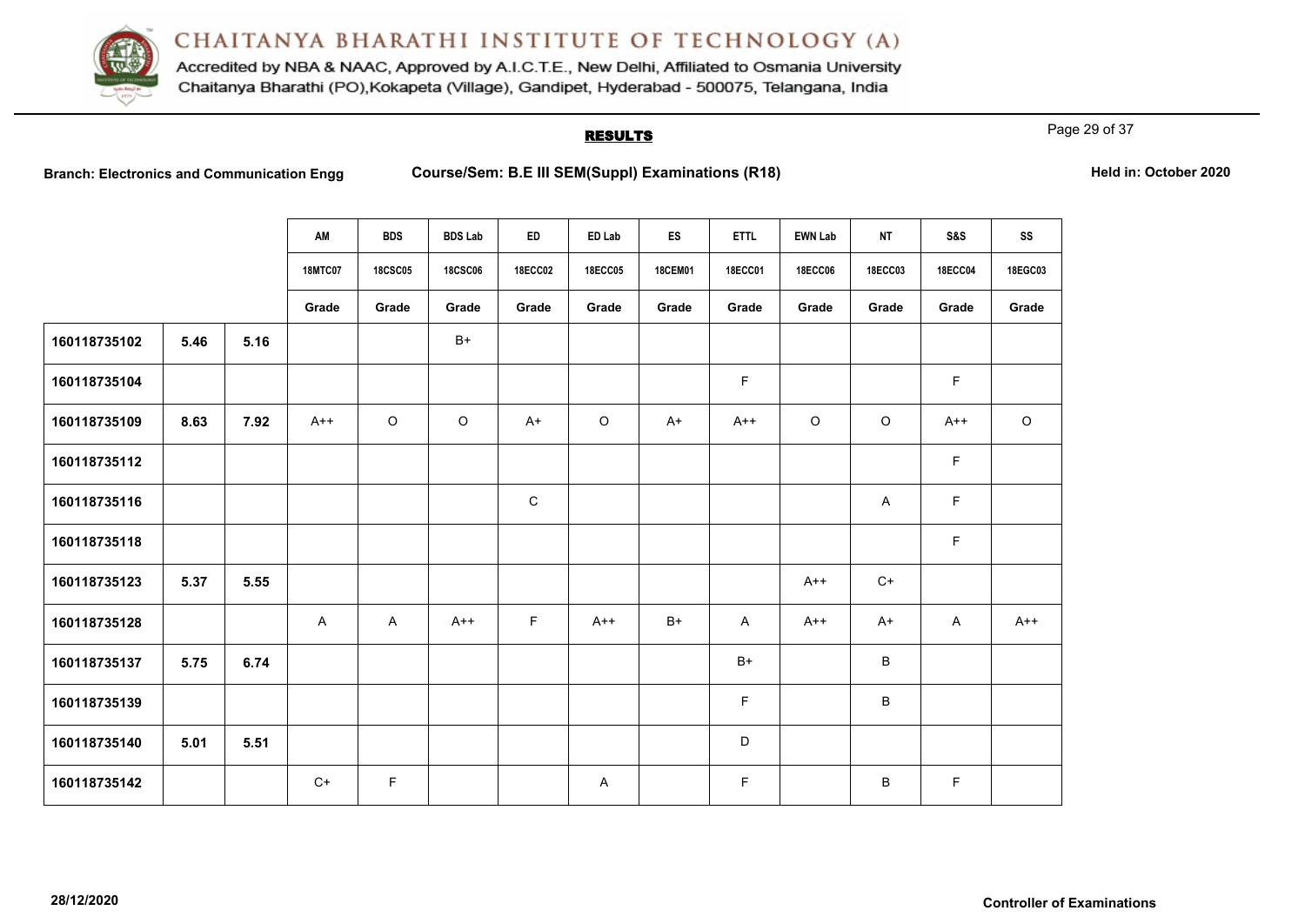

Accredited by NBA & NAAC, Approved by A.I.C.T.E., New Delhi, Affiliated to Osmania University Chaitanya Bharathi (PO), Kokapeta (Village), Gandipet, Hyderabad - 500075, Telangana, India

# **RESULTS**

Page 29 of 37

**Branch: Electronics and Course/Sem: B.E III SEM(Suppl) Examinations (R18) Held in: October 2020** 

|              |      |      | AM             | <b>BDS</b>     | <b>BDS Lab</b> | ED             | ED Lab         | ES             | <b>ETTL</b>    | <b>EWN Lab</b> | <b>NT</b>      | S&S            | SS      |
|--------------|------|------|----------------|----------------|----------------|----------------|----------------|----------------|----------------|----------------|----------------|----------------|---------|
|              |      |      | <b>18MTC07</b> | <b>18CSC05</b> | <b>18CSC06</b> | <b>18ECC02</b> | <b>18ECC05</b> | <b>18CEM01</b> | <b>18ECC01</b> | <b>18ECC06</b> | <b>18ECC03</b> | <b>18ECC04</b> | 18EGC03 |
|              |      |      | Grade          | Grade          | Grade          | Grade          | Grade          | Grade          | Grade          | Grade          | Grade          | Grade          | Grade   |
| 160118735102 | 5.46 | 5.16 |                |                | $B+$           |                |                |                |                |                |                |                |         |
| 160118735104 |      |      |                |                |                |                |                |                | F              |                |                | F              |         |
| 160118735109 | 8.63 | 7.92 | $A++$          | $\circ$        | $\circ$        | $A+$           | $\circ$        | $A+$           | $A++$          | $\circ$        | $\circ$        | $A++$          | $\circ$ |
| 160118735112 |      |      |                |                |                |                |                |                |                |                |                | $\mathsf F$    |         |
| 160118735116 |      |      |                |                |                | $\mathbf C$    |                |                |                |                | A              | $\mathsf F$    |         |
| 160118735118 |      |      |                |                |                |                |                |                |                |                |                | $\mathsf F$    |         |
| 160118735123 | 5.37 | 5.55 |                |                |                |                |                |                |                | $A++$          | $C+$           |                |         |
| 160118735128 |      |      | A              | $\mathsf{A}$   | $A++$          | F              | $A++$          | $B+$           | A              | $A++$          | $A+$           | $\mathsf{A}$   | $A++$   |
| 160118735137 | 5.75 | 6.74 |                |                |                |                |                |                | $B+$           |                | $\sf B$        |                |         |
| 160118735139 |      |      |                |                |                |                |                |                | F              |                | B              |                |         |
| 160118735140 | 5.01 | 5.51 |                |                |                |                |                |                | D              |                |                |                |         |
| 160118735142 |      |      | $C+$           | F              |                |                | A              |                | F              |                | B              | F              |         |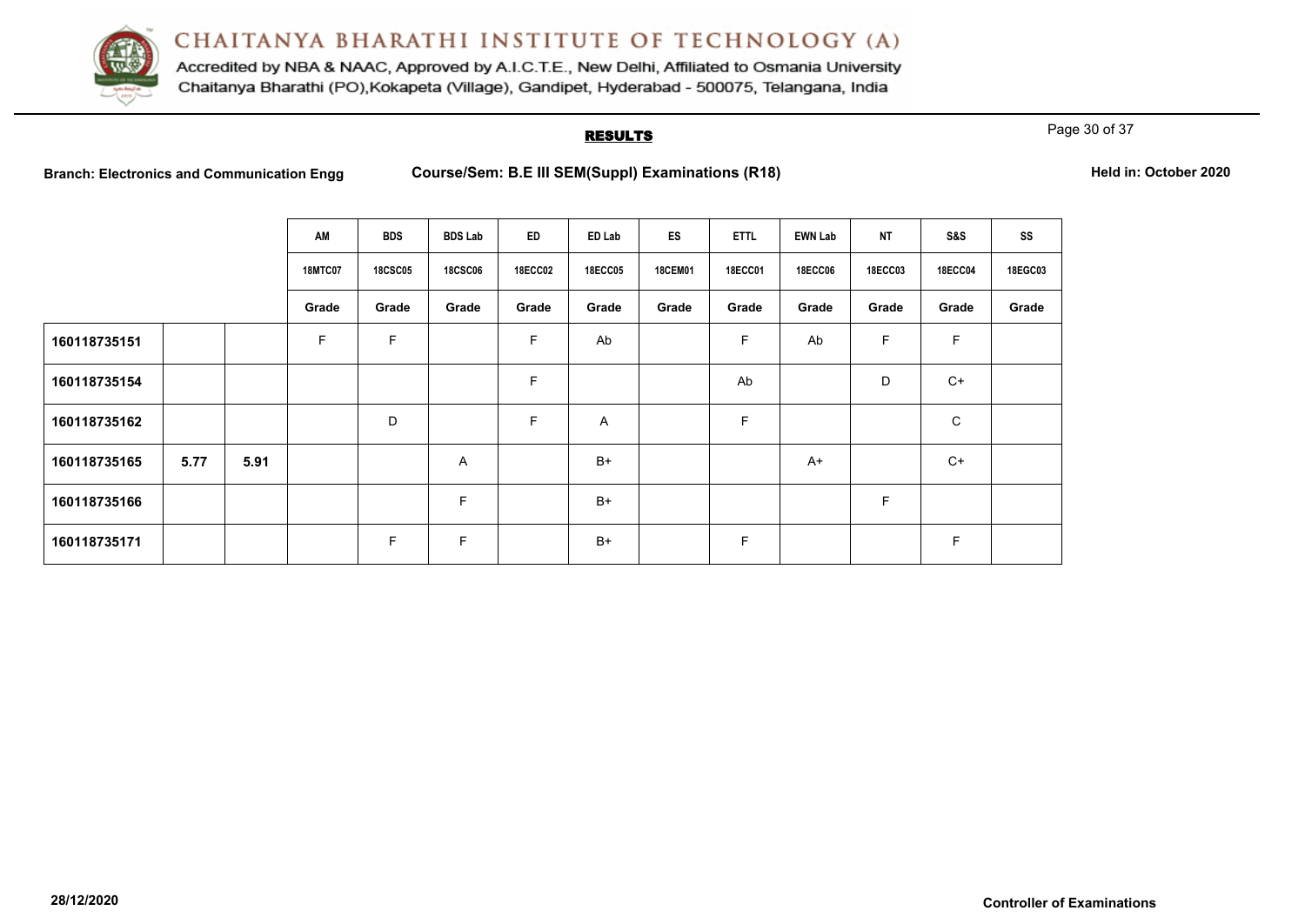

Accredited by NBA & NAAC, Approved by A.I.C.T.E., New Delhi, Affiliated to Osmania University Chaitanya Bharathi (PO), Kokapeta (Village), Gandipet, Hyderabad - 500075, Telangana, India

# **RESULTS**

Page 30 of 37

**Branch: Electronics and Course/Sem: B.E III SEM(Suppl) Examinations (R18) Held in: October 2020** 

|              |      |      | AM             | <b>BDS</b>     | <b>BDS Lab</b> | ED             | ED Lab         | ES             | <b>ETTL</b>    | <b>EWN Lab</b> | <b>NT</b>      | S&S            | SS      |
|--------------|------|------|----------------|----------------|----------------|----------------|----------------|----------------|----------------|----------------|----------------|----------------|---------|
|              |      |      | <b>18MTC07</b> | <b>18CSC05</b> | <b>18CSC06</b> | <b>18ECC02</b> | <b>18ECC05</b> | <b>18CEM01</b> | <b>18ECC01</b> | <b>18ECC06</b> | <b>18ECC03</b> | <b>18ECC04</b> | 18EGC03 |
|              |      |      | Grade          | Grade          | Grade          | Grade          | Grade          | Grade          | Grade          | Grade          | Grade          | Grade          | Grade   |
| 160118735151 |      |      | F              | F              |                | F              | Ab             |                | F              | Ab             | F              | F              |         |
| 160118735154 |      |      |                |                |                | F              |                |                | Ab             |                | D              | $C+$           |         |
| 160118735162 |      |      |                | D              |                | F              | Α              |                | F              |                |                | C              |         |
| 160118735165 | 5.77 | 5.91 |                |                | Α              |                | $B+$           |                |                | $A+$           |                | $C+$           |         |
| 160118735166 |      |      |                |                | $\mathsf F$    |                | $B+$           |                |                |                | $\mathsf F$    |                |         |
| 160118735171 |      |      |                | F              | F              |                | $B+$           |                | F              |                |                | F              |         |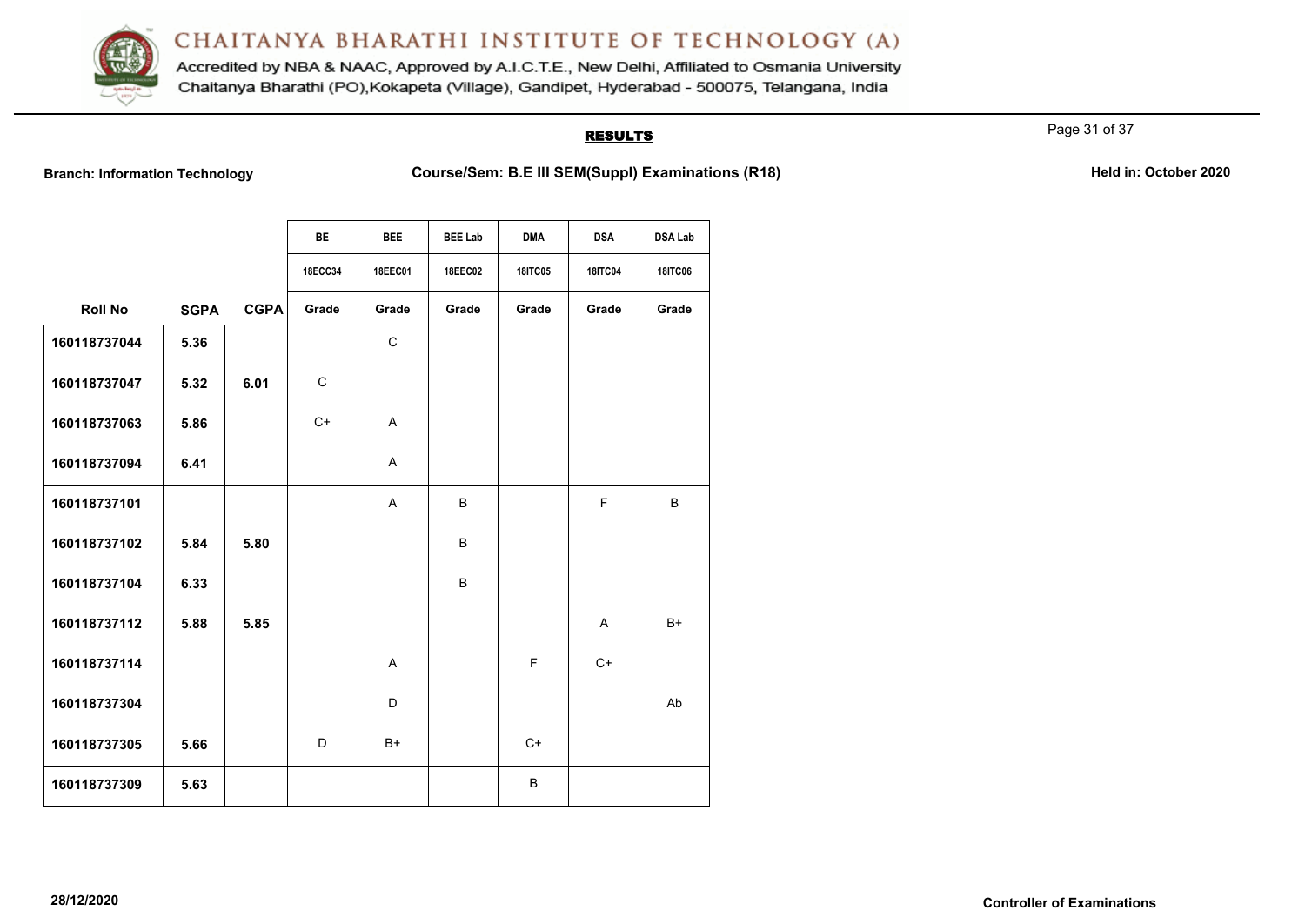

Accredited by NBA & NAAC, Approved by A.I.C.T.E., New Delhi, Affiliated to Osmania University Chaitanya Bharathi (PO), Kokapeta (Village), Gandipet, Hyderabad - 500075, Telangana, India

# **RESULTS**

Page 31 of 37

Branch: Information Technology **Course/Sem: B.E III SEM(Suppl) Examinations (R18)** Held in: October 2020

|                |             |             | <b>BE</b>      | <b>BEE</b>     | <b>BEE Lab</b> | <b>DMA</b>     | <b>DSA</b>     | <b>DSA Lab</b> |  |  |  |
|----------------|-------------|-------------|----------------|----------------|----------------|----------------|----------------|----------------|--|--|--|
|                |             |             | <b>18ECC34</b> | <b>18EEC01</b> | <b>18EEC02</b> | <b>18ITC05</b> | <b>18ITC04</b> | <b>18ITC06</b> |  |  |  |
| <b>Roll No</b> | <b>SGPA</b> | <b>CGPA</b> | Grade          | Grade          | Grade          | Grade          | Grade          | Grade          |  |  |  |
| 160118737044   | 5.36        |             |                | C              |                |                |                |                |  |  |  |
| 160118737047   | 5.32        | 6.01        | C              |                |                |                |                |                |  |  |  |
| 160118737063   | 5.86        |             | $C+$           | A              |                |                |                |                |  |  |  |
| 160118737094   | 6.41        |             |                | A              |                |                |                |                |  |  |  |
| 160118737101   |             |             |                | A              | B              |                | F              | B              |  |  |  |
| 160118737102   | 5.84        | 5.80        |                |                | B              |                |                |                |  |  |  |
| 160118737104   | 6.33        |             |                |                | B              |                |                |                |  |  |  |
| 160118737112   | 5.88        | 5.85        |                |                |                |                | $\mathsf{A}$   | $B+$           |  |  |  |
| 160118737114   |             |             |                | A              |                | F.             | $C+$           |                |  |  |  |
| 160118737304   |             |             |                | D              |                |                |                | Ab             |  |  |  |
| 160118737305   | 5.66        |             | D              | $B+$           |                | $C+$           |                |                |  |  |  |
| 160118737309   | 5.63        |             |                |                |                | B              |                |                |  |  |  |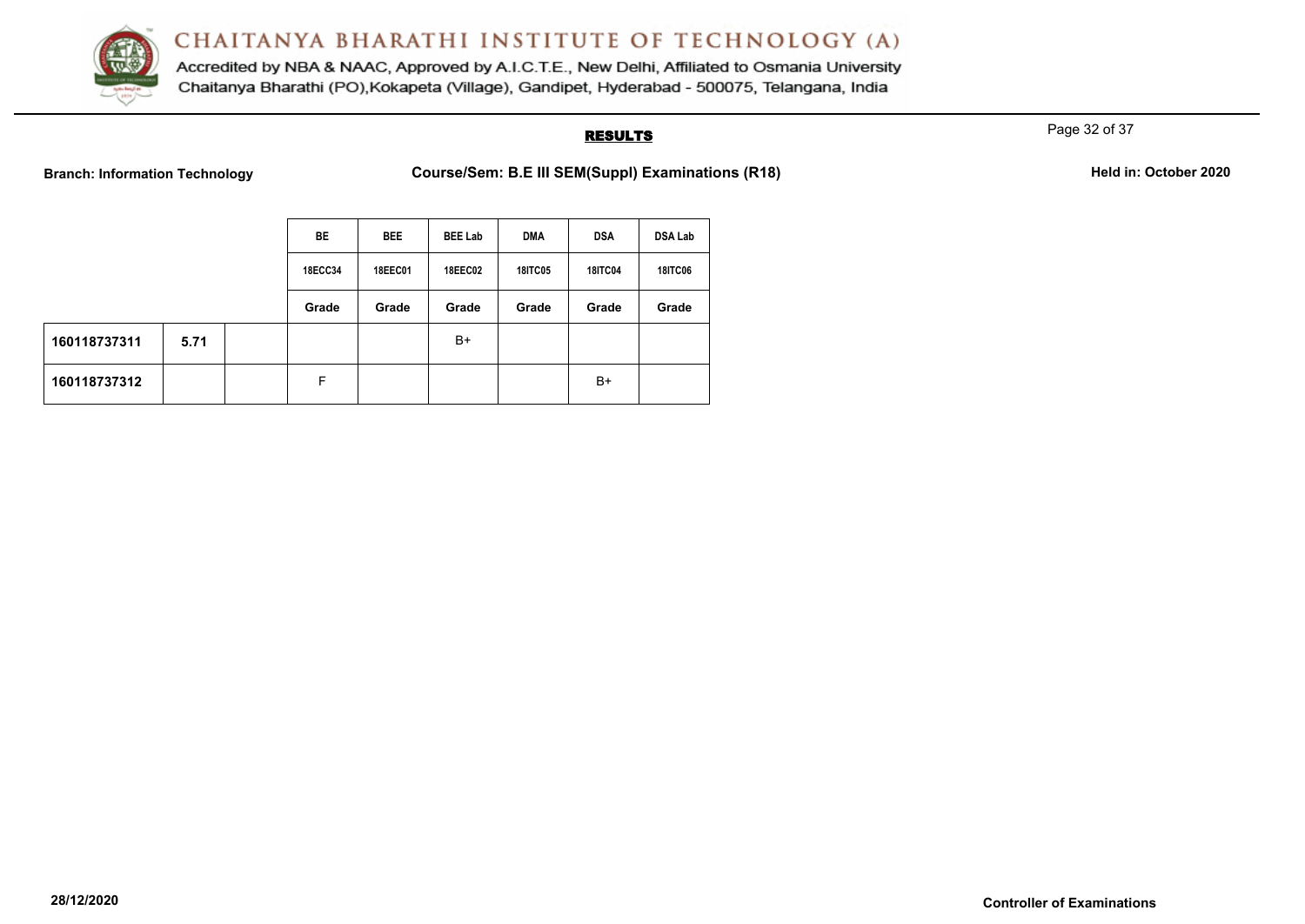

Accredited by NBA & NAAC, Approved by A.I.C.T.E., New Delhi, Affiliated to Osmania University Chaitanya Bharathi (PO), Kokapeta (Village), Gandipet, Hyderabad - 500075, Telangana, India

# **RESULTS**

Page 32 of 37

**Branch: Information Technology <b>Course/Sem: B.E III SEM(Suppl) Examinations (R18) Course** 

| Held in: October 2020 |
|-----------------------|
|-----------------------|

|              |      |                | BE             | <b>BEE</b>     | <b>BEE Lab</b> | <b>DMA</b>     | <b>DSA</b>     | <b>DSA Lab</b> |
|--------------|------|----------------|----------------|----------------|----------------|----------------|----------------|----------------|
|              |      | <b>18ECC34</b> | <b>18EEC01</b> | <b>18EEC02</b> | <b>18ITC05</b> | <b>18ITC04</b> | <b>18ITC06</b> |                |
|              |      |                | Grade          | Grade          | Grade          | Grade          | Grade          | Grade          |
| 160118737311 | 5.71 |                |                |                | B+             |                |                |                |
| 160118737312 |      |                | F              |                |                |                | $B+$           |                |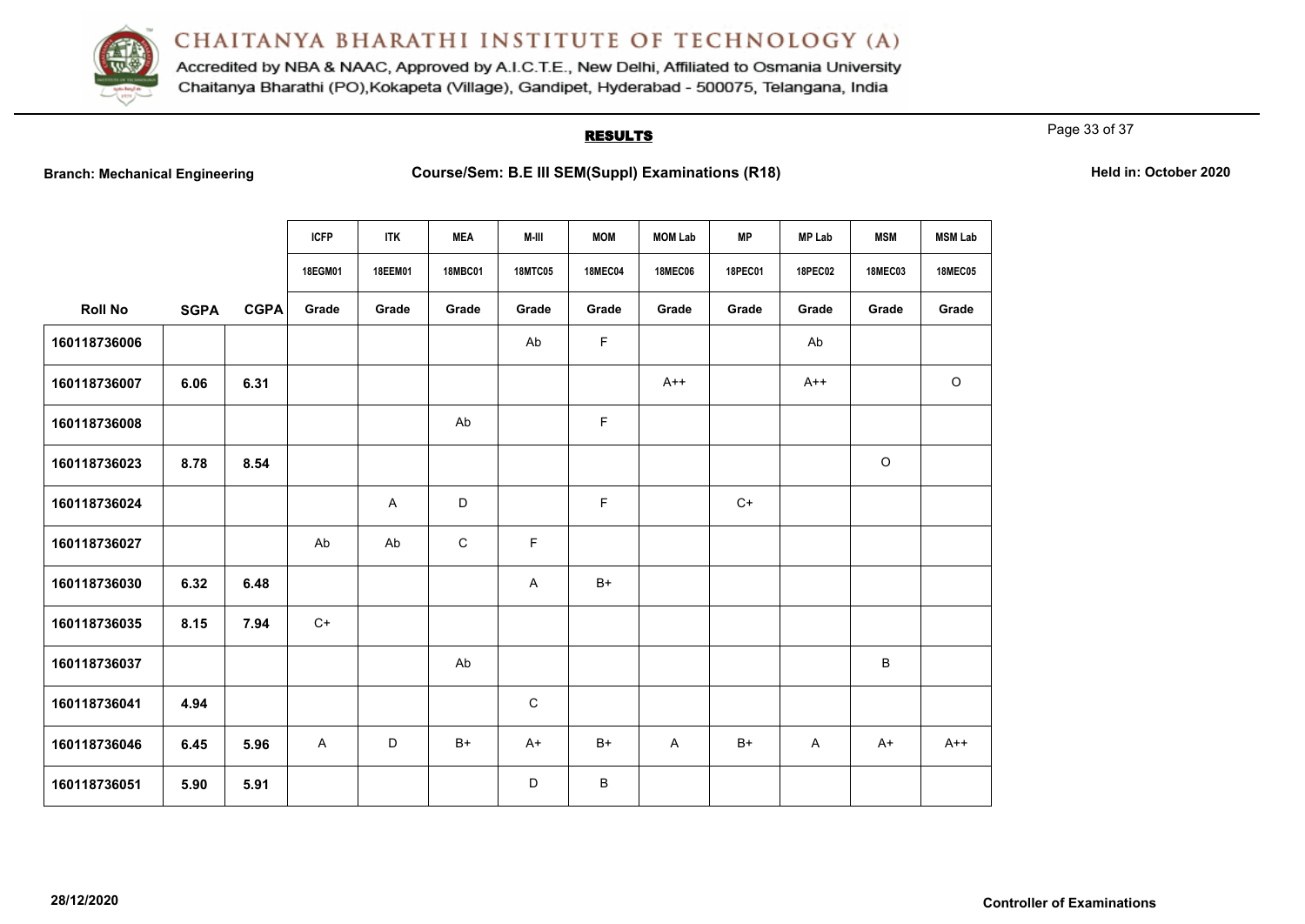

Accredited by NBA & NAAC, Approved by A.I.C.T.E., New Delhi, Affiliated to Osmania University Chaitanya Bharathi (PO), Kokapeta (Village), Gandipet, Hyderabad - 500075, Telangana, India

# **RESULTS**

Page 33 of 37

|                |             |             | <b>ICFP</b> | <b>ITK</b>                | <b>MEA</b>     | M-III          | <b>MOM</b>     | <b>MOM Lab</b> | <b>MP</b>      | <b>MP Lab</b>  | <b>MSM</b>     | <b>MSM Lab</b> |
|----------------|-------------|-------------|-------------|---------------------------|----------------|----------------|----------------|----------------|----------------|----------------|----------------|----------------|
|                |             |             | 18EGM01     | 18EEM01                   | <b>18MBC01</b> | <b>18MTC05</b> | <b>18MEC04</b> | <b>18MEC06</b> | <b>18PEC01</b> | <b>18PEC02</b> | <b>18MEC03</b> | <b>18MEC05</b> |
| <b>Roll No</b> | <b>SGPA</b> | <b>CGPA</b> | Grade       | Grade                     | Grade          | Grade          | Grade          | Grade          | Grade          | Grade          | Grade          | Grade          |
| 160118736006   |             |             |             |                           |                | Ab             | F              |                |                | Ab             |                |                |
| 160118736007   | 6.06        | 6.31        |             |                           |                |                |                | $A++$          |                | $A++$          |                | $\circ$        |
| 160118736008   |             |             |             |                           | Ab             |                | $\mathsf F$    |                |                |                |                |                |
| 160118736023   | 8.78        | 8.54        |             |                           |                |                |                |                |                |                | $\circ$        |                |
| 160118736024   |             |             |             | $\boldsymbol{\mathsf{A}}$ | D              |                | F              |                | $C+$           |                |                |                |
| 160118736027   |             |             | Ab          | Ab                        | $\mathsf C$    | F.             |                |                |                |                |                |                |
| 160118736030   | 6.32        | 6.48        |             |                           |                | A              | $B+$           |                |                |                |                |                |
| 160118736035   | 8.15        | 7.94        | $C+$        |                           |                |                |                |                |                |                |                |                |
| 160118736037   |             |             |             |                           | Ab             |                |                |                |                |                | B              |                |
| 160118736041   | 4.94        |             |             |                           |                | $\mathbf C$    |                |                |                |                |                |                |
| 160118736046   | 6.45        | 5.96        | A           | D                         | $B+$           | $A+$           | $B+$           | A              | B+             | $\mathsf{A}$   | $A+$           | $A++$          |
| 160118736051   | 5.90        | 5.91        |             |                           |                | D              | B              |                |                |                |                |                |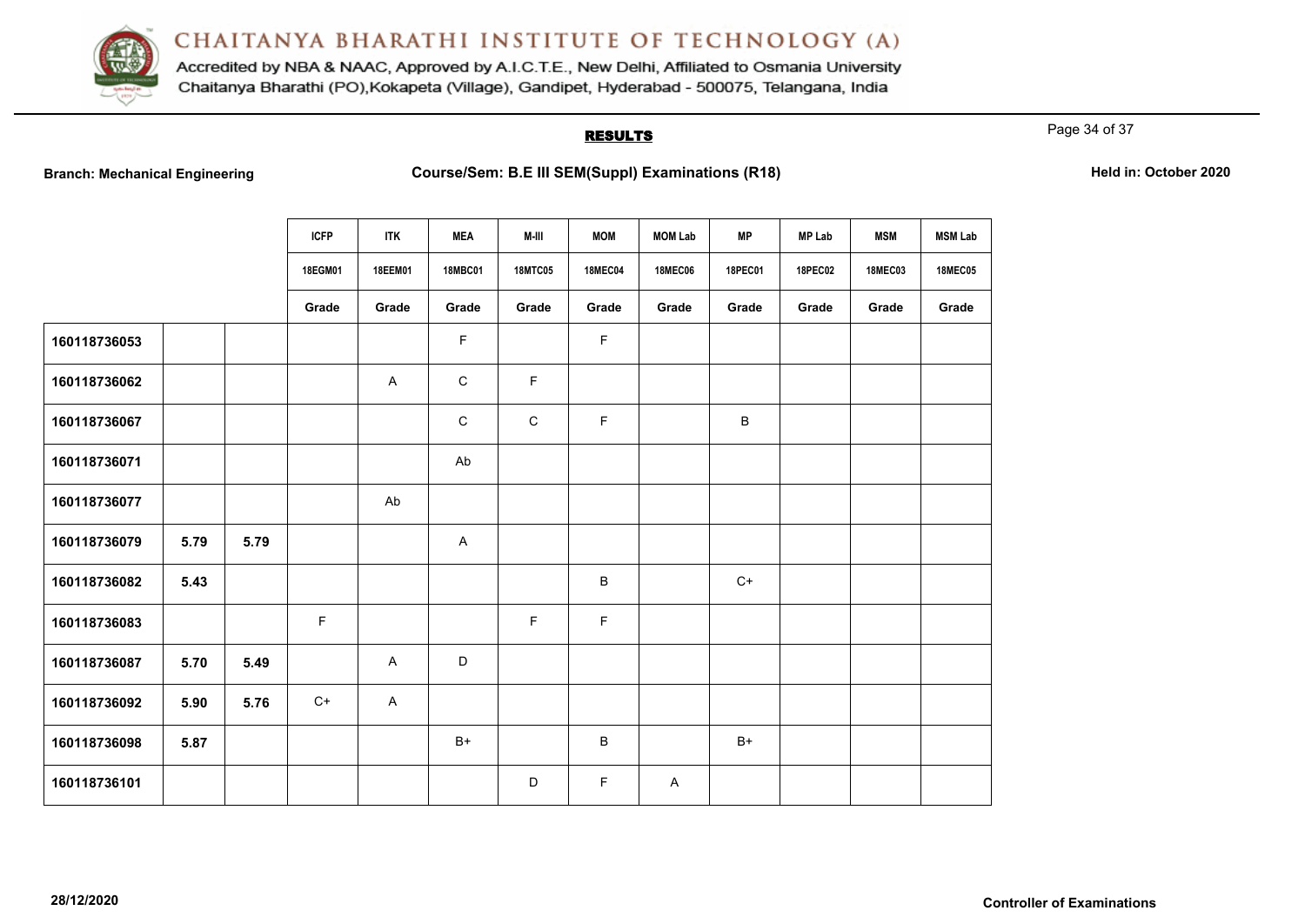

Accredited by NBA & NAAC, Approved by A.I.C.T.E., New Delhi, Affiliated to Osmania University Chaitanya Bharathi (PO), Kokapeta (Village), Gandipet, Hyderabad - 500075, Telangana, India

# **RESULTS**

Page 34 of 37

|              |      |      | <b>ICFP</b> | <b>ITK</b> | <b>MEA</b>     | M-III          | <b>MOM</b>     | <b>MOM Lab</b> | <b>MP</b>    | <b>MP Lab</b>  | <b>MSM</b>     | <b>MSM Lab</b> |
|--------------|------|------|-------------|------------|----------------|----------------|----------------|----------------|--------------|----------------|----------------|----------------|
|              |      |      | 18EGM01     | 18EEM01    | <b>18MBC01</b> | <b>18MTC05</b> | <b>18MEC04</b> | <b>18MEC06</b> | 18PEC01      | <b>18PEC02</b> | <b>18MEC03</b> | <b>18MEC05</b> |
|              |      |      | Grade       | Grade      | Grade          | Grade          | Grade          | Grade          | Grade        | Grade          | Grade          | Grade          |
| 160118736053 |      |      |             |            | F              |                | $\mathsf F$    |                |              |                |                |                |
| 160118736062 |      |      |             | A          | $\mathbf C$    | $\mathsf F$    |                |                |              |                |                |                |
| 160118736067 |      |      |             |            | $\mathbf C$    | ${\bf C}$      | $\mathsf F$    |                | $\, {\sf B}$ |                |                |                |
| 160118736071 |      |      |             |            | Ab             |                |                |                |              |                |                |                |
| 160118736077 |      |      |             | Ab         |                |                |                |                |              |                |                |                |
| 160118736079 | 5.79 | 5.79 |             |            | A              |                |                |                |              |                |                |                |
| 160118736082 | 5.43 |      |             |            |                |                | B              |                | $C+$         |                |                |                |
| 160118736083 |      |      | $\mathsf F$ |            |                | F              | $\mathsf F$    |                |              |                |                |                |
| 160118736087 | 5.70 | 5.49 |             | A          | D              |                |                |                |              |                |                |                |
| 160118736092 | 5.90 | 5.76 | $C+$        | A          |                |                |                |                |              |                |                |                |
| 160118736098 | 5.87 |      |             |            | $B+$           |                | B              |                | $B+$         |                |                |                |
| 160118736101 |      |      |             |            |                | D              | F.             | A              |              |                |                |                |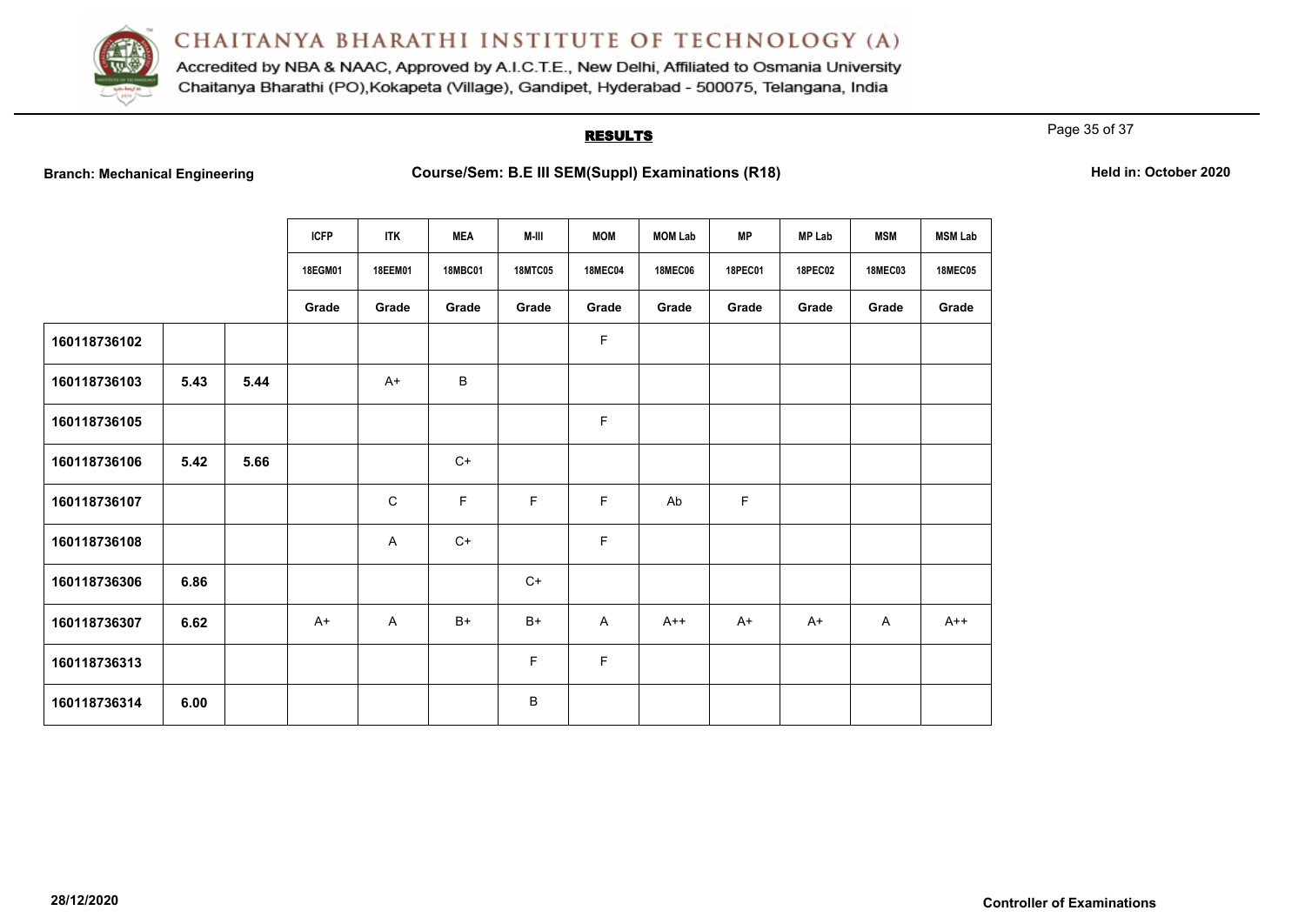

Accredited by NBA & NAAC, Approved by A.I.C.T.E., New Delhi, Affiliated to Osmania University Chaitanya Bharathi (PO), Kokapeta (Village), Gandipet, Hyderabad - 500075, Telangana, India

# **RESULTS**

Page 35 of 37

|              |      |      | <b>ICFP</b> | <b>ITK</b>  | <b>MEA</b>     | M-III          | <b>MOM</b>     | <b>MOM Lab</b> | <b>MP</b>      | <b>MP Lab</b>  | <b>MSM</b>     | <b>MSM Lab</b> |
|--------------|------|------|-------------|-------------|----------------|----------------|----------------|----------------|----------------|----------------|----------------|----------------|
|              |      |      | 18EGM01     | 18EEM01     | <b>18MBC01</b> | <b>18MTC05</b> | <b>18MEC04</b> | <b>18MEC06</b> | <b>18PEC01</b> | <b>18PEC02</b> | <b>18MEC03</b> | <b>18MEC05</b> |
|              |      |      | Grade       | Grade       | Grade          | Grade          | Grade          | Grade          | Grade          | Grade          | Grade          | Grade          |
| 160118736102 |      |      |             |             |                |                | F              |                |                |                |                |                |
| 160118736103 | 5.43 | 5.44 |             | $A+$        | B              |                |                |                |                |                |                |                |
| 160118736105 |      |      |             |             |                |                | F              |                |                |                |                |                |
| 160118736106 | 5.42 | 5.66 |             |             | $C+$           |                |                |                |                |                |                |                |
| 160118736107 |      |      |             | $\mathbf C$ | F              | F              | F.             | Ab             | $\mathsf F$    |                |                |                |
| 160118736108 |      |      |             | A           | $C+$           |                | F.             |                |                |                |                |                |
| 160118736306 | 6.86 |      |             |             |                | $C+$           |                |                |                |                |                |                |
| 160118736307 | 6.62 |      | $A+$        | A           | $B+$           | $B+$           | $\mathsf{A}$   | $A++$          | $A+$           | $A+$           | $\mathsf{A}$   | $A++$          |
| 160118736313 |      |      |             |             |                | F              | F.             |                |                |                |                |                |
| 160118736314 | 6.00 |      |             |             |                | B              |                |                |                |                |                |                |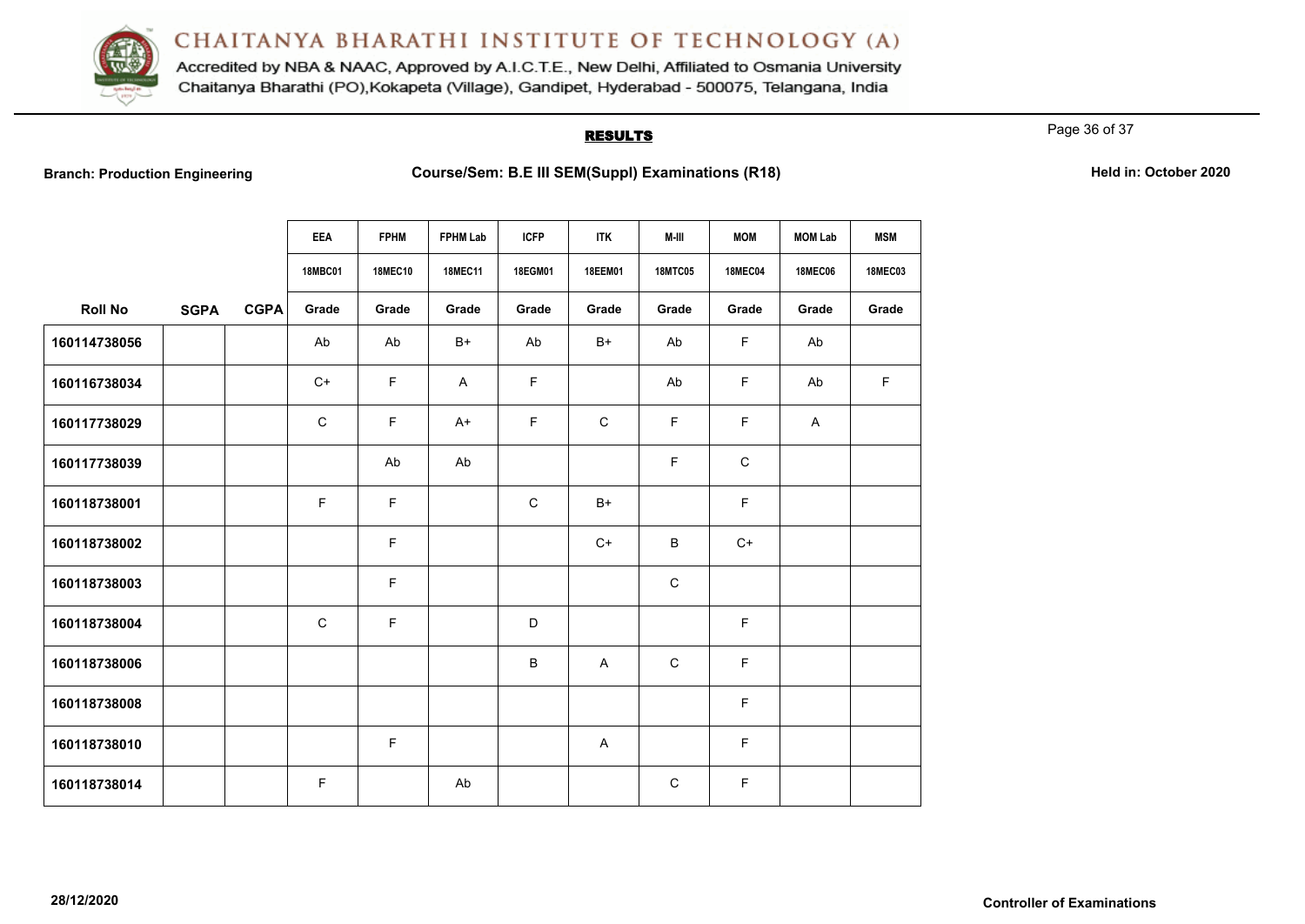

Accredited by NBA & NAAC, Approved by A.I.C.T.E., New Delhi, Affiliated to Osmania University Chaitanya Bharathi (PO), Kokapeta (Village), Gandipet, Hyderabad - 500075, Telangana, India

# **RESULTS**

Page 36 of 37

**Branch: Production Engineering Examinations (R18) Course/Sem: B.E III SEM(Suppl) Examinations (R18) Held in: October 2020** 

|                |             |             | <b>EEA</b>     | <b>FPHM</b>    | <b>FPHM Lab</b> | <b>ICFP</b> | <b>ITK</b>  | M-III          | <b>MOM</b>     | <b>MOM Lab</b> | <b>MSM</b>     |
|----------------|-------------|-------------|----------------|----------------|-----------------|-------------|-------------|----------------|----------------|----------------|----------------|
|                |             |             | <b>18MBC01</b> | <b>18MEC10</b> | <b>18MEC11</b>  | 18EGM01     | 18EEM01     | <b>18MTC05</b> | <b>18MEC04</b> | <b>18MEC06</b> | <b>18MEC03</b> |
| <b>Roll No</b> | <b>SGPA</b> | <b>CGPA</b> | Grade          | Grade          | Grade           | Grade       | Grade       | Grade          | Grade          | Grade          | Grade          |
| 160114738056   |             |             | Ab             | Ab             | $B+$            | Ab          | $B+$        | Ab             | $\mathsf F$    | Ab             |                |
| 160116738034   |             |             | $C+$           | F              | $\mathsf{A}$    | $\mathsf F$ |             | Ab             | F.             | Ab             | F              |
| 160117738029   |             |             | $\mathsf{C}$   | F              | $A+$            | F           | $\mathsf C$ | F              | $\mathsf F$    | A              |                |
| 160117738039   |             |             |                | Ab             | Ab              |             |             | F              | $\mathsf C$    |                |                |
| 160118738001   |             |             | F              | F.             |                 | $\mathsf C$ | $B+$        |                | F              |                |                |
| 160118738002   |             |             |                | F              |                 |             | $C+$        | $\sf B$        | $C+$           |                |                |
| 160118738003   |             |             |                | F              |                 |             |             | $\mathbf C$    |                |                |                |
| 160118738004   |             |             | $\mathbf C$    | F              |                 | $\mathsf D$ |             |                | $\mathsf F$    |                |                |
| 160118738006   |             |             |                |                |                 | B           | A           | $\mathbf C$    | $\mathsf F$    |                |                |
| 160118738008   |             |             |                |                |                 |             |             |                | $\mathsf F$    |                |                |
| 160118738010   |             |             |                | F.             |                 |             | A           |                | F              |                |                |
| 160118738014   |             |             | F              |                | Ab              |             |             | $\mathsf{C}$   | F              |                |                |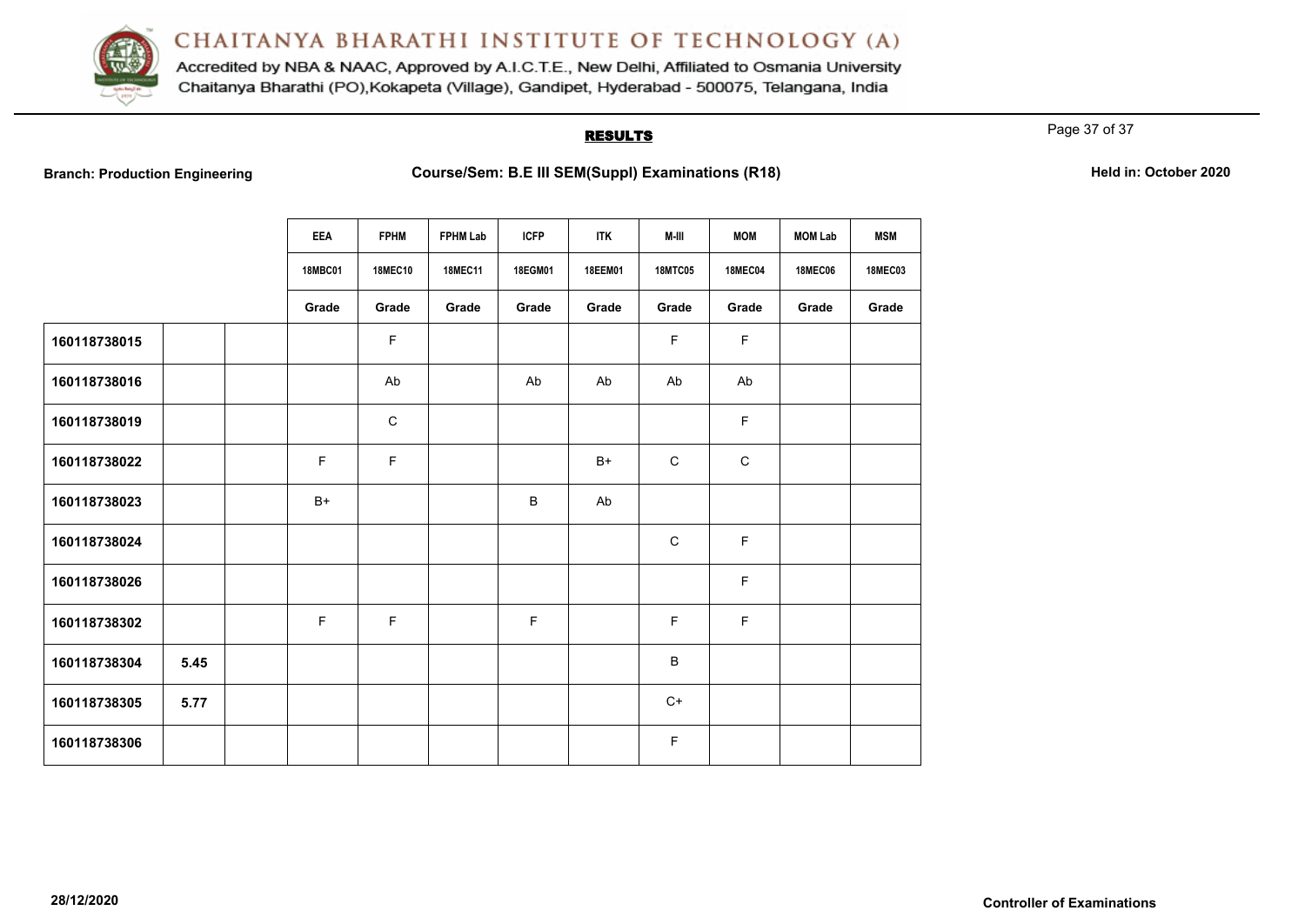

Accredited by NBA & NAAC, Approved by A.I.C.T.E., New Delhi, Affiliated to Osmania University Chaitanya Bharathi (PO), Kokapeta (Village), Gandipet, Hyderabad - 500075, Telangana, India

# **RESULTS**

Page 37 of 37

**Branch: Production Engineering Examinations (R18) Course/Sem: B.E III SEM(Suppl) Examinations (R18) Held in: October 2020** 

|              |      | <b>EEA</b>     | <b>FPHM</b>    | <b>FPHM Lab</b> | <b>ICFP</b> | <b>ITK</b>     | M-III          | <b>MOM</b>     | <b>MOM Lab</b> | <b>MSM</b>     |
|--------------|------|----------------|----------------|-----------------|-------------|----------------|----------------|----------------|----------------|----------------|
|              |      | <b>18MBC01</b> | <b>18MEC10</b> | <b>18MEC11</b>  | 18EGM01     | <b>18EEM01</b> | <b>18MTC05</b> | <b>18MEC04</b> | <b>18MEC06</b> | <b>18MEC03</b> |
|              |      | Grade          | Grade          | Grade           | Grade       | Grade          | Grade          | Grade          | Grade          | Grade          |
| 160118738015 |      |                | $\mathsf F$    |                 |             |                | $\mathsf F$    | $\mathsf F$    |                |                |
| 160118738016 |      |                | Ab             |                 | Ab          | Ab             | Ab             | Ab             |                |                |
| 160118738019 |      |                | $\mathsf C$    |                 |             |                |                | F              |                |                |
| 160118738022 |      | E              | F              |                 |             | $B+$           | $\mathsf C$    | $\mathsf C$    |                |                |
| 160118738023 |      | $B+$           |                |                 | B           | Ab             |                |                |                |                |
| 160118738024 |      |                |                |                 |             |                | $\mathbf C$    | F              |                |                |
| 160118738026 |      |                |                |                 |             |                |                | $\mathsf F$    |                |                |
| 160118738302 |      | $\mathsf F$    | F              |                 | F           |                | F              | F              |                |                |
| 160118738304 | 5.45 |                |                |                 |             |                | $\sf B$        |                |                |                |
| 160118738305 | 5.77 |                |                |                 |             |                | $C+$           |                |                |                |
| 160118738306 |      |                |                |                 |             |                | $\mathsf F$    |                |                |                |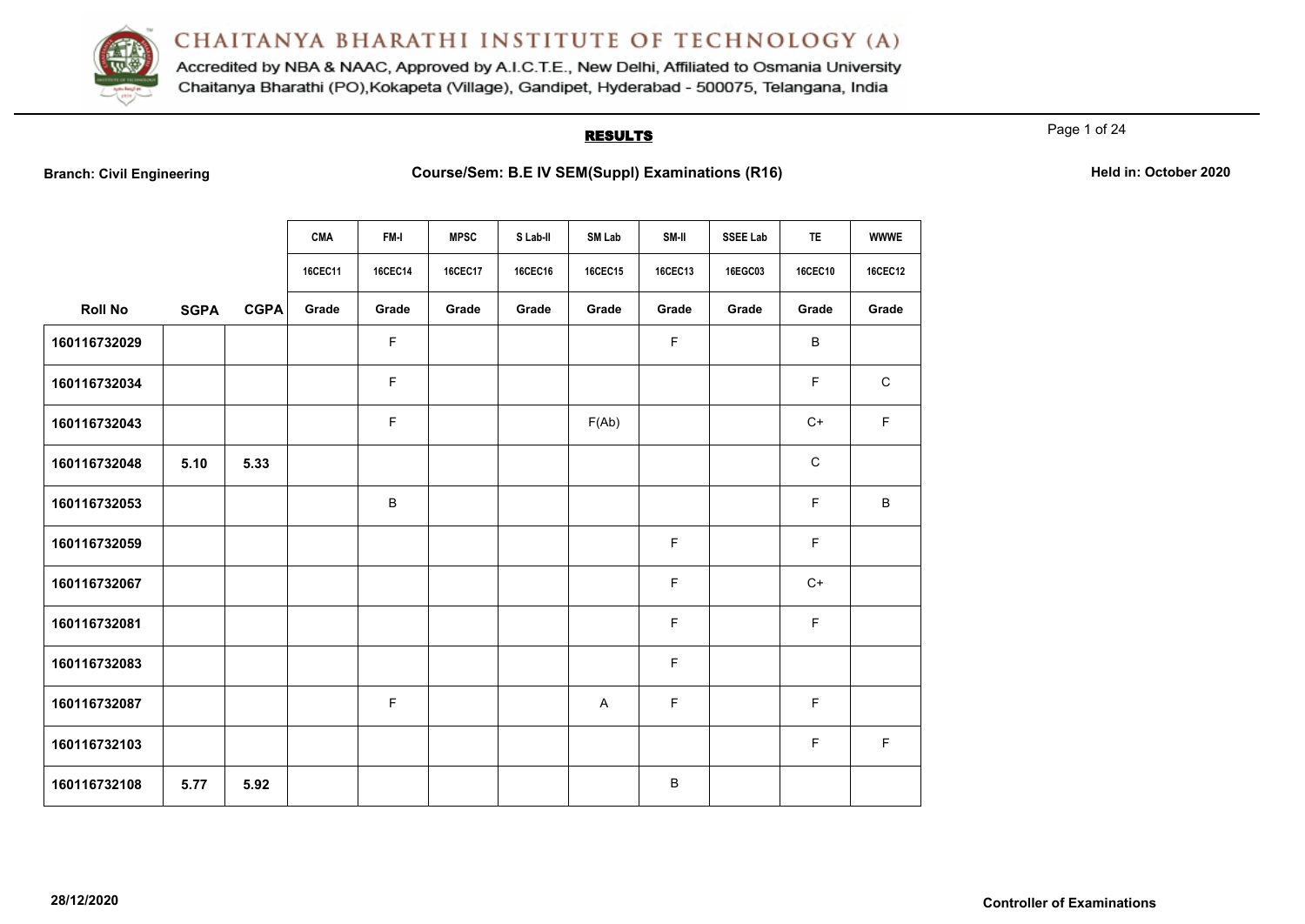

Accredited by NBA & NAAC, Approved by A.I.C.T.E., New Delhi, Affiliated to Osmania University Chaitanya Bharathi (PO), Kokapeta (Village), Gandipet, Hyderabad - 500075, Telangana, India

## **RESULTS**

Page 1 of 24

|                |             |             | <b>CMA</b> | FM-I    | <b>MPSC</b>    | S Lab-II | <b>SM Lab</b>  | SM-II   | <b>SSEE Lab</b> | <b>TE</b>      | <b>WWWE</b>    |
|----------------|-------------|-------------|------------|---------|----------------|----------|----------------|---------|-----------------|----------------|----------------|
|                |             |             | 16CEC11    | 16CEC14 | <b>16CEC17</b> | 16CEC16  | <b>16CEC15</b> | 16CEC13 | 16EGC03         | <b>16CEC10</b> | <b>16CEC12</b> |
| <b>Roll No</b> | <b>SGPA</b> | <b>CGPA</b> | Grade      | Grade   | Grade          | Grade    | Grade          | Grade   | Grade           | Grade          | Grade          |
| 160116732029   |             |             |            | F       |                |          |                | F       |                 | B              |                |
| 160116732034   |             |             |            | F.      |                |          |                |         |                 | F              | $\mathsf C$    |
| 160116732043   |             |             |            | F       |                |          | F(Ab)          |         |                 | $C+$           | F              |
| 160116732048   | 5.10        | 5.33        |            |         |                |          |                |         |                 | $\mathbf C$    |                |
| 160116732053   |             |             |            | В       |                |          |                |         |                 | $\mathsf F$    | В              |
| 160116732059   |             |             |            |         |                |          |                | F       |                 | F              |                |
| 160116732067   |             |             |            |         |                |          |                | F       |                 | $C+$           |                |
| 160116732081   |             |             |            |         |                |          |                | F       |                 | $\mathsf F$    |                |
| 160116732083   |             |             |            |         |                |          |                | F       |                 |                |                |
| 160116732087   |             |             |            | F       |                |          | A              | F       |                 | F              |                |
| 160116732103   |             |             |            |         |                |          |                |         |                 | F              | F              |
| 160116732108   | 5.77        | 5.92        |            |         |                |          |                | B       |                 |                |                |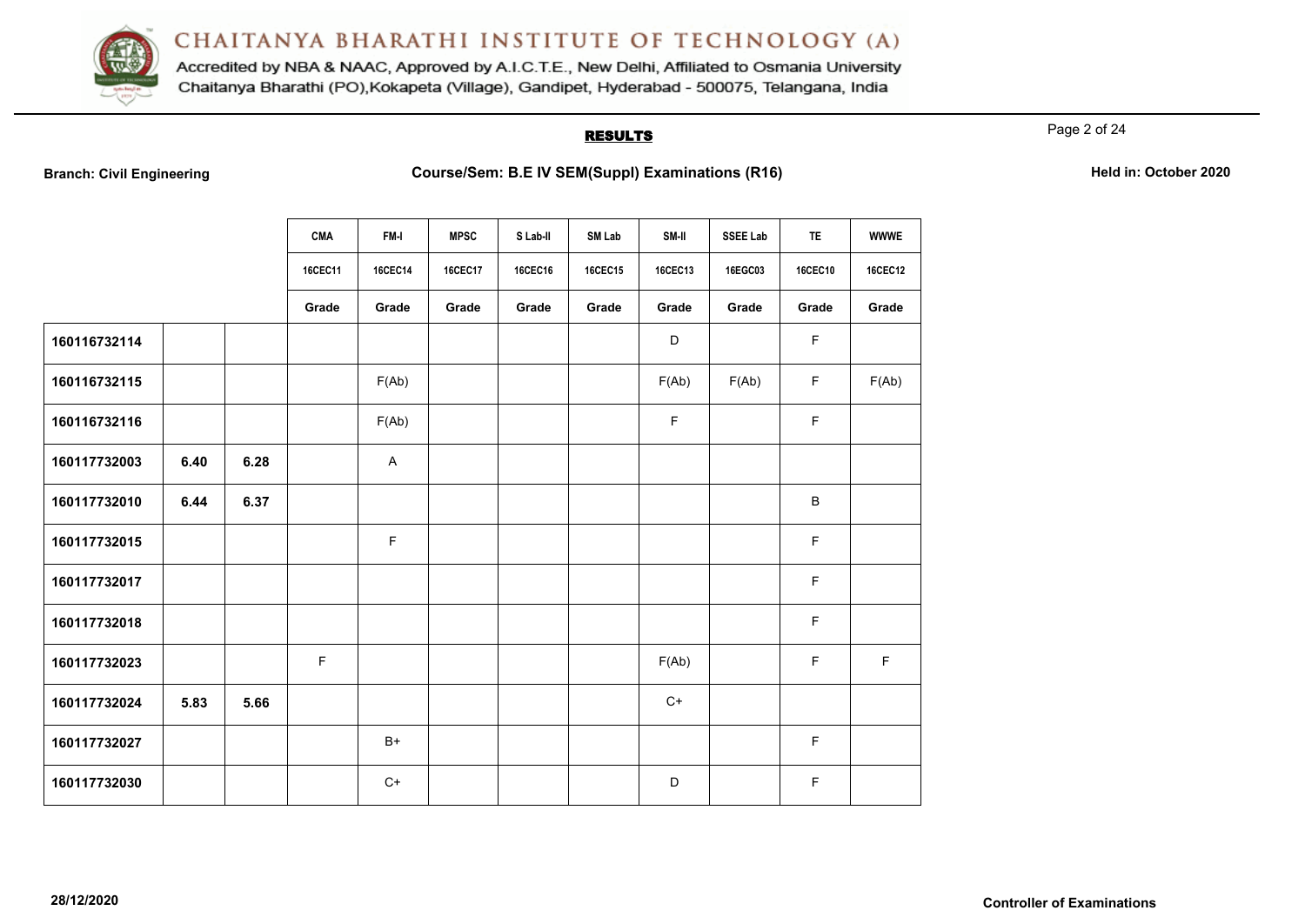

Accredited by NBA & NAAC, Approved by A.I.C.T.E., New Delhi, Affiliated to Osmania University Chaitanya Bharathi (PO), Kokapeta (Village), Gandipet, Hyderabad - 500075, Telangana, India

# **RESULTS**

Page 2 of 24

|  | <b>Branch: Civil Engineering</b> |  |
|--|----------------------------------|--|
|  |                                  |  |

|              |      |      | <b>CMA</b> | FM-I    | <b>MPSC</b> | S Lab-II | <b>SM Lab</b>  | SM-II          | <b>SSEE Lab</b> | <b>TE</b>      | <b>WWWE</b>    |
|--------------|------|------|------------|---------|-------------|----------|----------------|----------------|-----------------|----------------|----------------|
|              |      |      |            |         |             |          |                |                |                 |                |                |
|              |      |      | 16CEC11    | 16CEC14 | 16CEC17     | 16CEC16  | <b>16CEC15</b> | <b>16CEC13</b> | 16EGC03         | <b>16CEC10</b> | <b>16CEC12</b> |
|              |      |      | Grade      | Grade   | Grade       | Grade    | Grade          | Grade          | Grade           | Grade          | Grade          |
| 160116732114 |      |      |            |         |             |          |                | $\mathsf D$    |                 | F              |                |
| 160116732115 |      |      |            | F(Ab)   |             |          |                | F(Ab)          | F(Ab)           | $\mathsf F$    | F(Ab)          |
| 160116732116 |      |      |            | F(Ab)   |             |          |                | $\mathsf F$    |                 | F              |                |
| 160117732003 | 6.40 | 6.28 |            | A       |             |          |                |                |                 |                |                |
| 160117732010 | 6.44 | 6.37 |            |         |             |          |                |                |                 | B              |                |
| 160117732015 |      |      |            | F       |             |          |                |                |                 | F              |                |
| 160117732017 |      |      |            |         |             |          |                |                |                 | F              |                |
| 160117732018 |      |      |            |         |             |          |                |                |                 | F              |                |
| 160117732023 |      |      | F          |         |             |          |                | F(Ab)          |                 | F              | $\mathsf F$    |
| 160117732024 | 5.83 | 5.66 |            |         |             |          |                | $C+$           |                 |                |                |
| 160117732027 |      |      |            | $B+$    |             |          |                |                |                 | F              |                |
| 160117732030 |      |      |            | $C+$    |             |          |                | D              |                 | F              |                |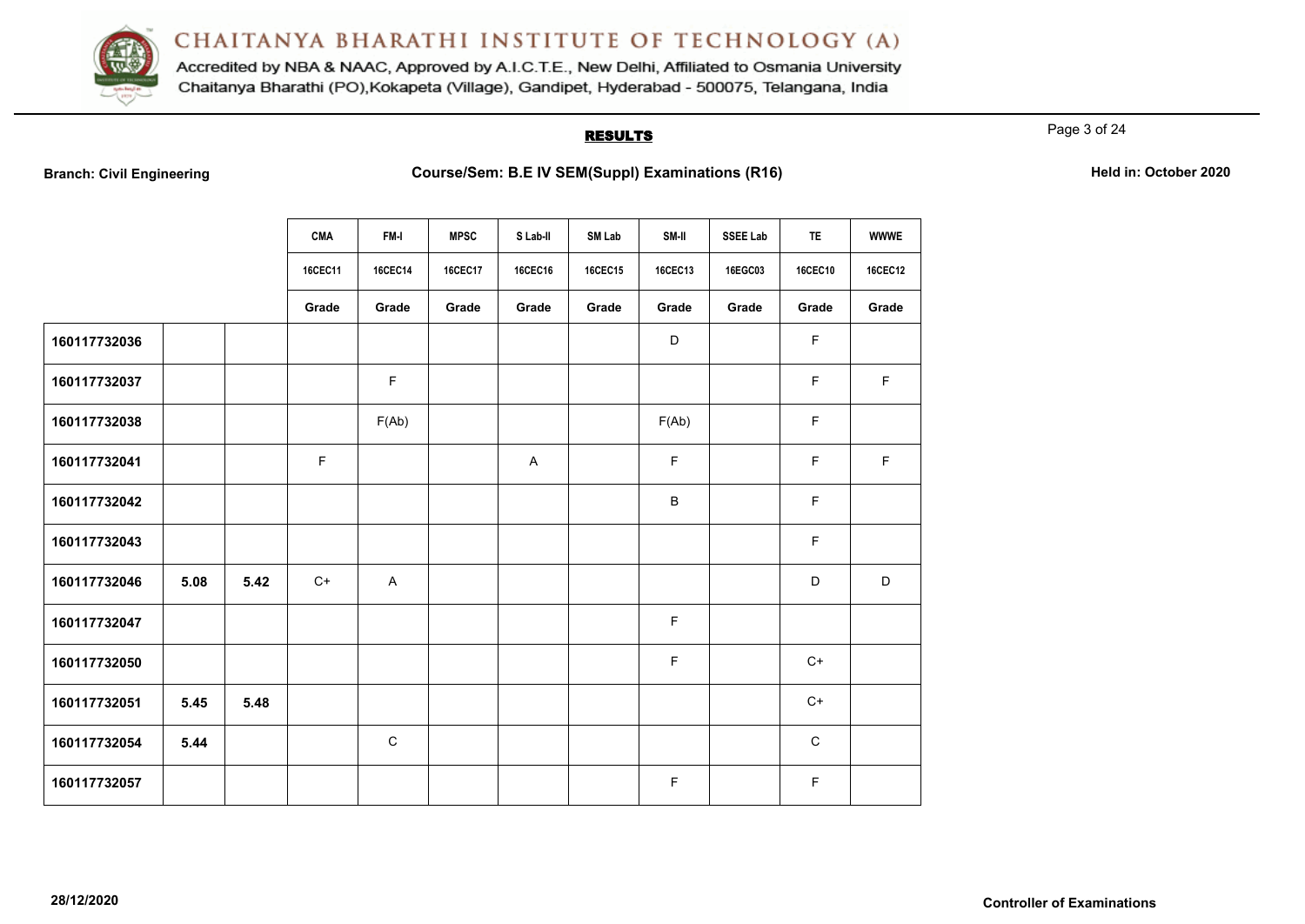

Accredited by NBA & NAAC, Approved by A.I.C.T.E., New Delhi, Affiliated to Osmania University Chaitanya Bharathi (PO), Kokapeta (Village), Gandipet, Hyderabad - 500075, Telangana, India

# **RESULTS**

Page 3 of 24

|  | <b>Branch: Civil Engineering</b> |  |
|--|----------------------------------|--|
|  |                                  |  |

|              |      |      | <b>CMA</b>  | FM-I           | <b>MPSC</b>    | S Lab-II | SM Lab         | SM-II   | <b>SSEE Lab</b> | <b>TE</b>      | <b>WWWE</b>    |
|--------------|------|------|-------------|----------------|----------------|----------|----------------|---------|-----------------|----------------|----------------|
|              |      |      | 16CEC11     | <b>16CEC14</b> | <b>16CEC17</b> | 16CEC16  | <b>16CEC15</b> | 16CEC13 | 16EGC03         | <b>16CEC10</b> | <b>16CEC12</b> |
|              |      |      | Grade       | Grade          | Grade          | Grade    | Grade          | Grade   | Grade           | Grade          | Grade          |
| 160117732036 |      |      |             |                |                |          |                | D       |                 | $\mathsf F$    |                |
| 160117732037 |      |      |             | F              |                |          |                |         |                 | $\mathsf F$    | F              |
| 160117732038 |      |      |             | F(Ab)          |                |          |                | F(Ab)   |                 | $\mathsf F$    |                |
| 160117732041 |      |      | $\mathsf F$ |                |                | A        |                | F       |                 | $\mathsf F$    | $\mathsf F$    |
| 160117732042 |      |      |             |                |                |          |                | B       |                 | $\mathsf F$    |                |
| 160117732043 |      |      |             |                |                |          |                |         |                 | $\mathsf F$    |                |
| 160117732046 | 5.08 | 5.42 | $C+$        | A              |                |          |                |         |                 | D              | D              |
| 160117732047 |      |      |             |                |                |          |                | F       |                 |                |                |
| 160117732050 |      |      |             |                |                |          |                | F       |                 | $C+$           |                |
| 160117732051 | 5.45 | 5.48 |             |                |                |          |                |         |                 | $C+$           |                |
| 160117732054 | 5.44 |      |             | $\mathbf C$    |                |          |                |         |                 | $\mathsf C$    |                |
| 160117732057 |      |      |             |                |                |          |                | F       |                 | $\mathsf F$    |                |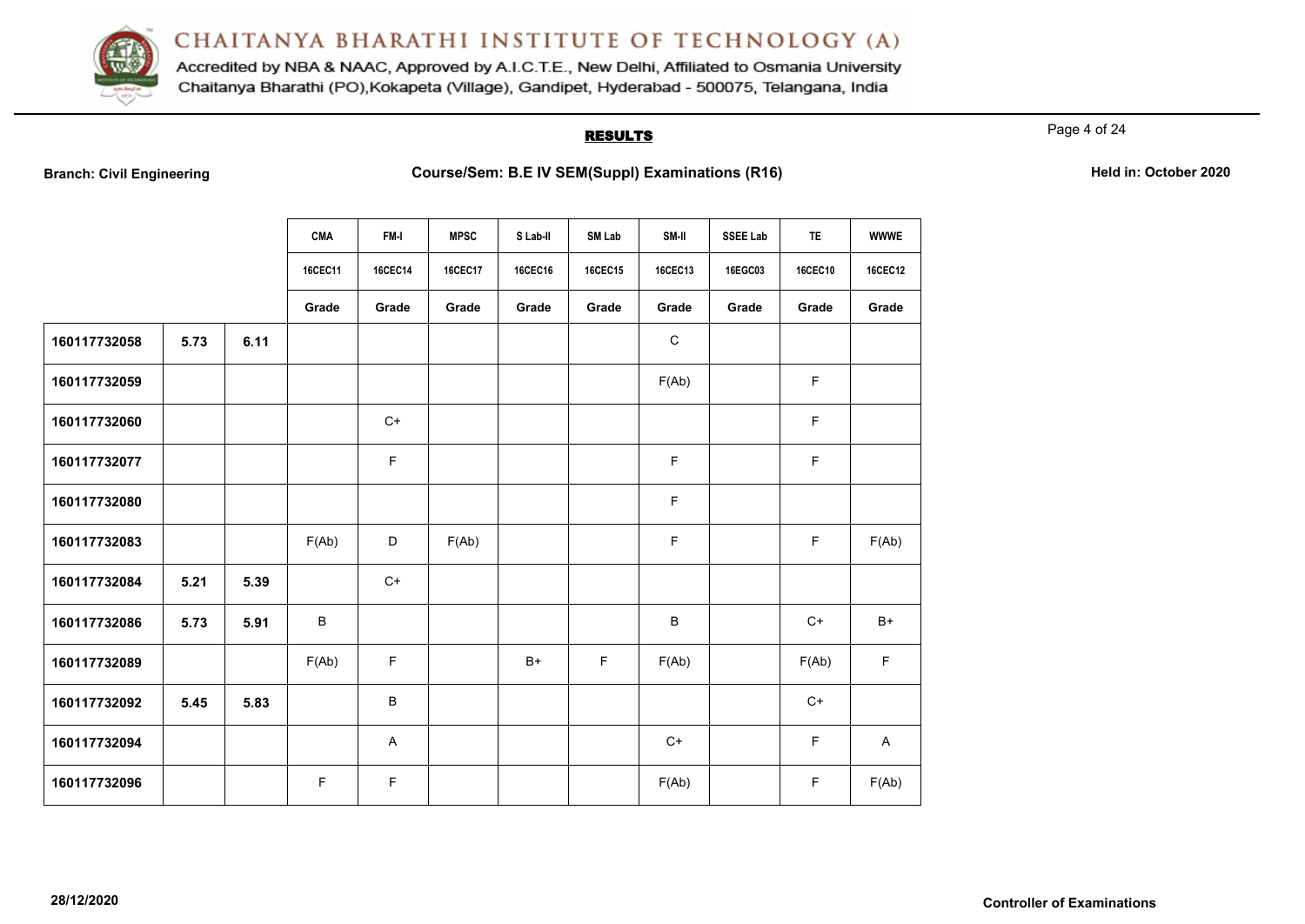

Accredited by NBA & NAAC, Approved by A.I.C.T.E., New Delhi, Affiliated to Osmania University Chaitanya Bharathi (PO), Kokapeta (Village), Gandipet, Hyderabad - 500075, Telangana, India

# **RESULTS**

Page 4 of 24

|  | <b>Branch: Civil Engineering</b> |  |
|--|----------------------------------|--|
|  |                                  |  |

|              |      |      | <b>CMA</b> | FM-I           | <b>MPSC</b>    | S Lab-II | SM Lab         | SM-II          | <b>SSEE Lab</b> | <b>TE</b> | <b>WWWE</b>    |
|--------------|------|------|------------|----------------|----------------|----------|----------------|----------------|-----------------|-----------|----------------|
|              |      |      | 16CEC11    | <b>16CEC14</b> | <b>16CEC17</b> | 16CEC16  | <b>16CEC15</b> | <b>16CEC13</b> | 16EGC03         | 16CEC10   | <b>16CEC12</b> |
|              |      |      | Grade      | Grade          | Grade          | Grade    | Grade          | Grade          | Grade           | Grade     | Grade          |
| 160117732058 | 5.73 | 6.11 |            |                |                |          |                | ${\bf C}$      |                 |           |                |
| 160117732059 |      |      |            |                |                |          |                | F(Ab)          |                 | F.        |                |
| 160117732060 |      |      |            | $C+$           |                |          |                |                |                 | F         |                |
| 160117732077 |      |      |            | $\mathsf F$    |                |          |                | F              |                 | F         |                |
| 160117732080 |      |      |            |                |                |          |                | F              |                 |           |                |
| 160117732083 |      |      | F(Ab)      | D              | F(Ab)          |          |                | F              |                 | F.        | F(Ab)          |
| 160117732084 | 5.21 | 5.39 |            | $C+$           |                |          |                |                |                 |           |                |
| 160117732086 | 5.73 | 5.91 | B          |                |                |          |                | B              |                 | $C+$      | $B+$           |
| 160117732089 |      |      | F(Ab)      | F              |                | $B+$     | F              | F(Ab)          |                 | F(Ab)     | $\mathsf F$    |
| 160117732092 | 5.45 | 5.83 |            | B              |                |          |                |                |                 | $C+$      |                |
| 160117732094 |      |      |            | A              |                |          |                | $C+$           |                 | F         | A              |
| 160117732096 |      |      | F.         | F              |                |          |                | F(Ab)          |                 | F.        | F(Ab)          |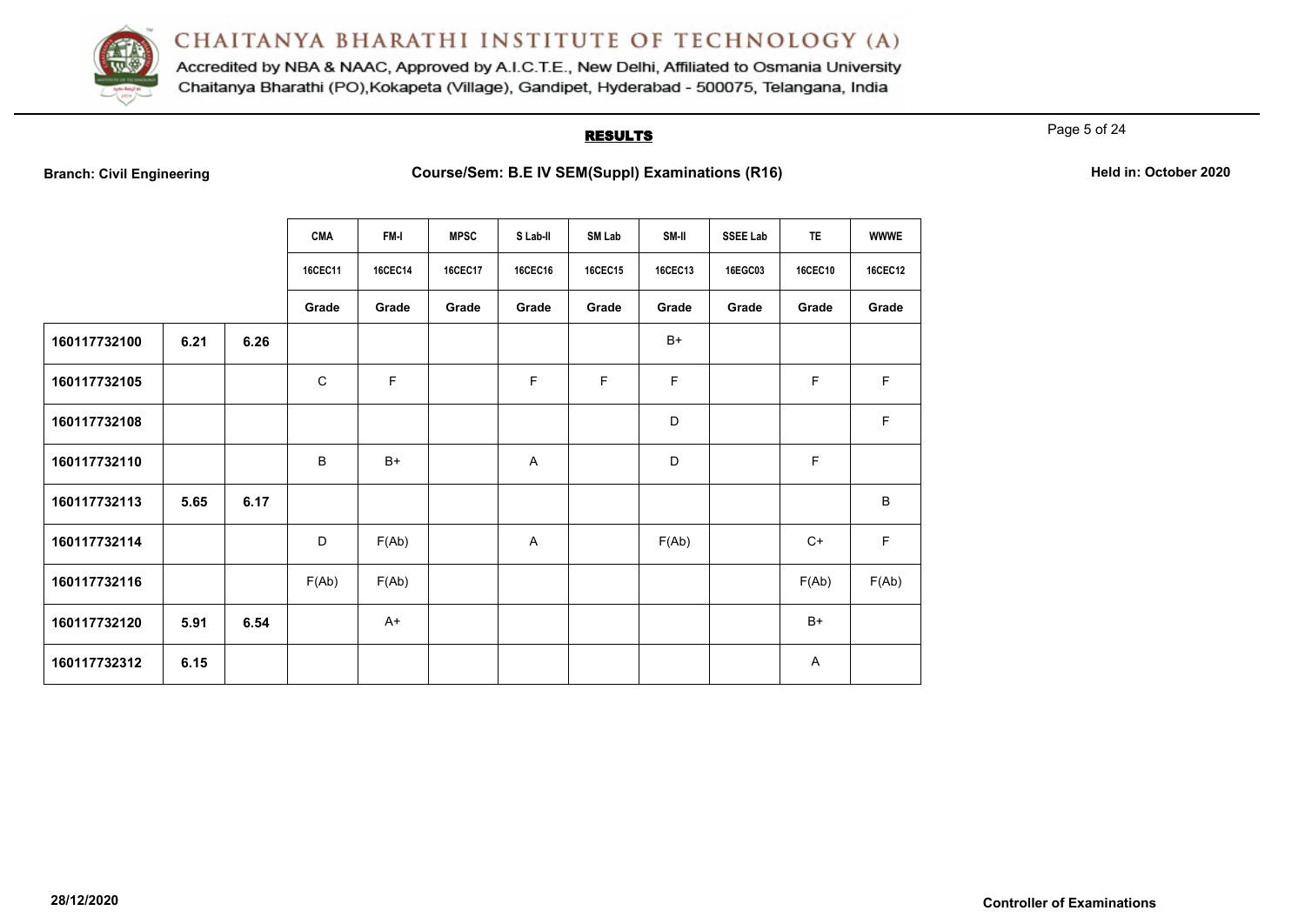

Accredited by NBA & NAAC, Approved by A.I.C.T.E., New Delhi, Affiliated to Osmania University Chaitanya Bharathi (PO), Kokapeta (Village), Gandipet, Hyderabad - 500075, Telangana, India

### **RESULTS**

Page 5 of 24

|  | <b>Branch: Civil Engineering</b> |  |
|--|----------------------------------|--|
|  |                                  |  |

|              |      |      | <b>CMA</b>     | FM-I           | <b>MPSC</b>    | S Lab-II       | <b>SM Lab</b>  | SM-II   | SSEE Lab | <b>TE</b>      | <b>WWWE</b>    |
|--------------|------|------|----------------|----------------|----------------|----------------|----------------|---------|----------|----------------|----------------|
|              |      |      | <b>16CEC11</b> | <b>16CEC14</b> | <b>16CEC17</b> | <b>16CEC16</b> | <b>16CEC15</b> | 16CEC13 | 16EGC03  | <b>16CEC10</b> | <b>16CEC12</b> |
|              |      |      | Grade          | Grade          | Grade          | Grade          | Grade          | Grade   | Grade    | Grade          | Grade          |
| 160117732100 | 6.21 | 6.26 |                |                |                |                |                | $B+$    |          |                |                |
| 160117732105 |      |      | $\mathsf C$    | $\mathsf F$    |                | F              | F              | F       |          | $\mathsf F$    | F              |
| 160117732108 |      |      |                |                |                |                |                | D       |          |                | F              |
| 160117732110 |      |      | B              | $B+$           |                | A              |                | D       |          | F              |                |
| 160117732113 | 5.65 | 6.17 |                |                |                |                |                |         |          |                | B              |
| 160117732114 |      |      | D              | F(Ab)          |                | A              |                | F(Ab)   |          | $C+$           | $\mathsf F$    |
| 160117732116 |      |      | F(Ab)          | F(Ab)          |                |                |                |         |          | F(Ab)          | F(Ab)          |
| 160117732120 | 5.91 | 6.54 |                | $A+$           |                |                |                |         |          | $B+$           |                |
| 160117732312 | 6.15 |      |                |                |                |                |                |         |          | A              |                |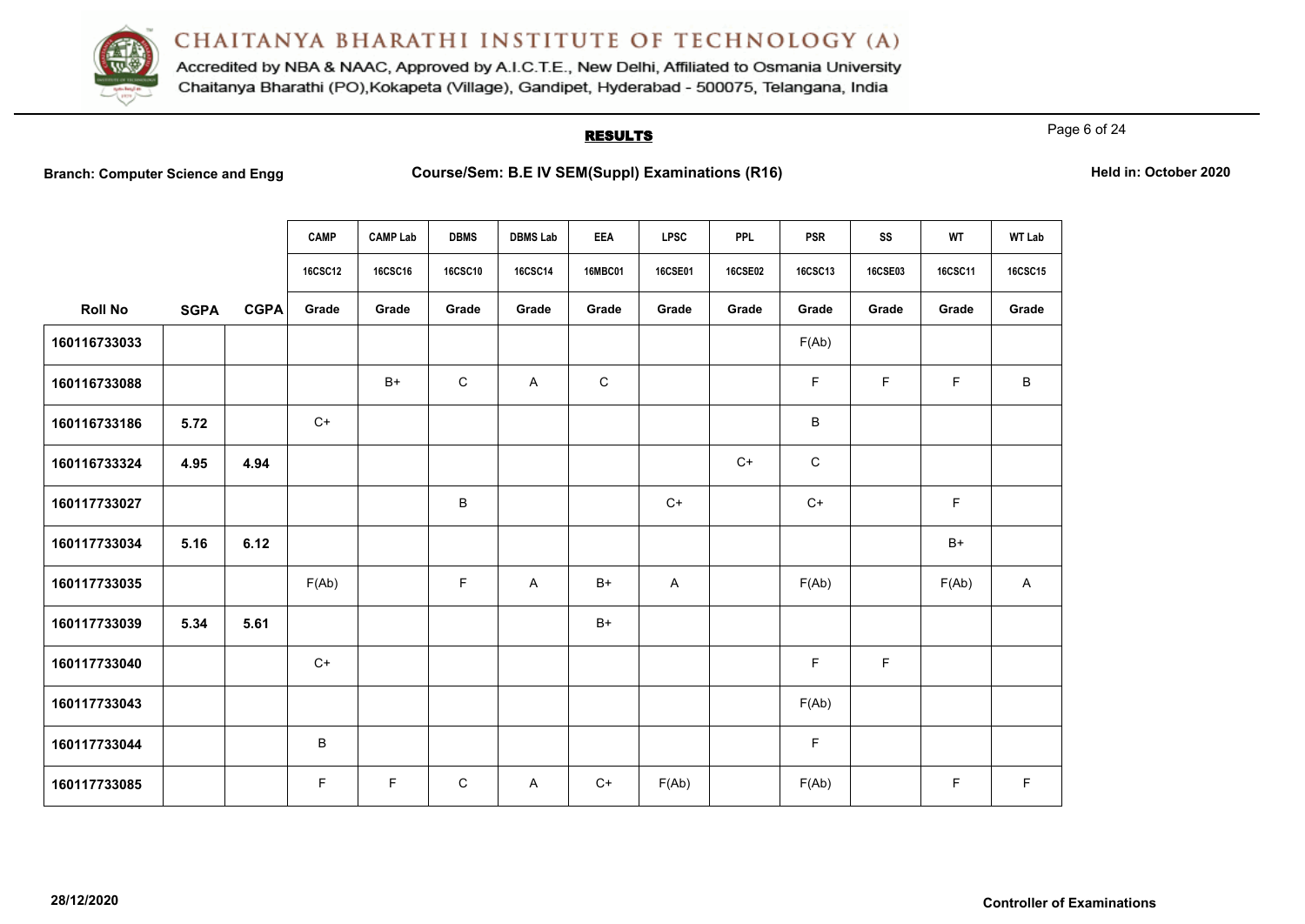

Accredited by NBA & NAAC, Approved by A.I.C.T.E., New Delhi, Affiliated to Osmania University Chaitanya Bharathi (PO), Kokapeta (Village), Gandipet, Hyderabad - 500075, Telangana, India

# **RESULTS**

Page 6 of 24

| <b>Branch: Computer Science and Engg</b> |
|------------------------------------------|
|------------------------------------------|

|                |             |             | <b>CAMP</b>    | <b>CAMP Lab</b> | <b>DBMS</b>    | <b>DBMS Lab</b> | <b>EEA</b>     | <b>LPSC</b>    | <b>PPL</b>     | <b>PSR</b>     | SS          | <b>WT</b> | <b>WT Lab</b>  |
|----------------|-------------|-------------|----------------|-----------------|----------------|-----------------|----------------|----------------|----------------|----------------|-------------|-----------|----------------|
|                |             |             | <b>16CSC12</b> | <b>16CSC16</b>  | <b>16CSC10</b> | 16CSC14         | <b>16MBC01</b> | <b>16CSE01</b> | <b>16CSE02</b> | <b>16CSC13</b> | 16CSE03     | 16CSC11   | <b>16CSC15</b> |
| <b>Roll No</b> | <b>SGPA</b> | <b>CGPA</b> | Grade          | Grade           | Grade          | Grade           | Grade          | Grade          | Grade          | Grade          | Grade       | Grade     | Grade          |
| 160116733033   |             |             |                |                 |                |                 |                |                |                | F(Ab)          |             |           |                |
| 160116733088   |             |             |                | $B+$            | $\mathsf{C}$   | A               | C              |                |                | F.             | F           | F         | В              |
| 160116733186   | 5.72        |             | $C+$           |                 |                |                 |                |                |                | $\sf B$        |             |           |                |
| 160116733324   | 4.95        | 4.94        |                |                 |                |                 |                |                | $C+$           | $\mathsf{C}$   |             |           |                |
| 160117733027   |             |             |                |                 | B              |                 |                | $C+$           |                | $C+$           |             | F         |                |
| 160117733034   | 5.16        | 6.12        |                |                 |                |                 |                |                |                |                |             | $B+$      |                |
| 160117733035   |             |             | F(Ab)          |                 | $\mathsf F$    | A               | $B+$           | A              |                | F(Ab)          |             | F(Ab)     | A              |
| 160117733039   | 5.34        | 5.61        |                |                 |                |                 | $B+$           |                |                |                |             |           |                |
| 160117733040   |             |             | $C+$           |                 |                |                 |                |                |                | F.             | $\mathsf F$ |           |                |
| 160117733043   |             |             |                |                 |                |                 |                |                |                | F(Ab)          |             |           |                |
| 160117733044   |             |             | В              |                 |                |                 |                |                |                | F              |             |           |                |
| 160117733085   |             |             | F              | F               | $\mathsf C$    | A               | $C+$           | F(Ab)          |                | F(Ab)          |             | F         | F              |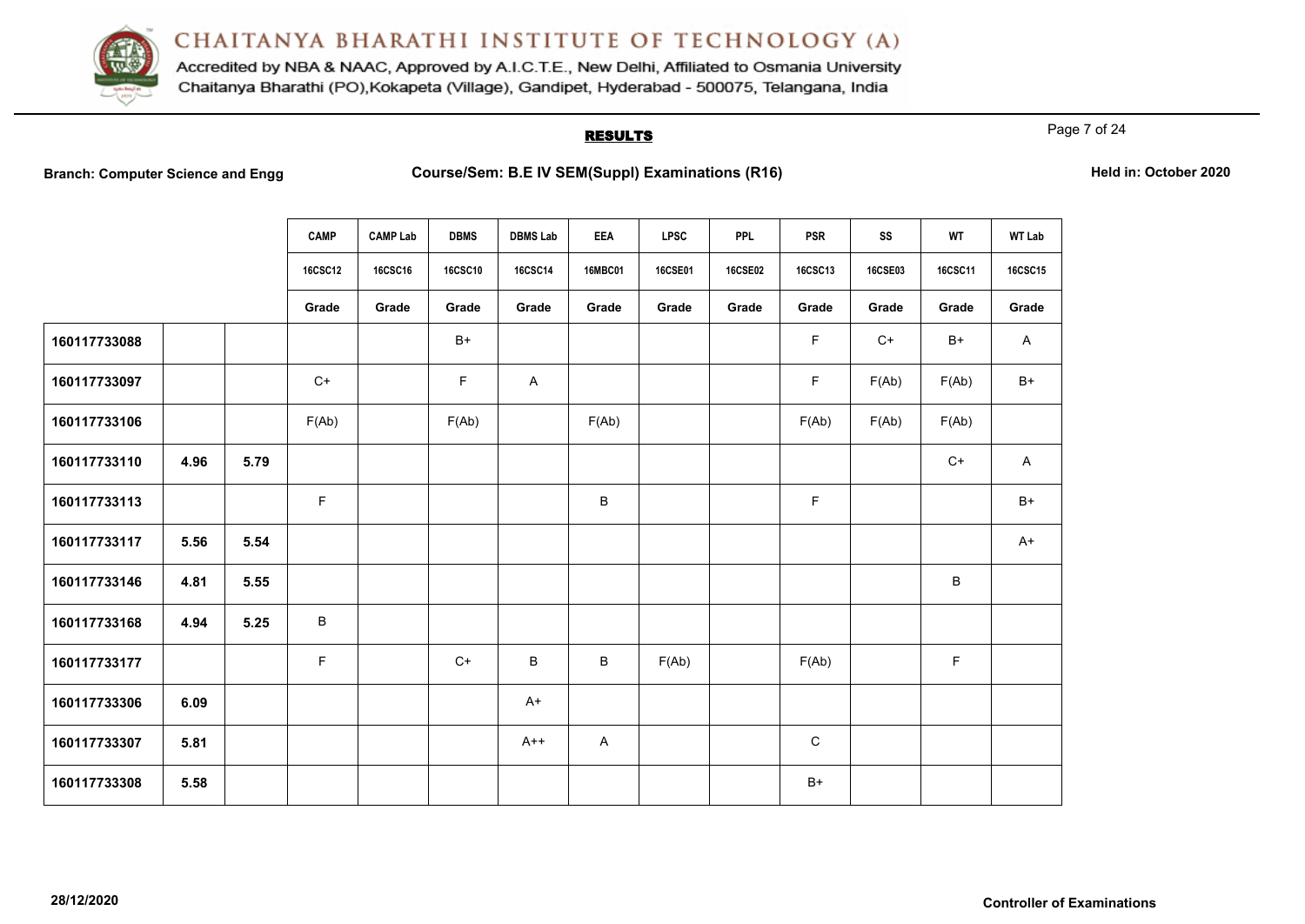

Accredited by NBA & NAAC, Approved by A.I.C.T.E., New Delhi, Affiliated to Osmania University Chaitanya Bharathi (PO), Kokapeta (Village), Gandipet, Hyderabad - 500075, Telangana, India

# **RESULTS**

Page 7 of 24

|  |  |  | <b>Branch: Computer Science and Engg</b> |
|--|--|--|------------------------------------------|
|--|--|--|------------------------------------------|

|              |      |      | <b>CAMP</b>    | <b>CAMP Lab</b> | <b>DBMS</b>    | <b>DBMS Lab</b> | <b>EEA</b>   | <b>LPSC</b> | <b>PPL</b> | <b>PSR</b>  | SS      | WT      | <b>WT Lab</b> |
|--------------|------|------|----------------|-----------------|----------------|-----------------|--------------|-------------|------------|-------------|---------|---------|---------------|
|              |      |      | <b>16CSC12</b> | <b>16CSC16</b>  | <b>16CSC10</b> | <b>16CSC14</b>  | 16MBC01      | 16CSE01     | 16CSE02    | 16CSC13     | 16CSE03 | 16CSC11 | 16CSC15       |
|              |      |      | Grade          | Grade           | Grade          | Grade           | Grade        | Grade       | Grade      | Grade       | Grade   | Grade   | Grade         |
| 160117733088 |      |      |                |                 | $B+$           |                 |              |             |            | F.          | $C+$    | $B+$    | $\mathsf{A}$  |
| 160117733097 |      |      | $C+$           |                 | F              | $\mathsf{A}$    |              |             |            | F           | F(Ab)   | F(Ab)   | B+            |
| 160117733106 |      |      | F(Ab)          |                 | F(Ab)          |                 | F(Ab)        |             |            | F(Ab)       | F(Ab)   | F(Ab)   |               |
| 160117733110 | 4.96 | 5.79 |                |                 |                |                 |              |             |            |             |         | $C+$    | $\mathsf{A}$  |
| 160117733113 |      |      | F              |                 |                |                 | B            |             |            | $\mathsf F$ |         |         | $B+$          |
| 160117733117 | 5.56 | 5.54 |                |                 |                |                 |              |             |            |             |         |         | $A+$          |
| 160117733146 | 4.81 | 5.55 |                |                 |                |                 |              |             |            |             |         | B       |               |
| 160117733168 | 4.94 | 5.25 | $\sf B$        |                 |                |                 |              |             |            |             |         |         |               |
| 160117733177 |      |      | $\mathsf F$    |                 | $C+$           | B               | B            | F(Ab)       |            | F(Ab)       |         | F       |               |
| 160117733306 | 6.09 |      |                |                 |                | $A+$            |              |             |            |             |         |         |               |
| 160117733307 | 5.81 |      |                |                 |                | $A++$           | $\mathsf{A}$ |             |            | $\mathbf C$ |         |         |               |
| 160117733308 | 5.58 |      |                |                 |                |                 |              |             |            | $B+$        |         |         |               |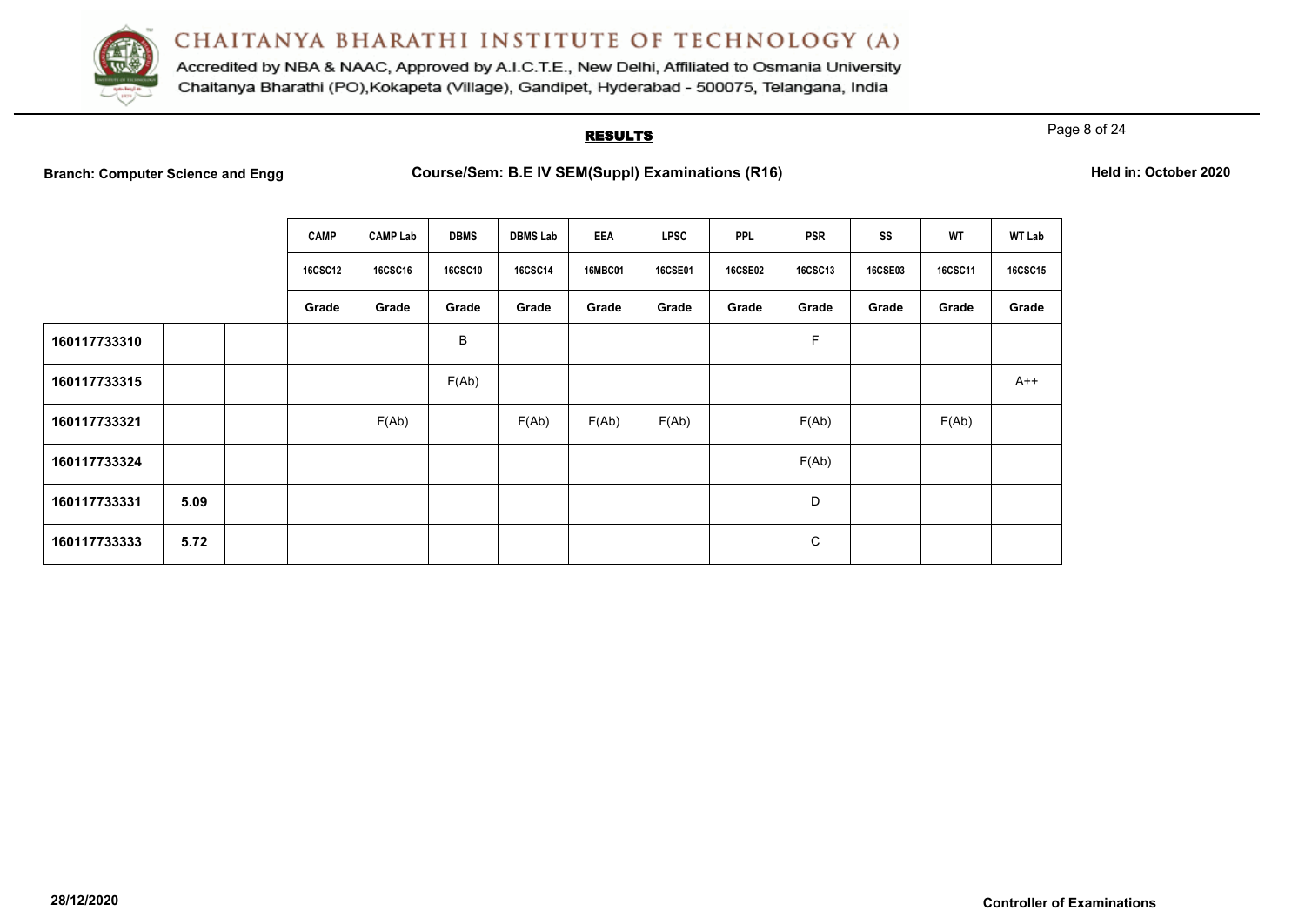

Accredited by NBA & NAAC, Approved by A.I.C.T.E., New Delhi, Affiliated to Osmania University Chaitanya Bharathi (PO), Kokapeta (Village), Gandipet, Hyderabad - 500075, Telangana, India

# **RESULTS**

Page 8 of 24

|              |      | <b>CAMP</b>    | <b>CAMP Lab</b> | <b>DBMS</b>    | <b>DBMS Lab</b> | EEA            | <b>LPSC</b>    | <b>PPL</b>     | <b>PSR</b> | SS             | WT      | <b>WT Lab</b>  |
|--------------|------|----------------|-----------------|----------------|-----------------|----------------|----------------|----------------|------------|----------------|---------|----------------|
|              |      | <b>16CSC12</b> | <b>16CSC16</b>  | <b>16CSC10</b> | <b>16CSC14</b>  | <b>16MBC01</b> | <b>16CSE01</b> | <b>16CSE02</b> | 16CSC13    | <b>16CSE03</b> | 16CSC11 | <b>16CSC15</b> |
|              |      | Grade          | Grade           | Grade          | Grade           | Grade          | Grade          | Grade          | Grade      | Grade          | Grade   | Grade          |
| 160117733310 |      |                |                 | B              |                 |                |                |                | F          |                |         |                |
| 160117733315 |      |                |                 | F(Ab)          |                 |                |                |                |            |                |         | $A++$          |
| 160117733321 |      |                | F(Ab)           |                | F(Ab)           | F(Ab)          | F(Ab)          |                | F(Ab)      |                | F(Ab)   |                |
| 160117733324 |      |                |                 |                |                 |                |                |                | F(Ab)      |                |         |                |
| 160117733331 | 5.09 |                |                 |                |                 |                |                |                | D          |                |         |                |
| 160117733333 | 5.72 |                |                 |                |                 |                |                |                | С          |                |         |                |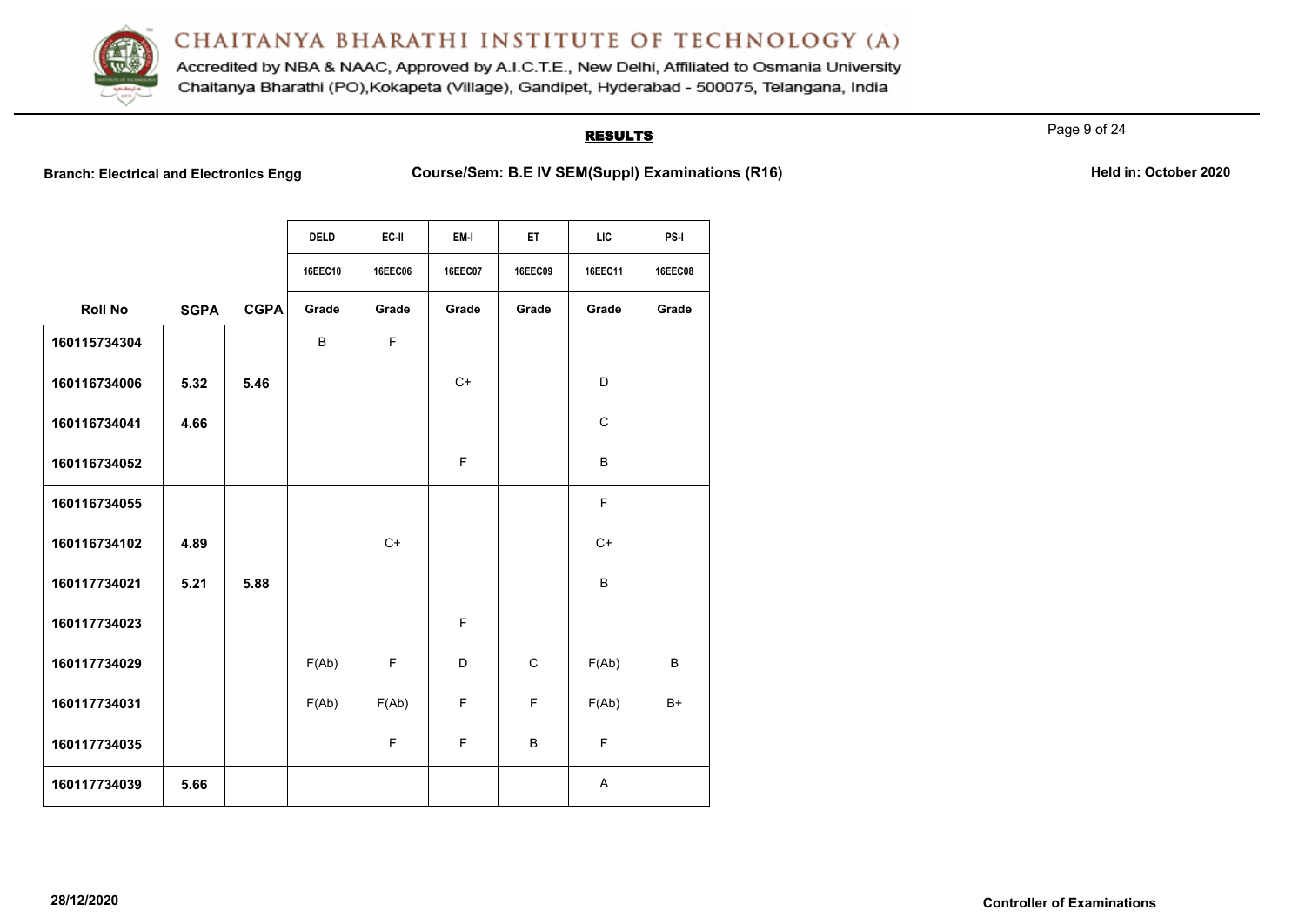

Accredited by NBA & NAAC, Approved by A.I.C.T.E., New Delhi, Affiliated to Osmania University Chaitanya Bharathi (PO), Kokapeta (Village), Gandipet, Hyderabad - 500075, Telangana, India

## **RESULTS**

Page 9 of 24

**Branch: Electrical and Electronics Engg Course/Sem: B.E IV SEM(Suppl) Examinations (R16)** Held in: October 2020

|                |             |             | <b>DELD</b>    | EC-II          | EM-I           | ET.         | <b>LIC</b> | PS-I           |
|----------------|-------------|-------------|----------------|----------------|----------------|-------------|------------|----------------|
|                |             |             | <b>16EEC10</b> | <b>16EEC06</b> | <b>16EEC07</b> | 16EEC09     | 16EEC11    | <b>16EEC08</b> |
| <b>Roll No</b> | <b>SGPA</b> | <b>CGPA</b> | Grade          | Grade          | Grade          | Grade       | Grade      | Grade          |
| 160115734304   |             |             | B              | F              |                |             |            |                |
| 160116734006   | 5.32        | 5.46        |                |                | $C+$           |             | D          |                |
| 160116734041   | 4.66        |             |                |                |                |             | C          |                |
| 160116734052   |             |             |                |                | F              |             | B          |                |
| 160116734055   |             |             |                |                |                |             | E          |                |
| 160116734102   | 4.89        |             |                | $C+$           |                |             | $C+$       |                |
| 160117734021   | 5.21        | 5.88        |                |                |                |             | B          |                |
| 160117734023   |             |             |                |                | E              |             |            |                |
| 160117734029   |             |             | F(Ab)          | F              | D              | $\mathbf C$ | F(Ab)      | B              |
| 160117734031   |             |             | F(Ab)          | F(Ab)          | F              | F           | F(Ab)      | B+             |
| 160117734035   |             |             |                | F              | F              | B           | F          |                |
| 160117734039   | 5.66        |             |                |                |                |             | A          |                |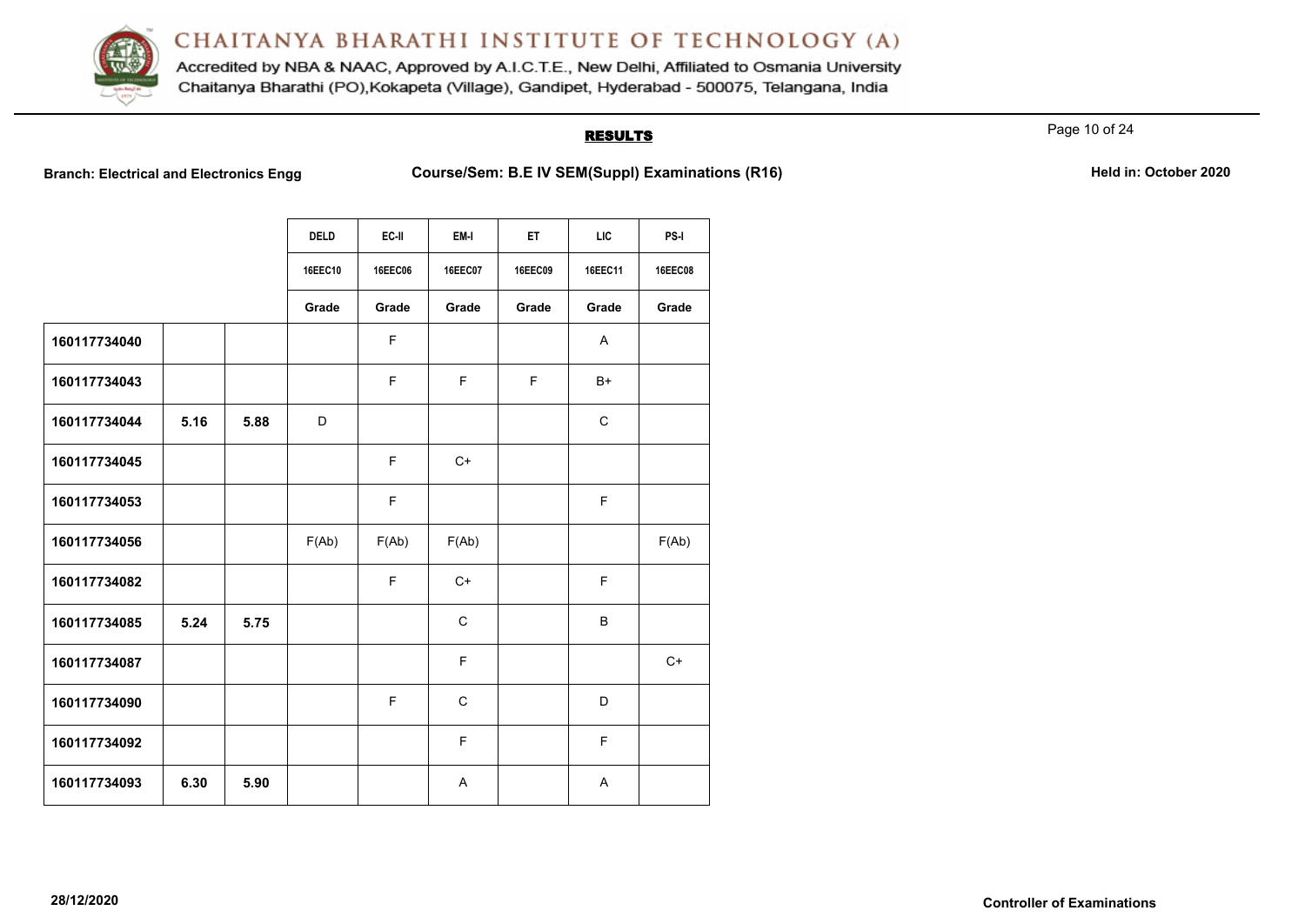

Accredited by NBA & NAAC, Approved by A.I.C.T.E., New Delhi, Affiliated to Osmania University Chaitanya Bharathi (PO), Kokapeta (Village), Gandipet, Hyderabad - 500075, Telangana, India

# **RESULTS**

Page 10 of 24

**Branch: Electrical and Electronics Engg Course/Sem: B.E IV SEM(Suppl) Examinations (R16)** Held in: October 2020

|              |      |      | <b>DELD</b> | EC-II   | EM-I        | ET      | <b>LIC</b>  | PS-I           |
|--------------|------|------|-------------|---------|-------------|---------|-------------|----------------|
|              |      |      | 16EEC10     | 16EEC06 | 16EEC07     | 16EEC09 | 16EEC11     | <b>16EEC08</b> |
|              |      |      | Grade       | Grade   | Grade       | Grade   | Grade       | Grade          |
| 160117734040 |      |      |             | F       |             |         | A           |                |
| 160117734043 |      |      |             | F       | F           | F.      | $B+$        |                |
| 160117734044 | 5.16 | 5.88 | D           |         |             |         | $\mathbf C$ |                |
| 160117734045 |      |      |             | E       | $C+$        |         |             |                |
| 160117734053 |      |      |             | F       |             |         | F           |                |
| 160117734056 |      |      | F(Ab)       | F(Ab)   | F(Ab)       |         |             | F(Ab)          |
| 160117734082 |      |      |             | F       | $C+$        |         | F           |                |
| 160117734085 | 5.24 | 5.75 |             |         | $\mathbf C$ |         | B           |                |
| 160117734087 |      |      |             |         | F           |         |             | $C+$           |
| 160117734090 |      |      |             | F       | $\mathbf C$ |         | D           |                |
| 160117734092 |      |      |             |         | F           |         | F           |                |
| 160117734093 | 6.30 | 5.90 |             |         | Α           |         | A           |                |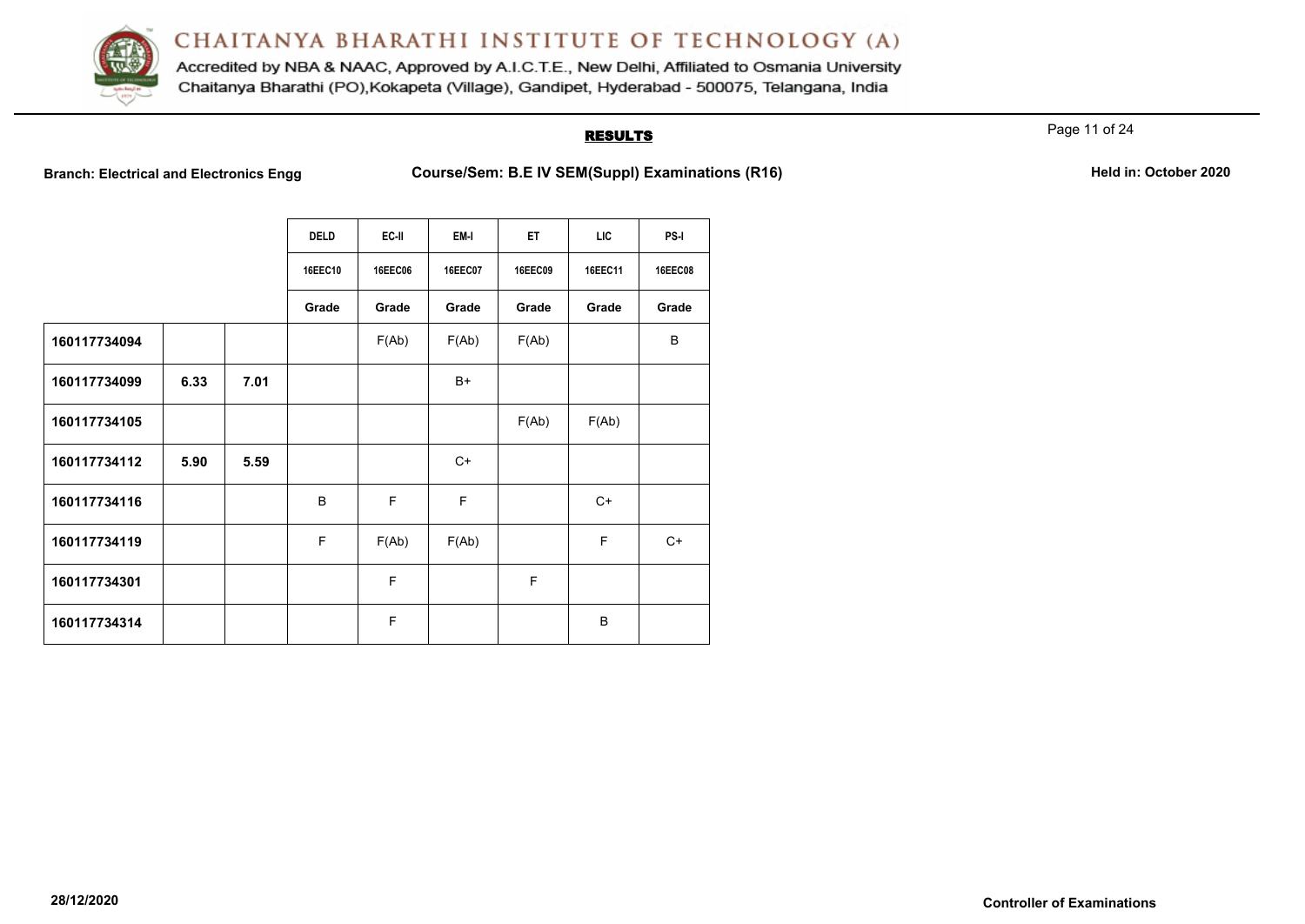

Accredited by NBA & NAAC, Approved by A.I.C.T.E., New Delhi, Affiliated to Osmania University Chaitanya Bharathi (PO), Kokapeta (Village), Gandipet, Hyderabad - 500075, Telangana, India

# **RESULTS**

Page 11 of 24

**Branch: Electrical and Electronics Engg Course/Sem: B.E IV SEM(Suppl) Examinations (R16) Held in: October 2020**

|  |  |  | Held in: October 2020 |  |  |
|--|--|--|-----------------------|--|--|
|--|--|--|-----------------------|--|--|

|              |      |      | <b>DELD</b> | EC-II          | EM-I           | ET             | <b>LIC</b> | PS-I           |
|--------------|------|------|-------------|----------------|----------------|----------------|------------|----------------|
|              |      |      | 16EEC10     | <b>16EEC06</b> | <b>16EEC07</b> | <b>16EEC09</b> | 16EEC11    | <b>16EEC08</b> |
|              |      |      | Grade       | Grade          | Grade          | Grade          | Grade      | Grade          |
| 160117734094 |      |      |             | F(Ab)          | F(Ab)          | F(Ab)          |            | B              |
| 160117734099 | 6.33 | 7.01 |             |                | B+             |                |            |                |
| 160117734105 |      |      |             |                |                | F(Ab)          | F(Ab)      |                |
| 160117734112 | 5.90 | 5.59 |             |                | $C+$           |                |            |                |
| 160117734116 |      |      | B           | F              | $\mathsf F$    |                | $C+$       |                |
| 160117734119 |      |      | F           | F(Ab)          | F(Ab)          |                | F          | $C+$           |
| 160117734301 |      |      |             | F              |                | F              |            |                |
| 160117734314 |      |      |             | F              |                |                | B          |                |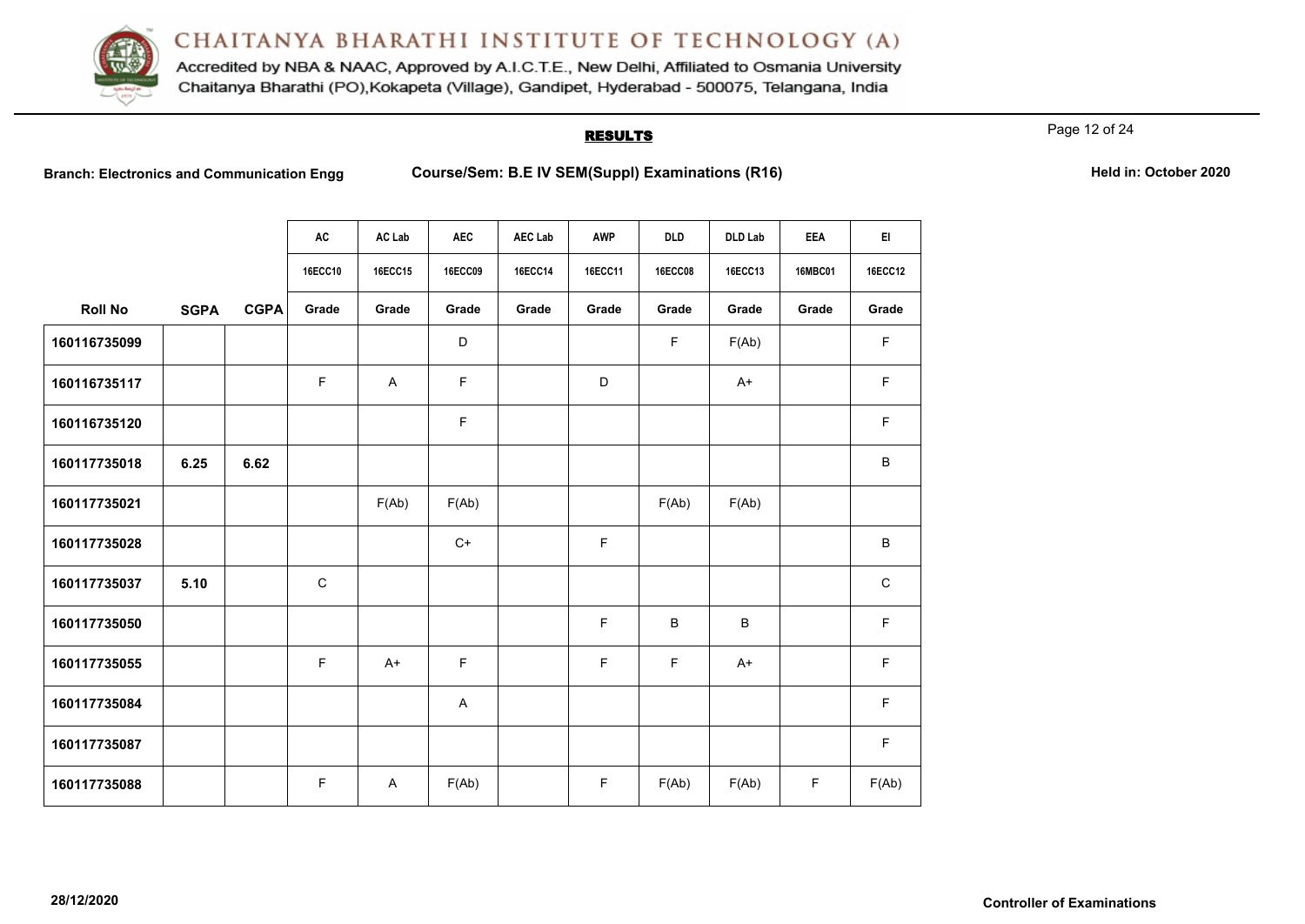

Accredited by NBA & NAAC, Approved by A.I.C.T.E., New Delhi, Affiliated to Osmania University Chaitanya Bharathi (PO), Kokapeta (Village), Gandipet, Hyderabad - 500075, Telangana, India

### RESULTS

Page 12 of 24

Branch: Electronics and Communication Engg Course/Sem: B.E IV SEM(Suppl) Examinations (R16) **Held in: October 2020** 

**AC AC Lab AEC AEC Lab AWP DLD DLD Lab EEA EI**

|                |             |             | 16ECC10 | 16ECC15 | 16ECC09     | 16ECC14 | 16ECC11     | <b>16ECC08</b> | 16ECC13 | 16MBC01 | 16ECC12      |
|----------------|-------------|-------------|---------|---------|-------------|---------|-------------|----------------|---------|---------|--------------|
| <b>Roll No</b> | <b>SGPA</b> | <b>CGPA</b> | Grade   | Grade   | Grade       | Grade   | Grade       | Grade          | Grade   | Grade   | Grade        |
| 160116735099   |             |             |         |         | D           |         |             | F.             | F(Ab)   |         | F            |
| 160116735117   |             |             | F       | Α       | F           |         | D           |                | $A+$    |         | F            |
| 160116735120   |             |             |         |         | $\mathsf F$ |         |             |                |         |         | F            |
| 160117735018   | 6.25        | 6.62        |         |         |             |         |             |                |         |         | B            |
| 160117735021   |             |             |         | F(Ab)   | F(Ab)       |         |             | F(Ab)          | F(Ab)   |         |              |
| 160117735028   |             |             |         |         | $C+$        |         | F           |                |         |         | B            |
| 160117735037   | 5.10        |             | C       |         |             |         |             |                |         |         | $\mathsf{C}$ |
| 160117735050   |             |             |         |         |             |         | $\mathsf F$ | B              | B       |         | F            |
| 160117735055   |             |             | F       | $A+$    | F           |         | F           | F.             | $A+$    |         | F            |
| 160117735084   |             |             |         |         | A           |         |             |                |         |         | F            |
| 160117735087   |             |             |         |         |             |         |             |                |         |         | F            |

**160117735088** | | | F | A | F(Ab) | | F | F(Ab) | F | F(Ab) | F | F(Ab)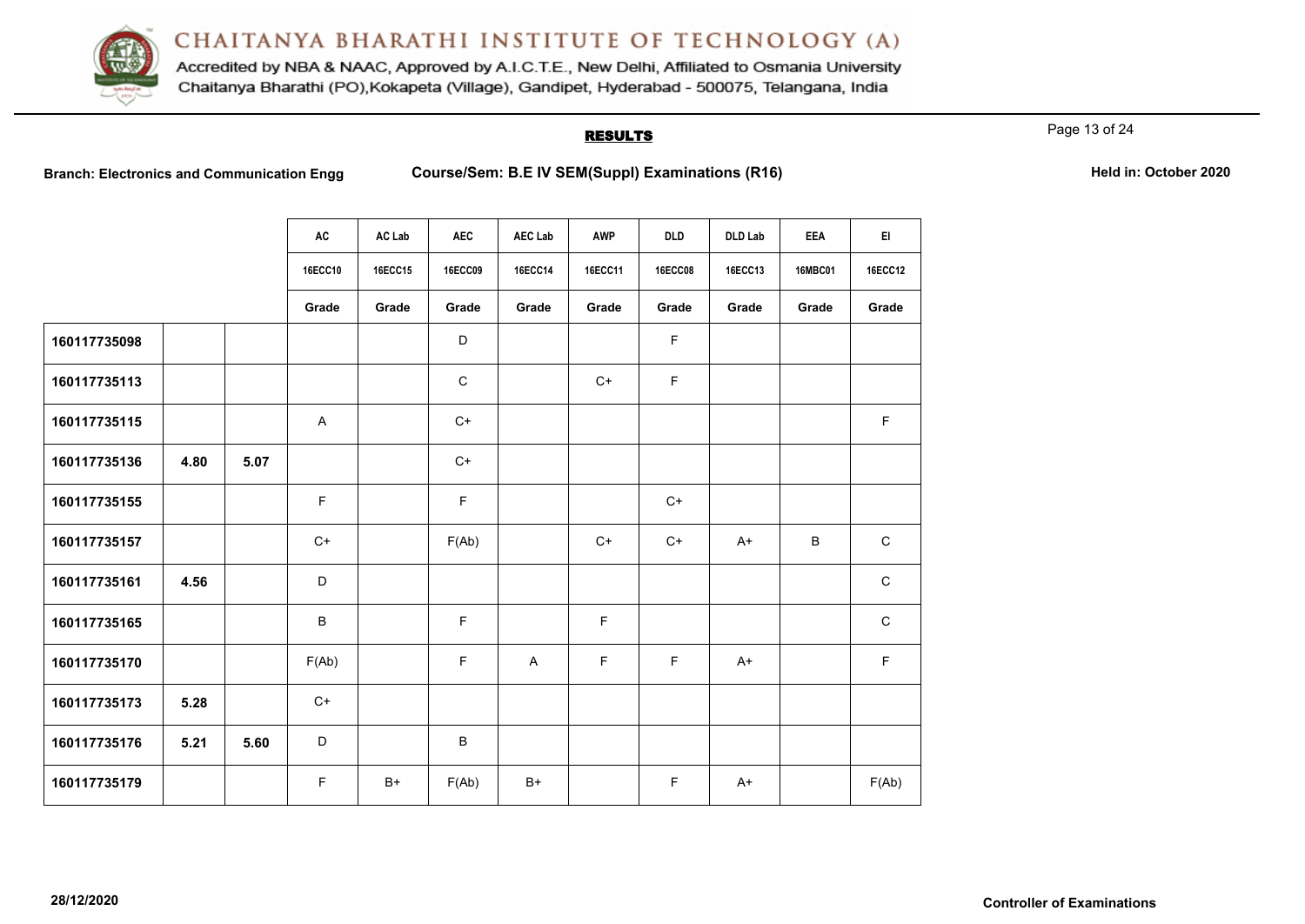

Accredited by NBA & NAAC, Approved by A.I.C.T.E., New Delhi, Affiliated to Osmania University Chaitanya Bharathi (PO), Kokapeta (Village), Gandipet, Hyderabad - 500075, Telangana, India

### **RESULTS**

Page 13 of 24

**Branch: Electronics and Communication Engg <b>Course/Sem: B.E IV SEM(Suppl) Examinations (R16) Held in: October 2020** 

|  | Held in: October 2020 |  |
|--|-----------------------|--|
|  |                       |  |

|              |      |      | <b>AC</b> | AC Lab         | <b>AEC</b>  | <b>AEC Lab</b> | AWP         | <b>DLD</b>     | <b>DLD Lab</b> | <b>EEA</b>     | EI.            |
|--------------|------|------|-----------|----------------|-------------|----------------|-------------|----------------|----------------|----------------|----------------|
|              |      |      | 16ECC10   | <b>16ECC15</b> | 16ECC09     | <b>16ECC14</b> | 16ECC11     | <b>16ECC08</b> | 16ECC13        | <b>16MBC01</b> | <b>16ECC12</b> |
|              |      |      | Grade     | Grade          | Grade       | Grade          | Grade       | Grade          | Grade          | Grade          | Grade          |
| 160117735098 |      |      |           |                | D           |                |             | F              |                |                |                |
| 160117735113 |      |      |           |                | $\mathbf C$ |                | $C+$        | F              |                |                |                |
| 160117735115 |      |      | A         |                | $C+$        |                |             |                |                |                | $\mathsf F$    |
| 160117735136 | 4.80 | 5.07 |           |                | $C+$        |                |             |                |                |                |                |
| 160117735155 |      |      | F         |                | F           |                |             | $C+$           |                |                |                |
| 160117735157 |      |      | $C+$      |                | F(Ab)       |                | $C+$        | $C+$           | $A+$           | $\sf B$        | $\mathsf C$    |
| 160117735161 | 4.56 |      | D         |                |             |                |             |                |                |                | $\mathsf C$    |
| 160117735165 |      |      | B         |                | F           |                | F           |                |                |                | $\mathsf C$    |
| 160117735170 |      |      | F(Ab)     |                | F           | $\mathsf{A}$   | $\mathsf F$ | F              | $A+$           |                | $\mathsf F$    |
| 160117735173 | 5.28 |      | $C+$      |                |             |                |             |                |                |                |                |
| 160117735176 | 5.21 | 5.60 | D         |                | B           |                |             |                |                |                |                |
| 160117735179 |      |      | F         | $B+$           | F(Ab)       | $B+$           |             | F              | $A+$           |                | F(Ab)          |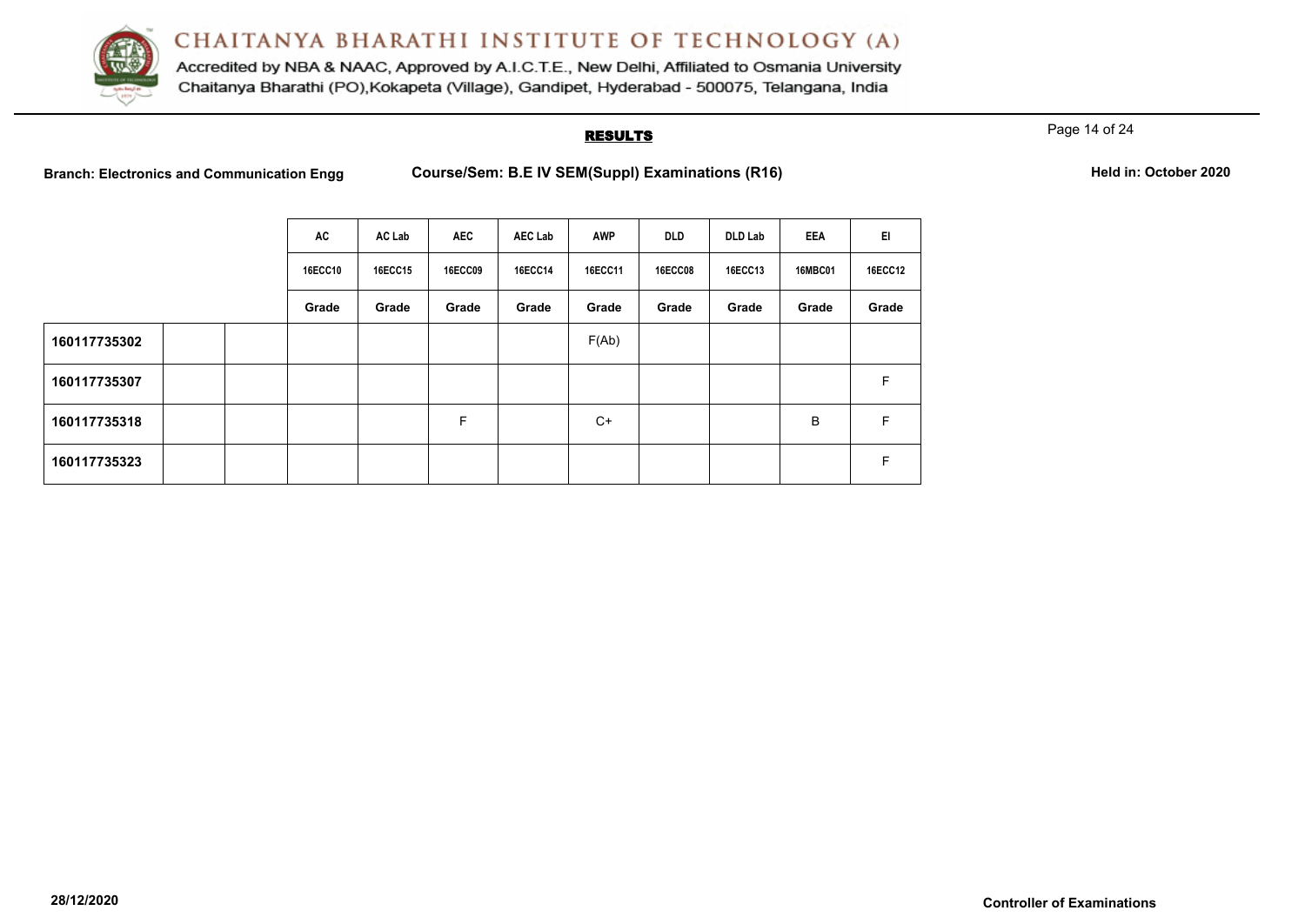

Accredited by NBA & NAAC, Approved by A.I.C.T.E., New Delhi, Affiliated to Osmania University Chaitanya Bharathi (PO), Kokapeta (Village), Gandipet, Hyderabad - 500075, Telangana, India

### **RESULTS**

Page 14 of 24

Branch: Electronics and Communication Engg Course/Sem: B.E IV SEM(Suppl) Examinations (R16) **Held in: October 2020** 

|              | AC             | AC Lab         | <b>AEC</b>     | <b>AEC Lab</b> | <b>AWP</b> | <b>DLD</b>     | <b>DLD Lab</b> | <b>EEA</b>     | EI             |
|--------------|----------------|----------------|----------------|----------------|------------|----------------|----------------|----------------|----------------|
|              | <b>16ECC10</b> | <b>16ECC15</b> | <b>16ECC09</b> | <b>16ECC14</b> | 16ECC11    | <b>16ECC08</b> | 16ECC13        | <b>16MBC01</b> | <b>16ECC12</b> |
|              | Grade          | Grade          | Grade          | Grade          | Grade      | Grade          | Grade          | Grade          | Grade          |
| 160117735302 |                |                |                |                | F(Ab)      |                |                |                |                |
| 160117735307 |                |                |                |                |            |                |                |                | F              |
| 160117735318 |                |                | F              |                | $C+$       |                |                | B              | F              |
| 160117735323 |                |                |                |                |            |                |                |                | F              |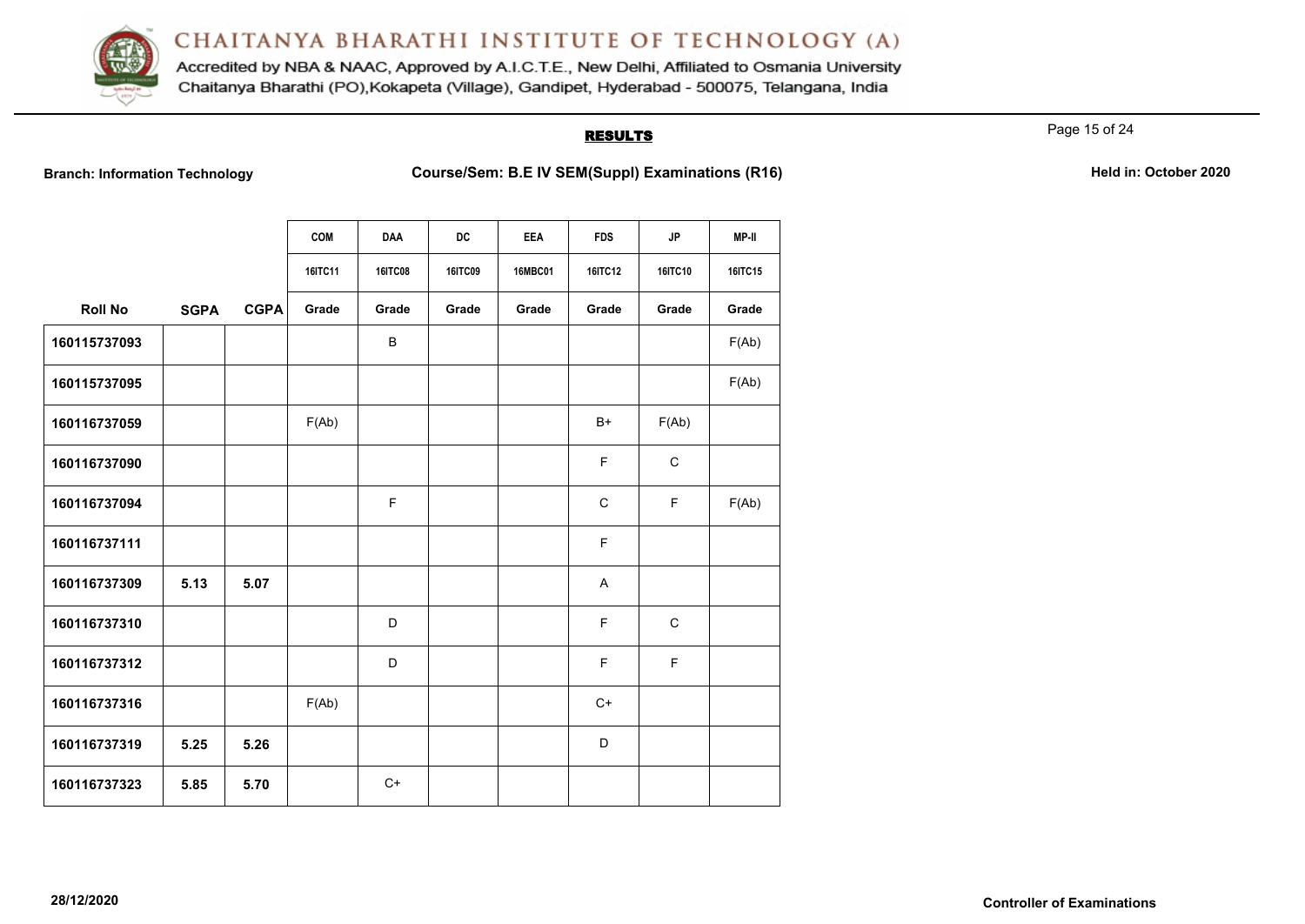

Accredited by NBA & NAAC, Approved by A.I.C.T.E., New Delhi, Affiliated to Osmania University Chaitanya Bharathi (PO), Kokapeta (Village), Gandipet, Hyderabad - 500075, Telangana, India

# **RESULTS**

Page 15 of 24

Branch: Information Technology **Course/Sem: B.E IV SEM(Suppl) Examinations (R16)** Held in: October 2020

|                |             |             | <b>COM</b> | <b>DAA</b>     | DC             | EEA            | <b>FDS</b>  | JP           | MP-II   |
|----------------|-------------|-------------|------------|----------------|----------------|----------------|-------------|--------------|---------|
|                |             |             | 16ITC11    | <b>16ITC08</b> | <b>16ITC09</b> | <b>16MBC01</b> | 16ITC12     | 16ITC10      | 16ITC15 |
| <b>Roll No</b> | <b>SGPA</b> | <b>CGPA</b> | Grade      | Grade          | Grade          | Grade          | Grade       | Grade        | Grade   |
| 160115737093   |             |             |            | B              |                |                |             |              | F(Ab)   |
| 160115737095   |             |             |            |                |                |                |             |              | F(Ab)   |
| 160116737059   |             |             | F(Ab)      |                |                |                | $B+$        | F(Ab)        |         |
| 160116737090   |             |             |            |                |                |                | F           | $\mathsf{C}$ |         |
| 160116737094   |             |             |            | F              |                |                | $\mathbf C$ | F            | F(Ab)   |
| 160116737111   |             |             |            |                |                |                | F           |              |         |
| 160116737309   | 5.13        | 5.07        |            |                |                |                | A           |              |         |
| 160116737310   |             |             |            | D              |                |                | F           | $\mathsf{C}$ |         |
| 160116737312   |             |             |            | D              |                |                | F           | F            |         |
| 160116737316   |             |             | F(Ab)      |                |                |                | $C+$        |              |         |
| 160116737319   | 5.25        | 5.26        |            |                |                |                | D           |              |         |
| 160116737323   | 5.85        | 5.70        |            | $C+$           |                |                |             |              |         |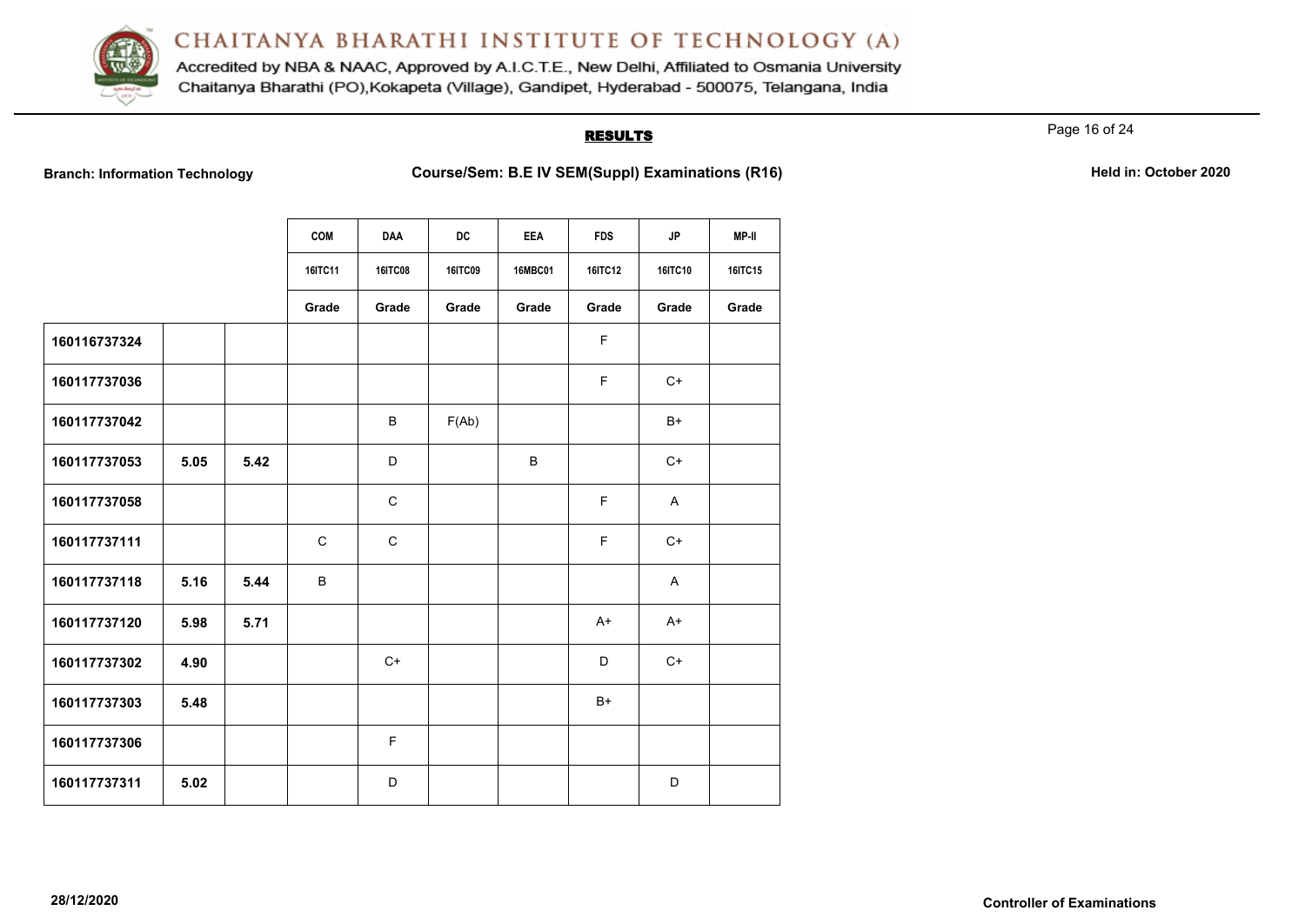

Accredited by NBA & NAAC, Approved by A.I.C.T.E., New Delhi, Affiliated to Osmania University Chaitanya Bharathi (PO), Kokapeta (Village), Gandipet, Hyderabad - 500075, Telangana, India

# **RESULTS**

Page 16 of 24

Branch: Information Technology **Course/Sem: B.E IV SEM(Suppl) Examinations (R16)** Held in: October 2020

|              |      |      | <b>COM</b>  | <b>DAA</b>     | <b>DC</b>      | <b>EEA</b>     | <b>FDS</b>     | <b>JP</b> | MP-II   |
|--------------|------|------|-------------|----------------|----------------|----------------|----------------|-----------|---------|
|              |      |      | 16ITC11     | <b>16ITC08</b> | <b>16ITC09</b> | <b>16MBC01</b> | <b>16ITC12</b> | 16ITC10   | 16ITC15 |
|              |      |      | Grade       | Grade          | Grade          | Grade          | Grade          | Grade     | Grade   |
| 160116737324 |      |      |             |                |                |                | F              |           |         |
| 160117737036 |      |      |             |                |                |                | F              | $C+$      |         |
| 160117737042 |      |      |             | B              | F(Ab)          |                |                | B+        |         |
| 160117737053 | 5.05 | 5.42 |             | D              |                | B              |                | $C+$      |         |
| 160117737058 |      |      |             | $\mathbf C$    |                |                | F              | A         |         |
| 160117737111 |      |      | $\mathsf C$ | $\mathbf C$    |                |                | F              | $C+$      |         |
| 160117737118 | 5.16 | 5.44 | B           |                |                |                |                | A         |         |
| 160117737120 | 5.98 | 5.71 |             |                |                |                | $A+$           | $A+$      |         |
| 160117737302 | 4.90 |      |             | $C+$           |                |                | D              | $C+$      |         |
| 160117737303 | 5.48 |      |             |                |                |                | $B+$           |           |         |
| 160117737306 |      |      |             | F.             |                |                |                |           |         |
| 160117737311 | 5.02 |      |             | D              |                |                |                | D         |         |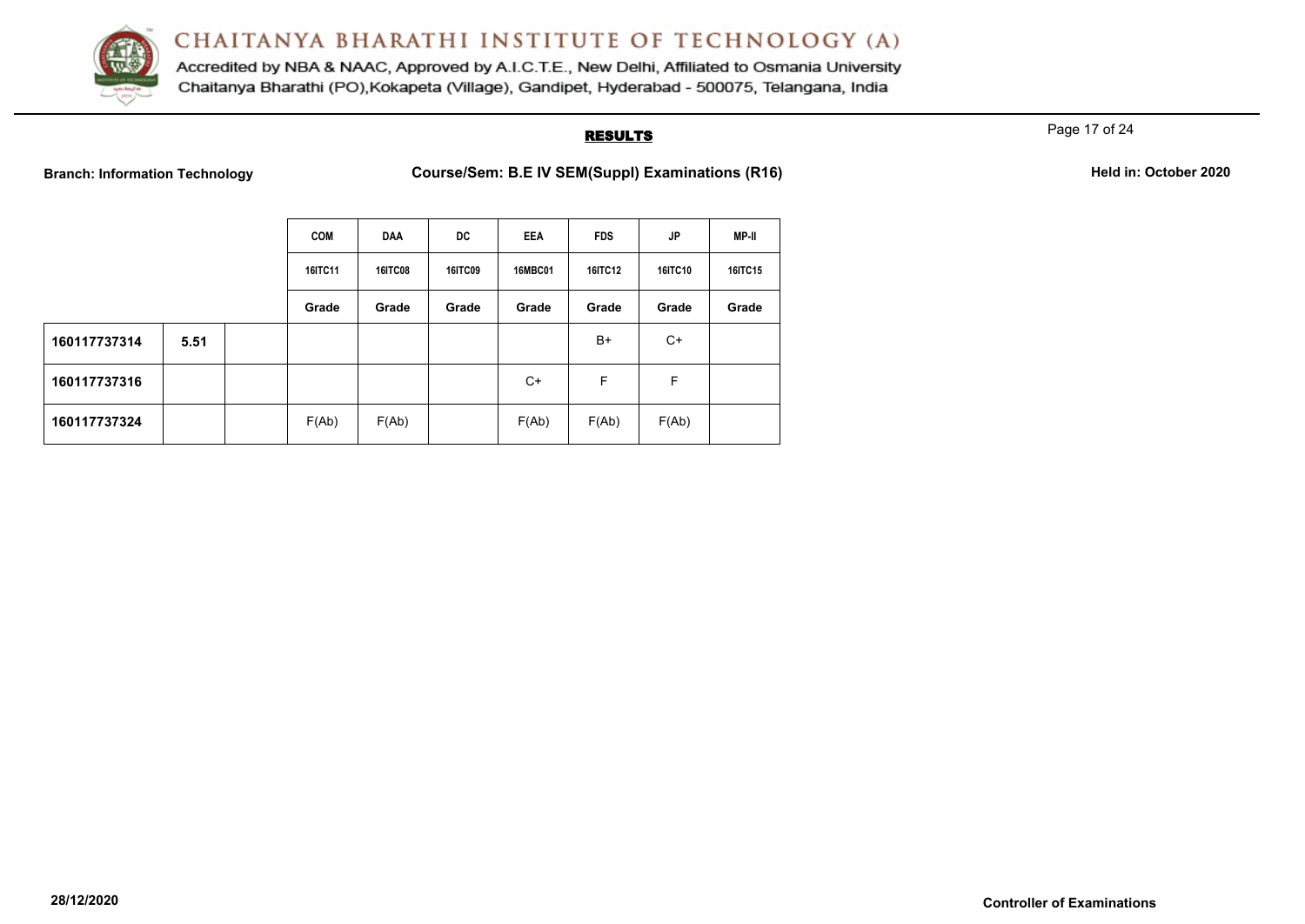

Accredited by NBA & NAAC, Approved by A.I.C.T.E., New Delhi, Affiliated to Osmania University Chaitanya Bharathi (PO), Kokapeta (Village), Gandipet, Hyderabad - 500075, Telangana, India

# **RESULTS**

Page 17 of 24

**Branch: Information Technology <b>Course/Sem: B.E IV SEM(Suppl) Examinations (R16) Held in: October 2020** 

|  | Held in: October 2020 |  |
|--|-----------------------|--|
|  |                       |  |

|              |      | <b>COM</b>     | <b>DAA</b>     | DC.            | <b>EEA</b>     | <b>FDS</b>     | <b>JP</b>      | MP-II          |
|--------------|------|----------------|----------------|----------------|----------------|----------------|----------------|----------------|
|              |      | <b>16ITC11</b> | <b>16ITC08</b> | <b>16ITC09</b> | <b>16MBC01</b> | <b>16ITC12</b> | <b>16ITC10</b> | <b>16ITC15</b> |
|              |      | Grade          | Grade          | Grade          | Grade          | Grade          | Grade          | Grade          |
| 160117737314 | 5.51 |                |                |                |                | B+             | C+             |                |
| 160117737316 |      |                |                |                | $C+$           | F              | F              |                |
| 160117737324 |      | F(Ab)          | F(Ab)          |                | F(Ab)          | F(Ab)          | F(Ab)          |                |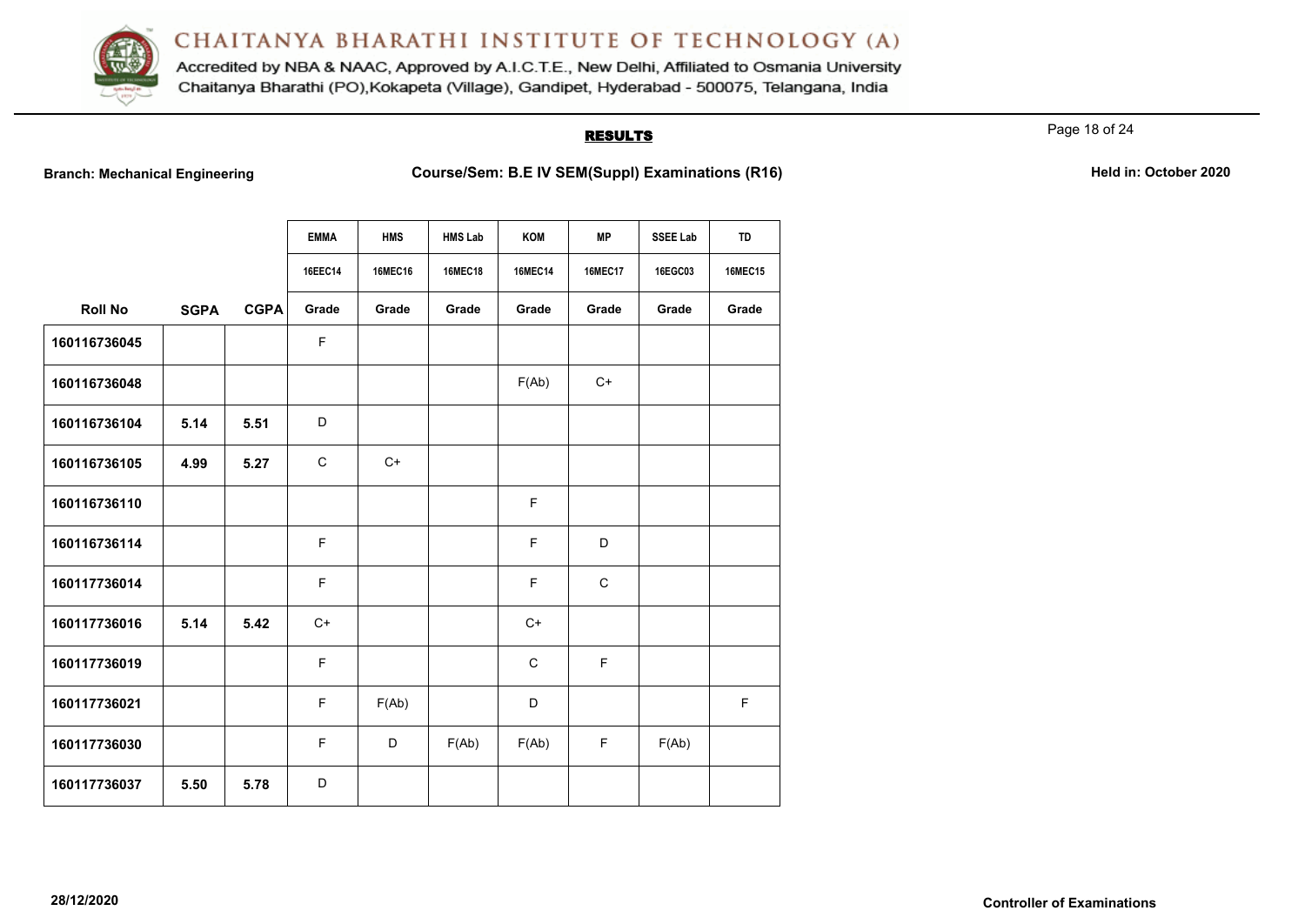

Accredited by NBA & NAAC, Approved by A.I.C.T.E., New Delhi, Affiliated to Osmania University Chaitanya Bharathi (PO), Kokapeta (Village), Gandipet, Hyderabad - 500075, Telangana, India

# **RESULTS**

Page 18 of 24

|                |             |             | <b>EMMA</b> | <b>HMS</b>     | <b>HMS Lab</b> | KOM            | <b>MP</b>      | <b>SSEE Lab</b> | TD             |
|----------------|-------------|-------------|-------------|----------------|----------------|----------------|----------------|-----------------|----------------|
|                |             |             | 16EEC14     | <b>16MEC16</b> | <b>16MEC18</b> | <b>16MEC14</b> | <b>16MEC17</b> | 16EGC03         | <b>16MEC15</b> |
| <b>Roll No</b> | <b>SGPA</b> | <b>CGPA</b> | Grade       | Grade          | Grade          | Grade          | Grade          | Grade           | Grade          |
| 160116736045   |             |             | $\mathsf F$ |                |                |                |                |                 |                |
| 160116736048   |             |             |             |                |                | F(Ab)          | $C+$           |                 |                |
| 160116736104   | 5.14        | 5.51        | D           |                |                |                |                |                 |                |
| 160116736105   | 4.99        | 5.27        | $\mathbf C$ | $C+$           |                |                |                |                 |                |
| 160116736110   |             |             |             |                |                | F              |                |                 |                |
| 160116736114   |             |             | $\mathsf F$ |                |                | F              | D              |                 |                |
| 160117736014   |             |             | $\mathsf F$ |                |                | F              | $\mathbf C$    |                 |                |
| 160117736016   | 5.14        | 5.42        | $C+$        |                |                | $C+$           |                |                 |                |
| 160117736019   |             |             | $\mathsf F$ |                |                | $\mathbf C$    | F              |                 |                |
| 160117736021   |             |             | $\mathsf F$ | F(Ab)          |                | D              |                |                 | F              |
| 160117736030   |             |             | $\mathsf F$ | D              | F(Ab)          | F(Ab)          | F              | F(Ab)           |                |
| 160117736037   | 5.50        | 5.78        | D           |                |                |                |                |                 |                |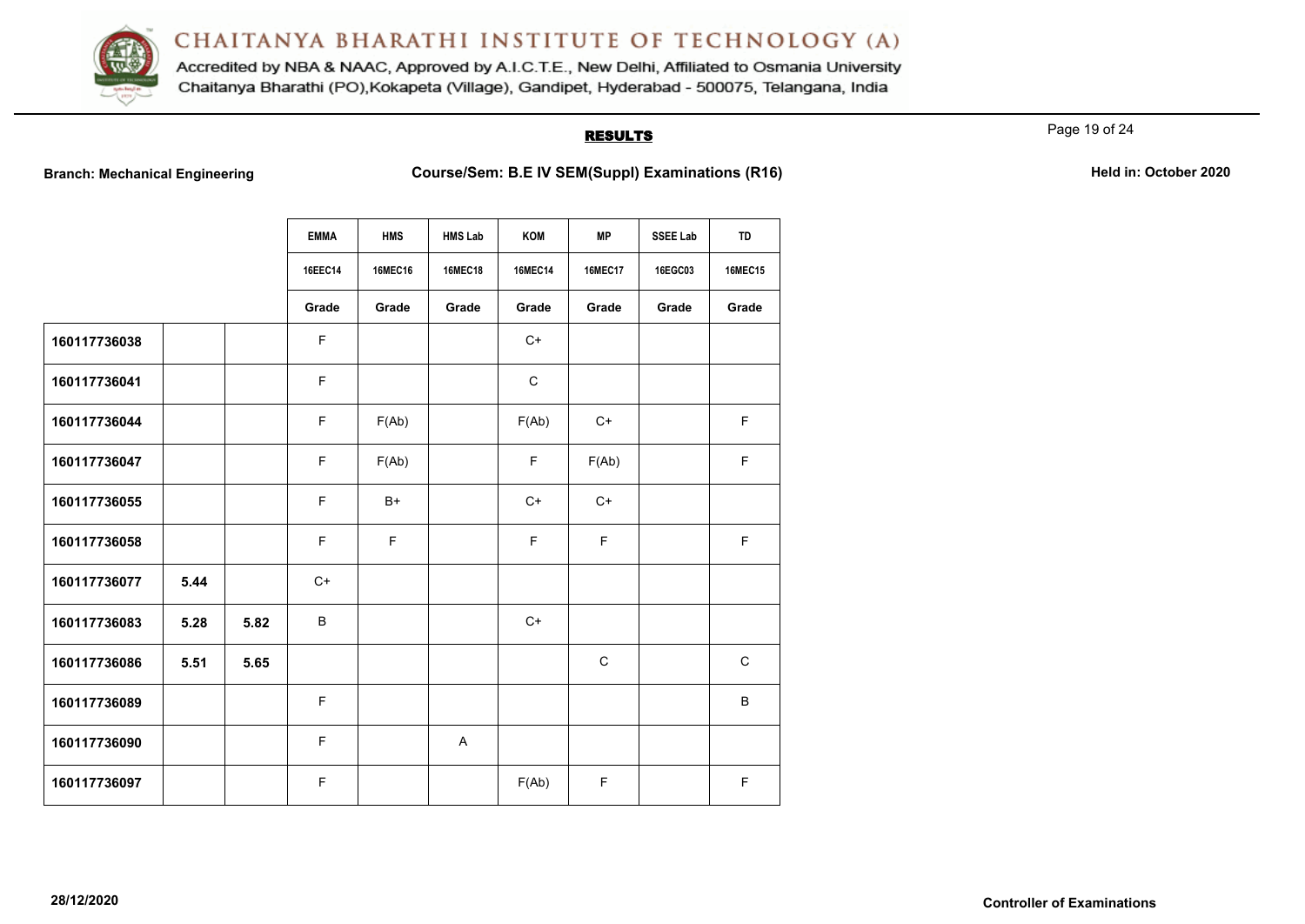

Accredited by NBA & NAAC, Approved by A.I.C.T.E., New Delhi, Affiliated to Osmania University Chaitanya Bharathi (PO), Kokapeta (Village), Gandipet, Hyderabad - 500075, Telangana, India

# **RESULTS**

Page 19 of 24

|              |      |      | <b>EMMA</b> | <b>HMS</b>     | <b>HMS Lab</b> | KOM            | <b>MP</b>      | <b>SSEE Lab</b> | TD             |
|--------------|------|------|-------------|----------------|----------------|----------------|----------------|-----------------|----------------|
|              |      |      |             |                |                |                |                |                 |                |
|              |      |      | 16EEC14     | <b>16MEC16</b> | <b>16MEC18</b> | <b>16MEC14</b> | <b>16MEC17</b> | 16EGC03         | <b>16MEC15</b> |
|              |      |      | Grade       | Grade          | Grade          | Grade          | Grade          | Grade           | Grade          |
| 160117736038 |      |      | F           |                |                | $C+$           |                |                 |                |
| 160117736041 |      |      | F           |                |                | $\mathbf C$    |                |                 |                |
| 160117736044 |      |      | F           | F(Ab)          |                | F(Ab)          | $C+$           |                 | F              |
| 160117736047 |      |      | F           | F(Ab)          |                | F.             | F(Ab)          |                 | F              |
| 160117736055 |      |      | F           | $B+$           |                | $C+$           | $C+$           |                 |                |
| 160117736058 |      |      | F           | $\mathsf F$    |                | F              | F              |                 | F              |
| 160117736077 | 5.44 |      | $C+$        |                |                |                |                |                 |                |
| 160117736083 | 5.28 | 5.82 | B           |                |                | $C+$           |                |                 |                |
| 160117736086 | 5.51 | 5.65 |             |                |                |                | $\mathbf C$    |                 | $\mathbf C$    |
| 160117736089 |      |      | F           |                |                |                |                |                 | $\sf B$        |
| 160117736090 |      |      | F           |                | $\overline{A}$ |                |                |                 |                |
| 160117736097 |      |      | F           |                |                | F(Ab)          | F              |                 | $\mathsf F$    |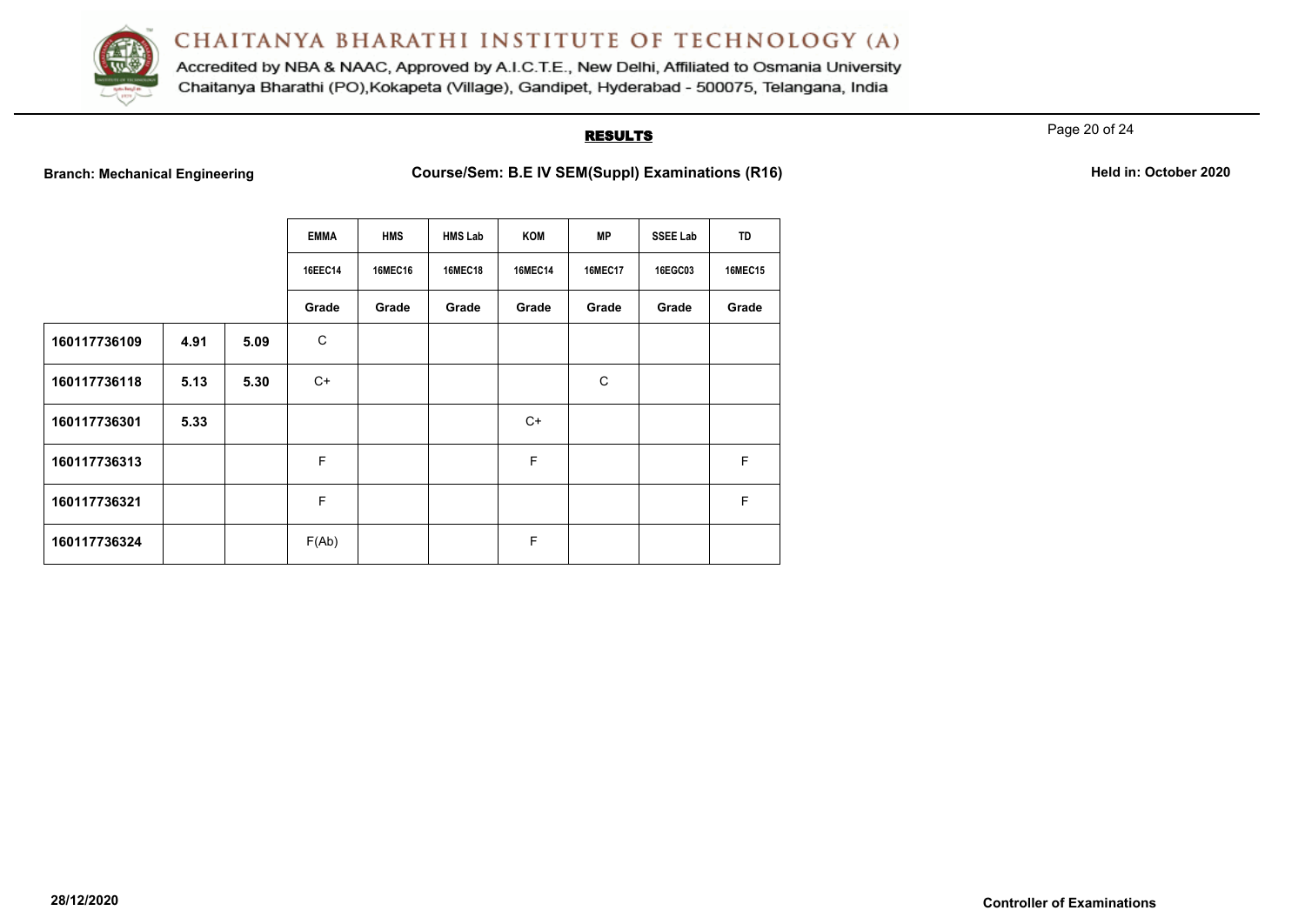

Accredited by NBA & NAAC, Approved by A.I.C.T.E., New Delhi, Affiliated to Osmania University Chaitanya Bharathi (PO), Kokapeta (Village), Gandipet, Hyderabad - 500075, Telangana, India

# **RESULTS**

Page 20 of 24

|              |      |      | <b>EMMA</b> | <b>HMS</b>     | <b>HMS Lab</b> | KOM            | МP             | <b>SSEE Lab</b> | <b>TD</b>      |
|--------------|------|------|-------------|----------------|----------------|----------------|----------------|-----------------|----------------|
|              |      |      | 16EEC14     | <b>16MEC16</b> | <b>16MEC18</b> | <b>16MEC14</b> | <b>16MEC17</b> | 16EGC03         | <b>16MEC15</b> |
|              |      |      | Grade       | Grade          | Grade          | Grade          | Grade          | Grade           | Grade          |
| 160117736109 | 4.91 | 5.09 | C           |                |                |                |                |                 |                |
| 160117736118 | 5.13 | 5.30 | C+          |                |                |                | C              |                 |                |
| 160117736301 | 5.33 |      |             |                |                | $C+$           |                |                 |                |
| 160117736313 |      |      | F           |                |                | F              |                |                 | F              |
| 160117736321 |      |      | $\mathsf F$ |                |                |                |                |                 | F              |
| 160117736324 |      |      | F(Ab)       |                |                | F              |                |                 |                |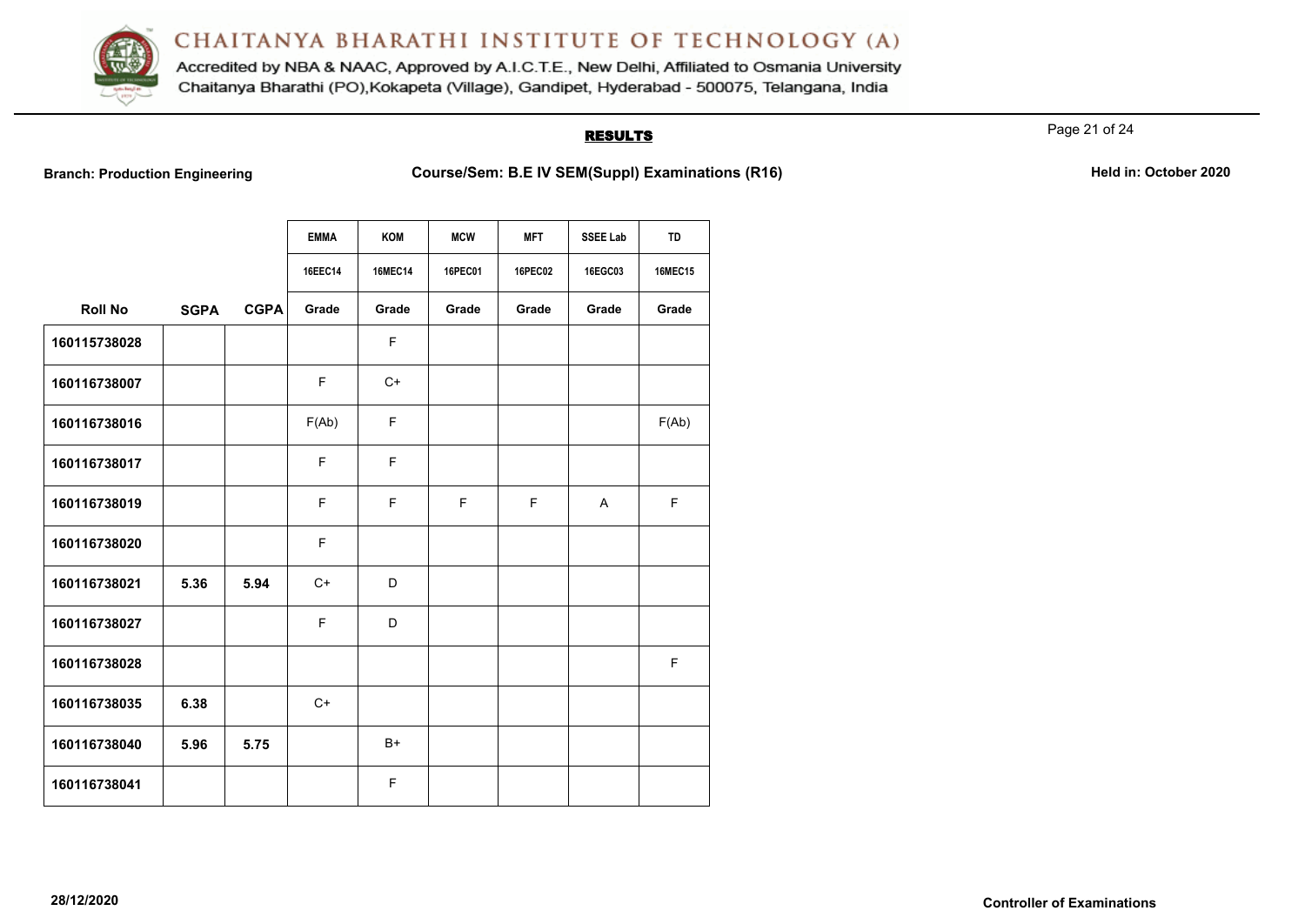

Accredited by NBA & NAAC, Approved by A.I.C.T.E., New Delhi, Affiliated to Osmania University Chaitanya Bharathi (PO), Kokapeta (Village), Gandipet, Hyderabad - 500075, Telangana, India

# **RESULTS**

Page 21 of 24

|                |             |             | <b>EMMA</b><br>16EEC14 | KOM<br><b>16MEC14</b> | <b>MCW</b><br><b>16PEC01</b> | <b>MFT</b><br><b>16PEC02</b> | <b>SSEE Lab</b><br>16EGC03 | <b>TD</b><br><b>16MEC15</b> |
|----------------|-------------|-------------|------------------------|-----------------------|------------------------------|------------------------------|----------------------------|-----------------------------|
| <b>Roll No</b> | <b>SGPA</b> | <b>CGPA</b> | Grade                  | Grade                 | Grade                        | Grade                        | Grade                      | Grade                       |
| 160115738028   |             |             |                        | F                     |                              |                              |                            |                             |
| 160116738007   |             |             | F                      | $C+$                  |                              |                              |                            |                             |
| 160116738016   |             |             | F(Ab)                  | F                     |                              |                              |                            | F(Ab)                       |
| 160116738017   |             |             | F                      | F                     |                              |                              |                            |                             |
| 160116738019   |             |             | E                      | F                     | E                            | E                            | A                          | F                           |
| 160116738020   |             |             | F                      |                       |                              |                              |                            |                             |
| 160116738021   | 5.36        | 5.94        | $C+$                   | D                     |                              |                              |                            |                             |
| 160116738027   |             |             | F                      | D                     |                              |                              |                            |                             |
| 160116738028   |             |             |                        |                       |                              |                              |                            | F                           |
| 160116738035   | 6.38        |             | $C+$                   |                       |                              |                              |                            |                             |
| 160116738040   | 5.96        | 5.75        |                        | B+                    |                              |                              |                            |                             |
| 160116738041   |             |             |                        | F                     |                              |                              |                            |                             |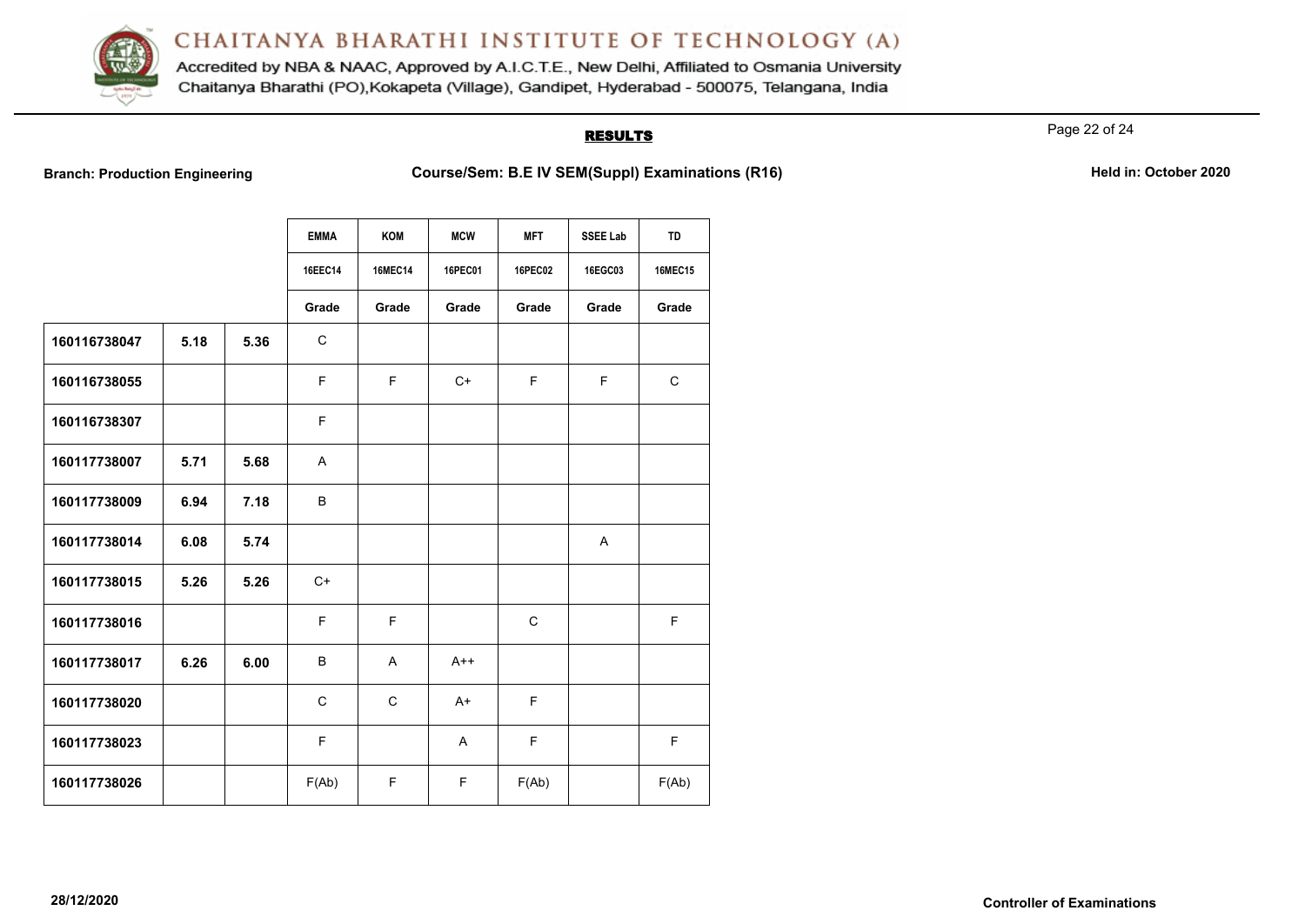

Accredited by NBA & NAAC, Approved by A.I.C.T.E., New Delhi, Affiliated to Osmania University Chaitanya Bharathi (PO), Kokapeta (Village), Gandipet, Hyderabad - 500075, Telangana, India

# **RESULTS**

Page 22 of 24

|              |      |      | <b>EMMA</b> | KOM            | <b>MCW</b>     | <b>MFT</b>     | <b>SSEE Lab</b> | TD             |
|--------------|------|------|-------------|----------------|----------------|----------------|-----------------|----------------|
|              |      |      | 16EEC14     | <b>16MEC14</b> | <b>16PEC01</b> | <b>16PEC02</b> | 16EGC03         | <b>16MEC15</b> |
|              |      |      | Grade       | Grade          | Grade          | Grade          | Grade           | Grade          |
| 160116738047 | 5.18 | 5.36 | $\mathbf C$ |                |                |                |                 |                |
| 160116738055 |      |      | F           | F.             | $C+$           | F              | F.              | $\mathbf C$    |
| 160116738307 |      |      | F           |                |                |                |                 |                |
| 160117738007 | 5.71 | 5.68 | A           |                |                |                |                 |                |
| 160117738009 | 6.94 | 7.18 | B           |                |                |                |                 |                |
| 160117738014 | 6.08 | 5.74 |             |                |                |                | A               |                |
| 160117738015 | 5.26 | 5.26 | $C+$        |                |                |                |                 |                |
| 160117738016 |      |      | E           | E              |                | $\mathsf C$    |                 | F              |
| 160117738017 | 6.26 | 6.00 | B           | $\mathsf{A}$   | $A++$          |                |                 |                |
| 160117738020 |      |      | $\mathsf C$ | $\mathsf{C}$   | $A+$           | F              |                 |                |
| 160117738023 |      |      | F           |                | A              | F              |                 | $\mathsf F$    |
| 160117738026 |      |      | F(Ab)       | F              | F.             | F(Ab)          |                 | F(Ab)          |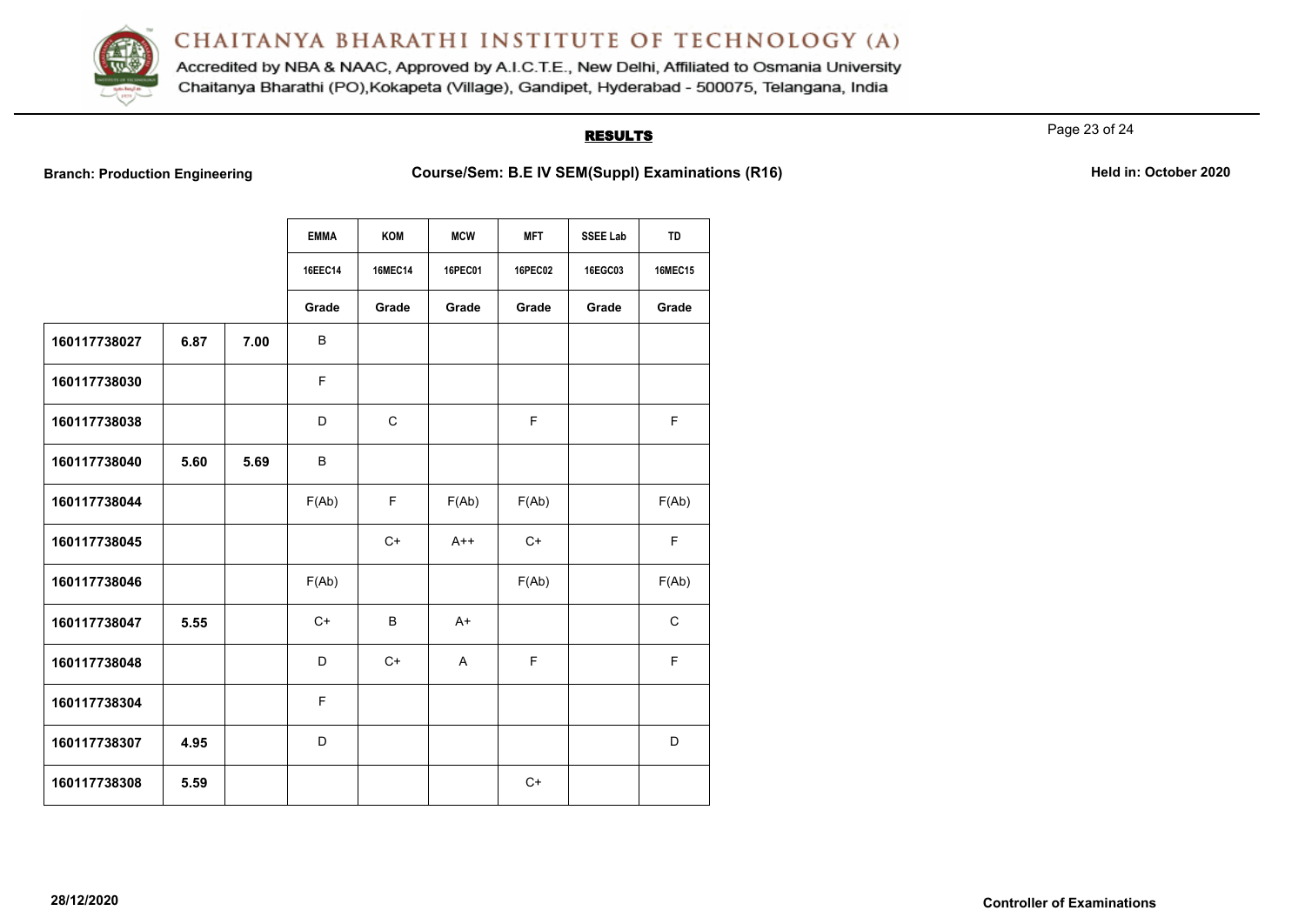

Accredited by NBA & NAAC, Approved by A.I.C.T.E., New Delhi, Affiliated to Osmania University Chaitanya Bharathi (PO), Kokapeta (Village), Gandipet, Hyderabad - 500075, Telangana, India

# **RESULTS**

Page 23 of 24

|              |      |      | <b>EMMA</b> | KOM            | <b>MCW</b> | <b>MFT</b>     | <b>SSEE Lab</b> | <b>TD</b>      |
|--------------|------|------|-------------|----------------|------------|----------------|-----------------|----------------|
|              |      |      | 16EEC14     | <b>16MEC14</b> | 16PEC01    | <b>16PEC02</b> | 16EGC03         | <b>16MEC15</b> |
|              |      |      | Grade       | Grade          | Grade      | Grade          | Grade           | Grade          |
| 160117738027 | 6.87 | 7.00 | B           |                |            |                |                 |                |
| 160117738030 |      |      | F           |                |            |                |                 |                |
| 160117738038 |      |      | D           | $\mathsf C$    |            | F              |                 | $\mathsf F$    |
| 160117738040 | 5.60 | 5.69 | B           |                |            |                |                 |                |
| 160117738044 |      |      | F(Ab)       | F.             | F(Ab)      | F(Ab)          |                 | F(Ab)          |
| 160117738045 |      |      |             | $C+$           | $A++$      | $C+$           |                 | F.             |
| 160117738046 |      |      | F(Ab)       |                |            | F(Ab)          |                 | F(Ab)          |
| 160117738047 | 5.55 |      | $C+$        | B              | $A+$       |                |                 | $\mathsf C$    |
| 160117738048 |      |      | D           | $C+$           | A          | F              |                 | F.             |
| 160117738304 |      |      | F           |                |            |                |                 |                |
| 160117738307 | 4.95 |      | D           |                |            |                |                 | D              |
| 160117738308 | 5.59 |      |             |                |            | $C+$           |                 |                |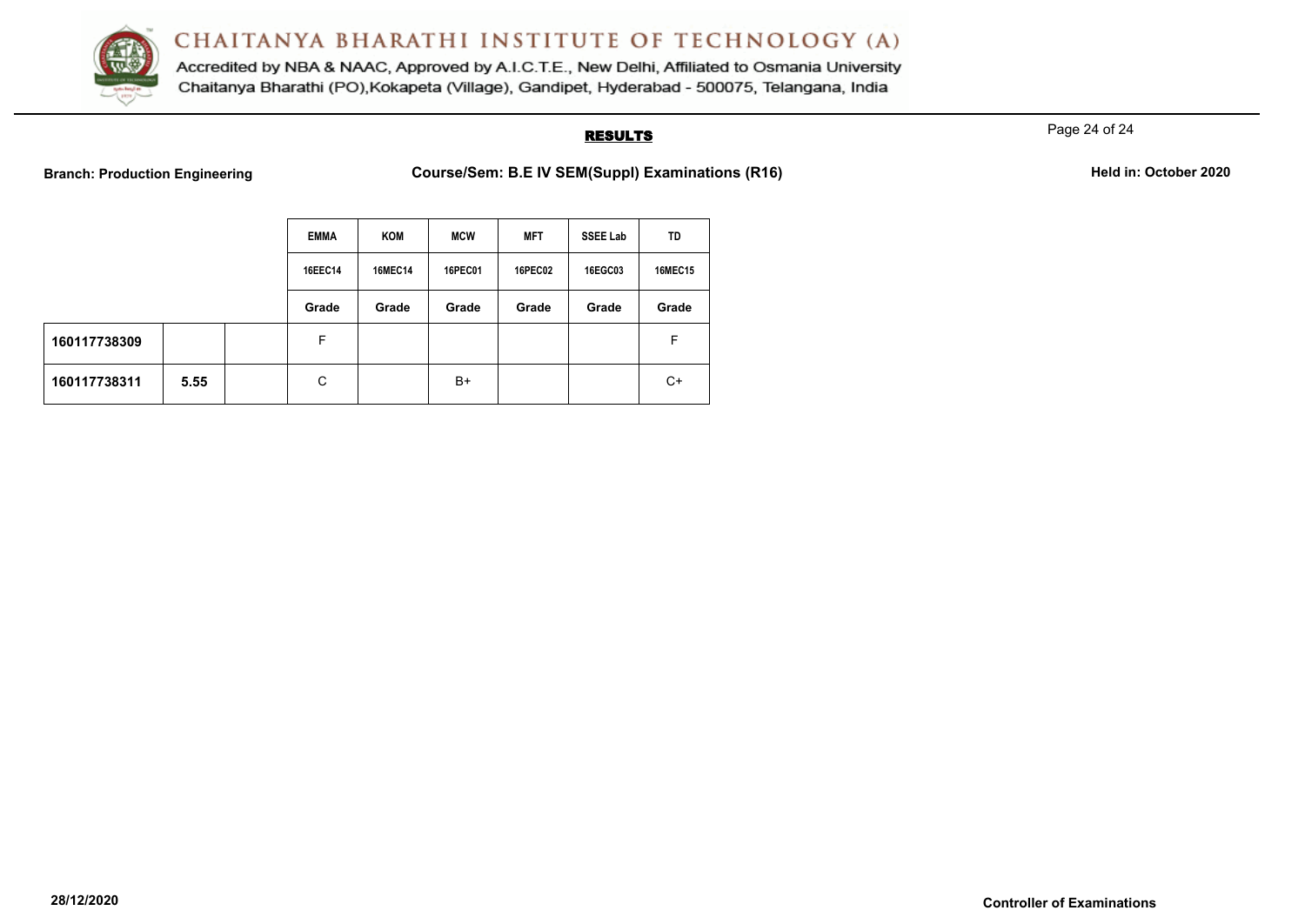

Accredited by NBA & NAAC, Approved by A.I.C.T.E., New Delhi, Affiliated to Osmania University Chaitanya Bharathi (PO), Kokapeta (Village), Gandipet, Hyderabad - 500075, Telangana, India

# **RESULTS**

Page 24 of 24

|              |      | <b>EMMA</b> | KOM            | <b>MCW</b>     | <b>MFT</b>     | <b>SSEE Lab</b> | TD             |
|--------------|------|-------------|----------------|----------------|----------------|-----------------|----------------|
|              |      | 16EEC14     | <b>16MEC14</b> | <b>16PEC01</b> | <b>16PEC02</b> | 16EGC03         | <b>16MEC15</b> |
|              |      | Grade       | Grade          | Grade          | Grade          | Grade           | Grade          |
| 160117738309 |      | F           |                |                |                |                 | F              |
| 160117738311 | 5.55 | C           |                | $B+$           |                |                 | C+             |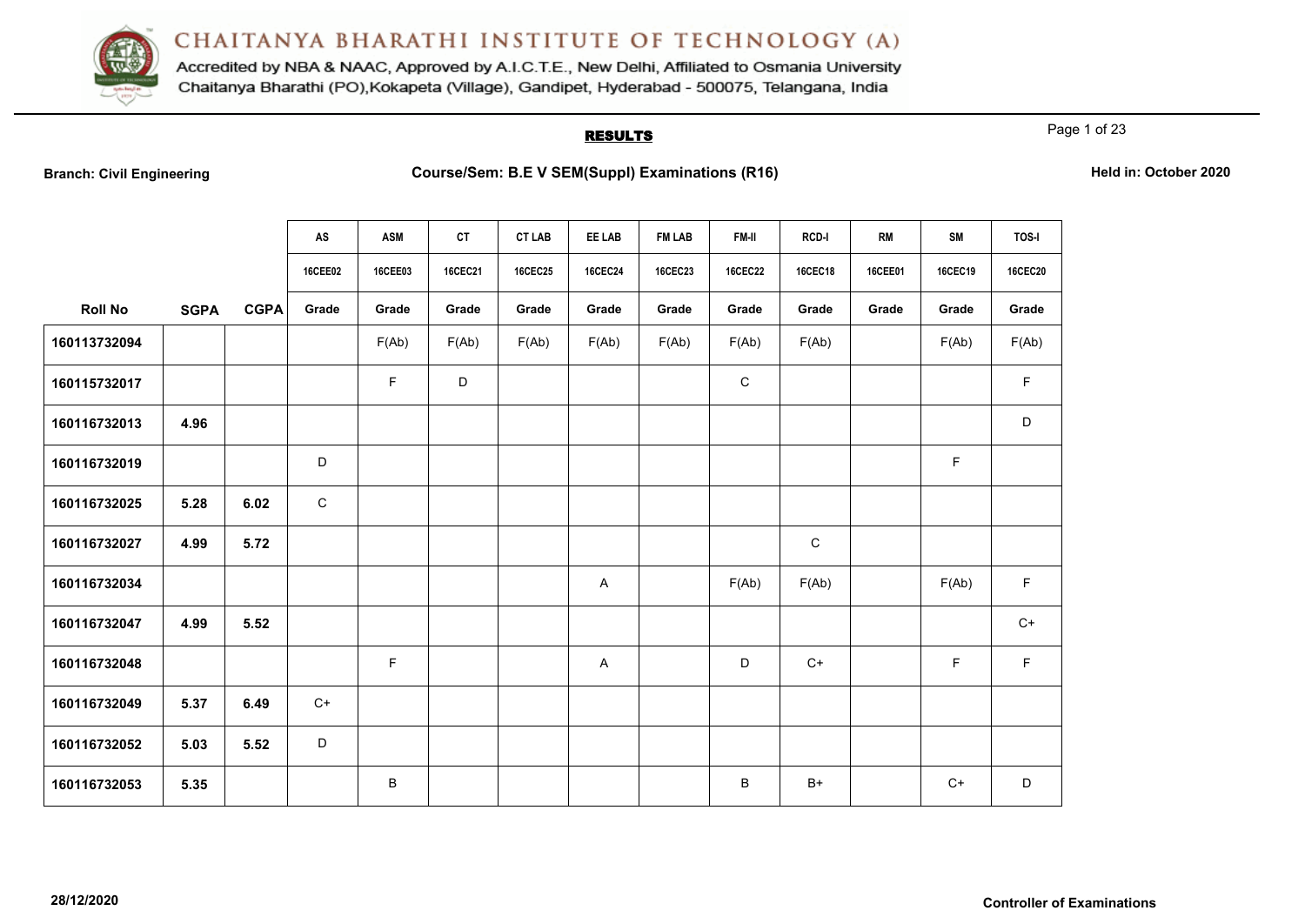

Accredited by NBA & NAAC, Approved by A.I.C.T.E., New Delhi, Affiliated to Osmania University Chaitanya Bharathi (PO), Kokapeta (Village), Gandipet, Hyderabad - 500075, Telangana, India

# **RESULTS**

Page 1 of 23

| <b>Branch: Civil Engineering</b> |  |  |  |  |
|----------------------------------|--|--|--|--|
|----------------------------------|--|--|--|--|

|                |             |             | AS             | <b>ASM</b>     | <b>CT</b>      | <b>CT LAB</b>  | EE LAB         | <b>FM LAB</b>  | FM-II          | <b>RCD-I</b>   | <b>RM</b>      | <b>SM</b>      | TOS-I          |
|----------------|-------------|-------------|----------------|----------------|----------------|----------------|----------------|----------------|----------------|----------------|----------------|----------------|----------------|
|                |             |             | <b>16CEE02</b> | <b>16CEE03</b> | <b>16CEC21</b> | <b>16CEC25</b> | <b>16CEC24</b> | <b>16CEC23</b> | <b>16CEC22</b> | <b>16CEC18</b> | <b>16CEE01</b> | <b>16CEC19</b> | <b>16CEC20</b> |
| <b>Roll No</b> | <b>SGPA</b> | <b>CGPA</b> | Grade          | Grade          | Grade          | Grade          | Grade          | Grade          | Grade          | Grade          | Grade          | Grade          | Grade          |
| 160113732094   |             |             |                | F(Ab)          | F(Ab)          | F(Ab)          | F(Ab)          | F(Ab)          | F(Ab)          | F(Ab)          |                | F(Ab)          | F(Ab)          |
| 160115732017   |             |             |                | F.             | D              |                |                |                | $\mathsf C$    |                |                |                | F              |
| 160116732013   | 4.96        |             |                |                |                |                |                |                |                |                |                |                | D              |
| 160116732019   |             |             | D              |                |                |                |                |                |                |                |                | F              |                |
| 160116732025   | 5.28        | 6.02        | ${\bf C}$      |                |                |                |                |                |                |                |                |                |                |
| 160116732027   | 4.99        | 5.72        |                |                |                |                |                |                |                | $\mathbf C$    |                |                |                |
| 160116732034   |             |             |                |                |                |                | A              |                | F(Ab)          | F(Ab)          |                | F(Ab)          | $\mathsf F$    |
| 160116732047   | 4.99        | 5.52        |                |                |                |                |                |                |                |                |                |                | $C+$           |
| 160116732048   |             |             |                | F              |                |                | A              |                | D              | $C+$           |                | F              | F              |
| 160116732049   | 5.37        | 6.49        | $C+$           |                |                |                |                |                |                |                |                |                |                |
| 160116732052   | 5.03        | 5.52        | D              |                |                |                |                |                |                |                |                |                |                |
| 160116732053   | 5.35        |             |                | $\sf B$        |                |                |                |                | B              | $B+$           |                | $C+$           | D              |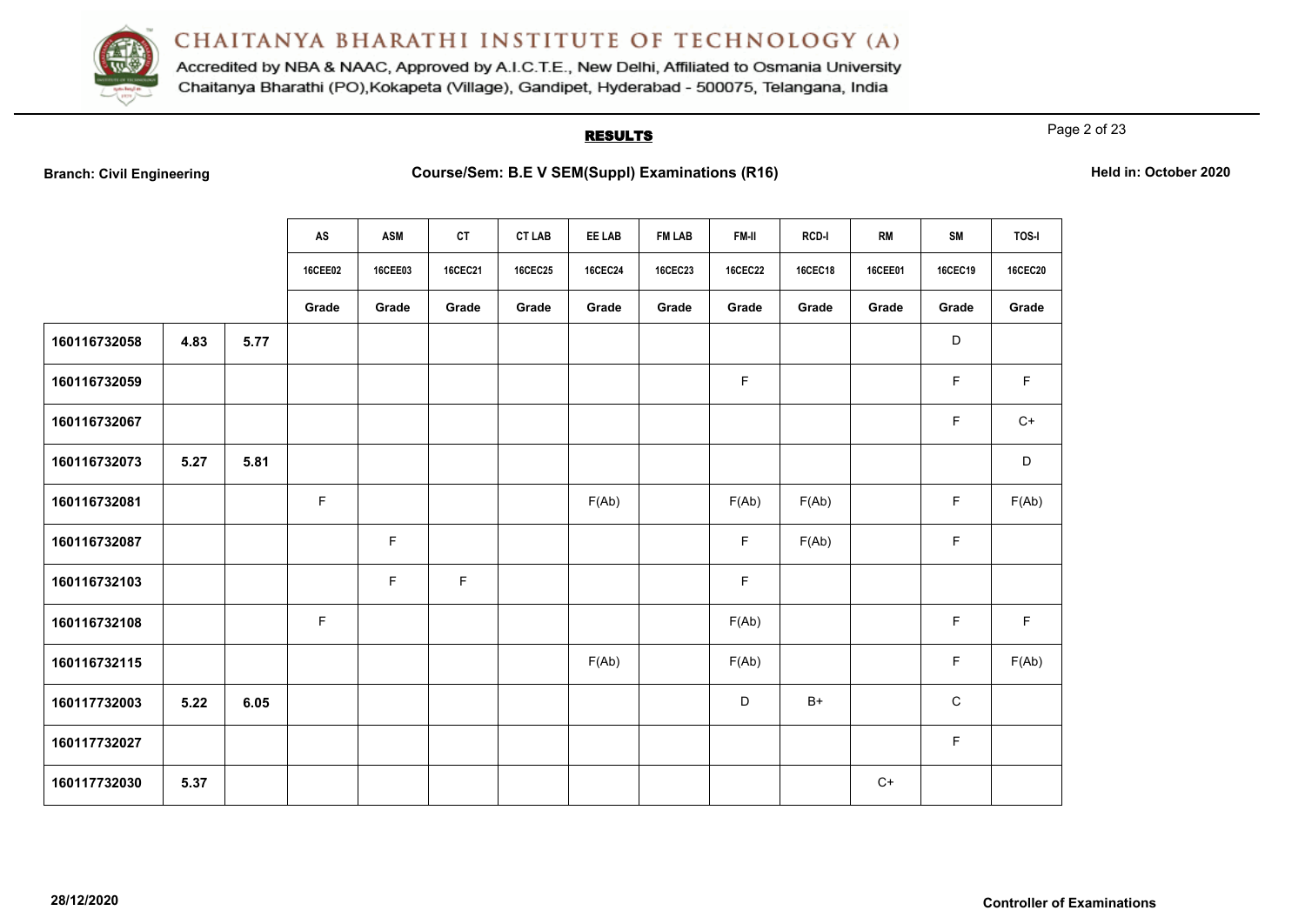

Accredited by NBA & NAAC, Approved by A.I.C.T.E., New Delhi, Affiliated to Osmania University Chaitanya Bharathi (PO), Kokapeta (Village), Gandipet, Hyderabad - 500075, Telangana, India

# **RESULTS**

Page 2 of 23

| <b>Branch: Civil Engineering</b> |  |  |  |  |
|----------------------------------|--|--|--|--|
|----------------------------------|--|--|--|--|

|              |      |      | AS             | <b>ASM</b>     | <b>CT</b>      | <b>CT LAB</b>  | EE LAB         | <b>FM LAB</b>  | FM-II          | RCD-I          | <b>RM</b>      | <b>SM</b>      | TOS-I          |
|--------------|------|------|----------------|----------------|----------------|----------------|----------------|----------------|----------------|----------------|----------------|----------------|----------------|
|              |      |      | <b>16CEE02</b> | <b>16CEE03</b> | <b>16CEC21</b> | <b>16CEC25</b> | <b>16CEC24</b> | <b>16CEC23</b> | <b>16CEC22</b> | <b>16CEC18</b> | <b>16CEE01</b> | <b>16CEC19</b> | <b>16CEC20</b> |
|              |      |      | Grade          | Grade          | Grade          | Grade          | Grade          | Grade          | Grade          | Grade          | Grade          | Grade          | Grade          |
| 160116732058 | 4.83 | 5.77 |                |                |                |                |                |                |                |                |                | D              |                |
| 160116732059 |      |      |                |                |                |                |                |                | $\mathsf F$    |                |                | F              | F              |
| 160116732067 |      |      |                |                |                |                |                |                |                |                |                | $\mathsf F$    | $C+$           |
| 160116732073 | 5.27 | 5.81 |                |                |                |                |                |                |                |                |                |                | D              |
| 160116732081 |      |      | $\mathsf F$    |                |                |                | F(Ab)          |                | F(Ab)          | F(Ab)          |                | $\mathsf F$    | F(Ab)          |
| 160116732087 |      |      |                | F              |                |                |                |                | $\mathsf F$    | F(Ab)          |                | $\mathsf F$    |                |
| 160116732103 |      |      |                | F              | $\mathsf F$    |                |                |                | F              |                |                |                |                |
| 160116732108 |      |      | $\mathsf F$    |                |                |                |                |                | F(Ab)          |                |                | F              | $\mathsf F$    |
| 160116732115 |      |      |                |                |                |                | F(Ab)          |                | F(Ab)          |                |                | $\mathsf F$    | F(Ab)          |
| 160117732003 | 5.22 | 6.05 |                |                |                |                |                |                | D              | $B+$           |                | $\mathbf C$    |                |
| 160117732027 |      |      |                |                |                |                |                |                |                |                |                | $\mathsf F$    |                |
| 160117732030 | 5.37 |      |                |                |                |                |                |                |                |                | $C+$           |                |                |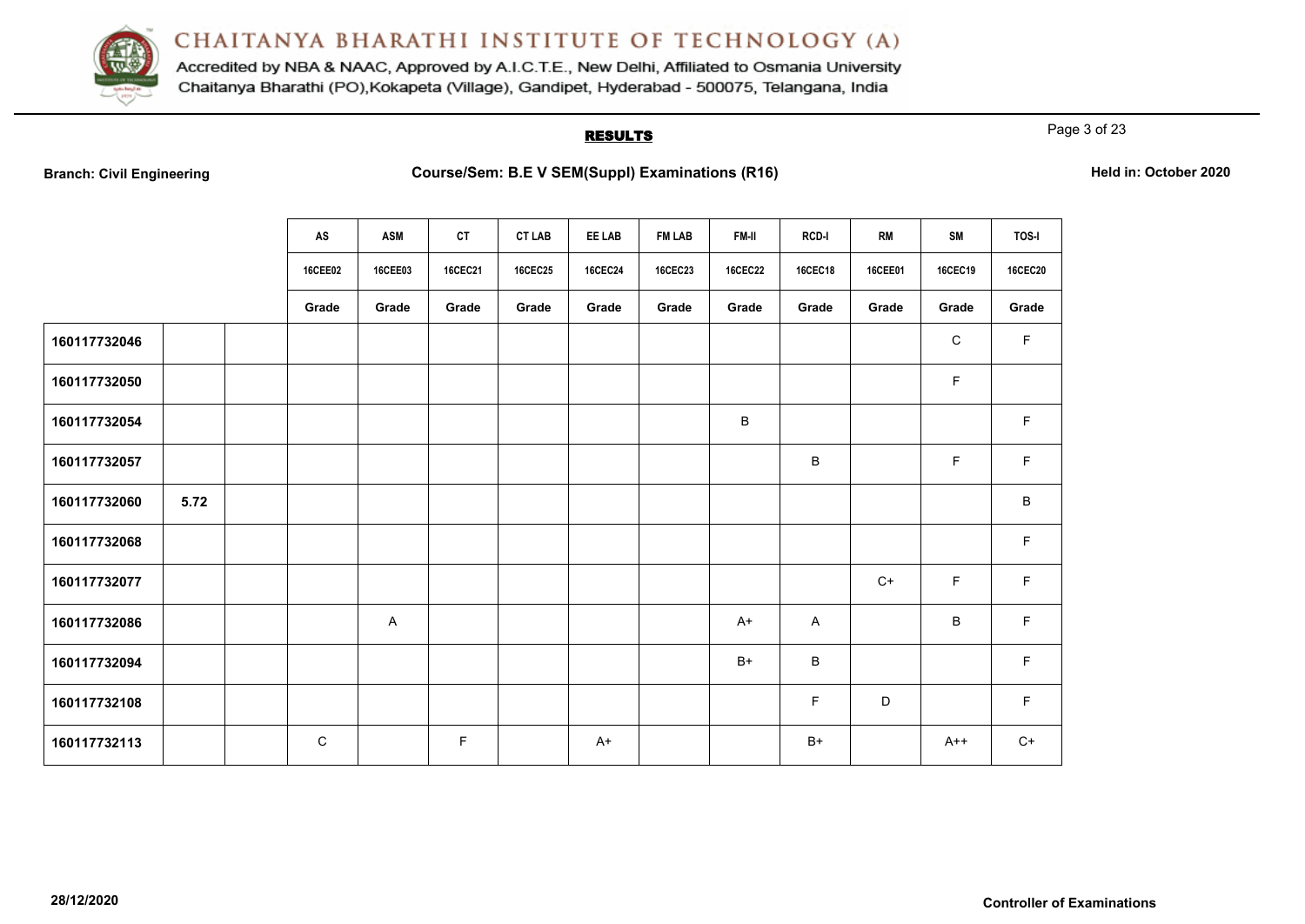

Accredited by NBA & NAAC, Approved by A.I.C.T.E., New Delhi, Affiliated to Osmania University Chaitanya Bharathi (PO), Kokapeta (Village), Gandipet, Hyderabad - 500075, Telangana, India

# **RESULTS**

Page 3 of 23

|              |      | AS      | <b>ASM</b>     | <b>CT</b> | <b>CT LAB</b>  | EE LAB         | <b>FM LAB</b> | <b>FM-II</b>   | <b>RCD-I</b> | <b>RM</b> | <b>SM</b>    | <b>TOS-I</b>   |
|--------------|------|---------|----------------|-----------|----------------|----------------|---------------|----------------|--------------|-----------|--------------|----------------|
|              |      | 16CEE02 | <b>16CEE03</b> | 16CEC21   | <b>16CEC25</b> | <b>16CEC24</b> | 16CEC23       | <b>16CEC22</b> | 16CEC18      | 16CEE01   | 16CEC19      | <b>16CEC20</b> |
|              |      | Grade   | Grade          | Grade     | Grade          | Grade          | Grade         | Grade          | Grade        | Grade     | Grade        | Grade          |
| 160117732046 |      |         |                |           |                |                |               |                |              |           | $\mathsf{C}$ | F              |
| 160117732050 |      |         |                |           |                |                |               |                |              |           | F            |                |
| 160117732054 |      |         |                |           |                |                |               | B              |              |           |              | F              |
| 160117732057 |      |         |                |           |                |                |               |                | B            |           | F            | F              |
| 160117732060 | 5.72 |         |                |           |                |                |               |                |              |           |              | B              |
| 160117732068 |      |         |                |           |                |                |               |                |              |           |              | F              |
| 160117732077 |      |         |                |           |                |                |               |                |              | $C+$      | F            | F              |
| 160117732086 |      |         | A              |           |                |                |               | $A+$           | $\mathsf{A}$ |           | $\sf B$      | $\mathsf F$    |
| 160117732094 |      |         |                |           |                |                |               | $B+$           | $\, {\bf B}$ |           |              | F              |
| 160117732108 |      |         |                |           |                |                |               |                | F.           | D         |              | F              |
| 160117732113 |      | C       |                | F.        |                | $A+$           |               |                | $B+$         |           | $A++$        | $C+$           |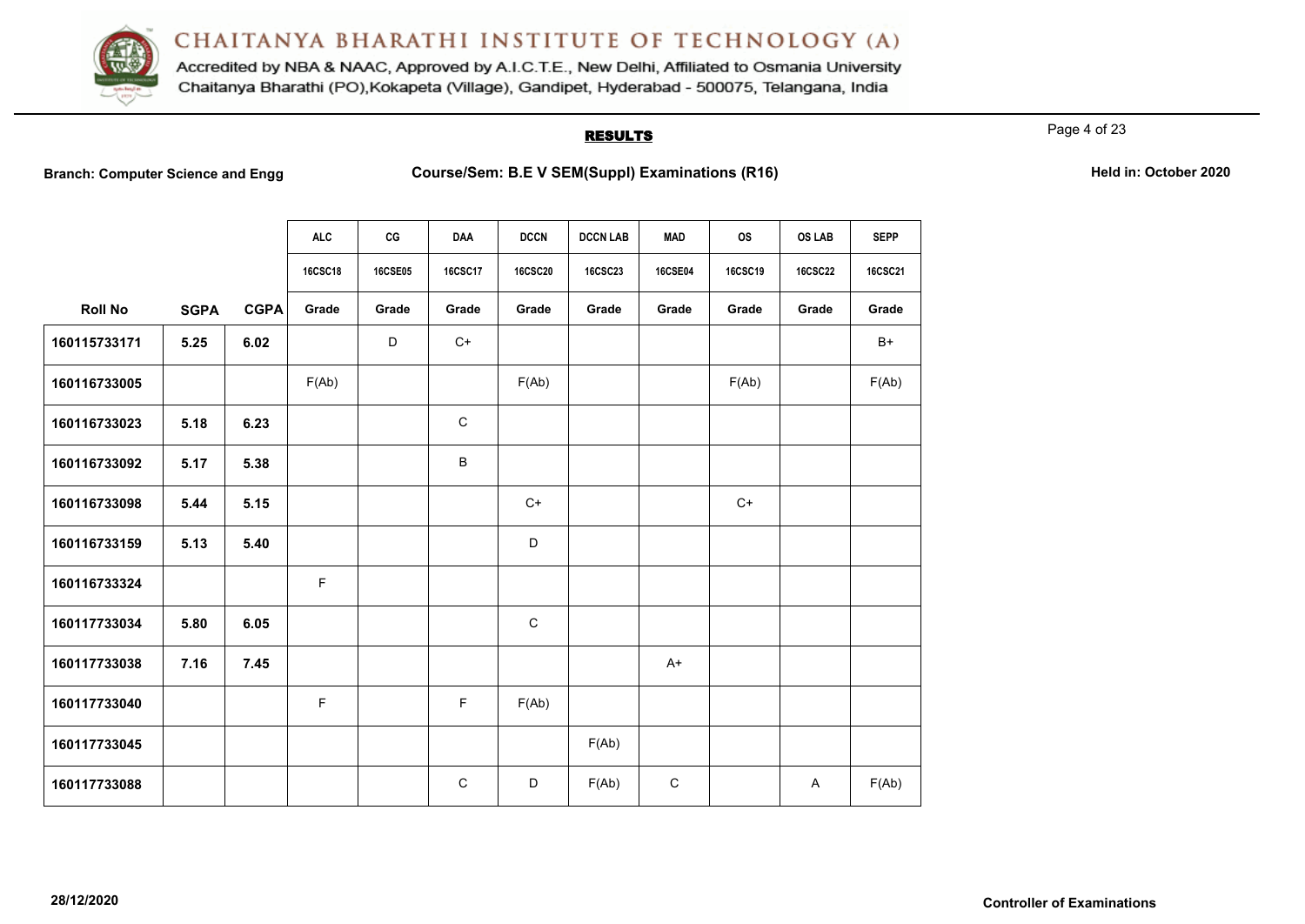

Accredited by NBA & NAAC, Approved by A.I.C.T.E., New Delhi, Affiliated to Osmania University Chaitanya Bharathi (PO), Kokapeta (Village), Gandipet, Hyderabad - 500075, Telangana, India

## **RESULTS**

Page 4 of 23

**Branch: Computer Science and Engg Course/Sem: B.E V SEM(Suppl) Examinations (R16) Held in: October 2020**

| Held in: October 2020 |
|-----------------------|
|-----------------------|

|                |             |             | <b>ALC</b>     | CG             | <b>DAA</b>     | <b>DCCN</b>    | <b>DCCN LAB</b> | <b>MAD</b>     | <b>OS</b>      | <b>OS LAB</b>  | <b>SEPP</b>    |
|----------------|-------------|-------------|----------------|----------------|----------------|----------------|-----------------|----------------|----------------|----------------|----------------|
|                |             |             | <b>16CSC18</b> | <b>16CSE05</b> | <b>16CSC17</b> | <b>16CSC20</b> | <b>16CSC23</b>  | <b>16CSE04</b> | <b>16CSC19</b> | <b>16CSC22</b> | <b>16CSC21</b> |
| <b>Roll No</b> | <b>SGPA</b> | <b>CGPA</b> | Grade          | Grade          | Grade          | Grade          | Grade           | Grade          | Grade          | Grade          | Grade          |
| 160115733171   | 5.25        | 6.02        |                | D              | $C+$           |                |                 |                |                |                | $B+$           |
| 160116733005   |             |             | F(Ab)          |                |                | F(Ab)          |                 |                | F(Ab)          |                | F(Ab)          |
| 160116733023   | 5.18        | 6.23        |                |                | $\mathbf C$    |                |                 |                |                |                |                |
| 160116733092   | 5.17        | 5.38        |                |                | B              |                |                 |                |                |                |                |
| 160116733098   | 5.44        | 5.15        |                |                |                | $C+$           |                 |                | $C+$           |                |                |
| 160116733159   | 5.13        | 5.40        |                |                |                | D              |                 |                |                |                |                |
| 160116733324   |             |             | F              |                |                |                |                 |                |                |                |                |
| 160117733034   | 5.80        | 6.05        |                |                |                | $\mathsf{C}$   |                 |                |                |                |                |
| 160117733038   | 7.16        | 7.45        |                |                |                |                |                 | $A+$           |                |                |                |
| 160117733040   |             |             | F              |                | F              | F(Ab)          |                 |                |                |                |                |
| 160117733045   |             |             |                |                |                |                | F(Ab)           |                |                |                |                |
| 160117733088   |             |             |                |                | $\mathsf C$    | D              | F(Ab)           | $\mathbf C$    |                | A              | F(Ab)          |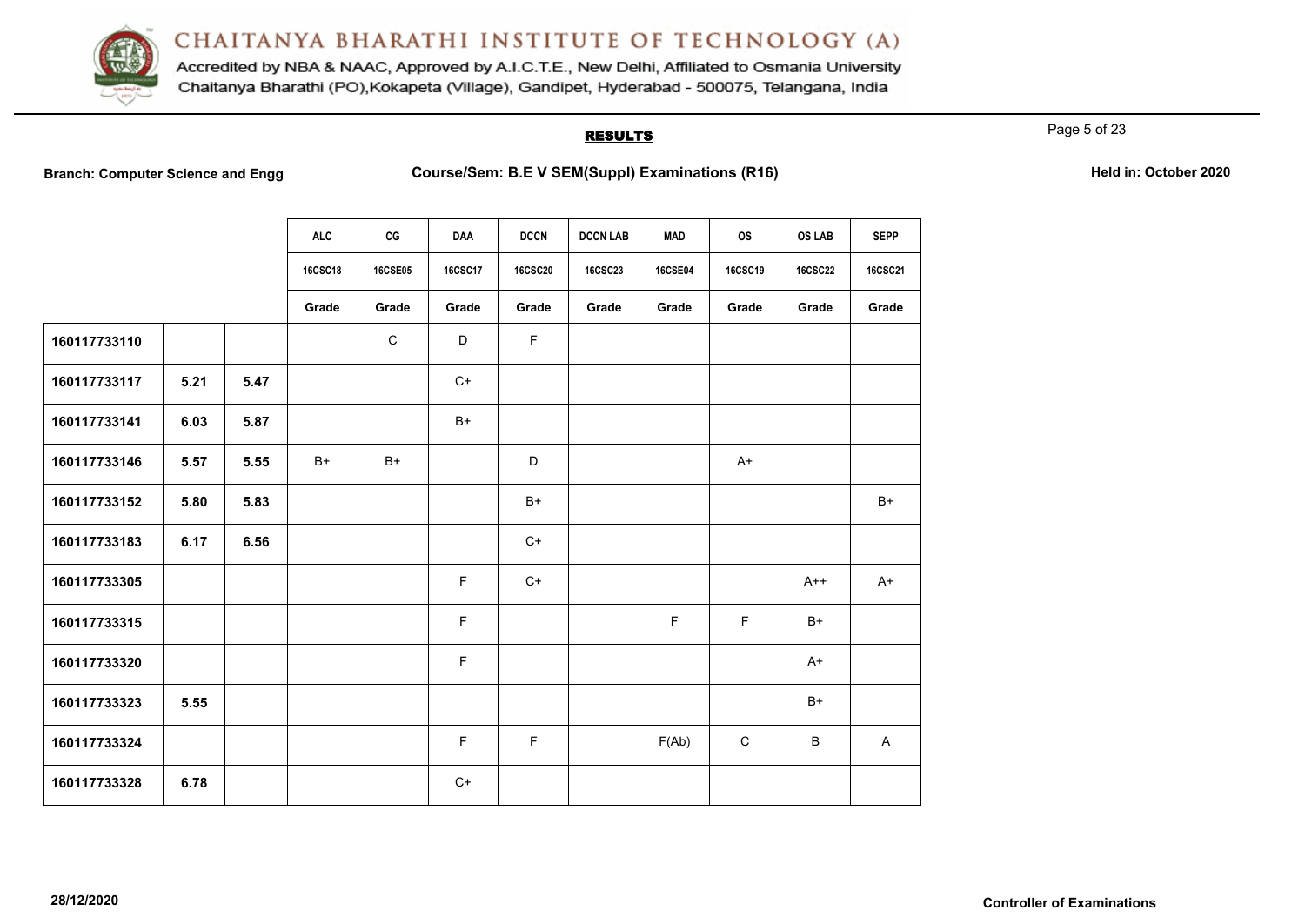

Accredited by NBA & NAAC, Approved by A.I.C.T.E., New Delhi, Affiliated to Osmania University Chaitanya Bharathi (PO), Kokapeta (Village), Gandipet, Hyderabad - 500075, Telangana, India

## **RESULTS**

Page 5 of 23

**Branch: Computer Science and Engg Course/Sem: B.E V SEM(Suppl) Examinations (R16)** Held in: October 2020

|              |      |      | <b>ALC</b>     | CG             | DAA            | <b>DCCN</b>    | <b>DCCN LAB</b> | <b>MAD</b>     | <b>OS</b>      | <b>OS LAB</b>  | <b>SEPP</b>    |
|--------------|------|------|----------------|----------------|----------------|----------------|-----------------|----------------|----------------|----------------|----------------|
|              |      |      | <b>16CSC18</b> | <b>16CSE05</b> | <b>16CSC17</b> | <b>16CSC20</b> | <b>16CSC23</b>  | <b>16CSE04</b> | <b>16CSC19</b> | <b>16CSC22</b> | <b>16CSC21</b> |
|              |      |      | Grade          | Grade          | Grade          | Grade          | Grade           | Grade          | Grade          | Grade          | Grade          |
| 160117733110 |      |      |                | $\mathsf C$    | D              | $\mathsf F$    |                 |                |                |                |                |
| 160117733117 | 5.21 | 5.47 |                |                | $C+$           |                |                 |                |                |                |                |
| 160117733141 | 6.03 | 5.87 |                |                | $B+$           |                |                 |                |                |                |                |
| 160117733146 | 5.57 | 5.55 | $B+$           | $B+$           |                | D              |                 |                | $A+$           |                |                |
| 160117733152 | 5.80 | 5.83 |                |                |                | $B+$           |                 |                |                |                | $B+$           |
| 160117733183 | 6.17 | 6.56 |                |                |                | $C+$           |                 |                |                |                |                |
| 160117733305 |      |      |                |                | F.             | $C+$           |                 |                |                | $A++$          | $A+$           |
| 160117733315 |      |      |                |                | F              |                |                 | F.             | F.             | $B+$           |                |
| 160117733320 |      |      |                |                | F              |                |                 |                |                | $A+$           |                |
| 160117733323 | 5.55 |      |                |                |                |                |                 |                |                | $B+$           |                |
| 160117733324 |      |      |                |                | F              | $\mathsf F$    |                 | F(Ab)          | $\mathsf C$    | B              | A              |
| 160117733328 | 6.78 |      |                |                | $C+$           |                |                 |                |                |                |                |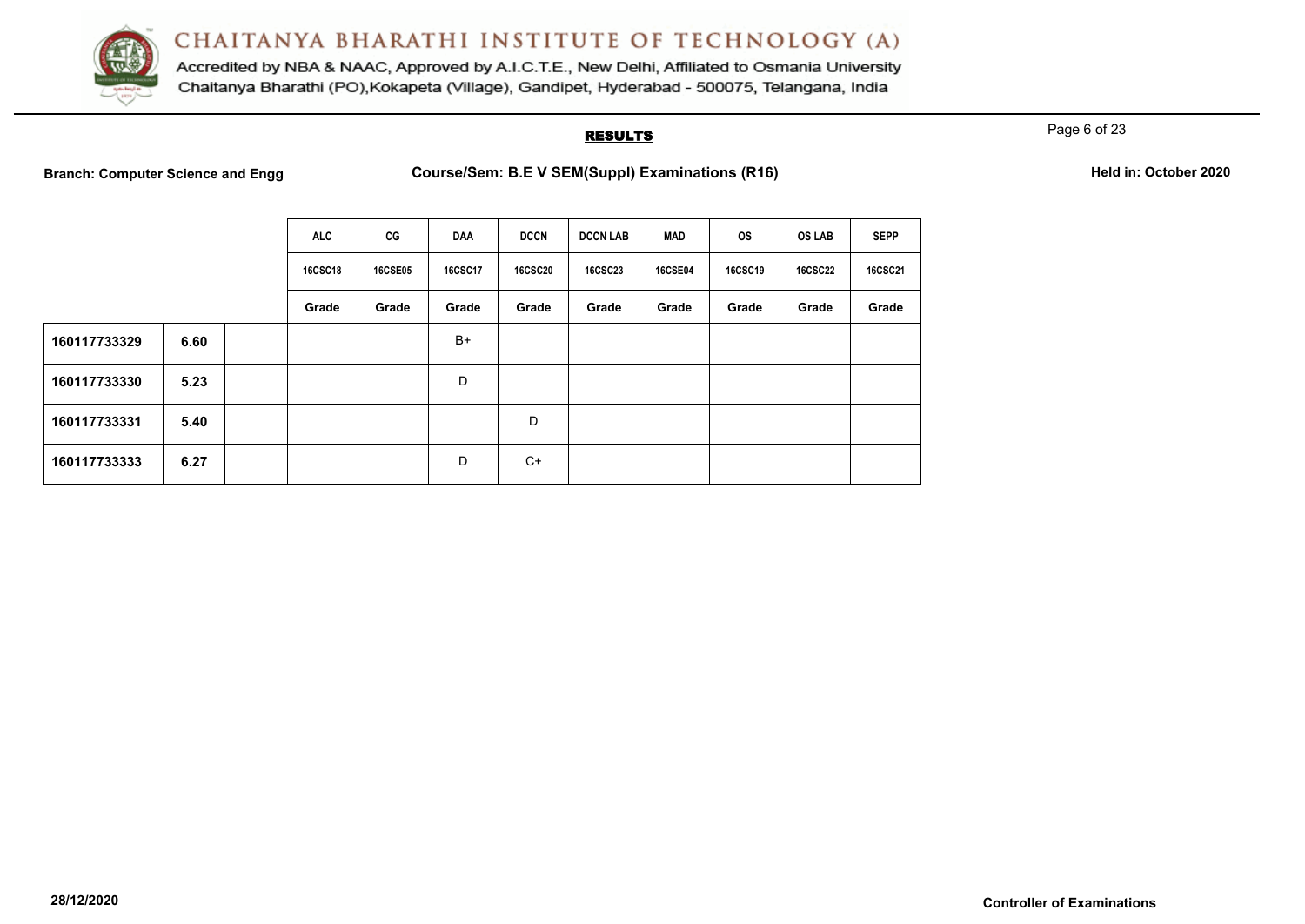

Accredited by NBA & NAAC, Approved by A.I.C.T.E., New Delhi, Affiliated to Osmania University Chaitanya Bharathi (PO), Kokapeta (Village), Gandipet, Hyderabad - 500075, Telangana, India

#### **RESULTS**

Page 6 of 23

**Branch: Computer Science and Engg Course/Sem: B.E V SEM(Suppl) Examinations (R16) Held in: October 2020**

|  |  | Held in: October 2020 |  |
|--|--|-----------------------|--|
|--|--|-----------------------|--|

|              |      | <b>ALC</b>     | CG             | <b>DAA</b>     | <b>DCCN</b>    | <b>DCCN LAB</b> | MAD            | <b>OS</b>      | <b>OS LAB</b>  | <b>SEPP</b>    |
|--------------|------|----------------|----------------|----------------|----------------|-----------------|----------------|----------------|----------------|----------------|
|              |      | <b>16CSC18</b> | <b>16CSE05</b> | <b>16CSC17</b> | <b>16CSC20</b> | <b>16CSC23</b>  | <b>16CSE04</b> | <b>16CSC19</b> | <b>16CSC22</b> | <b>16CSC21</b> |
|              |      | Grade          | Grade          | Grade          | Grade          | Grade           | Grade          | Grade          | Grade          | Grade          |
| 160117733329 | 6.60 |                |                | $B+$           |                |                 |                |                |                |                |
| 160117733330 | 5.23 |                |                | D              |                |                 |                |                |                |                |
| 160117733331 | 5.40 |                |                |                | D              |                 |                |                |                |                |
| 160117733333 | 6.27 |                |                | D              | $C+$           |                 |                |                |                |                |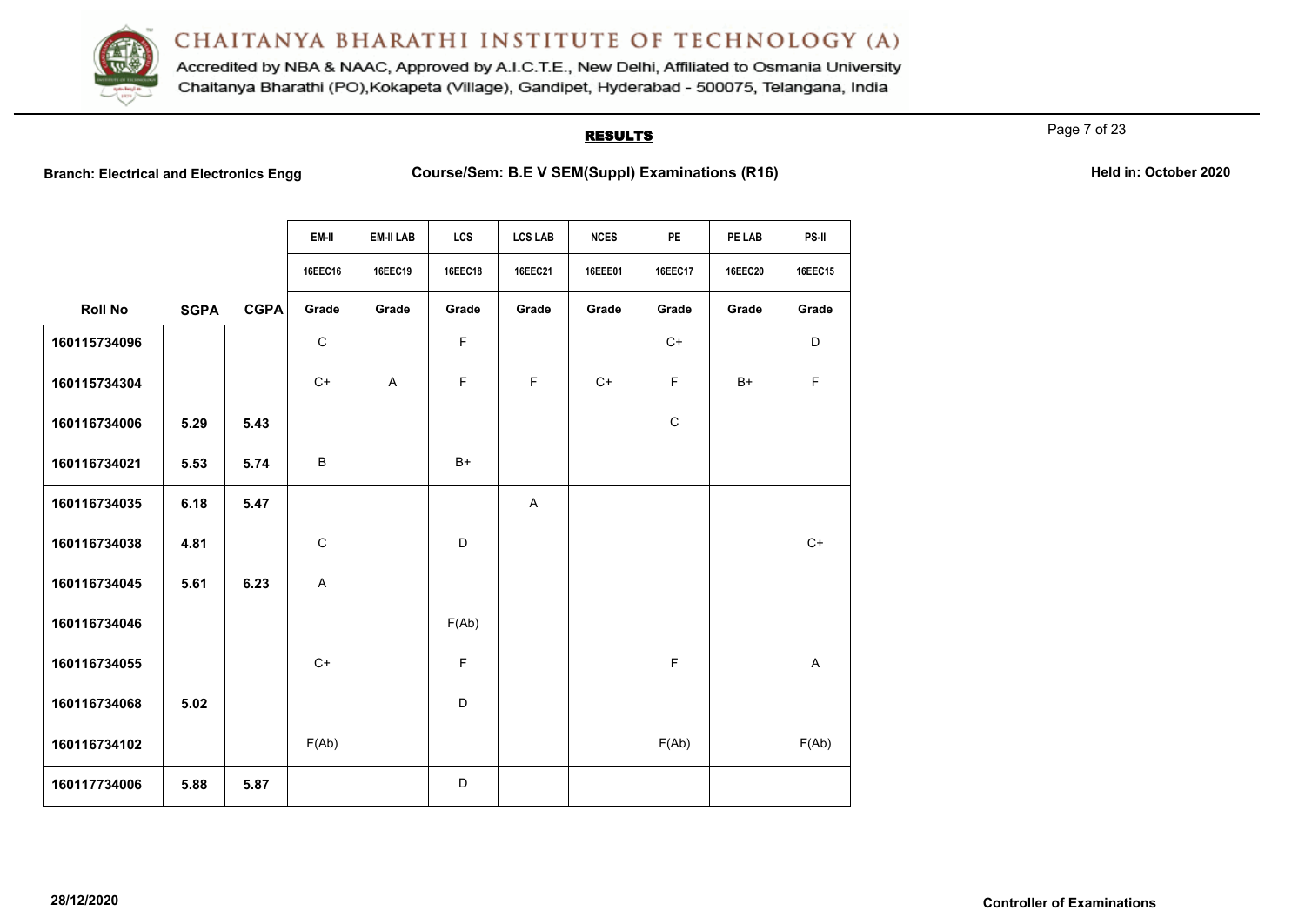

Accredited by NBA & NAAC, Approved by A.I.C.T.E., New Delhi, Affiliated to Osmania University Chaitanya Bharathi (PO), Kokapeta (Village), Gandipet, Hyderabad - 500075, Telangana, India

## **RESULTS**

Page 7 of 23

**Branch: Electrical and Electronics Engg Course/Sem: B.E V SEM(Suppl) Examinations (R16)** Held in: October 2020

|                |             |             | EM-II       | <b>EM-II LAB</b> | <b>LCS</b> | <b>LCS LAB</b> | <b>NCES</b> | <b>PE</b>   | PE LAB         | PS-II   |
|----------------|-------------|-------------|-------------|------------------|------------|----------------|-------------|-------------|----------------|---------|
|                |             |             | 16EEC16     | 16EEC19          | 16EEC18    | 16EEC21        | 16EEE01     | 16EEC17     | <b>16EEC20</b> | 16EEC15 |
| <b>Roll No</b> | <b>SGPA</b> | <b>CGPA</b> | Grade       | Grade            | Grade      | Grade          | Grade       | Grade       | Grade          | Grade   |
| 160115734096   |             |             | $\mathsf C$ |                  | F          |                |             | $C+$        |                | D       |
| 160115734304   |             |             | $C+$        | $\mathsf{A}$     | F.         | F              | $C+$        | F           | $B+$           | F       |
| 160116734006   | 5.29        | 5.43        |             |                  |            |                |             | $\mathbf C$ |                |         |
| 160116734021   | 5.53        | 5.74        | B           |                  | $B+$       |                |             |             |                |         |
| 160116734035   | 6.18        | 5.47        |             |                  |            | $\overline{A}$ |             |             |                |         |
| 160116734038   | 4.81        |             | $\mathsf C$ |                  | D          |                |             |             |                | $C+$    |
| 160116734045   | 5.61        | 6.23        | A           |                  |            |                |             |             |                |         |
| 160116734046   |             |             |             |                  | F(Ab)      |                |             |             |                |         |
| 160116734055   |             |             | $C+$        |                  | F          |                |             | $\mathsf F$ |                | A       |
| 160116734068   | 5.02        |             |             |                  | D          |                |             |             |                |         |
| 160116734102   |             |             | F(Ab)       |                  |            |                |             | F(Ab)       |                | F(Ab)   |
| 160117734006   | 5.88        | 5.87        |             |                  | D          |                |             |             |                |         |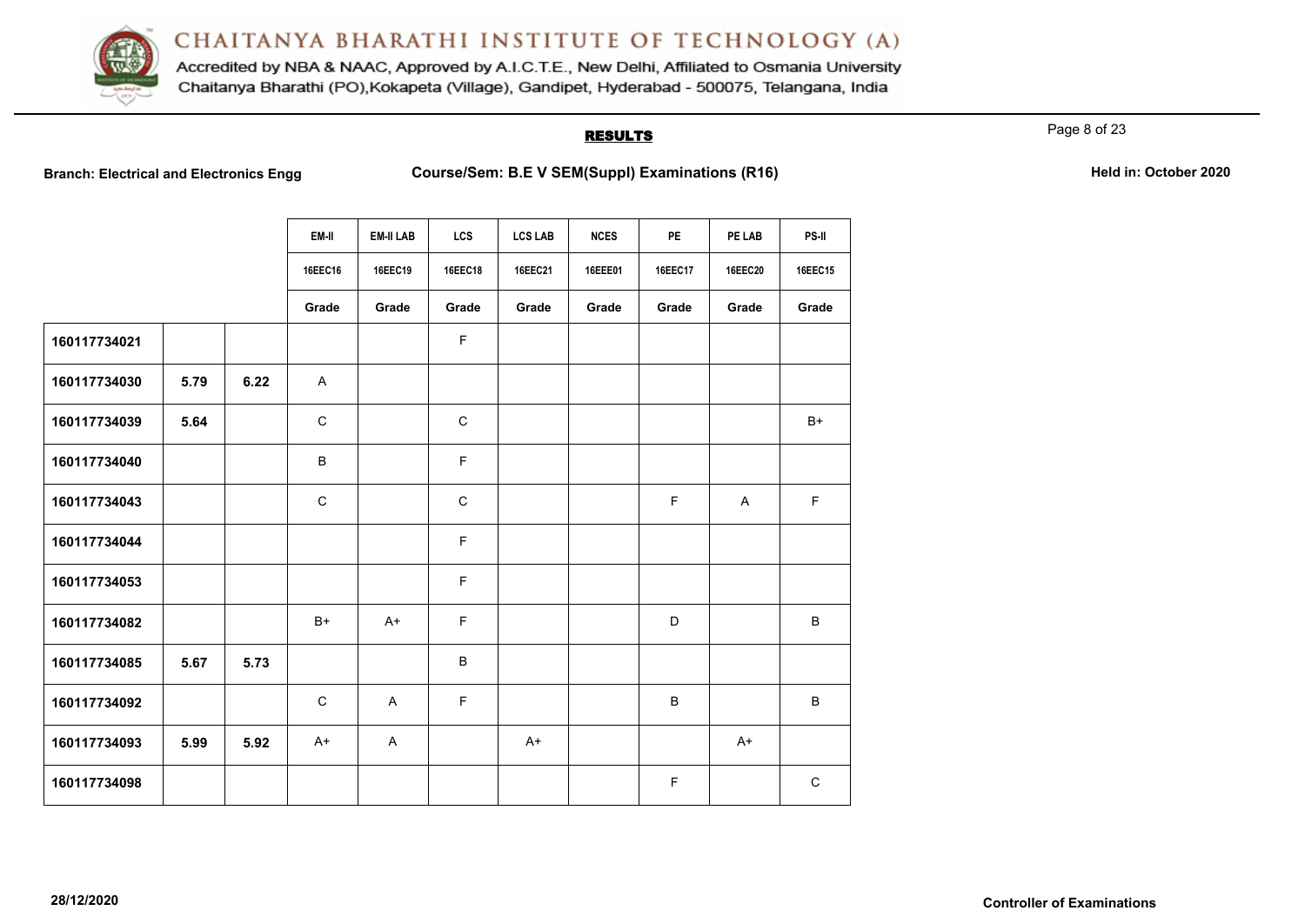

Accredited by NBA & NAAC, Approved by A.I.C.T.E., New Delhi, Affiliated to Osmania University Chaitanya Bharathi (PO), Kokapeta (Village), Gandipet, Hyderabad - 500075, Telangana, India

## **RESULTS**

Page 8 of 23

**Branch: Electrical and Electronics Engg Course/Sem: B.E V SEM(Suppl) Examinations (R16) Held in: October 2020**

|  | Held in: October 2020 |  |
|--|-----------------------|--|
|  |                       |  |

|              |      |      | EM-II       | <b>EM-II LAB</b> | <b>LCS</b>  | <b>LCS LAB</b> | <b>NCES</b> | PE             | PE LAB         | PS-II       |
|--------------|------|------|-------------|------------------|-------------|----------------|-------------|----------------|----------------|-------------|
|              |      |      | 16EEC16     | 16EEC19          | 16EEC18     | 16EEC21        | 16EEE01     | <b>16EEC17</b> | <b>16EEC20</b> | 16EEC15     |
|              |      |      | Grade       | Grade            | Grade       | Grade          | Grade       | Grade          | Grade          | Grade       |
| 160117734021 |      |      |             |                  | F           |                |             |                |                |             |
| 160117734030 | 5.79 | 6.22 | A           |                  |             |                |             |                |                |             |
| 160117734039 | 5.64 |      | $\mathsf C$ |                  | $\mathsf C$ |                |             |                |                | $B+$        |
| 160117734040 |      |      | B           |                  | F           |                |             |                |                |             |
| 160117734043 |      |      | $\mathsf C$ |                  | $\mathsf C$ |                |             | $\mathsf F$    | $\mathsf{A}$   | $\mathsf F$ |
| 160117734044 |      |      |             |                  | F           |                |             |                |                |             |
| 160117734053 |      |      |             |                  | F           |                |             |                |                |             |
| 160117734082 |      |      | B+          | A+               | F           |                |             | D              |                | B           |
| 160117734085 | 5.67 | 5.73 |             |                  | B           |                |             |                |                |             |
| 160117734092 |      |      | $\mathsf C$ | $\mathsf{A}$     | F           |                |             | $\sf B$        |                | B           |
| 160117734093 | 5.99 | 5.92 | $A+$        | $\mathsf{A}$     |             | $A+$           |             |                | $A+$           |             |
| 160117734098 |      |      |             |                  |             |                |             | $\mathsf F$    |                | $\mathbf C$ |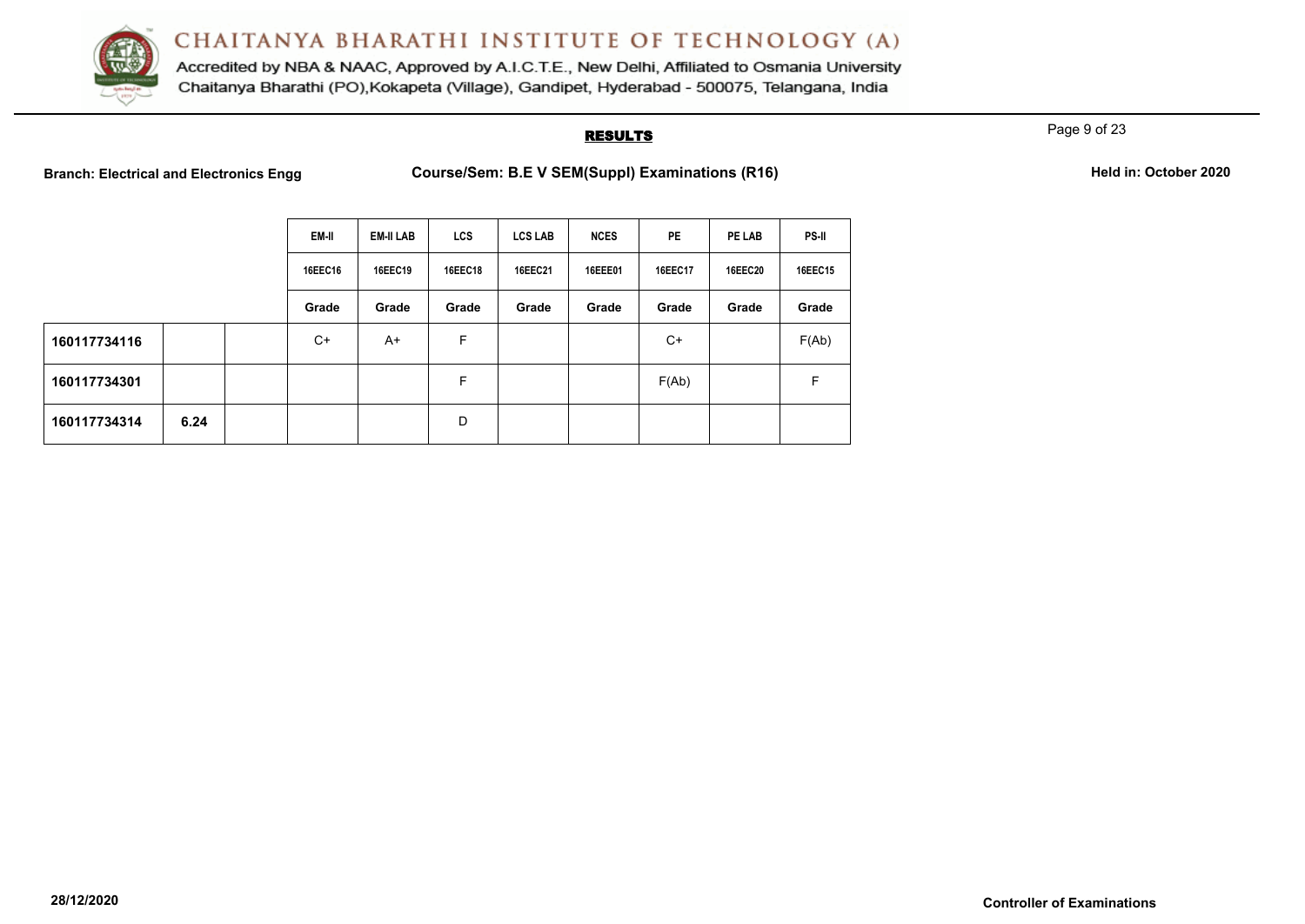

Accredited by NBA & NAAC, Approved by A.I.C.T.E., New Delhi, Affiliated to Osmania University Chaitanya Bharathi (PO), Kokapeta (Village), Gandipet, Hyderabad - 500075, Telangana, India

## **RESULTS**

Page 9 of 23

**Branch: Electrical and Electronics Engg Course/Sem: B.E V SEM(Suppl) Examinations (R16) Held in: October 2020**

|  | Held in: October 2020 |  |
|--|-----------------------|--|
|--|-----------------------|--|

|              |      | EM-II   | <b>EM-II LAB</b> | <b>LCS</b> | <b>LCS LAB</b> | <b>NCES</b> | <b>PE</b>      | PE LAB         | PS-II   |
|--------------|------|---------|------------------|------------|----------------|-------------|----------------|----------------|---------|
|              |      | 16EEC16 | <b>16EEC19</b>   | 16EEC18    | 16EEC21        | 16EEE01     | <b>16EEC17</b> | <b>16EEC20</b> | 16EEC15 |
|              |      | Grade   | Grade            | Grade      | Grade          | Grade       | Grade          | Grade          | Grade   |
| 160117734116 |      | $C+$    | A+               | F          |                |             | C+             |                | F(Ab)   |
| 160117734301 |      |         |                  | F          |                |             | F(Ab)          |                | F       |
| 160117734314 | 6.24 |         |                  | D          |                |             |                |                |         |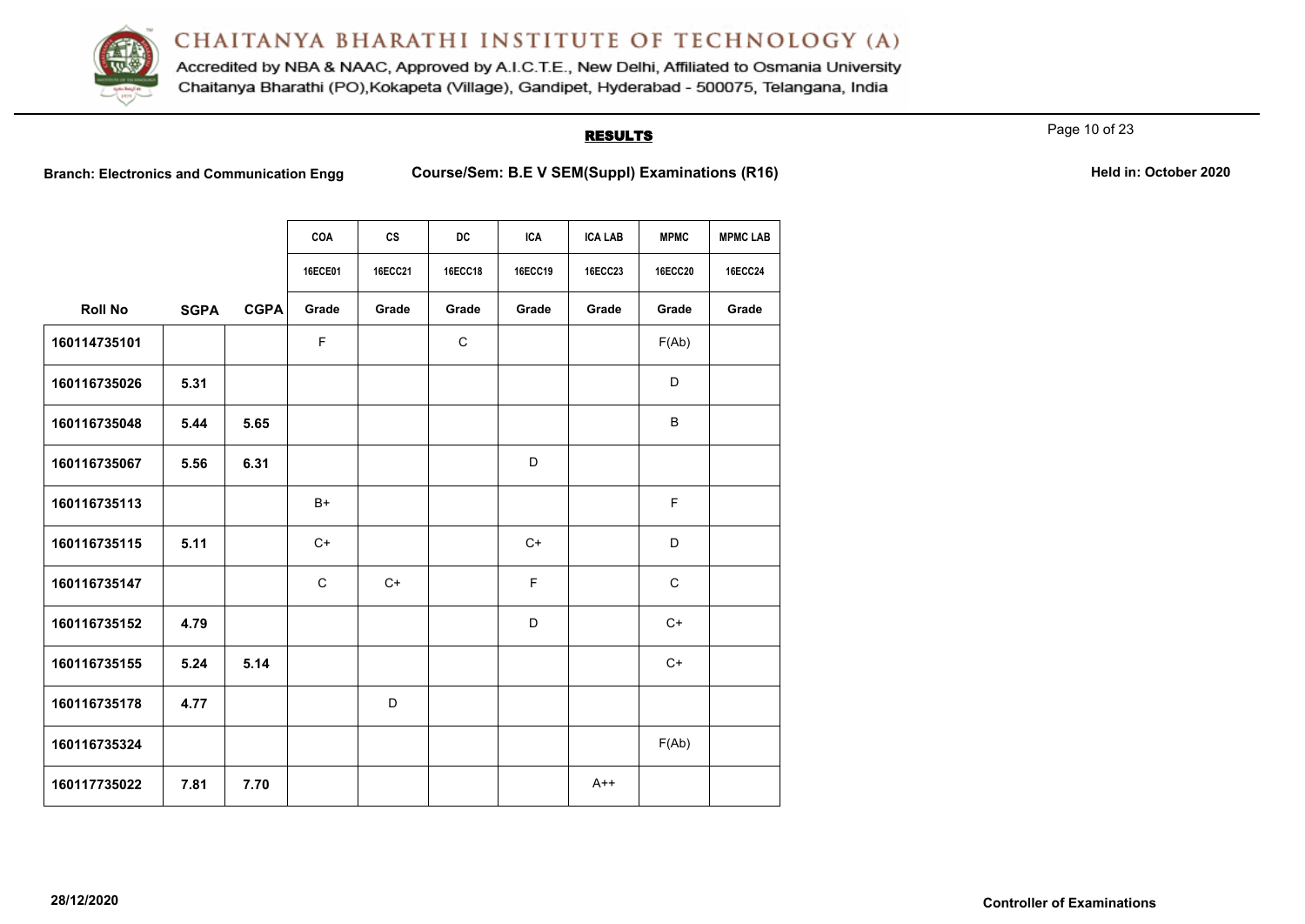

Accredited by NBA & NAAC, Approved by A.I.C.T.E., New Delhi, Affiliated to Osmania University Chaitanya Bharathi (PO), Kokapeta (Village), Gandipet, Hyderabad - 500075, Telangana, India

## **RESULTS**

Page 10 of 23

**Branch: Electronics and Communication Engg Course/Sem: B.E V SEM(Suppl) Examinations (R16) Held in: October 2020** 

|                |             |             | <b>COA</b>  | cs      | <b>DC</b>      | <b>ICA</b> | <b>ICA LAB</b> | <b>MPMC</b>    | <b>MPMC LAB</b> |
|----------------|-------------|-------------|-------------|---------|----------------|------------|----------------|----------------|-----------------|
|                |             |             | 16ECE01     | 16ECC21 | <b>16ECC18</b> | 16ECC19    | 16ECC23        | <b>16ECC20</b> | <b>16ECC24</b>  |
| <b>Roll No</b> | <b>SGPA</b> | <b>CGPA</b> | Grade       | Grade   | Grade          | Grade      | Grade          | Grade          | Grade           |
| 160114735101   |             |             | F           |         | $\mathbf C$    |            |                | F(Ab)          |                 |
| 160116735026   | 5.31        |             |             |         |                |            |                | D              |                 |
| 160116735048   | 5.44        | 5.65        |             |         |                |            |                | B              |                 |
| 160116735067   | 5.56        | 6.31        |             |         |                | D          |                |                |                 |
| 160116735113   |             |             | B+          |         |                |            |                | F              |                 |
| 160116735115   | 5.11        |             | $C+$        |         |                | $C+$       |                | D              |                 |
| 160116735147   |             |             | $\mathsf C$ | $C+$    |                | F          |                | $\mathbf C$    |                 |
| 160116735152   | 4.79        |             |             |         |                | D          |                | $C+$           |                 |
| 160116735155   | 5.24        | 5.14        |             |         |                |            |                | $C+$           |                 |
| 160116735178   | 4.77        |             |             | D       |                |            |                |                |                 |
| 160116735324   |             |             |             |         |                |            |                | F(Ab)          |                 |
| 160117735022   | 7.81        | 7.70        |             |         |                |            | $A++$          |                |                 |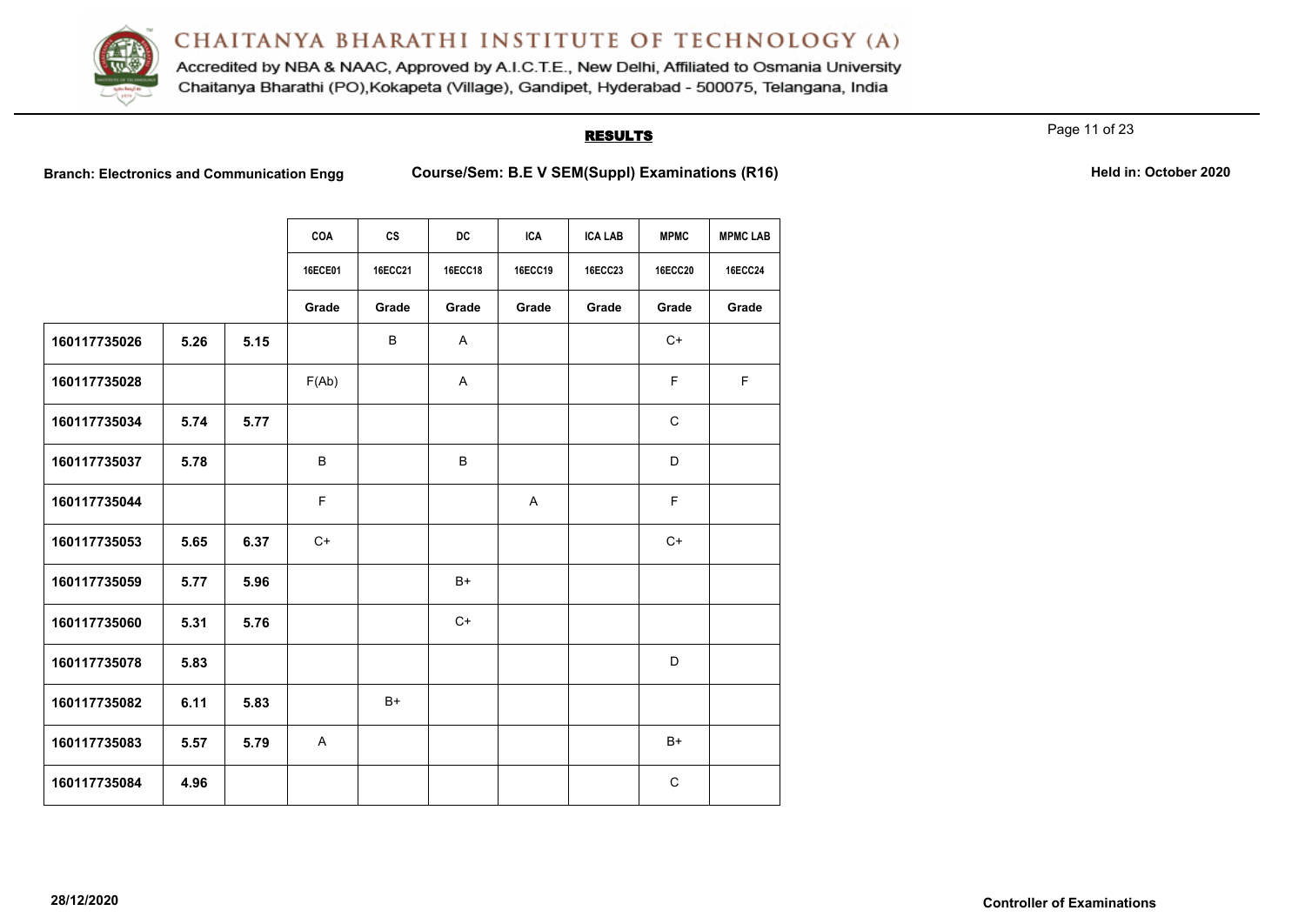

Accredited by NBA & NAAC, Approved by A.I.C.T.E., New Delhi, Affiliated to Osmania University Chaitanya Bharathi (PO), Kokapeta (Village), Gandipet, Hyderabad - 500075, Telangana, India

## **RESULTS**

Page 11 of 23

**Branch: Electronics and Communication Engg <br>Course/Sem: B.E V SEM(Suppl) Examinations (R16)** 

|  | Held in: October 2020 |  |
|--|-----------------------|--|
|  |                       |  |

|              |      |      | COA          | <b>CS</b>      | <b>DC</b>      | <b>ICA</b> | <b>ICA LAB</b> | <b>MPMC</b>    | <b>MPMC LAB</b> |
|--------------|------|------|--------------|----------------|----------------|------------|----------------|----------------|-----------------|
|              |      |      | 16ECE01      | <b>16ECC21</b> | <b>16ECC18</b> | 16ECC19    | <b>16ECC23</b> | <b>16ECC20</b> | <b>16ECC24</b>  |
|              |      |      | Grade        | Grade          | Grade          | Grade      | Grade          | Grade          | Grade           |
| 160117735026 | 5.26 | 5.15 |              | B              | A              |            |                | $C+$           |                 |
| 160117735028 |      |      | F(Ab)        |                | A              |            |                | F.             | F.              |
| 160117735034 | 5.74 | 5.77 |              |                |                |            |                | C              |                 |
| 160117735037 | 5.78 |      | B            |                | B              |            |                | D              |                 |
| 160117735044 |      |      | F            |                |                | A          |                | F              |                 |
| 160117735053 | 5.65 | 6.37 | $C+$         |                |                |            |                | $C+$           |                 |
| 160117735059 | 5.77 | 5.96 |              |                | $B+$           |            |                |                |                 |
| 160117735060 | 5.31 | 5.76 |              |                | $C+$           |            |                |                |                 |
| 160117735078 | 5.83 |      |              |                |                |            |                | D              |                 |
| 160117735082 | 6.11 | 5.83 |              | $B+$           |                |            |                |                |                 |
| 160117735083 | 5.57 | 5.79 | $\mathsf{A}$ |                |                |            |                | $B+$           |                 |
| 160117735084 | 4.96 |      |              |                |                |            |                | C              |                 |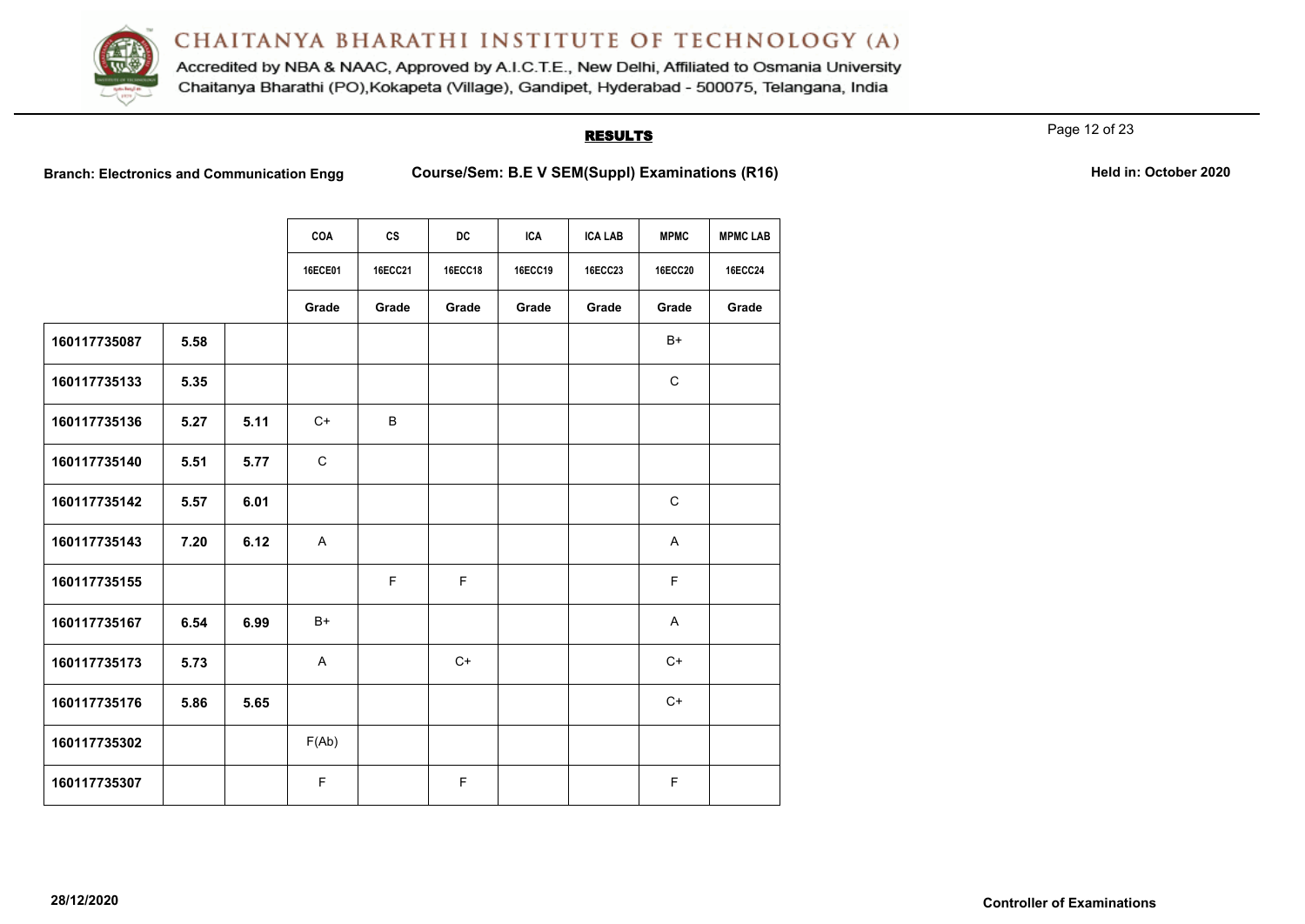

Accredited by NBA & NAAC, Approved by A.I.C.T.E., New Delhi, Affiliated to Osmania University Chaitanya Bharathi (PO), Kokapeta (Village), Gandipet, Hyderabad - 500075, Telangana, India

## **RESULTS**

Page 12 of 23

**Branch: Electronics and Communication Engg Course/Sem: B.E V SEM(Suppl) Examinations (R16) Held in: October 2020** 

|              |      |      | COA         | cs             | <b>DC</b>      | <b>ICA</b> | <b>ICA LAB</b> | <b>MPMC</b>    | <b>MPMC LAB</b> |
|--------------|------|------|-------------|----------------|----------------|------------|----------------|----------------|-----------------|
|              |      |      | 16ECE01     | <b>16ECC21</b> | <b>16ECC18</b> | 16ECC19    | 16ECC23        | <b>16ECC20</b> | <b>16ECC24</b>  |
|              |      |      | Grade       | Grade          | Grade          | Grade      | Grade          | Grade          | Grade           |
| 160117735087 | 5.58 |      |             |                |                |            |                | B+             |                 |
| 160117735133 | 5.35 |      |             |                |                |            |                | $\mathsf{C}$   |                 |
| 160117735136 | 5.27 | 5.11 | $C+$        | B              |                |            |                |                |                 |
| 160117735140 | 5.51 | 5.77 | $\mathsf C$ |                |                |            |                |                |                 |
| 160117735142 | 5.57 | 6.01 |             |                |                |            |                | $\mathsf C$    |                 |
| 160117735143 | 7.20 | 6.12 | A           |                |                |            |                | A              |                 |
| 160117735155 |      |      |             | $\mathsf F$    | F              |            |                | F              |                 |
| 160117735167 | 6.54 | 6.99 | $B+$        |                |                |            |                | A              |                 |
| 160117735173 | 5.73 |      | A           |                | $C+$           |            |                | $C+$           |                 |
| 160117735176 | 5.86 | 5.65 |             |                |                |            |                | $C+$           |                 |
| 160117735302 |      |      | F(Ab)       |                |                |            |                |                |                 |
| 160117735307 |      |      | F           |                | F              |            |                | F              |                 |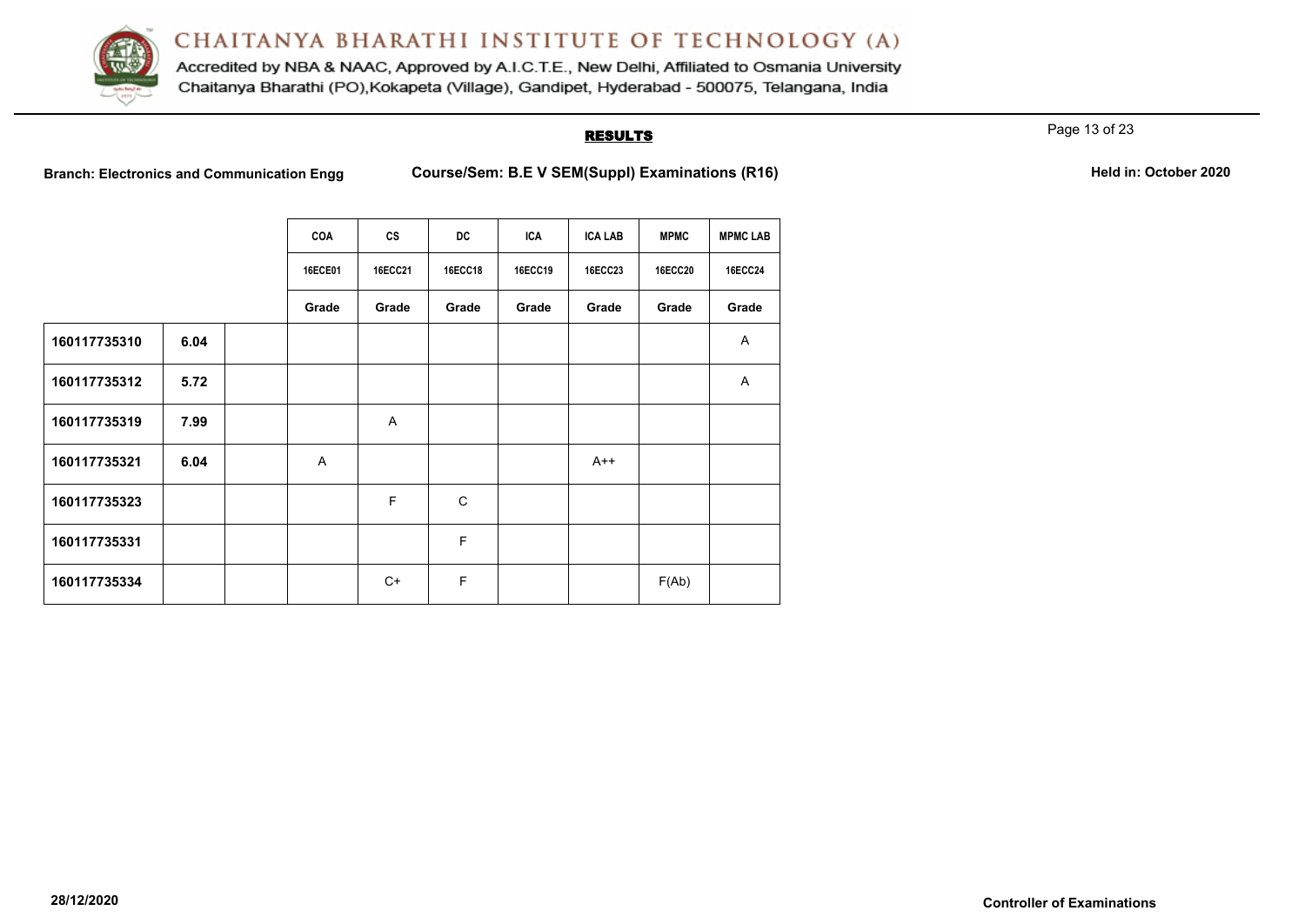

Accredited by NBA & NAAC, Approved by A.I.C.T.E., New Delhi, Affiliated to Osmania University Chaitanya Bharathi (PO), Kokapeta (Village), Gandipet, Hyderabad - 500075, Telangana, India

## **RESULTS**

Page 13 of 23

**Branch: Electronics and Communication Engg Course/Sem: B.E V SEM(Suppl) Examinations (R16) Held in: October 2020** 

|              |      | COA            | cs             | DC          | <b>ICA</b>     | <b>ICA LAB</b> | <b>MPMC</b>    | <b>MPMC LAB</b> |
|--------------|------|----------------|----------------|-------------|----------------|----------------|----------------|-----------------|
|              |      | <b>16ECE01</b> | <b>16ECC21</b> | 16ECC18     | <b>16ECC19</b> | <b>16ECC23</b> | <b>16ECC20</b> | <b>16ECC24</b>  |
|              |      | Grade          | Grade          | Grade       | Grade          | Grade          | Grade          | Grade           |
| 160117735310 | 6.04 |                |                |             |                |                |                | $\mathsf{A}$    |
| 160117735312 | 5.72 |                |                |             |                |                |                | A               |
| 160117735319 | 7.99 |                | A              |             |                |                |                |                 |
| 160117735321 | 6.04 | A              |                |             |                | $A++$          |                |                 |
| 160117735323 |      |                | F              | C           |                |                |                |                 |
| 160117735331 |      |                |                | F           |                |                |                |                 |
| 160117735334 |      |                | $C+$           | $\mathsf F$ |                |                | F(Ab)          |                 |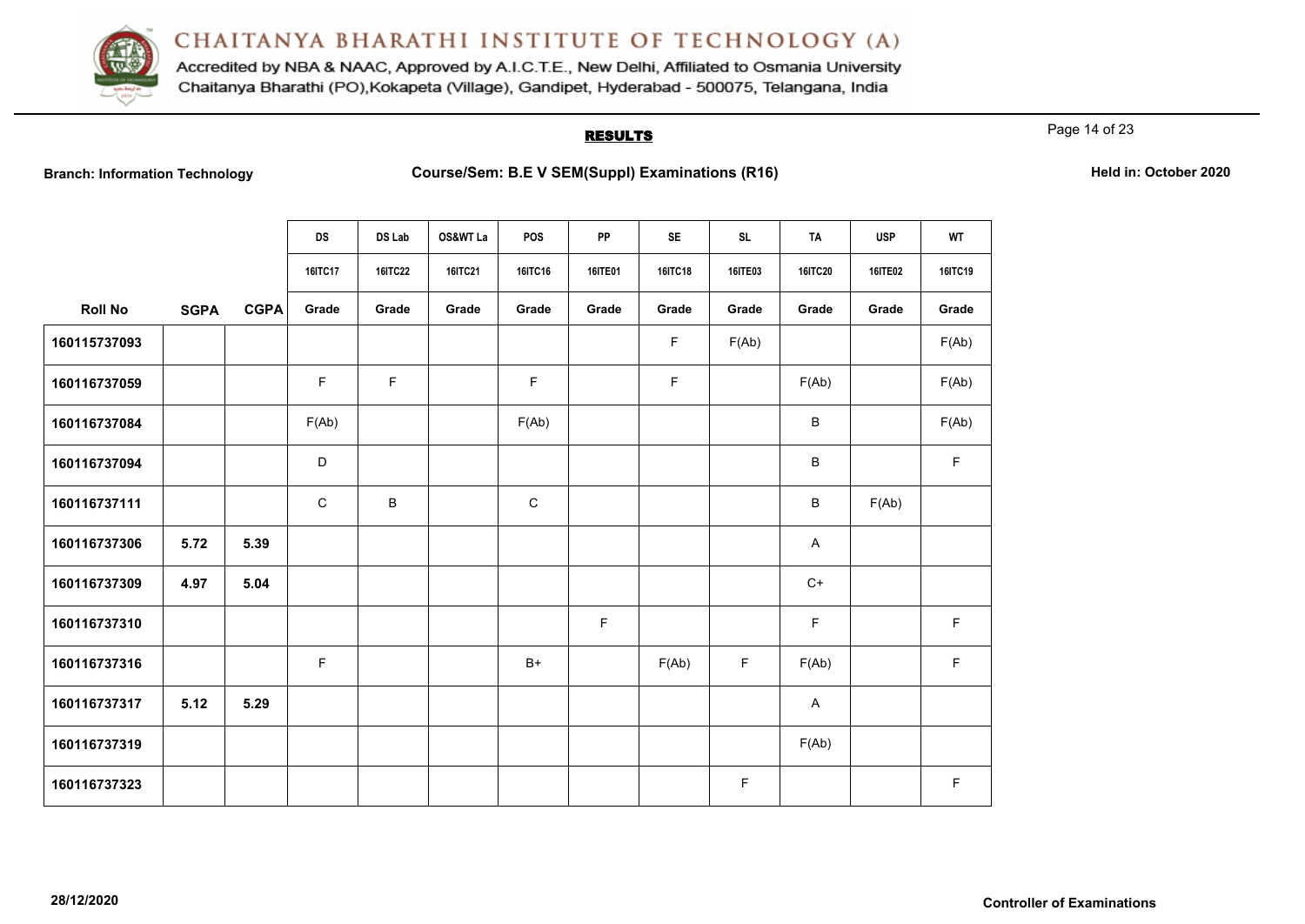

Accredited by NBA & NAAC, Approved by A.I.C.T.E., New Delhi, Affiliated to Osmania University Chaitanya Bharathi (PO), Kokapeta (Village), Gandipet, Hyderabad - 500075, Telangana, India

## **RESULTS**

Page 14 of 23

**Branch: Information Technology Course/Sem: B.E V SEM(Suppl) Examinations (R16) Held in: October 2020** 

|                |             |             | <b>DS</b>      | DS Lab         | OS&WT La | POS     | PP             | <b>SE</b> | <b>SL</b> | <b>TA</b>      | <b>USP</b>     | <b>WT</b>   |
|----------------|-------------|-------------|----------------|----------------|----------|---------|----------------|-----------|-----------|----------------|----------------|-------------|
|                |             |             | <b>16ITC17</b> | <b>16ITC22</b> | 16ITC21  | 16ITC16 | <b>16ITE01</b> | 16ITC18   | 16ITE03   | <b>16ITC20</b> | <b>16ITE02</b> | 16ITC19     |
| <b>Roll No</b> | <b>SGPA</b> | <b>CGPA</b> | Grade          | Grade          | Grade    | Grade   | Grade          | Grade     | Grade     | Grade          | Grade          | Grade       |
| 160115737093   |             |             |                |                |          |         |                | F.        | F(Ab)     |                |                | F(Ab)       |
| 160116737059   |             |             | F.             | F              |          | F       |                | F         |           | F(Ab)          |                | F(Ab)       |
| 160116737084   |             |             | F(Ab)          |                |          | F(Ab)   |                |           |           | B              |                | F(Ab)       |
| 160116737094   |             |             | D              |                |          |         |                |           |           | B              |                | $\mathsf F$ |
| 160116737111   |             |             | $\mathsf C$    | B              |          | C       |                |           |           | B              | F(Ab)          |             |
| 160116737306   | 5.72        | 5.39        |                |                |          |         |                |           |           | A              |                |             |
| 160116737309   | 4.97        | 5.04        |                |                |          |         |                |           |           | $C+$           |                |             |
| 160116737310   |             |             |                |                |          |         | F.             |           |           | F              |                | F           |
| 160116737316   |             |             | F              |                |          | $B+$    |                | F(Ab)     | F         | F(Ab)          |                | $\mathsf F$ |
| 160116737317   | 5.12        | 5.29        |                |                |          |         |                |           |           | A              |                |             |
| 160116737319   |             |             |                |                |          |         |                |           |           | F(Ab)          |                |             |
| 160116737323   |             |             |                |                |          |         |                |           | F.        |                |                | F           |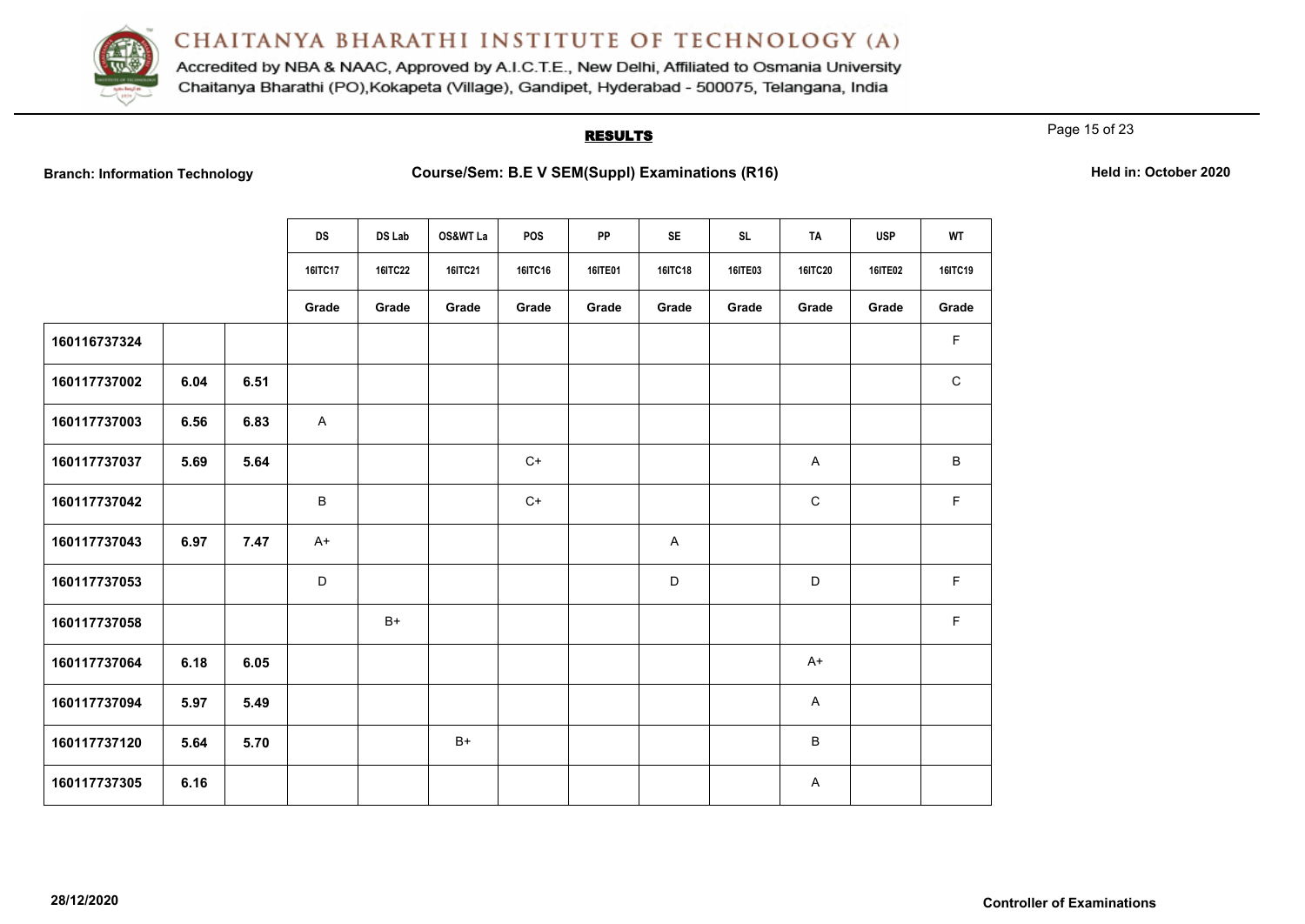

Accredited by NBA & NAAC, Approved by A.I.C.T.E., New Delhi, Affiliated to Osmania University Chaitanya Bharathi (PO), Kokapeta (Village), Gandipet, Hyderabad - 500075, Telangana, India

## **RESULTS**

Page 15 of 23

**Branch: Information Technology Course/Sem: B.E V SEM(Suppl) Examinations (R16) Held in: October 2020** 

|              |      |      | <b>DS</b>      | DS Lab         | OS&WT La       | POS     | <b>PP</b>      | <b>SE</b>                 | <b>SL</b>      | <b>TA</b>      | <b>USP</b>     | <b>WT</b>    |
|--------------|------|------|----------------|----------------|----------------|---------|----------------|---------------------------|----------------|----------------|----------------|--------------|
|              |      |      | <b>16ITC17</b> | <b>16ITC22</b> | <b>16ITC21</b> | 16ITC16 | <b>16ITE01</b> | 16ITC18                   | <b>16ITE03</b> | <b>16ITC20</b> | <b>16ITE02</b> | 16ITC19      |
|              |      |      | Grade          | Grade          | Grade          | Grade   | Grade          | Grade                     | Grade          | Grade          | Grade          | Grade        |
| 160116737324 |      |      |                |                |                |         |                |                           |                |                |                | F            |
| 160117737002 | 6.04 | 6.51 |                |                |                |         |                |                           |                |                |                | $\mathsf{C}$ |
| 160117737003 | 6.56 | 6.83 | A              |                |                |         |                |                           |                |                |                |              |
| 160117737037 | 5.69 | 5.64 |                |                |                | $C+$    |                |                           |                | $\mathsf{A}$   |                | B            |
| 160117737042 |      |      | B              |                |                | $C+$    |                |                           |                | $\mathsf C$    |                | F            |
| 160117737043 | 6.97 | 7.47 | $A+$           |                |                |         |                | $\boldsymbol{\mathsf{A}}$ |                |                |                |              |
| 160117737053 |      |      | $\mathsf D$    |                |                |         |                | $\mathsf D$               |                | D              |                | F            |
| 160117737058 |      |      |                | $B+$           |                |         |                |                           |                |                |                | $\mathsf F$  |
| 160117737064 | 6.18 | 6.05 |                |                |                |         |                |                           |                | A+             |                |              |
| 160117737094 | 5.97 | 5.49 |                |                |                |         |                |                           |                | A              |                |              |
| 160117737120 | 5.64 | 5.70 |                |                | $B+$           |         |                |                           |                | B              |                |              |
| 160117737305 | 6.16 |      |                |                |                |         |                |                           |                | A              |                |              |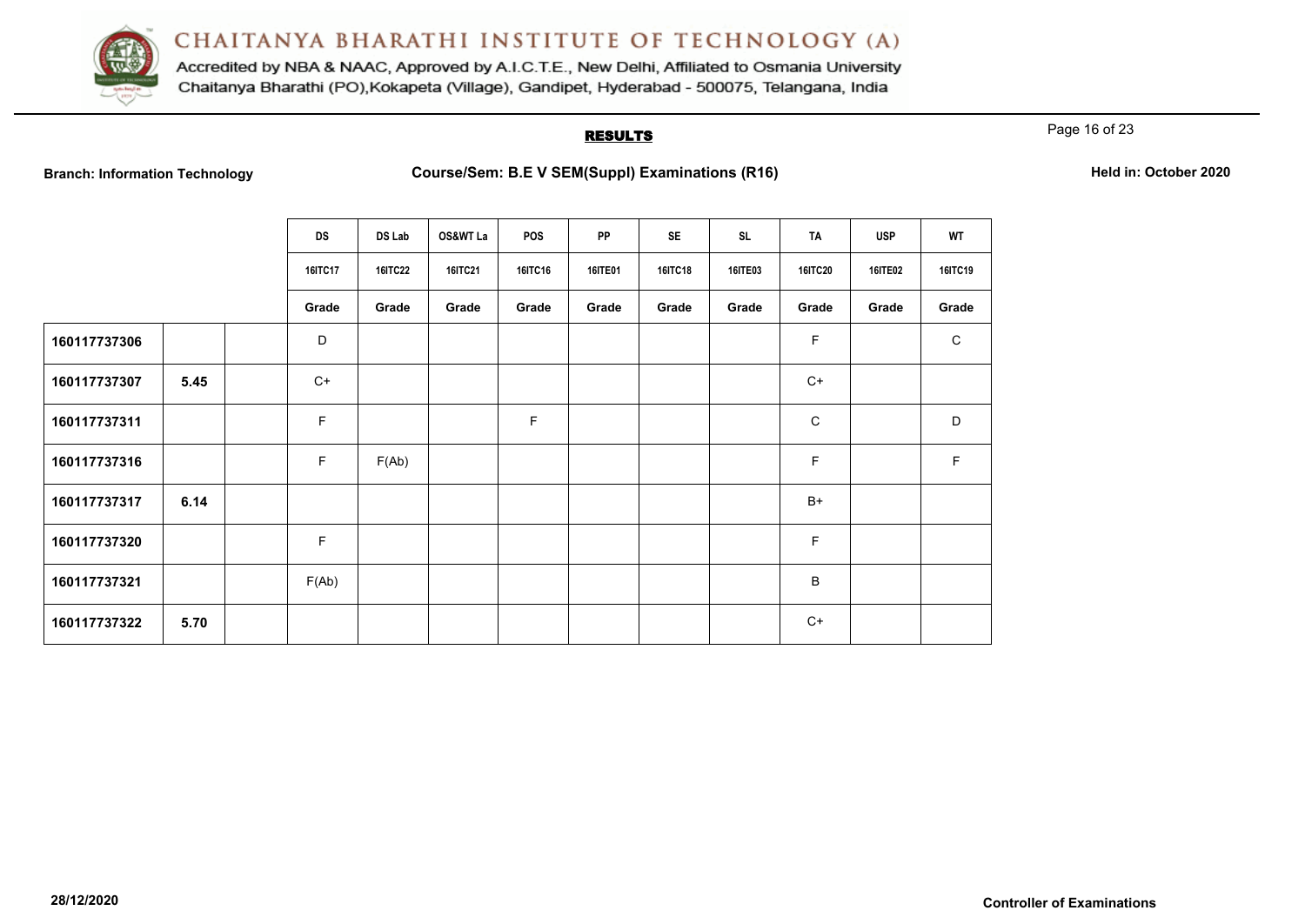

Accredited by NBA & NAAC, Approved by A.I.C.T.E., New Delhi, Affiliated to Osmania University Chaitanya Bharathi (PO), Kokapeta (Village), Gandipet, Hyderabad - 500075, Telangana, India

## **RESULTS**

Page 16 of 23

**Branch: Information Technology Course/Sem: B.E V SEM(Suppl) Examinations (R16) Held in: October 2020** 

|              |      | <b>DS</b>      | DS Lab         | OS&WT La       | <b>POS</b> | PP             | <b>SE</b>      | <b>SL</b>      | TA             | <b>USP</b>     | WT             |
|--------------|------|----------------|----------------|----------------|------------|----------------|----------------|----------------|----------------|----------------|----------------|
|              |      | <b>16ITC17</b> | <b>16ITC22</b> | <b>16ITC21</b> | 16ITC16    | <b>16ITE01</b> | <b>16ITC18</b> | <b>16ITE03</b> | <b>16ITC20</b> | <b>16ITE02</b> | <b>16ITC19</b> |
|              |      | Grade          | Grade          | Grade          | Grade      | Grade          | Grade          | Grade          | Grade          | Grade          | Grade          |
| 160117737306 |      | D              |                |                |            |                |                |                | F              |                | $\mathbf C$    |
| 160117737307 | 5.45 | $C+$           |                |                |            |                |                |                | $C+$           |                |                |
| 160117737311 |      | F              |                |                | F          |                |                |                | $\mathbf C$    |                | D              |
| 160117737316 |      | F              | F(Ab)          |                |            |                |                |                | F.             |                | F.             |
| 160117737317 | 6.14 |                |                |                |            |                |                |                | $B+$           |                |                |
| 160117737320 |      | F              |                |                |            |                |                |                | F              |                |                |
| 160117737321 |      | F(Ab)          |                |                |            |                |                |                | В              |                |                |
| 160117737322 | 5.70 |                |                |                |            |                |                |                | $C+$           |                |                |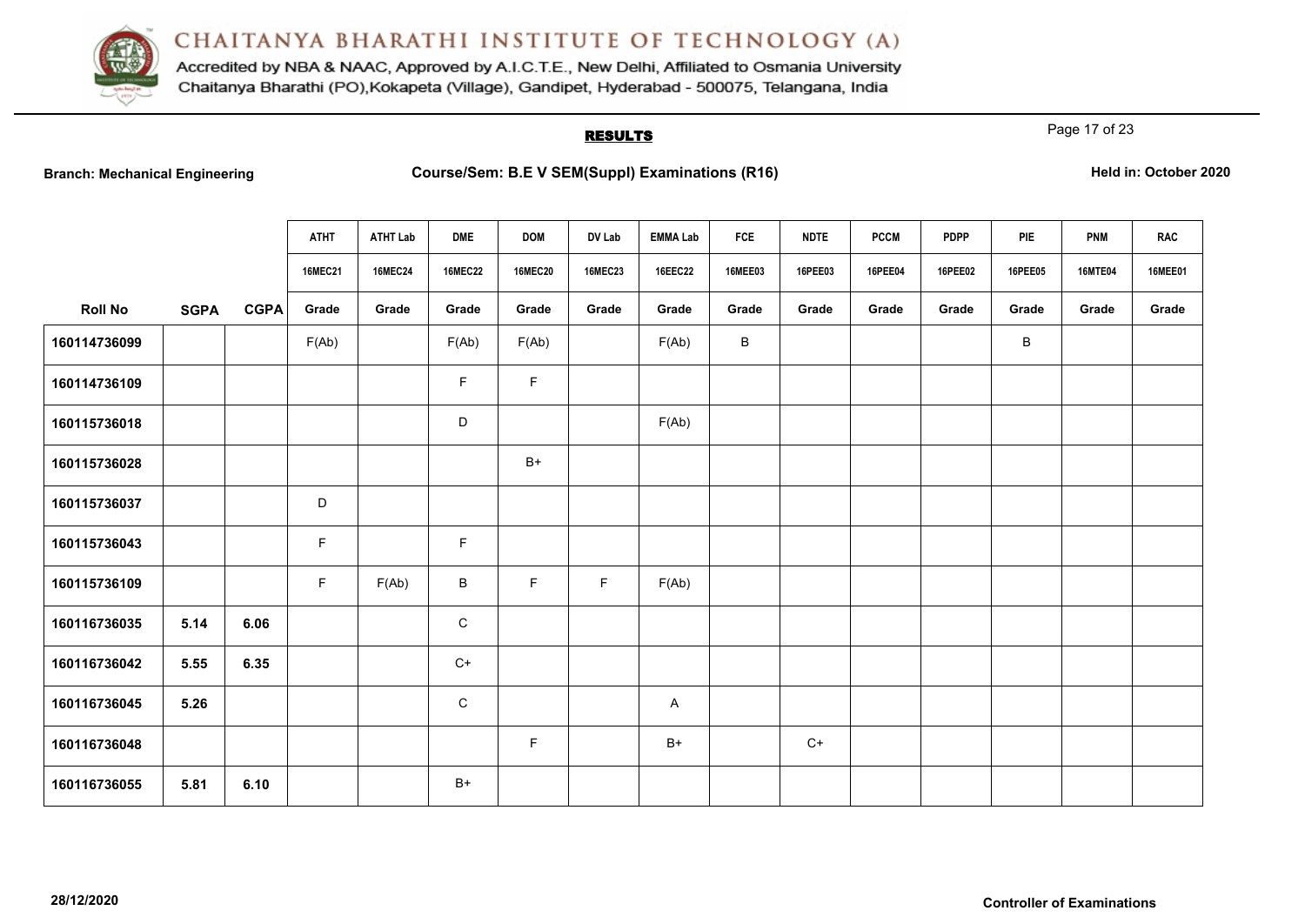

Accredited by NBA & NAAC, Approved by A.I.C.T.E., New Delhi, Affiliated to Osmania University Chaitanya Bharathi (PO), Kokapeta (Village), Gandipet, Hyderabad - 500075, Telangana, India

# **RESULTS**

Page 17 of 23

|  |  | <b>Branch: Mechanical Engineering</b> |
|--|--|---------------------------------------|
|--|--|---------------------------------------|

|                |             |             | <b>ATHT</b>    | <b>ATHT Lab</b> | <b>DME</b>     | <b>DOM</b>     | DV Lab         | <b>EMMA Lab</b> | FCE            | <b>NDTE</b> | <b>PCCM</b> | <b>PDPP</b> | PIE            | <b>PNM</b>     | <b>RAC</b>     |
|----------------|-------------|-------------|----------------|-----------------|----------------|----------------|----------------|-----------------|----------------|-------------|-------------|-------------|----------------|----------------|----------------|
|                |             |             | <b>16MEC21</b> | <b>16MEC24</b>  | <b>16MEC22</b> | <b>16MEC20</b> | <b>16MEC23</b> | 16EEC22         | <b>16MEE03</b> | 16PEE03     | 16PEE04     | 16PEE02     | <b>16PEE05</b> | <b>16MTE04</b> | <b>16MEE01</b> |
| <b>Roll No</b> | <b>SGPA</b> | <b>CGPA</b> | Grade          | Grade           | Grade          | Grade          | Grade          | Grade           | Grade          | Grade       | Grade       | Grade       | Grade          | Grade          | Grade          |
| 160114736099   |             |             | F(Ab)          |                 | F(Ab)          | F(Ab)          |                | F(Ab)           | B              |             |             |             | В              |                |                |
| 160114736109   |             |             |                |                 | F              | $\mathsf F$    |                |                 |                |             |             |             |                |                |                |
| 160115736018   |             |             |                |                 | D              |                |                | F(Ab)           |                |             |             |             |                |                |                |
| 160115736028   |             |             |                |                 |                | $B+$           |                |                 |                |             |             |             |                |                |                |
| 160115736037   |             |             | $\mathsf D$    |                 |                |                |                |                 |                |             |             |             |                |                |                |
| 160115736043   |             |             | F              |                 | $\mathsf F$    |                |                |                 |                |             |             |             |                |                |                |
| 160115736109   |             |             | F              | F(Ab)           | $\sf B$        | F              | F.             | F(Ab)           |                |             |             |             |                |                |                |
| 160116736035   | 5.14        | 6.06        |                |                 | $\mathbf C$    |                |                |                 |                |             |             |             |                |                |                |
| 160116736042   | 5.55        | 6.35        |                |                 | $C+$           |                |                |                 |                |             |             |             |                |                |                |
| 160116736045   | 5.26        |             |                |                 | $\mathsf C$    |                |                | A               |                |             |             |             |                |                |                |
| 160116736048   |             |             |                |                 |                | F              |                | $B+$            |                | $C+$        |             |             |                |                |                |
| 160116736055   | 5.81        | 6.10        |                |                 | $B+$           |                |                |                 |                |             |             |             |                |                |                |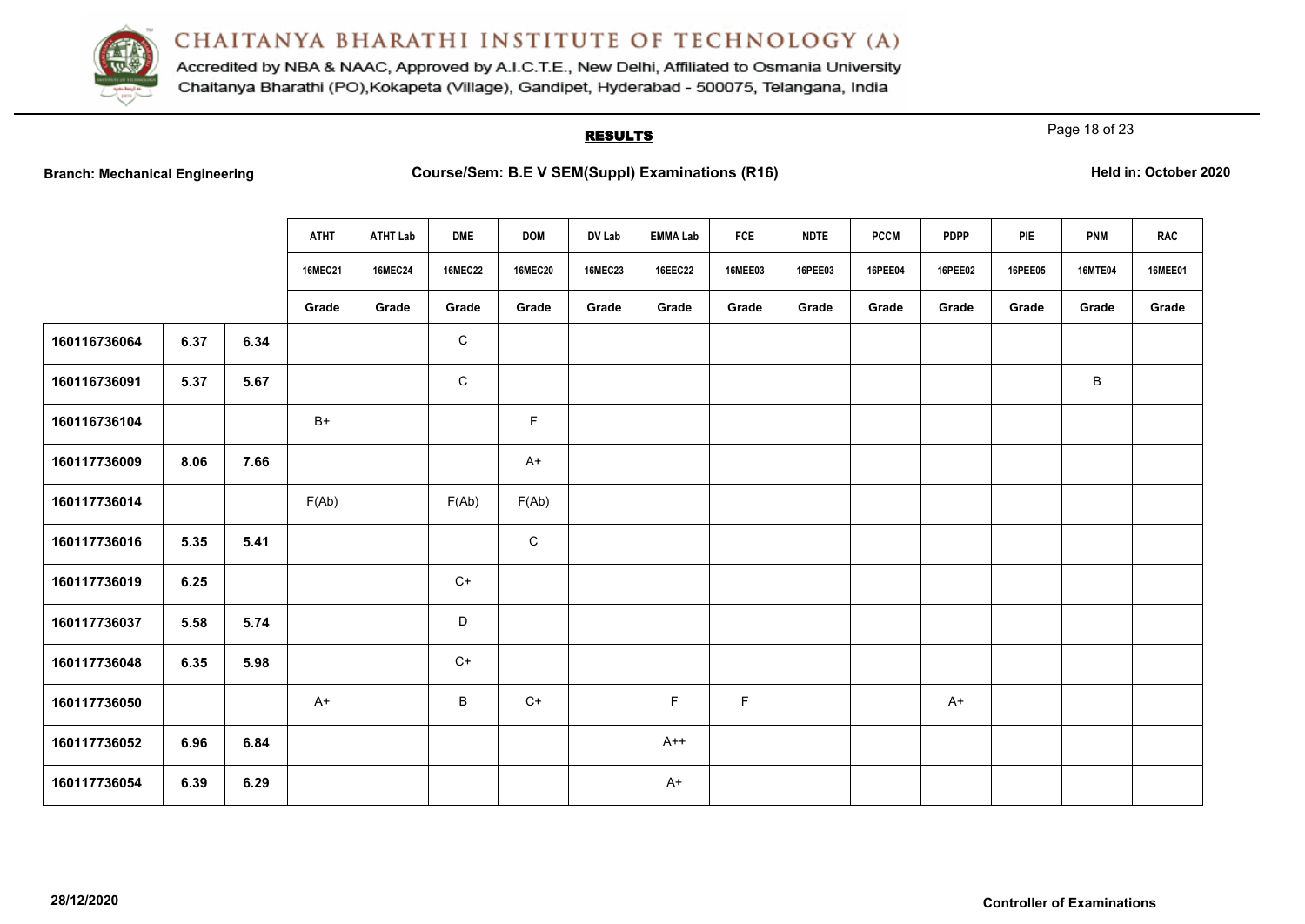

Accredited by NBA & NAAC, Approved by A.I.C.T.E., New Delhi, Affiliated to Osmania University Chaitanya Bharathi (PO), Kokapeta (Village), Gandipet, Hyderabad - 500075, Telangana, India

# **RESULTS**

Page 18 of 23

|  |  | <b>Branch: Mechanical Engineering</b> |
|--|--|---------------------------------------|
|--|--|---------------------------------------|

|              |      |      | <b>ATHT</b>    | <b>ATHT Lab</b> | <b>DME</b>     | <b>DOM</b>     | DV Lab         | <b>EMMA Lab</b> | <b>FCE</b>     | <b>NDTE</b> | <b>PCCM</b> | <b>PDPP</b> | PIE            | <b>PNM</b>     | <b>RAC</b>     |
|--------------|------|------|----------------|-----------------|----------------|----------------|----------------|-----------------|----------------|-------------|-------------|-------------|----------------|----------------|----------------|
|              |      |      | <b>16MEC21</b> | <b>16MEC24</b>  | <b>16MEC22</b> | <b>16MEC20</b> | <b>16MEC23</b> | <b>16EEC22</b>  | <b>16MEE03</b> | 16PEE03     | 16PEE04     | 16PEE02     | <b>16PEE05</b> | <b>16MTE04</b> | <b>16MEE01</b> |
|              |      |      | Grade          | Grade           | Grade          | Grade          | Grade          | Grade           | Grade          | Grade       | Grade       | Grade       | Grade          | Grade          | Grade          |
| 160116736064 | 6.37 | 6.34 |                |                 | $\mathbf C$    |                |                |                 |                |             |             |             |                |                |                |
| 160116736091 | 5.37 | 5.67 |                |                 | $\mathsf{C}$   |                |                |                 |                |             |             |             |                | B              |                |
| 160116736104 |      |      | $B+$           |                 |                | F              |                |                 |                |             |             |             |                |                |                |
| 160117736009 | 8.06 | 7.66 |                |                 |                | $A+$           |                |                 |                |             |             |             |                |                |                |
| 160117736014 |      |      | F(Ab)          |                 | F(Ab)          | F(Ab)          |                |                 |                |             |             |             |                |                |                |
| 160117736016 | 5.35 | 5.41 |                |                 |                | ${\bf C}$      |                |                 |                |             |             |             |                |                |                |
| 160117736019 | 6.25 |      |                |                 | $C+$           |                |                |                 |                |             |             |             |                |                |                |
| 160117736037 | 5.58 | 5.74 |                |                 | D              |                |                |                 |                |             |             |             |                |                |                |
| 160117736048 | 6.35 | 5.98 |                |                 | $C+$           |                |                |                 |                |             |             |             |                |                |                |
| 160117736050 |      |      | A+             |                 | $\, {\sf B}$   | $C+$           |                | $\mathsf F$     | $\mathsf F$    |             |             | $A+$        |                |                |                |
| 160117736052 | 6.96 | 6.84 |                |                 |                |                |                | $A++$           |                |             |             |             |                |                |                |
| 160117736054 | 6.39 | 6.29 |                |                 |                |                |                | $A+$            |                |             |             |             |                |                |                |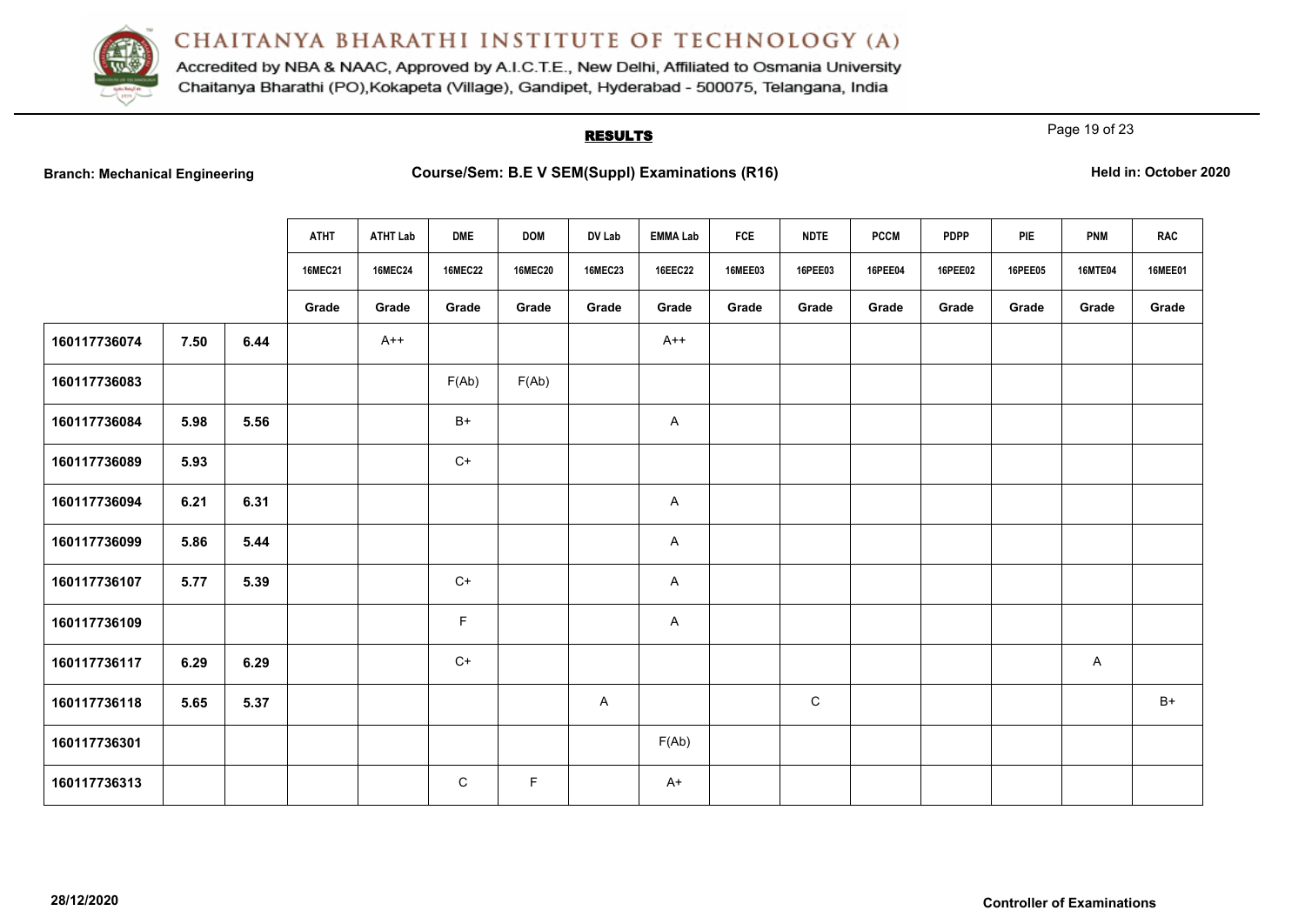

Accredited by NBA & NAAC, Approved by A.I.C.T.E., New Delhi, Affiliated to Osmania University Chaitanya Bharathi (PO), Kokapeta (Village), Gandipet, Hyderabad - 500075, Telangana, India

# **RESULTS**

Page 19 of 23

|  |  | <b>Branch: Mechanical Engineering</b> |
|--|--|---------------------------------------|
|--|--|---------------------------------------|

|              |      |      | <b>ATHT</b>    | <b>ATHT Lab</b> | <b>DME</b>     | <b>DOM</b>     | DV Lab         | <b>EMMA Lab</b> | <b>FCE</b>     | <b>NDTE</b> | <b>PCCM</b> | <b>PDPP</b> | PIE            | <b>PNM</b>     | <b>RAC</b>     |
|--------------|------|------|----------------|-----------------|----------------|----------------|----------------|-----------------|----------------|-------------|-------------|-------------|----------------|----------------|----------------|
|              |      |      | <b>16MEC21</b> | <b>16MEC24</b>  | <b>16MEC22</b> | <b>16MEC20</b> | <b>16MEC23</b> | <b>16EEC22</b>  | <b>16MEE03</b> | 16PEE03     | 16PEE04     | 16PEE02     | <b>16PEE05</b> | <b>16MTE04</b> | <b>16MEE01</b> |
|              |      |      | Grade          | Grade           | Grade          | Grade          | Grade          | Grade           | Grade          | Grade       | Grade       | Grade       | Grade          | Grade          | Grade          |
| 160117736074 | 7.50 | 6.44 |                | $A++$           |                |                |                | $A++$           |                |             |             |             |                |                |                |
| 160117736083 |      |      |                |                 | F(Ab)          | F(Ab)          |                |                 |                |             |             |             |                |                |                |
| 160117736084 | 5.98 | 5.56 |                |                 | $B+$           |                |                | A               |                |             |             |             |                |                |                |
| 160117736089 | 5.93 |      |                |                 | $C+$           |                |                |                 |                |             |             |             |                |                |                |
| 160117736094 | 6.21 | 6.31 |                |                 |                |                |                | A               |                |             |             |             |                |                |                |
| 160117736099 | 5.86 | 5.44 |                |                 |                |                |                | $\mathsf{A}$    |                |             |             |             |                |                |                |
| 160117736107 | 5.77 | 5.39 |                |                 | $C+$           |                |                | A               |                |             |             |             |                |                |                |
| 160117736109 |      |      |                |                 | F              |                |                | A               |                |             |             |             |                |                |                |
| 160117736117 | 6.29 | 6.29 |                |                 | $C+$           |                |                |                 |                |             |             |             |                | A              |                |
| 160117736118 | 5.65 | 5.37 |                |                 |                |                | A              |                 |                | ${\bf C}$   |             |             |                |                | $B+$           |
| 160117736301 |      |      |                |                 |                |                |                | F(Ab)           |                |             |             |             |                |                |                |
| 160117736313 |      |      |                |                 | C              | F              |                | $A+$            |                |             |             |             |                |                |                |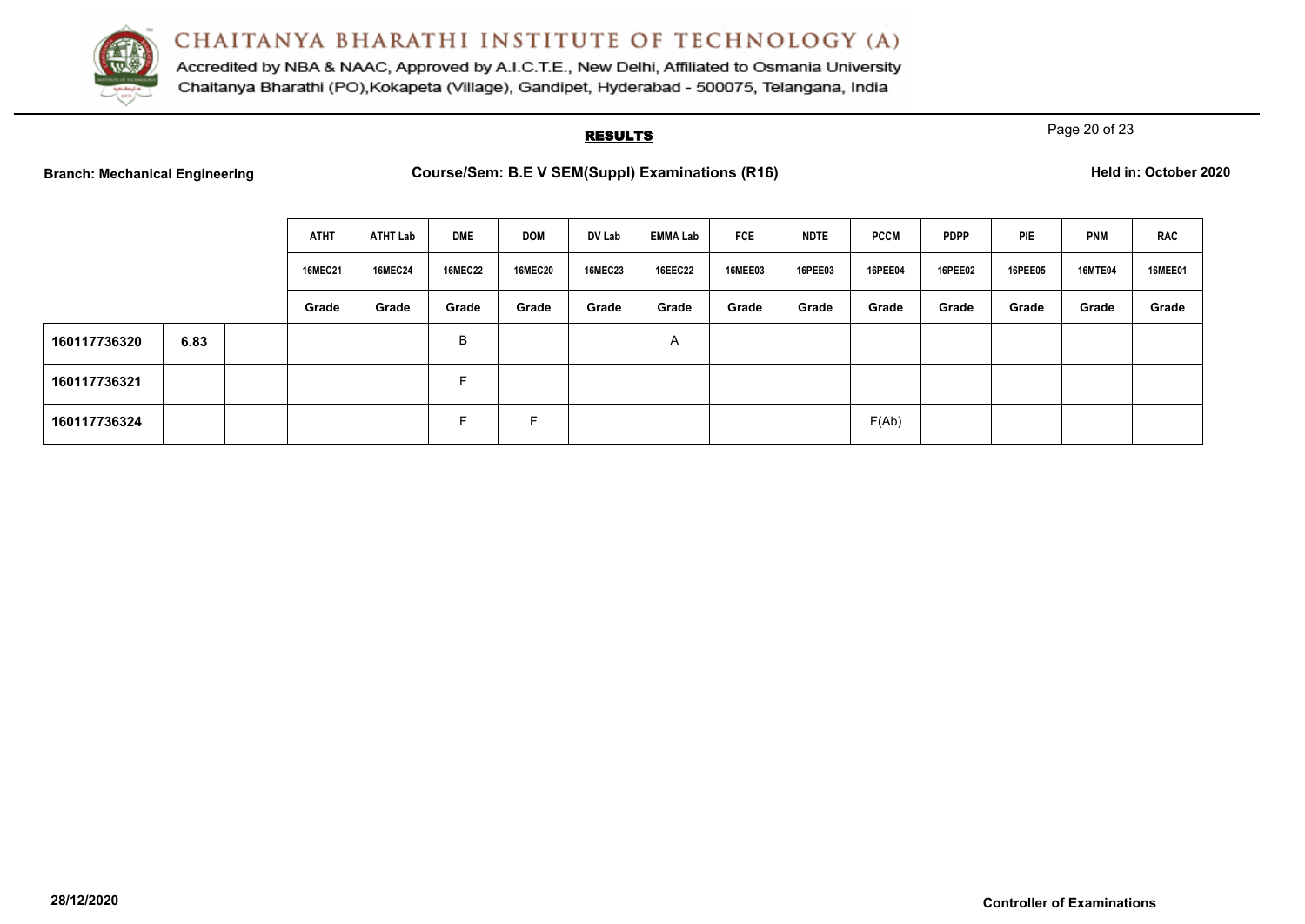

Accredited by NBA & NAAC, Approved by A.I.C.T.E., New Delhi, Affiliated to Osmania University Chaitanya Bharathi (PO), Kokapeta (Village), Gandipet, Hyderabad - 500075, Telangana, India

# **RESULTS**

Page 20 of 23

|  | <b>Branch: Mechanical Engineering</b> |
|--|---------------------------------------|
|  |                                       |

|              |      | <b>ATHT</b>    | ATHT Lab       | <b>DME</b>     | <b>DOM</b>     | DV Lab         | <b>EMMA Lab</b> | <b>FCE</b>     | <b>NDTE</b>    | <b>PCCM</b>    | <b>PDPP</b> | PIE     | <b>PNM</b>     | <b>RAC</b>     |
|--------------|------|----------------|----------------|----------------|----------------|----------------|-----------------|----------------|----------------|----------------|-------------|---------|----------------|----------------|
|              |      | <b>16MEC21</b> | <b>16MEC24</b> | <b>16MEC22</b> | <b>16MEC20</b> | <b>16MEC23</b> | <b>16EEC22</b>  | <b>16MEE03</b> | <b>16PEE03</b> | <b>16PEE04</b> | 16PEE02     | 16PEE05 | <b>16MTE04</b> | <b>16MEE01</b> |
|              |      | Grade          | Grade          | Grade          | Grade          | Grade          | Grade           | Grade          | Grade          | Grade          | Grade       | Grade   | Grade          | Grade          |
| 160117736320 | 6.83 |                |                | B              |                |                | A               |                |                |                |             |         |                |                |
| 160117736321 |      |                |                | Е              |                |                |                 |                |                |                |             |         |                |                |
| 160117736324 |      |                |                | <b>.</b>       | F.             |                |                 |                |                | F(Ab)          |             |         |                |                |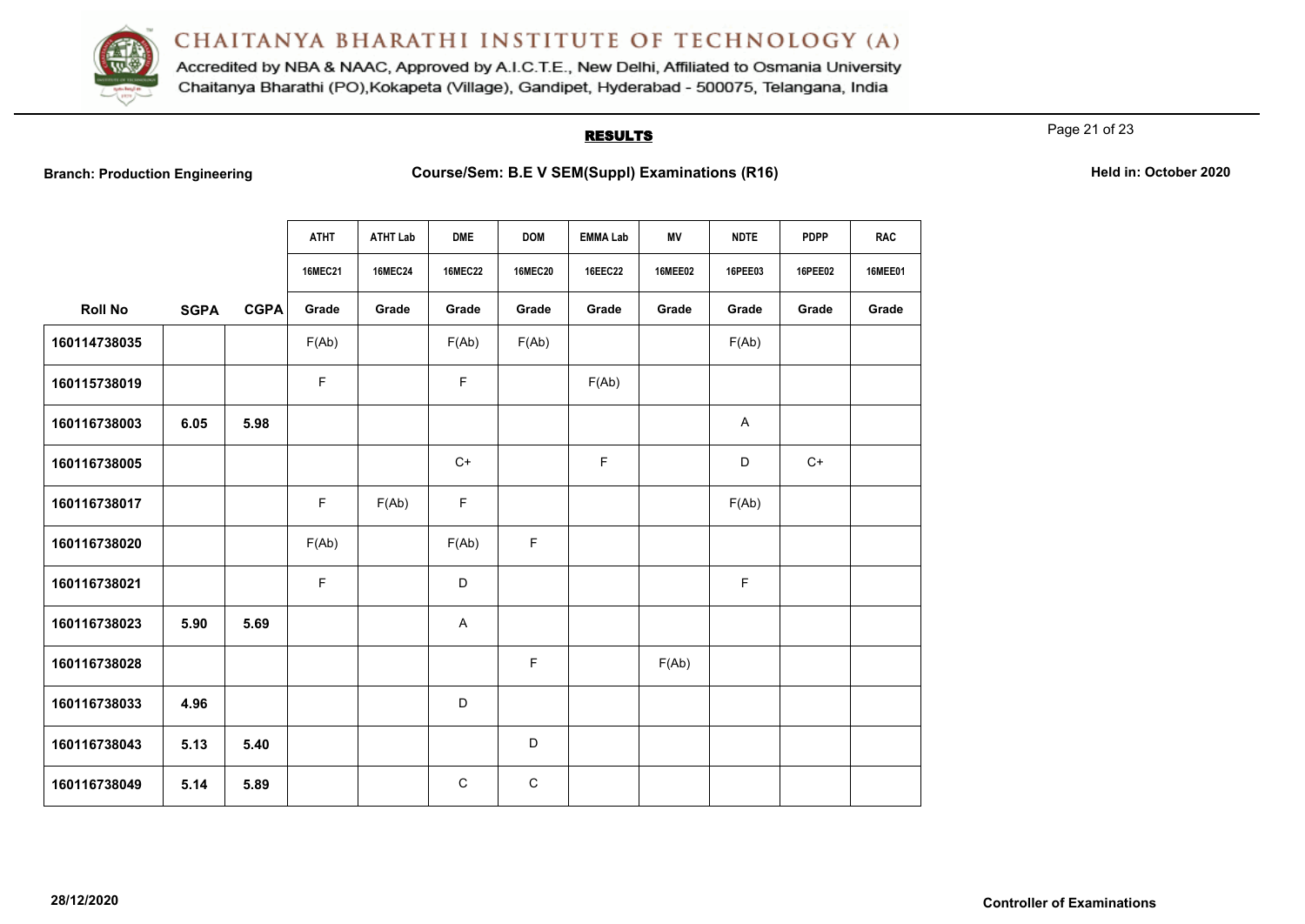

Accredited by NBA & NAAC, Approved by A.I.C.T.E., New Delhi, Affiliated to Osmania University Chaitanya Bharathi (PO), Kokapeta (Village), Gandipet, Hyderabad - 500075, Telangana, India

## **RESULTS**

Page 21 of 23

**Branch: Production Engineering Examinations (R16) Course/Sem: B.E V SEM(Suppl) Examinations (R16) Held in: October 2020** 

|                |             |             | <b>ATHT</b>    | <b>ATHT Lab</b> | <b>DME</b>     | <b>DOM</b>     | <b>EMMA Lab</b> | ΜV             | <b>NDTE</b>               | <b>PDPP</b> | <b>RAC</b>     |
|----------------|-------------|-------------|----------------|-----------------|----------------|----------------|-----------------|----------------|---------------------------|-------------|----------------|
|                |             |             | <b>16MEC21</b> | <b>16MEC24</b>  | <b>16MEC22</b> | <b>16MEC20</b> | 16EEC22         | <b>16MEE02</b> | 16PEE03                   | 16PEE02     | <b>16MEE01</b> |
| <b>Roll No</b> | <b>SGPA</b> | <b>CGPA</b> | Grade          | Grade           | Grade          | Grade          | Grade           | Grade          | Grade                     | Grade       | Grade          |
| 160114738035   |             |             | F(Ab)          |                 | F(Ab)          | F(Ab)          |                 |                | F(Ab)                     |             |                |
| 160115738019   |             |             | F              |                 | F              |                | F(Ab)           |                |                           |             |                |
| 160116738003   | 6.05        | 5.98        |                |                 |                |                |                 |                | $\boldsymbol{\mathsf{A}}$ |             |                |
| 160116738005   |             |             |                |                 | $C+$           |                | F               |                | D                         | $C+$        |                |
| 160116738017   |             |             | $\mathsf F$    | F(Ab)           | $\mathsf F$    |                |                 |                | F(Ab)                     |             |                |
| 160116738020   |             |             | F(Ab)          |                 | F(Ab)          | F              |                 |                |                           |             |                |
| 160116738021   |             |             | F              |                 | D              |                |                 |                | F                         |             |                |
| 160116738023   | 5.90        | 5.69        |                |                 | A              |                |                 |                |                           |             |                |
| 160116738028   |             |             |                |                 |                | F              |                 | F(Ab)          |                           |             |                |
| 160116738033   | 4.96        |             |                |                 | D              |                |                 |                |                           |             |                |
| 160116738043   | 5.13        | 5.40        |                |                 |                | D              |                 |                |                           |             |                |
| 160116738049   | 5.14        | 5.89        |                |                 | $\mathsf{C}$   | $\mathbf C$    |                 |                |                           |             |                |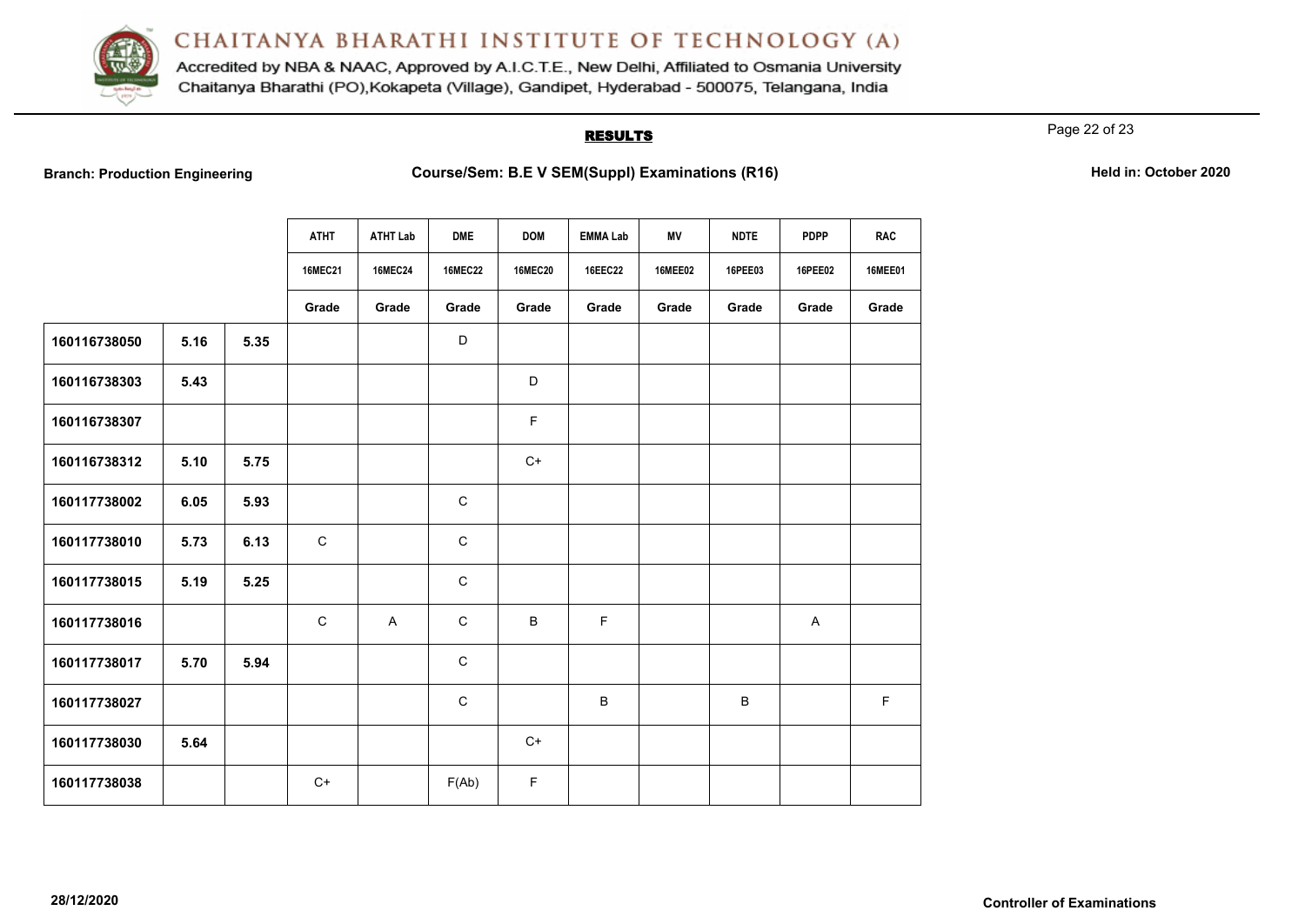

Accredited by NBA & NAAC, Approved by A.I.C.T.E., New Delhi, Affiliated to Osmania University Chaitanya Bharathi (PO), Kokapeta (Village), Gandipet, Hyderabad - 500075, Telangana, India

## **RESULTS**

Page 22 of 23

**Branch: Production Engineering Examinations (R16) Course/Sem: B.E V SEM(Suppl) Examinations (R16) Held in: October 2020** 

|              |      |      | <b>ATHT</b>    | <b>ATHT Lab</b> | <b>DME</b>     | <b>DOM</b>     | <b>EMMA Lab</b> | <b>MV</b>      | <b>NDTE</b> | <b>PDPP</b>               | <b>RAC</b>     |
|--------------|------|------|----------------|-----------------|----------------|----------------|-----------------|----------------|-------------|---------------------------|----------------|
|              |      |      | <b>16MEC21</b> | <b>16MEC24</b>  | <b>16MEC22</b> | <b>16MEC20</b> | <b>16EEC22</b>  | <b>16MEE02</b> | 16PEE03     | 16PEE02                   | <b>16MEE01</b> |
|              |      |      | Grade          | Grade           | Grade          | Grade          | Grade           | Grade          | Grade       | Grade                     | Grade          |
| 160116738050 | 5.16 | 5.35 |                |                 | D              |                |                 |                |             |                           |                |
| 160116738303 | 5.43 |      |                |                 |                | D              |                 |                |             |                           |                |
| 160116738307 |      |      |                |                 |                | F              |                 |                |             |                           |                |
| 160116738312 | 5.10 | 5.75 |                |                 |                | $C+$           |                 |                |             |                           |                |
| 160117738002 | 6.05 | 5.93 |                |                 | $\mathbf C$    |                |                 |                |             |                           |                |
| 160117738010 | 5.73 | 6.13 | $\mathsf C$    |                 | $\mathbf C$    |                |                 |                |             |                           |                |
| 160117738015 | 5.19 | 5.25 |                |                 | $\mathsf C$    |                |                 |                |             |                           |                |
| 160117738016 |      |      | $\mathbf C$    | $\overline{A}$  | $\mathbf C$    | B              | F               |                |             | $\boldsymbol{\mathsf{A}}$ |                |
| 160117738017 | 5.70 | 5.94 |                |                 | $\mathbf C$    |                |                 |                |             |                           |                |
| 160117738027 |      |      |                |                 | $\mathbf C$    |                | $\sf B$         |                | B           |                           | $\mathsf F$    |
| 160117738030 | 5.64 |      |                |                 |                | $C+$           |                 |                |             |                           |                |
| 160117738038 |      |      | $C+$           |                 | F(Ab)          | $\mathsf F$    |                 |                |             |                           |                |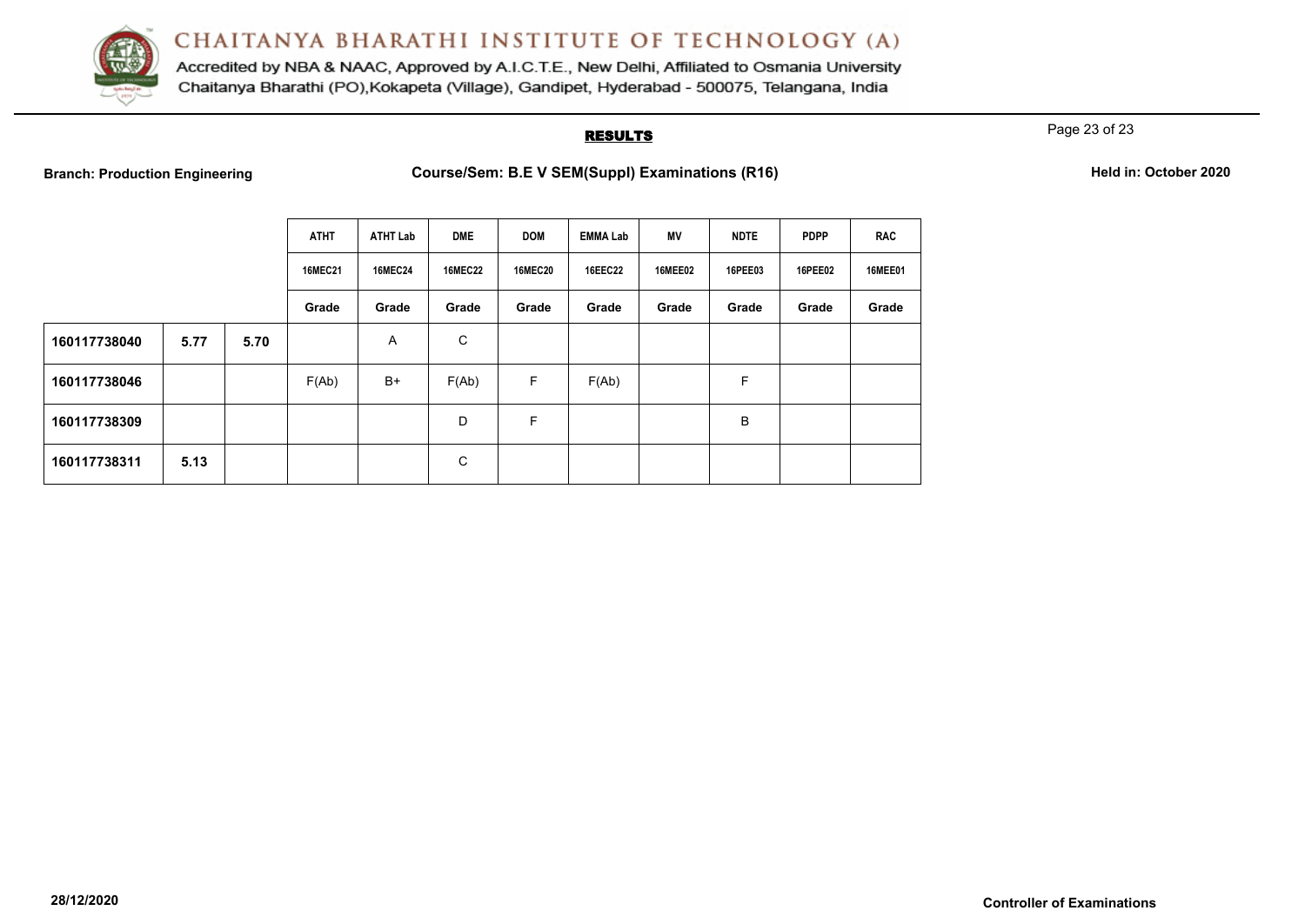

Accredited by NBA & NAAC, Approved by A.I.C.T.E., New Delhi, Affiliated to Osmania University Chaitanya Bharathi (PO), Kokapeta (Village), Gandipet, Hyderabad - 500075, Telangana, India

## **RESULTS**

Page 23 of 23

**Branch: Production Engineering <b>Course/Sem: B.E V SEM(Suppl) Examinations (R16) Held in: October 2020** 

| Held in: October 2020 |  |  |  |  |  |  |
|-----------------------|--|--|--|--|--|--|
|-----------------------|--|--|--|--|--|--|

|              |      |      | <b>ATHT</b>    | <b>ATHT Lab</b> | <b>DME</b>     | <b>DOM</b>     | EMMA Lab       | <b>MV</b>      | <b>NDTE</b>    | <b>PDPP</b> | <b>RAC</b>     |
|--------------|------|------|----------------|-----------------|----------------|----------------|----------------|----------------|----------------|-------------|----------------|
|              |      |      | <b>16MEC21</b> | <b>16MEC24</b>  | <b>16MEC22</b> | <b>16MEC20</b> | <b>16EEC22</b> | <b>16MEE02</b> | <b>16PEE03</b> | 16PEE02     | <b>16MEE01</b> |
|              |      |      | Grade          | Grade           | Grade          | Grade          | Grade          | Grade          | Grade          | Grade       | Grade          |
| 160117738040 | 5.77 | 5.70 |                | Α               | C              |                |                |                |                |             |                |
| 160117738046 |      |      | F(Ab)          | $B+$            | F(Ab)          | F              | F(Ab)          |                | F              |             |                |
| 160117738309 |      |      |                |                 | D              | F              |                |                | B              |             |                |
| 160117738311 | 5.13 |      |                |                 | C              |                |                |                |                |             |                |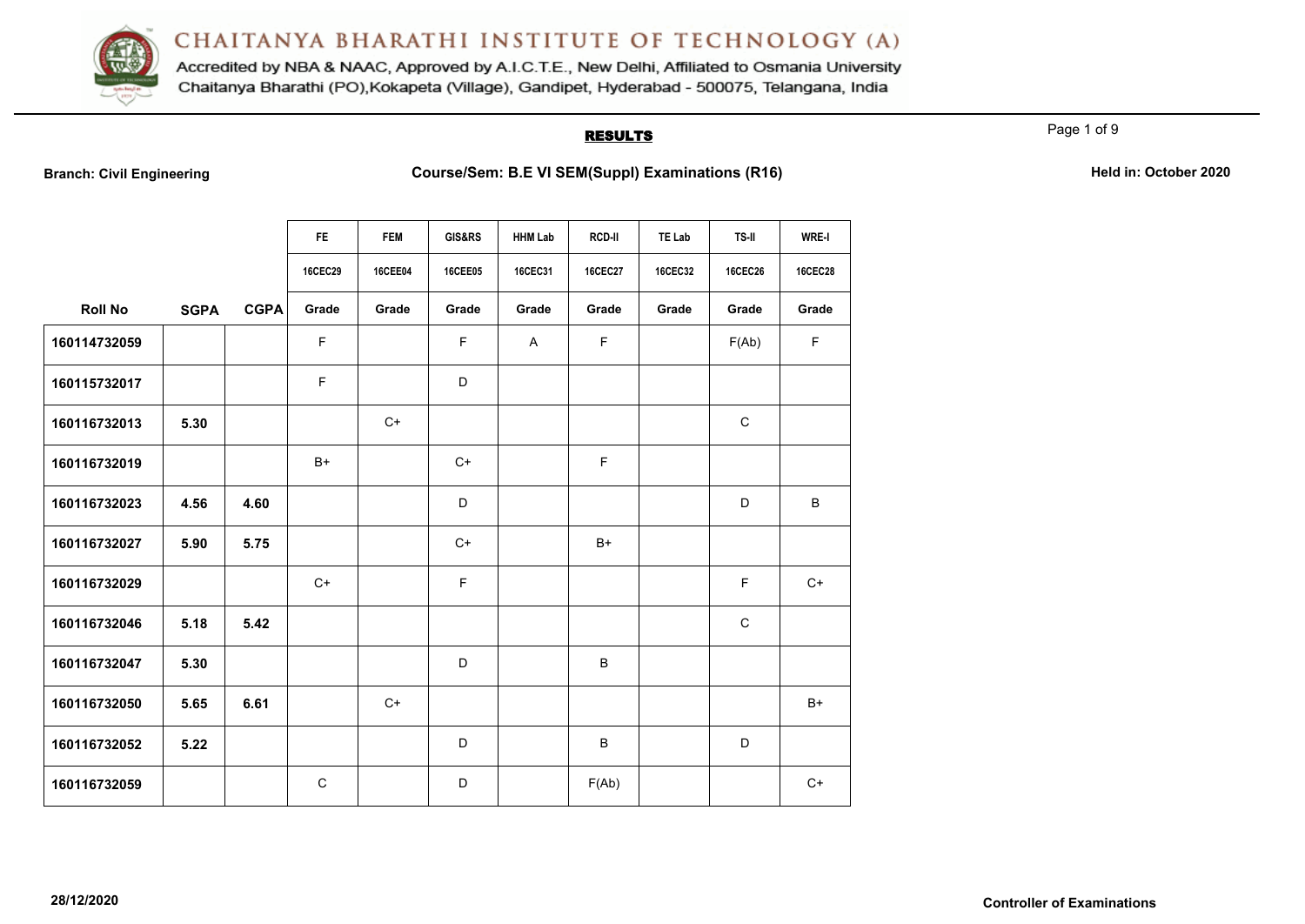

Accredited by NBA & NAAC, Approved by A.I.C.T.E., New Delhi, Affiliated to Osmania University Chaitanya Bharathi (PO), Kokapeta (Village), Gandipet, Hyderabad - 500075, Telangana, India

#### **RESULTS**

Page 1 of 9

**Branch: Civil Engineering <b>Course/Sem: B.E VI SEM(Suppl) Examinations (R16) Held in: October 2020** 

|                |             |             | FE.            | <b>FEM</b> | GIS&RS         | <b>HHM Lab</b> | <b>RCD-II</b>  | TE Lab         | TS-II          | <b>WRE-I</b>   |
|----------------|-------------|-------------|----------------|------------|----------------|----------------|----------------|----------------|----------------|----------------|
|                |             |             | <b>16CEC29</b> | 16CEE04    | <b>16CEE05</b> | 16CEC31        | <b>16CEC27</b> | <b>16CEC32</b> | <b>16CEC26</b> | <b>16CEC28</b> |
| <b>Roll No</b> | <b>SGPA</b> | <b>CGPA</b> | Grade          | Grade      | Grade          | Grade          | Grade          | Grade          | Grade          | Grade          |
| 160114732059   |             |             | $\mathsf F$    |            | $\mathsf F$    | A              | $\mathsf F$    |                | F(Ab)          | F              |
| 160115732017   |             |             | $\mathsf F$    |            | D              |                |                |                |                |                |
| 160116732013   | 5.30        |             |                | $C+$       |                |                |                |                | $\mathbf C$    |                |
| 160116732019   |             |             | $B+$           |            | $C+$           |                | F              |                |                |                |
| 160116732023   | 4.56        | 4.60        |                |            | D              |                |                |                | D              | B              |
| 160116732027   | 5.90        | 5.75        |                |            | $C+$           |                | $B+$           |                |                |                |
| 160116732029   |             |             | $C+$           |            | $\mathsf F$    |                |                |                | F.             | $C+$           |
| 160116732046   | 5.18        | 5.42        |                |            |                |                |                |                | $\mathbf C$    |                |
| 160116732047   | 5.30        |             |                |            | D              |                | B              |                |                |                |
| 160116732050   | 5.65        | 6.61        |                | $C+$       |                |                |                |                |                | $B+$           |
| 160116732052   | 5.22        |             |                |            | D              |                | B              |                | D              |                |
| 160116732059   |             |             | C              |            | D              |                | F(Ab)          |                |                | $C+$           |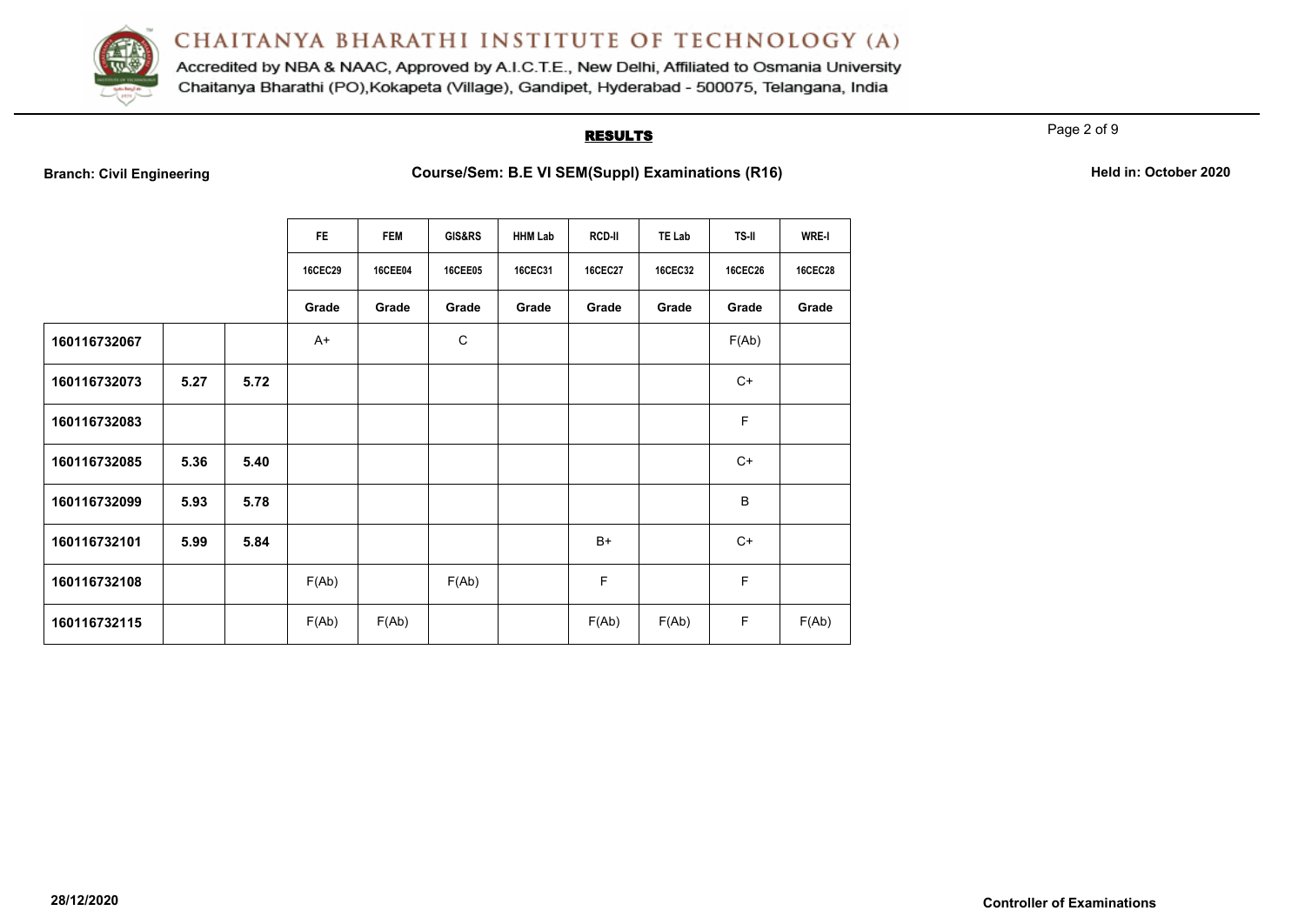

Accredited by NBA & NAAC, Approved by A.I.C.T.E., New Delhi, Affiliated to Osmania University Chaitanya Bharathi (PO), Kokapeta (Village), Gandipet, Hyderabad - 500075, Telangana, India

#### **RESULTS**

Page 2 of 9

| <b>Branch: Civil Engineering</b> |  |  |
|----------------------------------|--|--|
|                                  |  |  |

|              |      |      | <b>FE</b>      | <b>FEM</b>     | GIS&RS         | <b>HHM Lab</b> | <b>RCD-II</b>  | TE Lab         | <b>TS-II</b>   | <b>WRE-I</b>   |
|--------------|------|------|----------------|----------------|----------------|----------------|----------------|----------------|----------------|----------------|
|              |      |      | <b>16CEC29</b> | <b>16CEE04</b> | <b>16CEE05</b> | <b>16CEC31</b> | <b>16CEC27</b> | <b>16CEC32</b> | <b>16CEC26</b> | <b>16CEC28</b> |
|              |      |      | Grade          | Grade          | Grade          | Grade          | Grade          | Grade          | Grade          | Grade          |
| 160116732067 |      |      | $A+$           |                | $\mathbf C$    |                |                |                | F(Ab)          |                |
| 160116732073 | 5.27 | 5.72 |                |                |                |                |                |                | $C+$           |                |
| 160116732083 |      |      |                |                |                |                |                |                | F              |                |
| 160116732085 | 5.36 | 5.40 |                |                |                |                |                |                | $C+$           |                |
| 160116732099 | 5.93 | 5.78 |                |                |                |                |                |                | B              |                |
| 160116732101 | 5.99 | 5.84 |                |                |                |                | $B+$           |                | $C+$           |                |
| 160116732108 |      |      | F(Ab)          |                | F(Ab)          |                | F              |                | F              |                |
| 160116732115 |      |      | F(Ab)          | F(Ab)          |                |                | F(Ab)          | F(Ab)          | F              | F(Ab)          |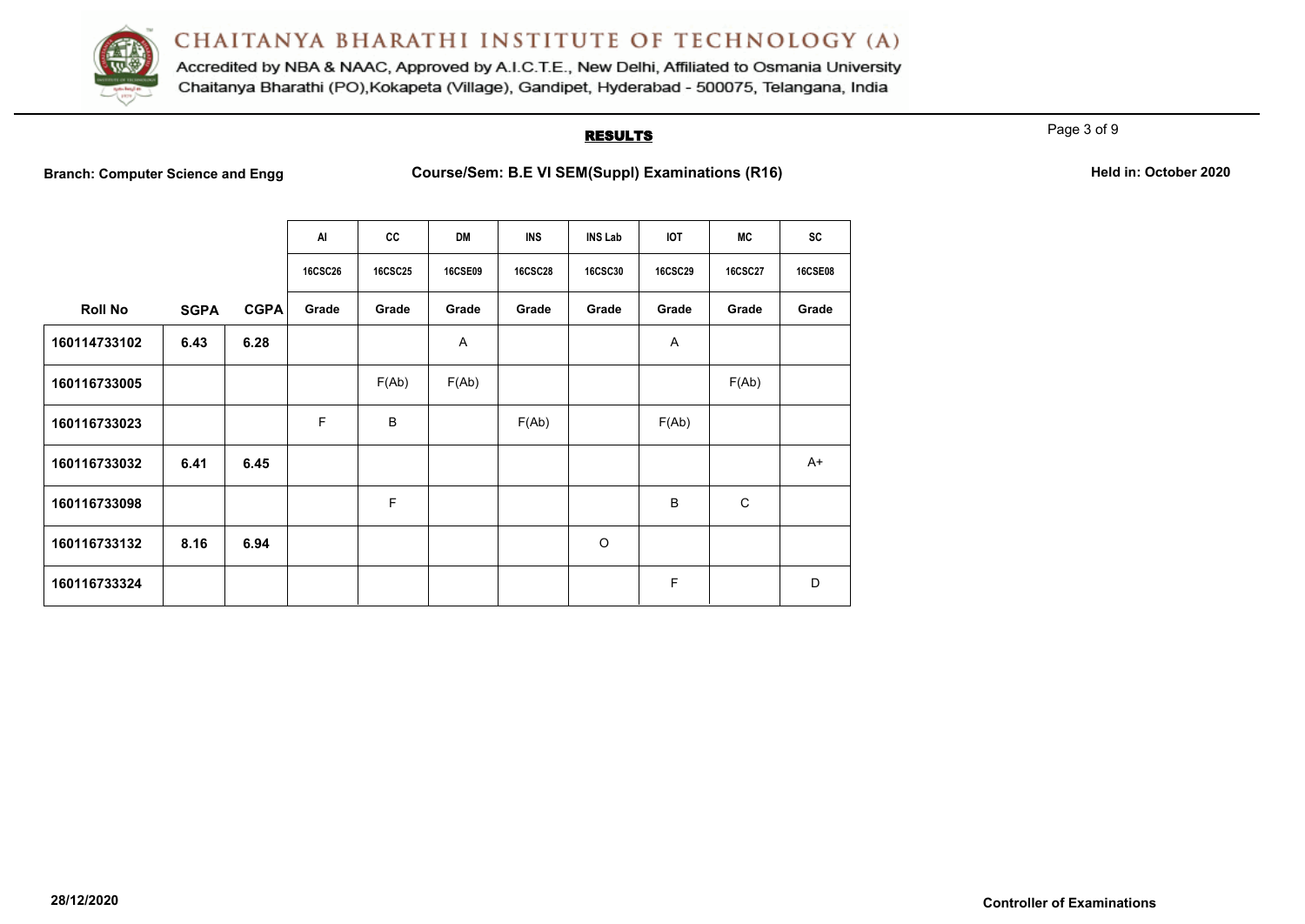

Accredited by NBA & NAAC, Approved by A.I.C.T.E., New Delhi, Affiliated to Osmania University Chaitanya Bharathi (PO), Kokapeta (Village), Gandipet, Hyderabad - 500075, Telangana, India

#### **RESULTS**

Page 3 of 9

**Branch: Computer Science and Engg <b>Course/Sem: B.E VI SEM(Suppl) Examinations (R16) Held in: October 2020** 

|  | Held in: October 2020 |  |
|--|-----------------------|--|
|--|-----------------------|--|

|                |             |             | AI             | cc             | <b>DM</b>      | <b>INS</b>     | <b>INS Lab</b> | <b>IOT</b>     | MC             | <b>SC</b>      |
|----------------|-------------|-------------|----------------|----------------|----------------|----------------|----------------|----------------|----------------|----------------|
|                |             |             | <b>16CSC26</b> | <b>16CSC25</b> | <b>16CSE09</b> | <b>16CSC28</b> | <b>16CSC30</b> | <b>16CSC29</b> | <b>16CSC27</b> | <b>16CSE08</b> |
| <b>Roll No</b> | <b>SGPA</b> | <b>CGPA</b> | Grade          | Grade          | Grade          | Grade          | Grade          | Grade          | Grade          | Grade          |
| 160114733102   | 6.43        | 6.28        |                |                | Α              |                |                | A              |                |                |
| 160116733005   |             |             |                | F(Ab)          | F(Ab)          |                |                |                | F(Ab)          |                |
| 160116733023   |             |             | F              | B              |                | F(Ab)          |                | F(Ab)          |                |                |
| 160116733032   | 6.41        | 6.45        |                |                |                |                |                |                |                | A+             |
| 160116733098   |             |             |                | F              |                |                |                | B              | $\mathsf{C}$   |                |
| 160116733132   | 8.16        | 6.94        |                |                |                |                | $\circ$        |                |                |                |
| 160116733324   |             |             |                |                |                |                |                | F              |                | D              |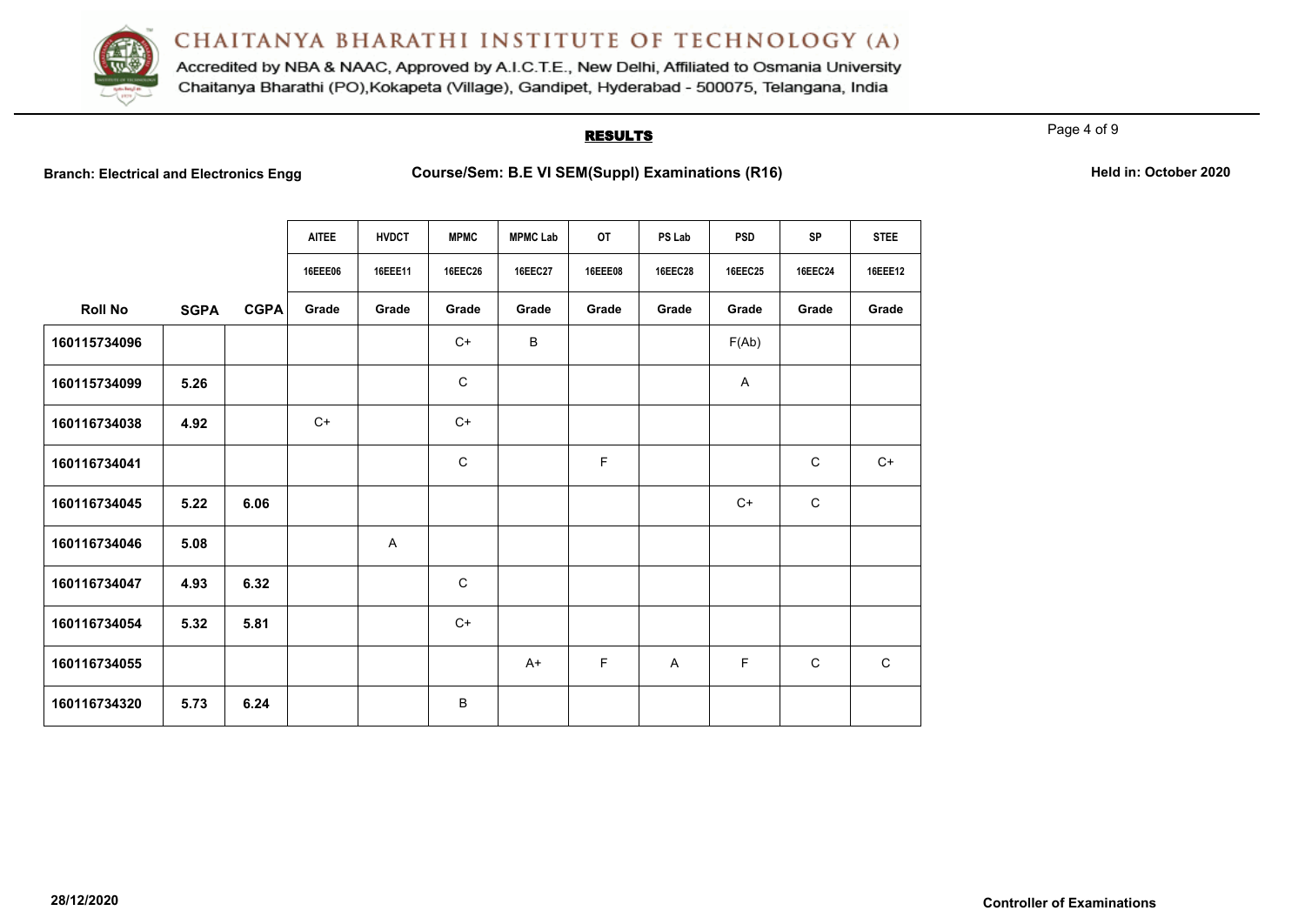

Accredited by NBA & NAAC, Approved by A.I.C.T.E., New Delhi, Affiliated to Osmania University Chaitanya Bharathi (PO), Kokapeta (Village), Gandipet, Hyderabad - 500075, Telangana, India

#### **RESULTS**

Page 4 of 9

**Branch: Electrical and Electronics Engg Course/Sem: B.E VI SEM(Suppl) Examinations (R16) Held in: October 2020**

|                |             |             | <b>AITEE</b><br>16EEE06 | <b>HVDCT</b><br>16EEE11 | <b>MPMC</b><br><b>16EEC26</b> | <b>MPMC Lab</b><br><b>16EEC27</b> | <b>OT</b><br><b>16EEE08</b> | PS Lab<br><b>16EEC28</b> | <b>PSD</b><br><b>16EEC25</b> | <b>SP</b><br><b>16EEC24</b> | <b>STEE</b><br>16EEE12 |
|----------------|-------------|-------------|-------------------------|-------------------------|-------------------------------|-----------------------------------|-----------------------------|--------------------------|------------------------------|-----------------------------|------------------------|
| <b>Roll No</b> | <b>SGPA</b> | <b>CGPA</b> | Grade                   | Grade                   | Grade                         | Grade                             | Grade                       | Grade                    | Grade                        | Grade                       | Grade                  |
| 160115734096   |             |             |                         |                         | $C+$                          | B                                 |                             |                          | F(Ab)                        |                             |                        |
| 160115734099   | 5.26        |             |                         |                         | $\mathbf C$                   |                                   |                             |                          | Α                            |                             |                        |
| 160116734038   | 4.92        |             | $C+$                    |                         | $C+$                          |                                   |                             |                          |                              |                             |                        |
| 160116734041   |             |             |                         |                         | $\mathsf{C}$                  |                                   | F                           |                          |                              | $\mathsf{C}$                | $C+$                   |
| 160116734045   | 5.22        | 6.06        |                         |                         |                               |                                   |                             |                          | $C+$                         | $\mathsf C$                 |                        |
| 160116734046   | 5.08        |             |                         | A                       |                               |                                   |                             |                          |                              |                             |                        |
| 160116734047   | 4.93        | 6.32        |                         |                         | $\mathsf{C}$                  |                                   |                             |                          |                              |                             |                        |
| 160116734054   | 5.32        | 5.81        |                         |                         | $C+$                          |                                   |                             |                          |                              |                             |                        |
| 160116734055   |             |             |                         |                         |                               | $A+$                              | F                           | A                        | F                            | $\mathsf{C}$                | $\mathsf{C}$           |
| 160116734320   | 5.73        | 6.24        |                         |                         | B                             |                                   |                             |                          |                              |                             |                        |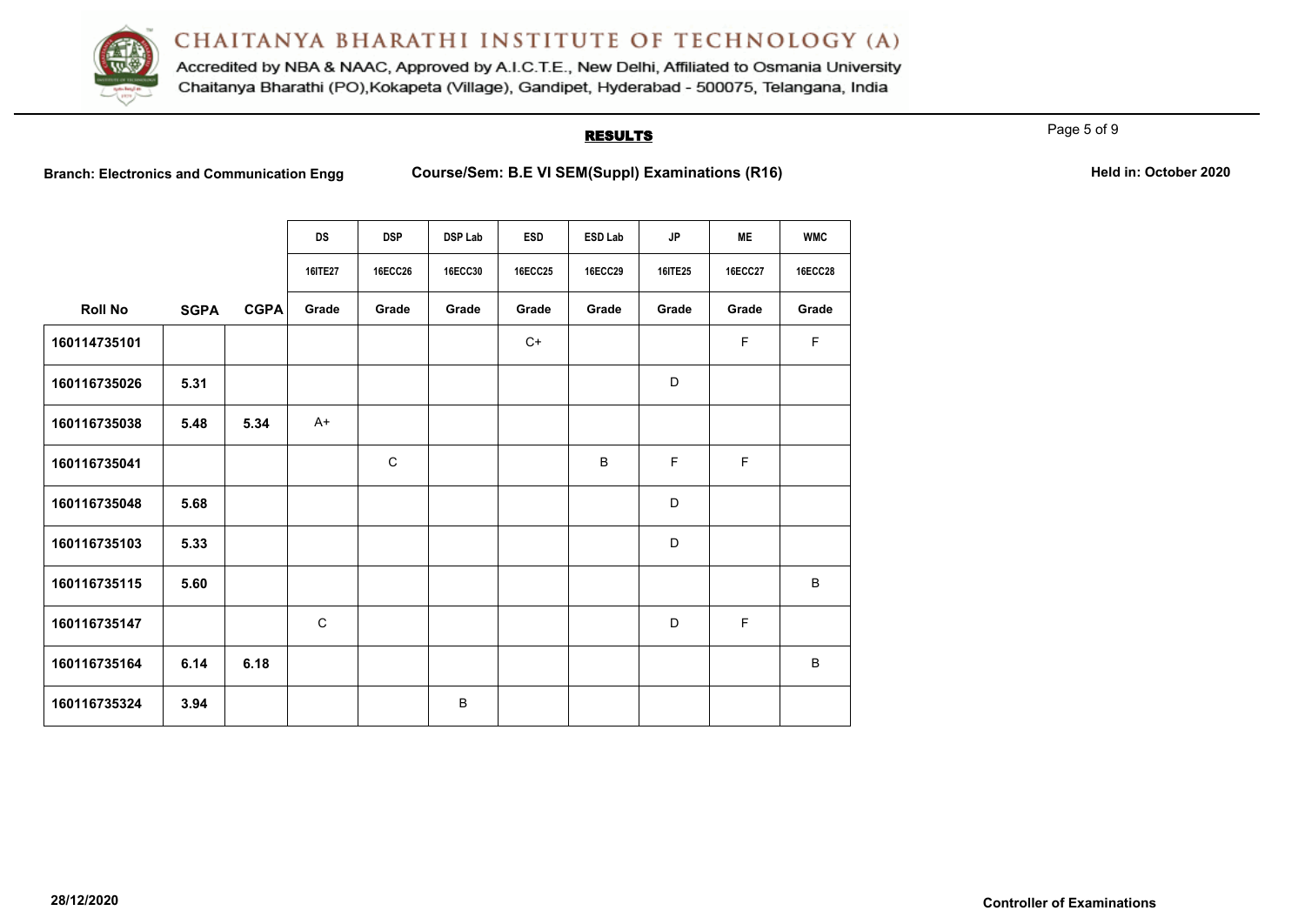

Accredited by NBA & NAAC, Approved by A.I.C.T.E., New Delhi, Affiliated to Osmania University Chaitanya Bharathi (PO), Kokapeta (Village), Gandipet, Hyderabad - 500075, Telangana, India

#### **RESULTS**

Page 5 of 9

**Branch: Electronics and Communication Engg <b>Course/Sem: B.E VI SEM(Suppl) Examinations (R16) Held in: October 2020** 

|  | Held in: October 2020 |  |
|--|-----------------------|--|
|--|-----------------------|--|

|                |             |             | <b>DS</b>   | <b>DSP</b>     | <b>DSP Lab</b> | <b>ESD</b>     | <b>ESD Lab</b> | <b>JP</b>   | <b>ME</b>      | <b>WMC</b>     |
|----------------|-------------|-------------|-------------|----------------|----------------|----------------|----------------|-------------|----------------|----------------|
|                |             |             |             |                |                |                |                |             |                |                |
|                |             |             | 16ITE27     | <b>16ECC26</b> | <b>16ECC30</b> | <b>16ECC25</b> | <b>16ECC29</b> | 16ITE25     | <b>16ECC27</b> | <b>16ECC28</b> |
| <b>Roll No</b> | <b>SGPA</b> | <b>CGPA</b> | Grade       | Grade          | Grade          | Grade          | Grade          | Grade       | Grade          | Grade          |
| 160114735101   |             |             |             |                |                | $C+$           |                |             | F.             | F              |
| 160116735026   | 5.31        |             |             |                |                |                |                | D           |                |                |
| 160116735038   | 5.48        | 5.34        | $A+$        |                |                |                |                |             |                |                |
| 160116735041   |             |             |             | C              |                |                | B              | $\mathsf F$ | F              |                |
| 160116735048   | 5.68        |             |             |                |                |                |                | D           |                |                |
| 160116735103   | 5.33        |             |             |                |                |                |                | D           |                |                |
| 160116735115   | 5.60        |             |             |                |                |                |                |             |                | B              |
| 160116735147   |             |             | $\mathsf C$ |                |                |                |                | D           | F              |                |
| 160116735164   | 6.14        | 6.18        |             |                |                |                |                |             |                | B              |
| 160116735324   | 3.94        |             |             |                | B              |                |                |             |                |                |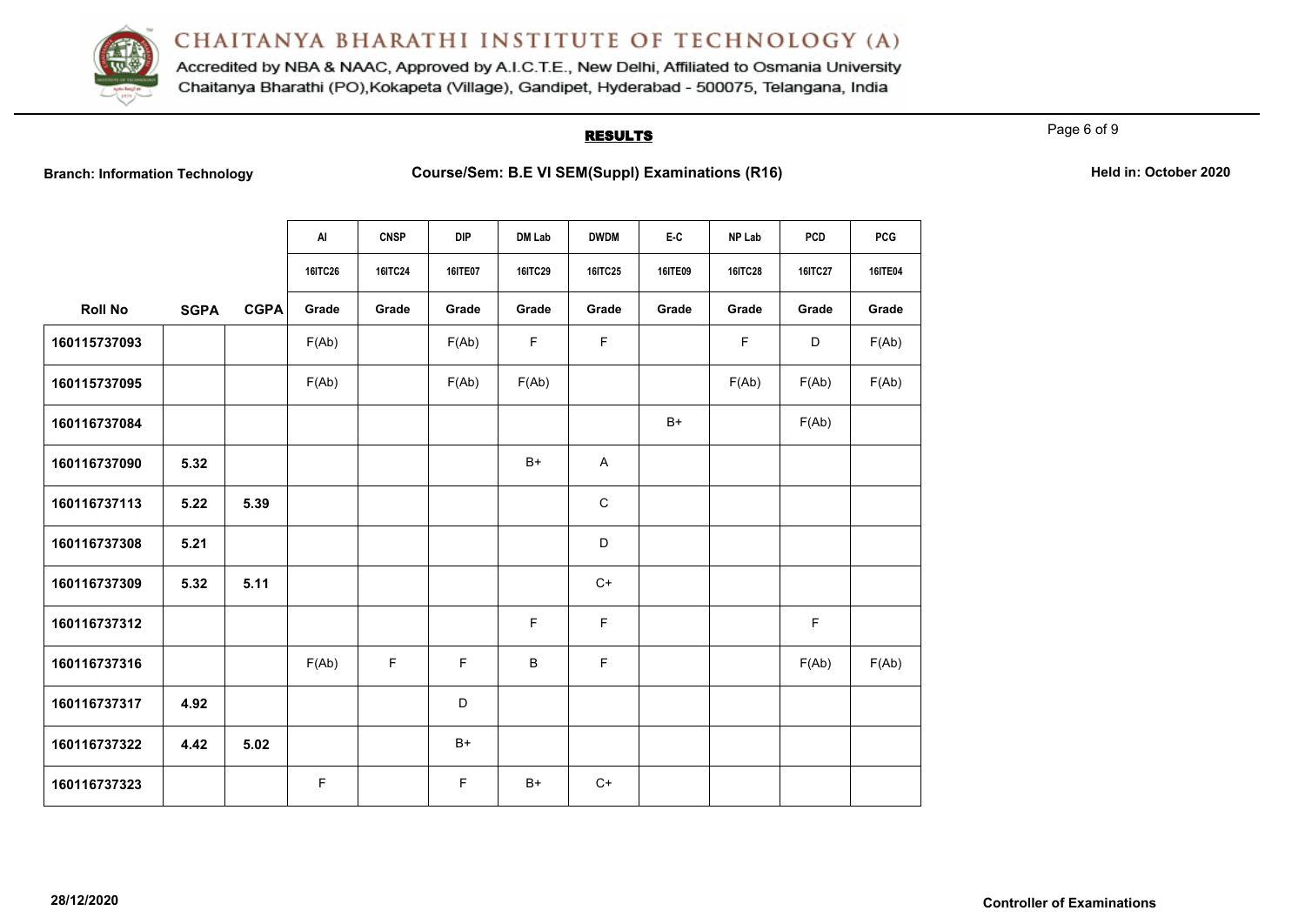

Accredited by NBA & NAAC, Approved by A.I.C.T.E., New Delhi, Affiliated to Osmania University Chaitanya Bharathi (PO), Kokapeta (Village), Gandipet, Hyderabad - 500075, Telangana, India

#### **RESULTS**

Page 6 of 9

**B.E VI SEM(Suppl) Examinations (R16) Course/Sem: B.E VI SEM(Suppl) Examinations (R16)** 

|  | Held in: October 2020 |  |
|--|-----------------------|--|
|  |                       |  |

|                |             |             | AI             | <b>CNSP</b>    | <b>DIP</b> | DM Lab         | <b>DWDM</b>    | E-C     | NP Lab         | <b>PCD</b>     | <b>PCG</b>     |
|----------------|-------------|-------------|----------------|----------------|------------|----------------|----------------|---------|----------------|----------------|----------------|
|                |             |             | <b>16ITC26</b> | <b>16ITC24</b> | 16ITE07    | <b>16ITC29</b> | <b>16ITC25</b> | 16ITE09 | <b>16ITC28</b> | <b>16ITC27</b> | <b>16ITE04</b> |
| <b>Roll No</b> | <b>SGPA</b> | <b>CGPA</b> | Grade          | Grade          | Grade      | Grade          | Grade          | Grade   | Grade          | Grade          | Grade          |
| 160115737093   |             |             | F(Ab)          |                | F(Ab)      | $\mathsf F$    | $\mathsf F$    |         | F              | D              | F(Ab)          |
| 160115737095   |             |             | F(Ab)          |                | F(Ab)      | F(Ab)          |                |         | F(Ab)          | F(Ab)          | F(Ab)          |
| 160116737084   |             |             |                |                |            |                |                | $B+$    |                | F(Ab)          |                |
| 160116737090   | 5.32        |             |                |                |            | $B+$           | $\mathsf{A}$   |         |                |                |                |
| 160116737113   | 5.22        | 5.39        |                |                |            |                | $\mathbf C$    |         |                |                |                |
| 160116737308   | 5.21        |             |                |                |            |                | D              |         |                |                |                |
| 160116737309   | 5.32        | 5.11        |                |                |            |                | $C+$           |         |                |                |                |
| 160116737312   |             |             |                |                |            | F              | F              |         |                | F              |                |
| 160116737316   |             |             | F(Ab)          | $\mathsf F$    | F          | B              | F              |         |                | F(Ab)          | F(Ab)          |
| 160116737317   | 4.92        |             |                |                | D          |                |                |         |                |                |                |
| 160116737322   | 4.42        | 5.02        |                |                | $B+$       |                |                |         |                |                |                |
| 160116737323   |             |             | F              |                | F          | $B+$           | $C+$           |         |                |                |                |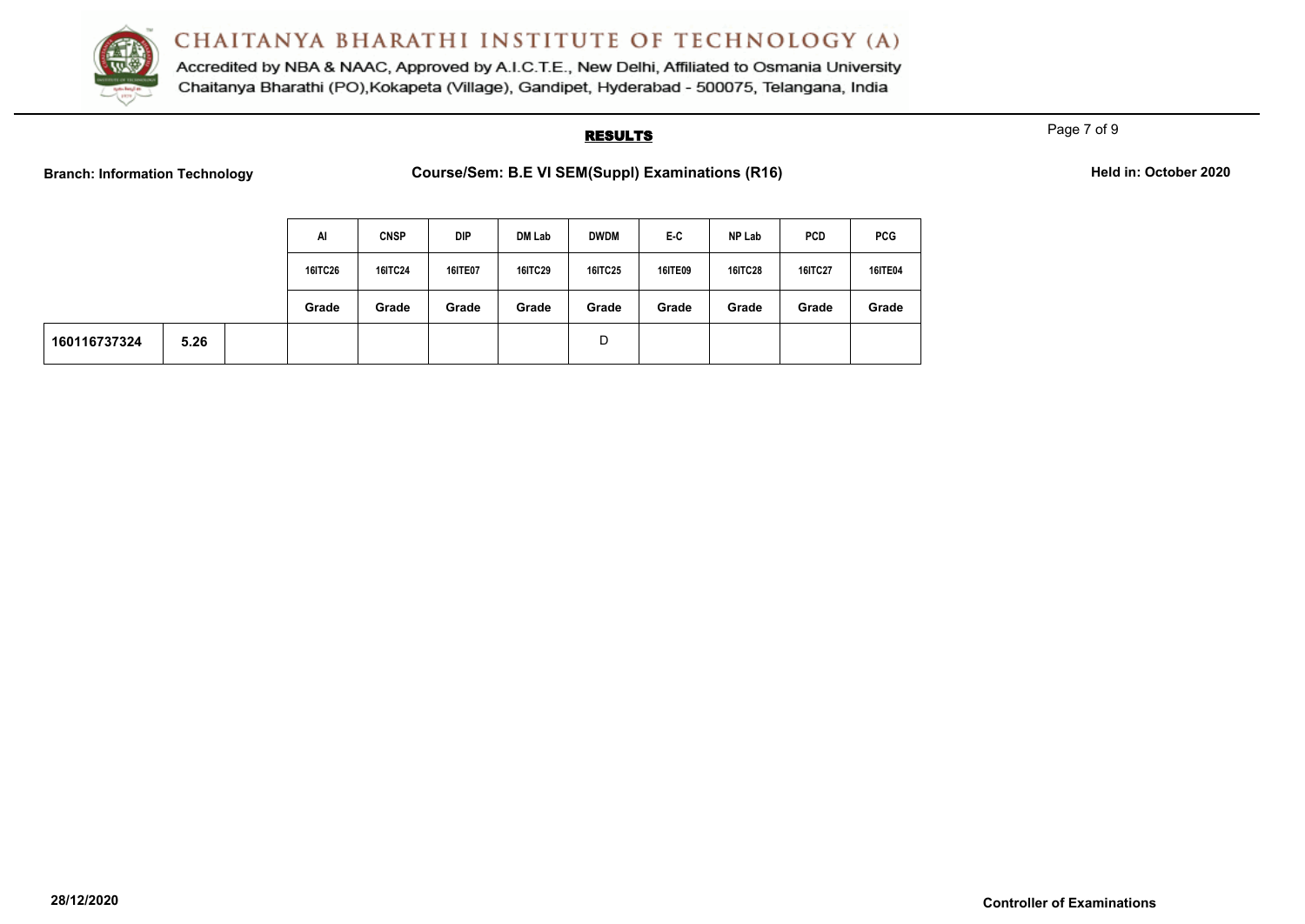

Accredited by NBA & NAAC, Approved by A.I.C.T.E., New Delhi, Affiliated to Osmania University Chaitanya Bharathi (PO), Kokapeta (Village), Gandipet, Hyderabad - 500075, Telangana, India

## **RESULTS**

Page 7 of 9

**Branch: Information Technology <b>Course/Sem: B.E VI SEM(Suppl) Examinations (R16) Branch:** Details

|  |  | Held in: October 2020 |  |
|--|--|-----------------------|--|
|--|--|-----------------------|--|

|              |      | Al             | <b>CNSP</b>    | DIP            | DM Lab         | <b>DWDM</b>    | E-C     | NP Lab         | <b>PCD</b> | <b>PCG</b>     |
|--------------|------|----------------|----------------|----------------|----------------|----------------|---------|----------------|------------|----------------|
|              |      | <b>16ITC26</b> | <b>16ITC24</b> | <b>16ITE07</b> | <b>16ITC29</b> | <b>16ITC25</b> | 16ITE09 | <b>16ITC28</b> | 16ITC27    | <b>16ITE04</b> |
|              |      | Grade          | Grade          | Grade          | Grade          | Grade          | Grade   | Grade          | Grade      | Grade          |
| 160116737324 | 5.26 |                |                |                |                | D              |         |                |            |                |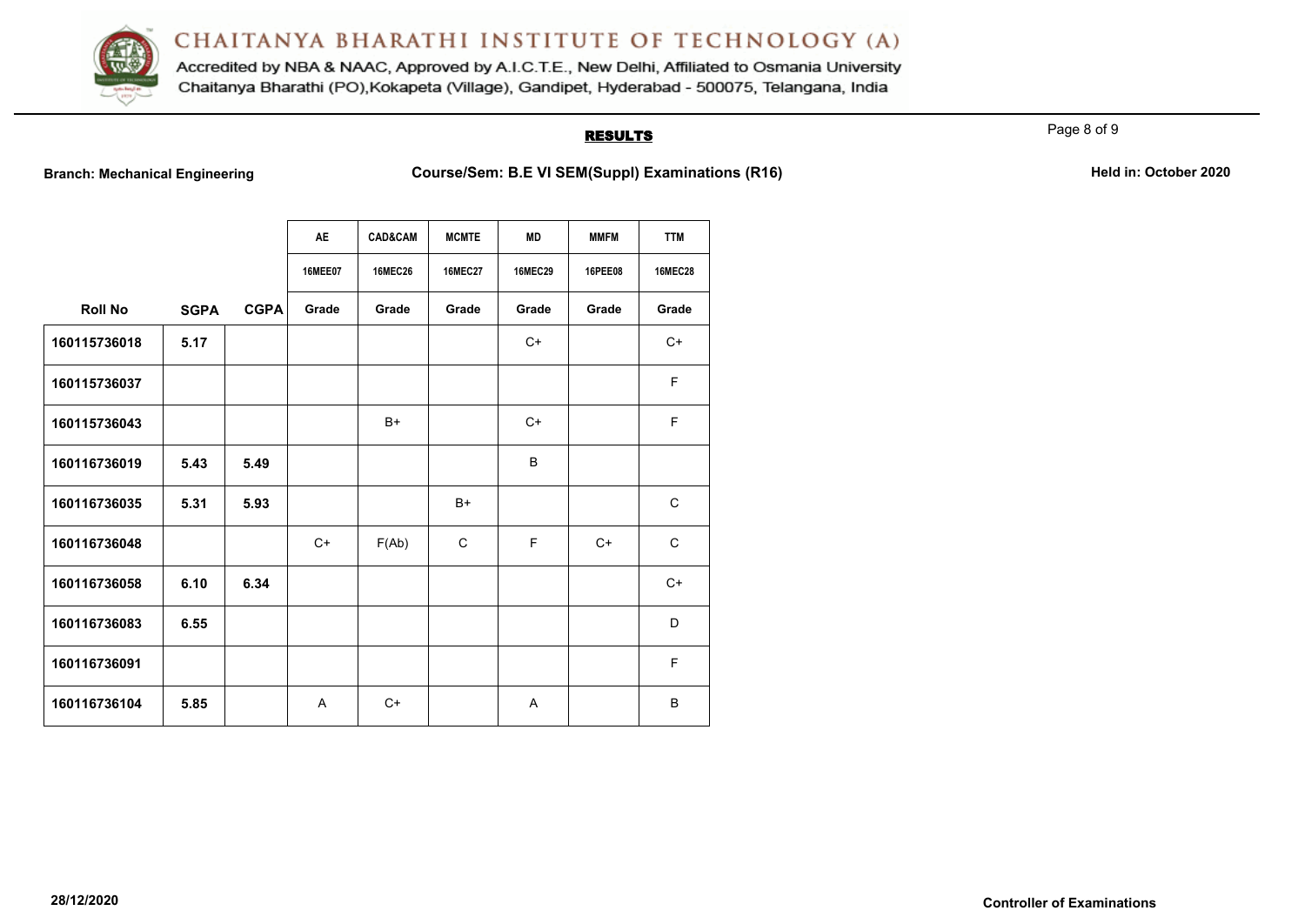

Accredited by NBA & NAAC, Approved by A.I.C.T.E., New Delhi, Affiliated to Osmania University Chaitanya Bharathi (PO), Kokapeta (Village), Gandipet, Hyderabad - 500075, Telangana, India

## **RESULTS**

Page 8 of 9

**Branch: Mechanical Engineering <b>Course/Sem: B.E VI SEM(Suppl) Examinations (R16)** Held in: October 2020

|                |             |             | <b>AE</b>      | <b>CAD&amp;CAM</b> | <b>MCMTE</b>   | <b>MD</b>      | <b>MMFM</b>    | <b>TTM</b>     |
|----------------|-------------|-------------|----------------|--------------------|----------------|----------------|----------------|----------------|
|                |             |             | <b>16MEE07</b> | <b>16MEC26</b>     | <b>16MEC27</b> | <b>16MEC29</b> | <b>16PEE08</b> | <b>16MEC28</b> |
| <b>Roll No</b> | <b>SGPA</b> | <b>CGPA</b> | Grade          | Grade              | Grade          | Grade          | Grade          | Grade          |
| 160115736018   | 5.17        |             |                |                    |                | $C+$           |                | $C+$           |
| 160115736037   |             |             |                |                    |                |                |                | F              |
| 160115736043   |             |             |                | $B+$               |                | $C+$           |                | F              |
| 160116736019   | 5.43        | 5.49        |                |                    |                | B              |                |                |
| 160116736035   | 5.31        | 5.93        |                |                    | $B+$           |                |                | $\mathbf C$    |
| 160116736048   |             |             | $C+$           | F(Ab)              | C              | F.             | $C+$           | $\mathsf{C}$   |
| 160116736058   | 6.10        | 6.34        |                |                    |                |                |                | $C+$           |
| 160116736083   | 6.55        |             |                |                    |                |                |                | D              |
| 160116736091   |             |             |                |                    |                |                |                | F              |
| 160116736104   | 5.85        |             | A              | $C+$               |                | A              |                | B              |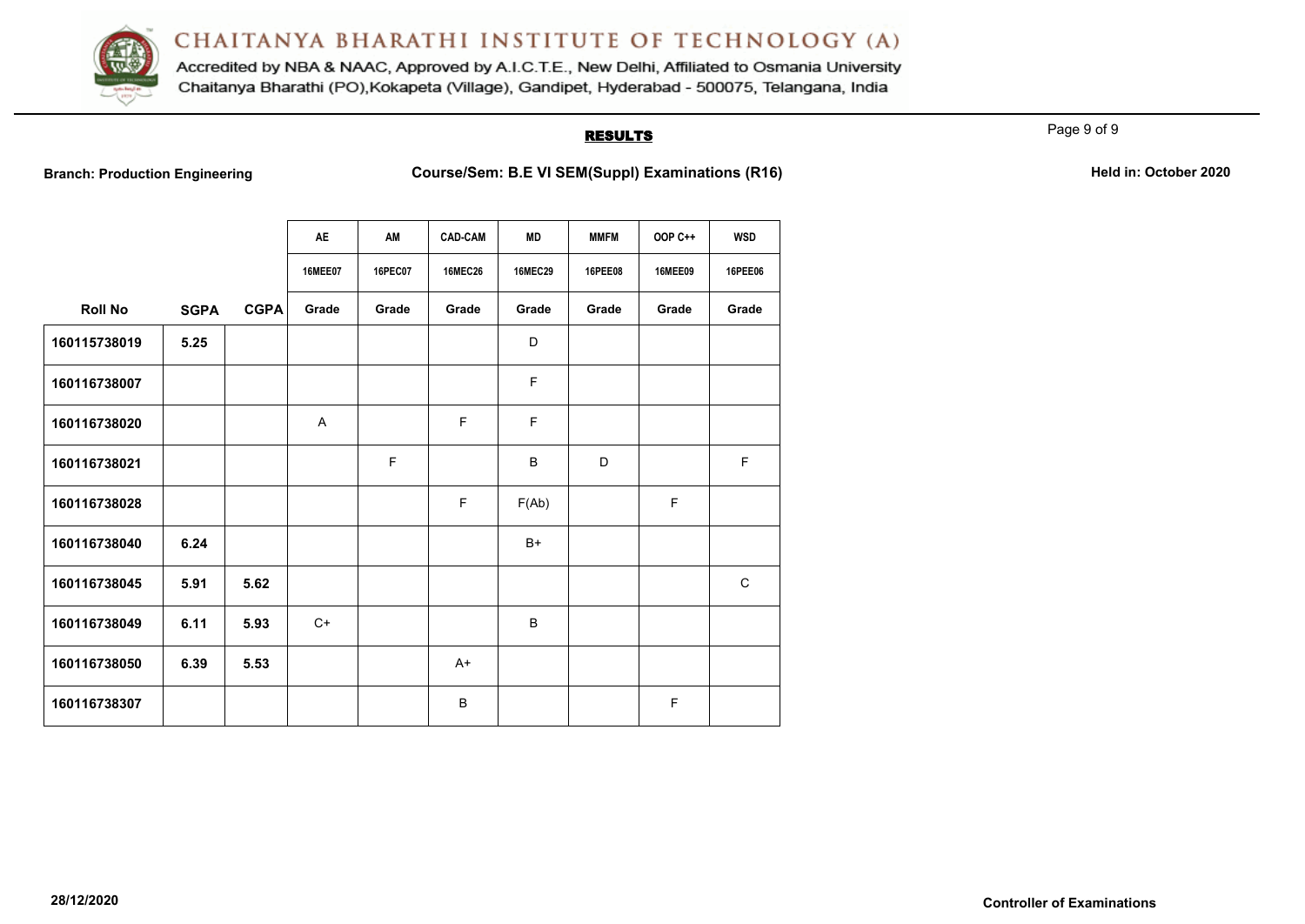

Accredited by NBA & NAAC, Approved by A.I.C.T.E., New Delhi, Affiliated to Osmania University Chaitanya Bharathi (PO), Kokapeta (Village), Gandipet, Hyderabad - 500075, Telangana, India

## **RESULTS**

Page 9 of 9

**Branch: Production Engineering <b>Course/Sem: B.E VI SEM(Suppl) Examinations (R16)** Held in: October 2020

|                |             |             | <b>AE</b>      | AM             | <b>CAD-CAM</b> | <b>MD</b>      | <b>MMFM</b>    | <b>OOP C++</b> | <b>WSD</b>     |
|----------------|-------------|-------------|----------------|----------------|----------------|----------------|----------------|----------------|----------------|
|                |             |             | <b>16MEE07</b> | <b>16PEC07</b> | <b>16MEC26</b> | <b>16MEC29</b> | <b>16PEE08</b> | <b>16MEE09</b> | <b>16PEE06</b> |
| <b>Roll No</b> | <b>SGPA</b> | <b>CGPA</b> | Grade          | Grade          | Grade          | Grade          | Grade          | Grade          | Grade          |
| 160115738019   | 5.25        |             |                |                |                | D              |                |                |                |
| 160116738007   |             |             |                |                |                | F              |                |                |                |
| 160116738020   |             |             | A              |                | F              | F              |                |                |                |
| 160116738021   |             |             |                | F              |                | B              | D              |                | F              |
| 160116738028   |             |             |                |                | F              | F(Ab)          |                | F              |                |
| 160116738040   | 6.24        |             |                |                |                | $B+$           |                |                |                |
| 160116738045   | 5.91        | 5.62        |                |                |                |                |                |                | $\mathsf C$    |
| 160116738049   | 6.11        | 5.93        | $C+$           |                |                | B              |                |                |                |
| 160116738050   | 6.39        | 5.53        |                |                | $A+$           |                |                |                |                |
| 160116738307   |             |             |                |                | B              |                |                | F              |                |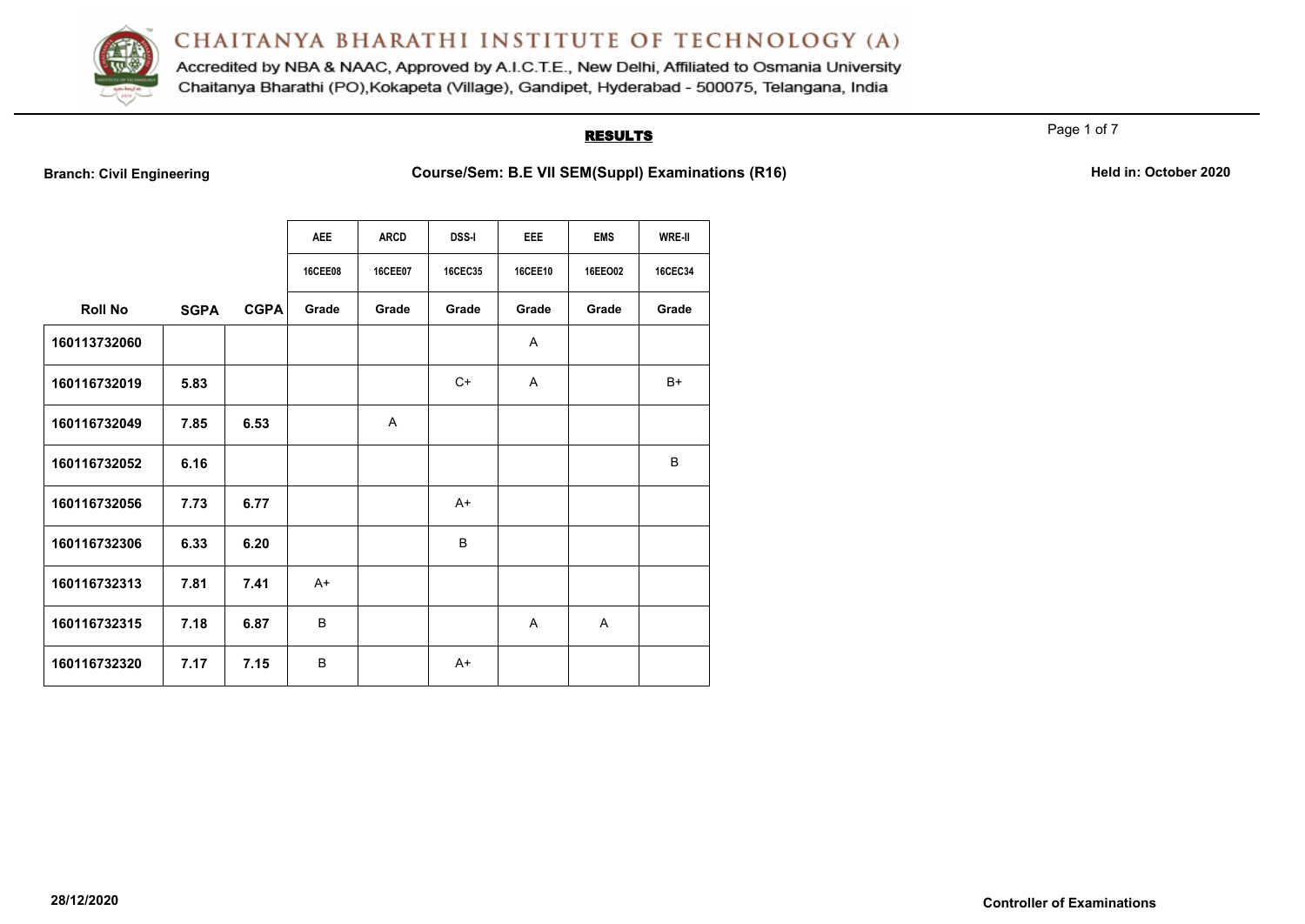

Accredited by NBA & NAAC, Approved by A.I.C.T.E., New Delhi, Affiliated to Osmania University Chaitanya Bharathi (PO), Kokapeta (Village), Gandipet, Hyderabad - 500075, Telangana, India

## **RESULTS**

Page 1 of 7

**Branch: Civil Engineering <b>Course/Sem: B.E VII SEM(Suppl) Examinations (R16) Held in: October 2020** 

|                |             |             | <b>AEE</b>     | <b>ARCD</b>    | <b>DSS-I</b>   | <b>EEE</b>     | <b>EMS</b>   | WRE-II         |
|----------------|-------------|-------------|----------------|----------------|----------------|----------------|--------------|----------------|
|                |             |             | <b>16CEE08</b> | <b>16CEE07</b> | <b>16CEC35</b> | <b>16CEE10</b> | 16EEO02      | <b>16CEC34</b> |
| <b>Roll No</b> | <b>SGPA</b> | <b>CGPA</b> | Grade          | Grade          | Grade          | Grade          | Grade        | Grade          |
| 160113732060   |             |             |                |                |                | $\mathsf{A}$   |              |                |
| 160116732019   | 5.83        |             |                |                | $C+$           | A              |              | $B+$           |
| 160116732049   | 7.85        | 6.53        |                | $\mathsf{A}$   |                |                |              |                |
| 160116732052   | 6.16        |             |                |                |                |                |              | B              |
| 160116732056   | 7.73        | 6.77        |                |                | A+             |                |              |                |
| 160116732306   | 6.33        | 6.20        |                |                | B              |                |              |                |
| 160116732313   | 7.81        | 7.41        | $A+$           |                |                |                |              |                |
| 160116732315   | 7.18        | 6.87        | B              |                |                | A              | $\mathsf{A}$ |                |
| 160116732320   | 7.17        | 7.15        | B              |                | $A+$           |                |              |                |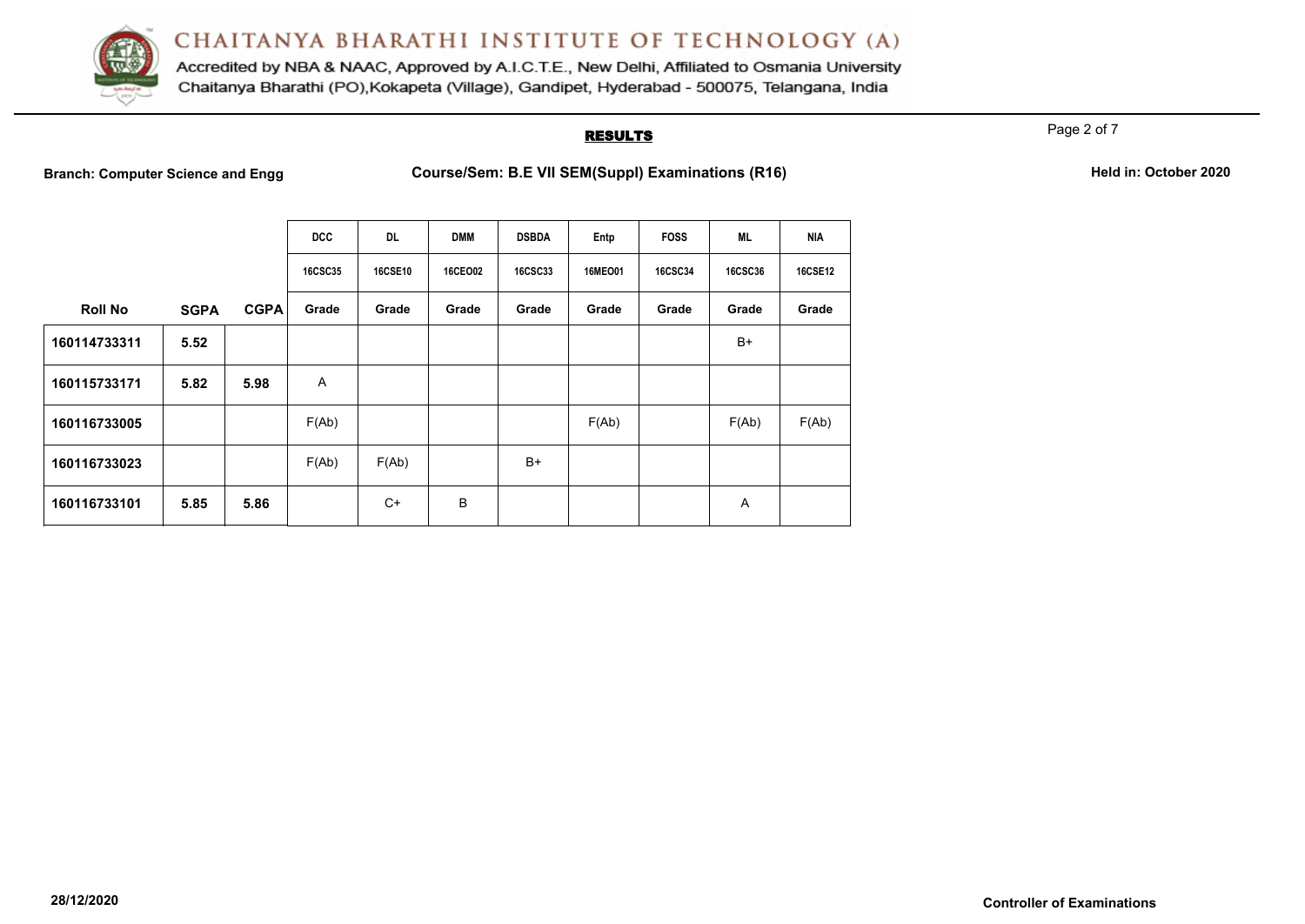

Accredited by NBA & NAAC, Approved by A.I.C.T.E., New Delhi, Affiliated to Osmania University Chaitanya Bharathi (PO), Kokapeta (Village), Gandipet, Hyderabad - 500075, Telangana, India

## **RESULTS**

Page 2 of 7

**Branch: Computer Science and Engg <b>Course/Sem: B.E VII SEM(Suppl) Examinations (R16) Held in: October 2020** 

| Held in: October 2020 |
|-----------------------|
|-----------------------|

|                |             |             | <b>DCC</b>     | <b>DL</b>      | <b>DMM</b>     | <b>DSBDA</b>   | Entp    | <b>FOSS</b>    | <b>ML</b>      | <b>NIA</b>     |
|----------------|-------------|-------------|----------------|----------------|----------------|----------------|---------|----------------|----------------|----------------|
|                |             |             | <b>16CSC35</b> | <b>16CSE10</b> | <b>16CEO02</b> | <b>16CSC33</b> | 16MEO01 | <b>16CSC34</b> | <b>16CSC36</b> | <b>16CSE12</b> |
| <b>Roll No</b> | <b>SGPA</b> | <b>CGPA</b> | Grade          | Grade          | Grade          | Grade          | Grade   | Grade          | Grade          | Grade          |
| 160114733311   | 5.52        |             |                |                |                |                |         |                | $B+$           |                |
| 160115733171   | 5.82        | 5.98        | A              |                |                |                |         |                |                |                |
| 160116733005   |             |             | F(Ab)          |                |                |                | F(Ab)   |                | F(Ab)          | F(Ab)          |
| 160116733023   |             |             | F(Ab)          | F(Ab)          |                | $B+$           |         |                |                |                |
| 160116733101   | 5.85        | 5.86        |                | C+             | B              |                |         |                | Α              |                |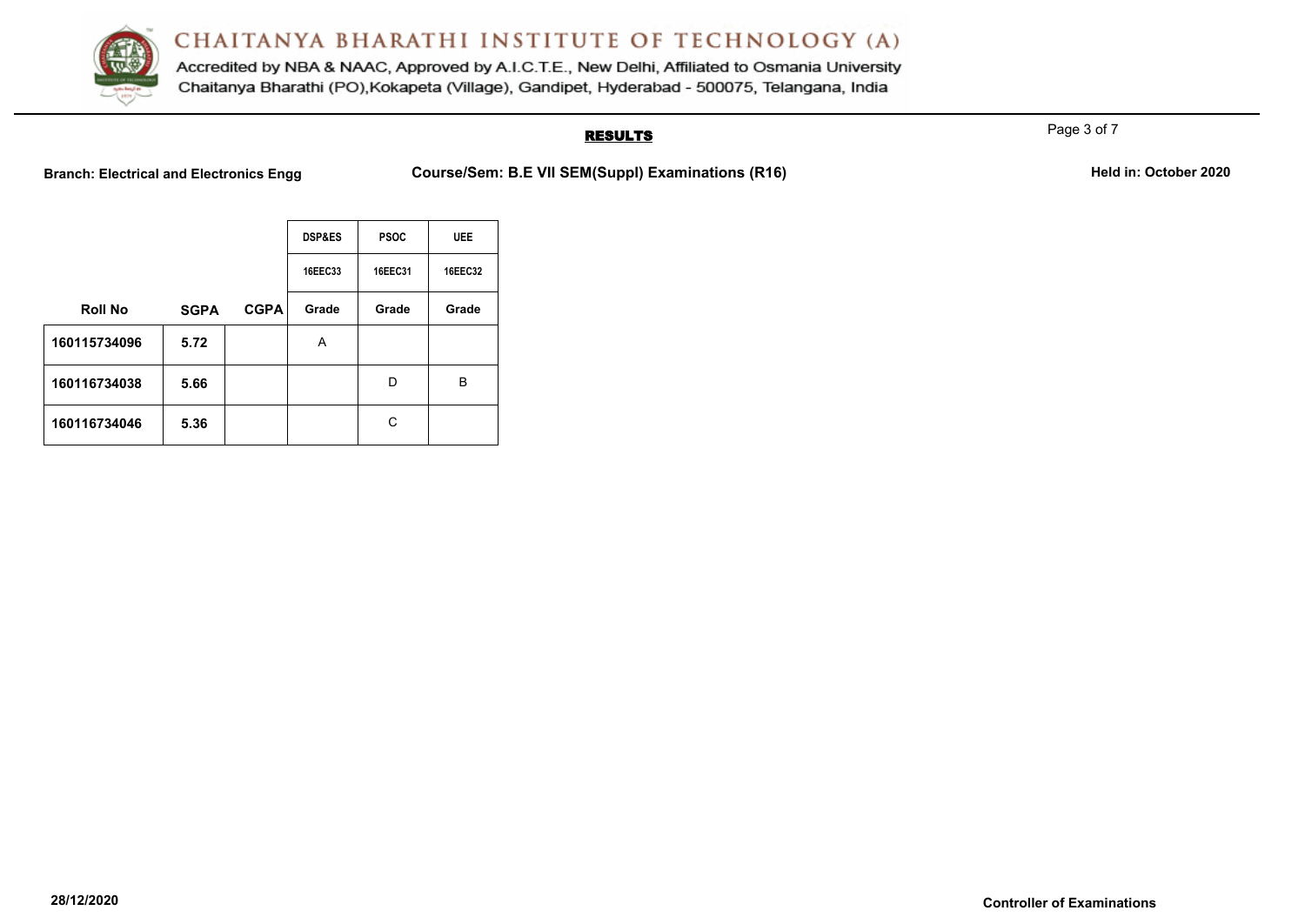

Accredited by NBA & NAAC, Approved by A.I.C.T.E., New Delhi, Affiliated to Osmania University Chaitanya Bharathi (PO), Kokapeta (Village), Gandipet, Hyderabad - 500075, Telangana, India

# **RESULTS**

**Branch: Electrical and Electronics Engg Course/Sem: B.E VII SEM(Suppl) Examinations (R16)** Held in: October 2020

|                |             |             | <b>DSP&amp;ES</b> | <b>PSOC</b> | <b>UEE</b> |
|----------------|-------------|-------------|-------------------|-------------|------------|
|                |             |             | 16EEC33           | 16EEC31     | 16EEC32    |
| <b>Roll No</b> | <b>SGPA</b> | <b>CGPA</b> | Grade             | Grade       | Grade      |
| 160115734096   | 5.72        |             | A                 |             |            |
| 160116734038   | 5.66        |             |                   | D           | в          |
| 160116734046   | 5.36        |             |                   | C           |            |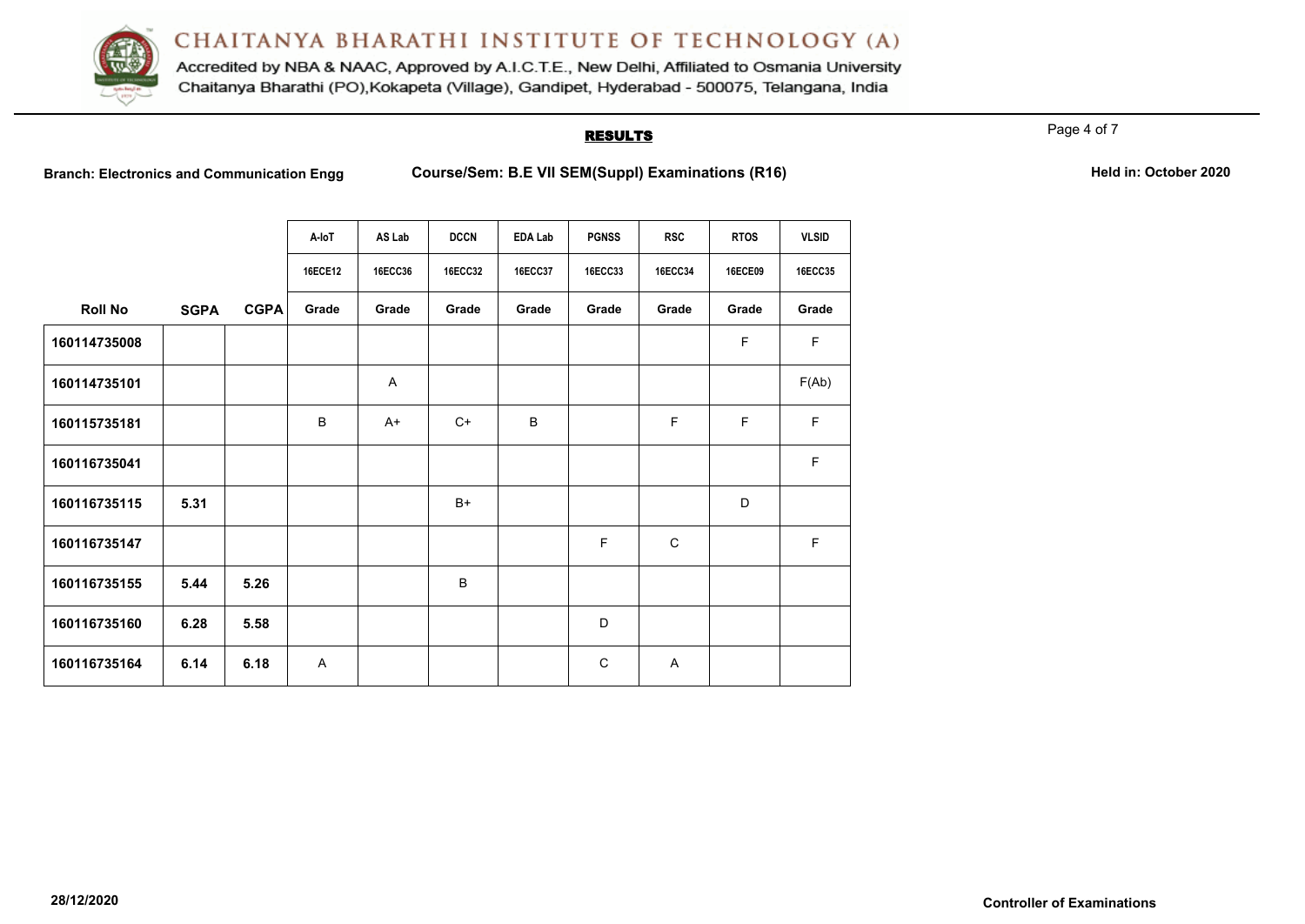

Accredited by NBA & NAAC, Approved by A.I.C.T.E., New Delhi, Affiliated to Osmania University Chaitanya Bharathi (PO), Kokapeta (Village), Gandipet, Hyderabad - 500075, Telangana, India

#### **RESULTS**

Page 4 of 7

**Branch: Electronics and Communication Engg <b>Course/Sem: B.E VII SEM(Suppl) Examinations (R16) Held in: October 2020** 

|  | Held in: October 2020 |  |
|--|-----------------------|--|
|  |                       |  |

|                |             |             | A-loT          | AS Lab         | <b>DCCN</b>    | <b>EDA Lab</b> | <b>PGNSS</b>   | <b>RSC</b>     | <b>RTOS</b>    | <b>VLSID</b>   |
|----------------|-------------|-------------|----------------|----------------|----------------|----------------|----------------|----------------|----------------|----------------|
|                |             |             | <b>16ECE12</b> | <b>16ECC36</b> | <b>16ECC32</b> | <b>16ECC37</b> | <b>16ECC33</b> | <b>16ECC34</b> | <b>16ECE09</b> | <b>16ECC35</b> |
| <b>Roll No</b> | <b>SGPA</b> | <b>CGPA</b> | Grade          | Grade          | Grade          | Grade          | Grade          | Grade          | Grade          | Grade          |
| 160114735008   |             |             |                |                |                |                |                |                | F              | $\mathsf F$    |
| 160114735101   |             |             |                | $\overline{A}$ |                |                |                |                |                | F(Ab)          |
| 160115735181   |             |             | B              | $A+$           | $C+$           | B              |                | $\mathsf F$    | F.             | $\mathsf F$    |
| 160116735041   |             |             |                |                |                |                |                |                |                | $\mathsf F$    |
| 160116735115   | 5.31        |             |                |                | B+             |                |                |                | D              |                |
| 160116735147   |             |             |                |                |                |                | F              | $\mathsf C$    |                | $\mathsf F$    |
| 160116735155   | 5.44        | 5.26        |                |                | B              |                |                |                |                |                |
| 160116735160   | 6.28        | 5.58        |                |                |                |                | D              |                |                |                |
| 160116735164   | 6.14        | 6.18        | A              |                |                |                | $\mathsf{C}$   | $\overline{A}$ |                |                |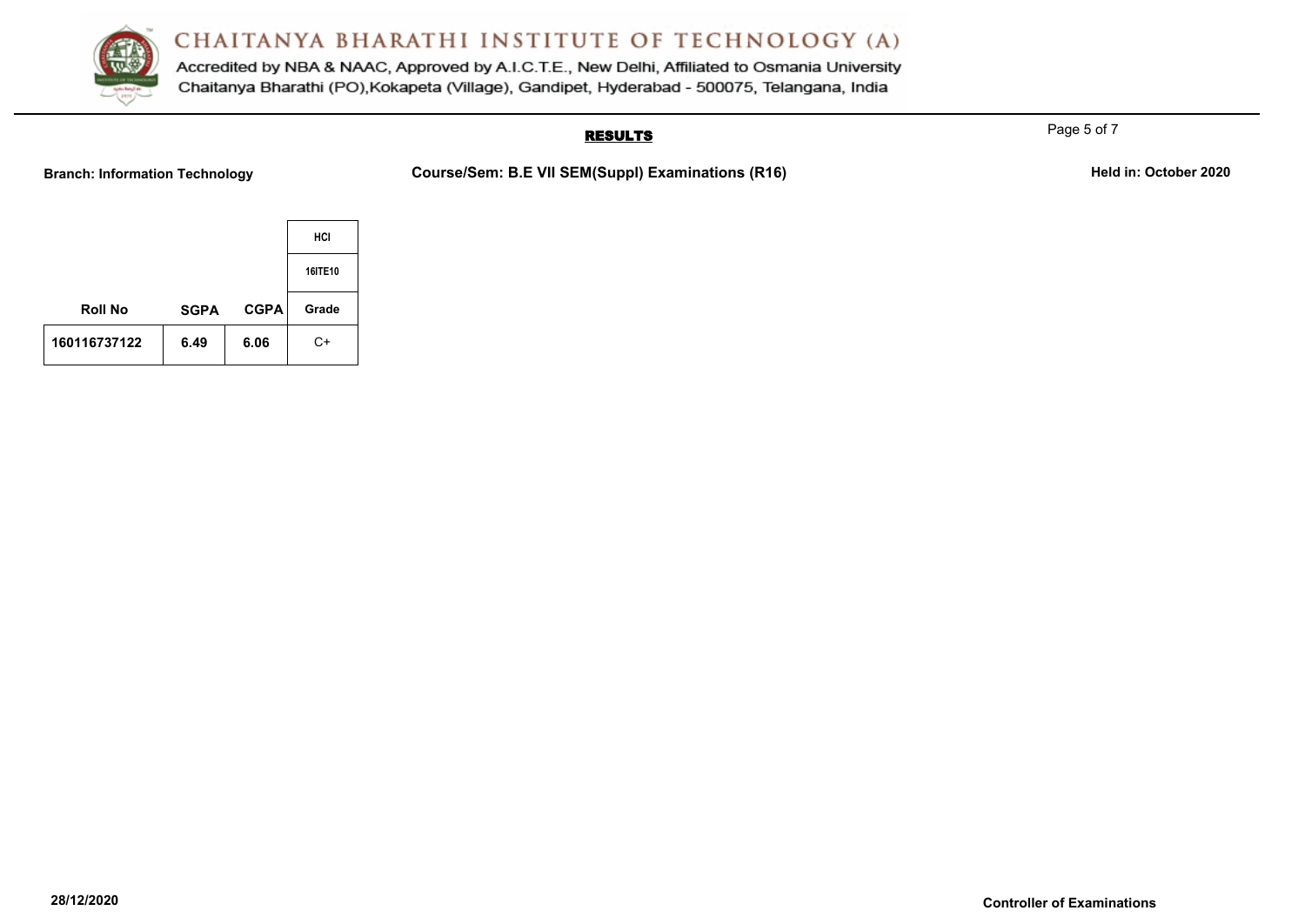

Accredited by NBA & NAAC, Approved by A.I.C.T.E., New Delhi, Affiliated to Osmania University Chaitanya Bharathi (PO), Kokapeta (Village), Gandipet, Hyderabad - 500075, Telangana, India

# **RESULTS**

Branch: Information Technology **Course/Sem: B.E VII SEM(Suppl) Examinations (R16)** Held in: October 2020

|                |             |             | HCI     |
|----------------|-------------|-------------|---------|
|                |             |             | 16ITE10 |
| <b>Roll No</b> | <b>SGPA</b> | <b>CGPA</b> | Grade   |
| 160116737122   | 6.49        | 6.06        | $C+$    |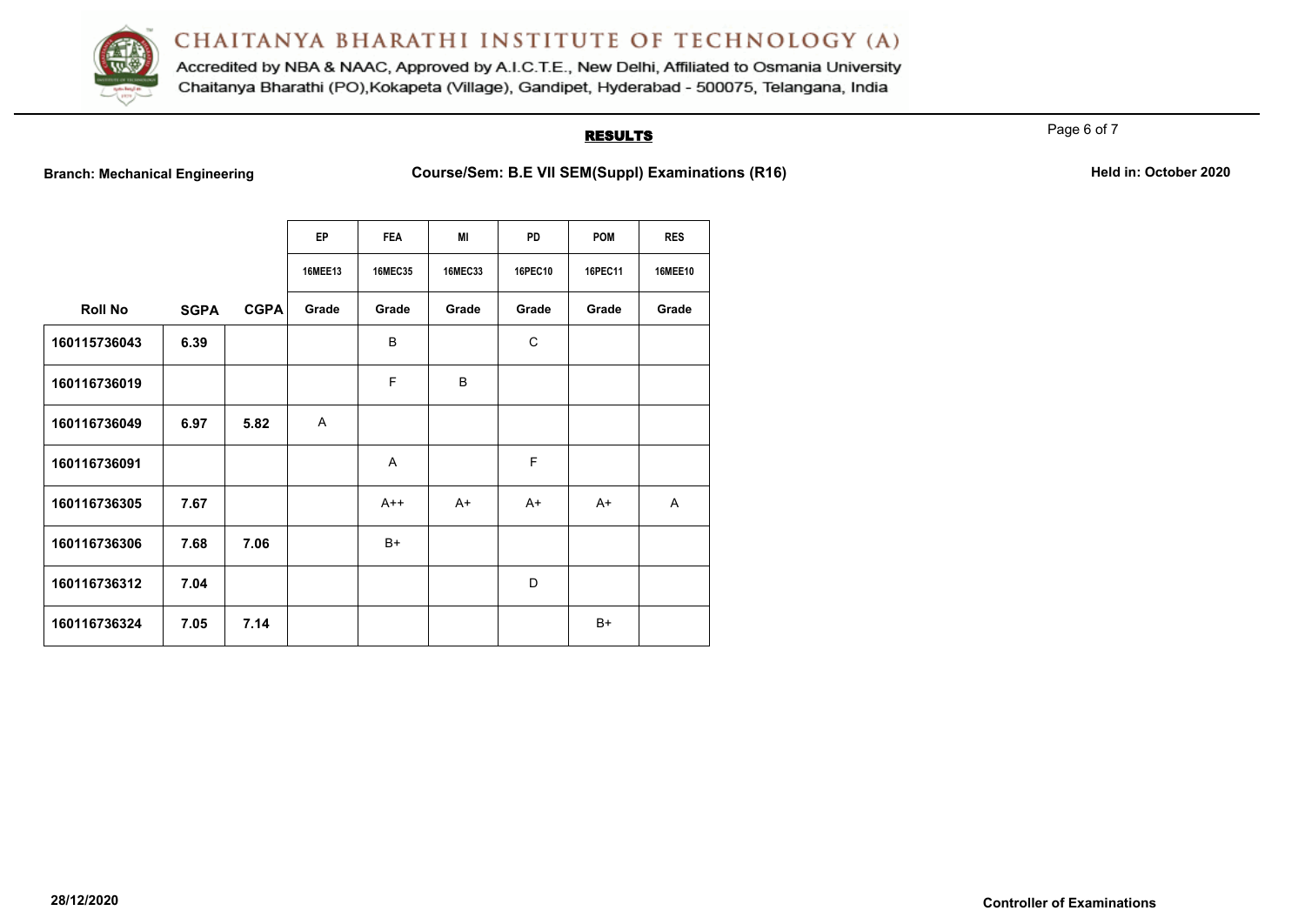

Accredited by NBA & NAAC, Approved by A.I.C.T.E., New Delhi, Affiliated to Osmania University Chaitanya Bharathi (PO), Kokapeta (Village), Gandipet, Hyderabad - 500075, Telangana, India

#### **RESULTS**

Page 6 of 7

**Branch: Mechanical Engineering <b>Course/Sem: B.E VII SEM(Suppl) Examinations (R16)** Held in: October 2020

|                |             |             | <b>EP</b>      | <b>FEA</b>     | МI             | <b>PD</b> | <b>POM</b> | <b>RES</b>     |
|----------------|-------------|-------------|----------------|----------------|----------------|-----------|------------|----------------|
|                |             |             | <b>16MEE13</b> | <b>16MEC35</b> | <b>16MEC33</b> | 16PEC10   | 16PEC11    | <b>16MEE10</b> |
| <b>Roll No</b> | <b>SGPA</b> | <b>CGPA</b> | Grade          | Grade          | Grade          | Grade     | Grade      | Grade          |
| 160115736043   | 6.39        |             |                | B              |                | C         |            |                |
| 160116736019   |             |             |                | F              | B              |           |            |                |
| 160116736049   | 6.97        | 5.82        | A              |                |                |           |            |                |
| 160116736091   |             |             |                | A              |                | E         |            |                |
| 160116736305   | 7.67        |             |                | $A++$          | $A+$           | $A+$      | $A+$       | A              |
| 160116736306   | 7.68        | 7.06        |                | $B+$           |                |           |            |                |
| 160116736312   | 7.04        |             |                |                |                | D         |            |                |
| 160116736324   | 7.05        | 7.14        |                |                |                |           | $B+$       |                |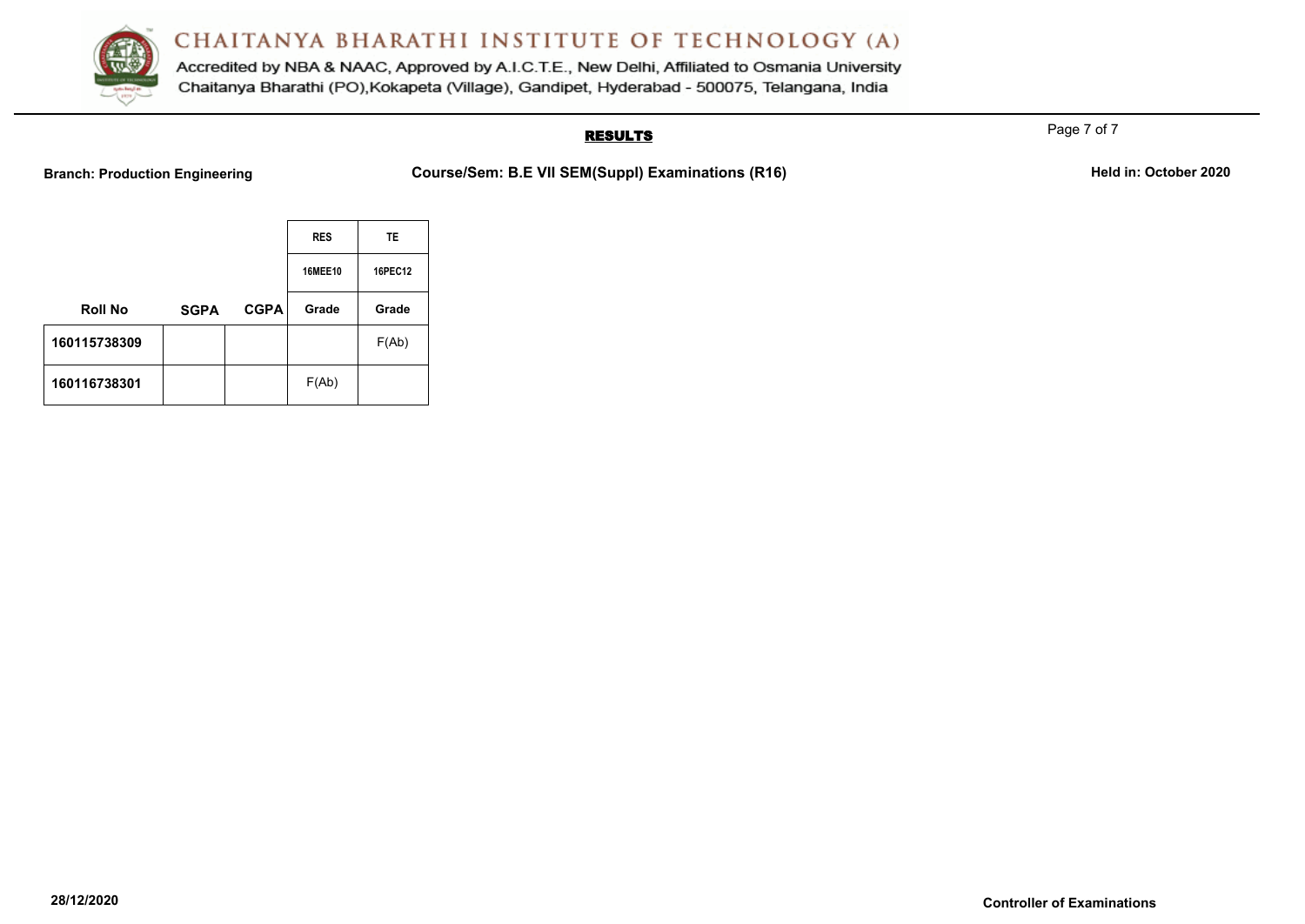

Accredited by NBA & NAAC, Approved by A.I.C.T.E., New Delhi, Affiliated to Osmania University Chaitanya Bharathi (PO), Kokapeta (Village), Gandipet, Hyderabad - 500075, Telangana, India

### **RESULTS**

Page 7 of 7

**Branch: Production Engineering <b>Course/Sem: B.E VII SEM(Suppl) Examinations (R16)** Held in: October 2020

|                |             |             | <b>RES</b>     | <b>TE</b> |  |
|----------------|-------------|-------------|----------------|-----------|--|
|                |             |             | <b>16MEE10</b> | 16PEC12   |  |
| <b>Roll No</b> | <b>SGPA</b> | <b>CGPA</b> | Grade          | Grade     |  |
| 160115738309   |             |             |                | F(Ab)     |  |
| 160116738301   |             |             | F(Ab)          |           |  |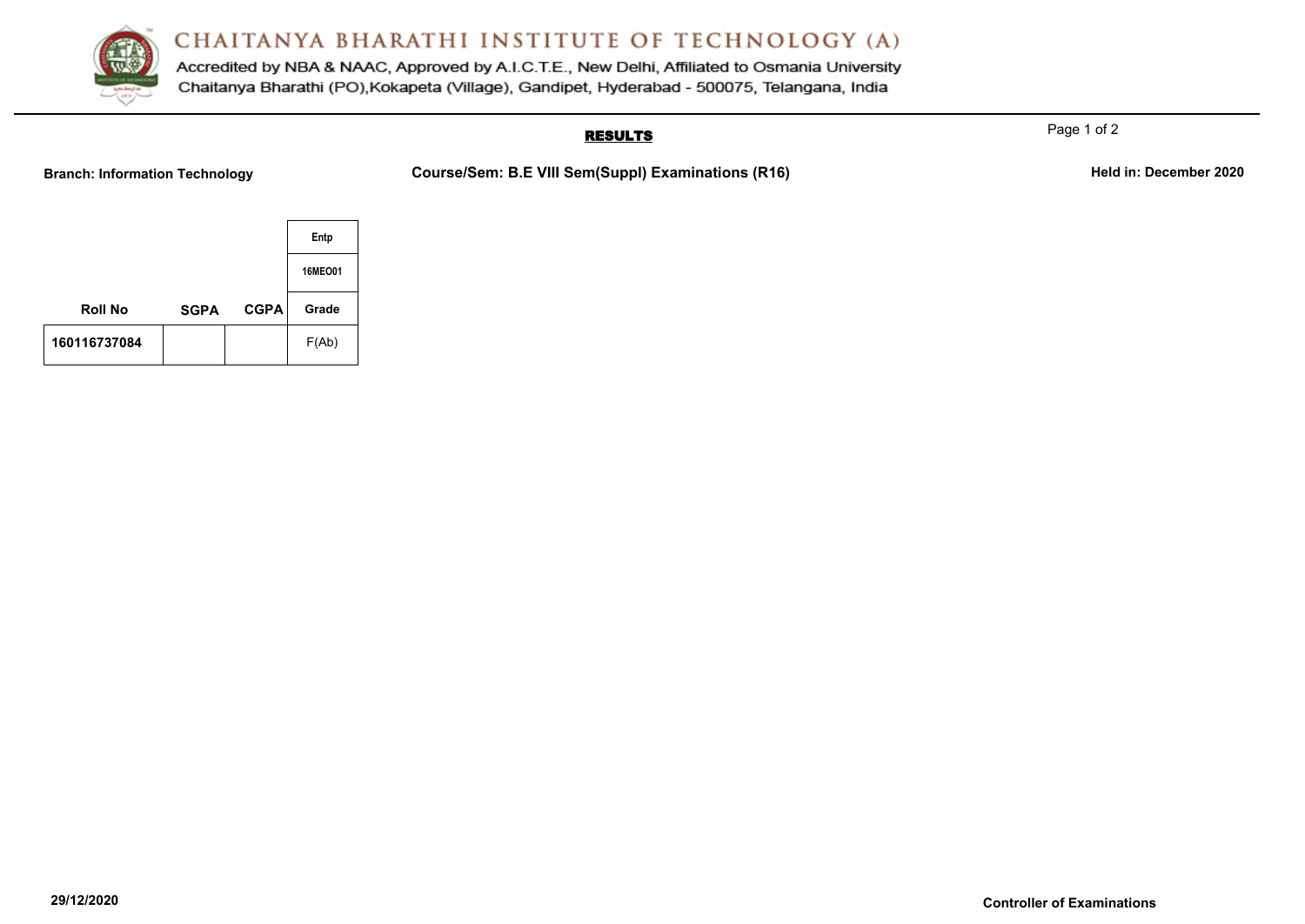

Accredited by NBA & NAAC, Approved by A.I.C.T.E., New Delhi, Affiliated to Osmania University Chaitanya Bharathi (PO), Kokapeta (Village), Gandipet, Hyderabad - 500075, Telangana, India

### **RESULTS**

Branch: Information Technology **Course/Sem: B.E VIII Sem(Suppl) Examinations (R16)** Held in: December 2020